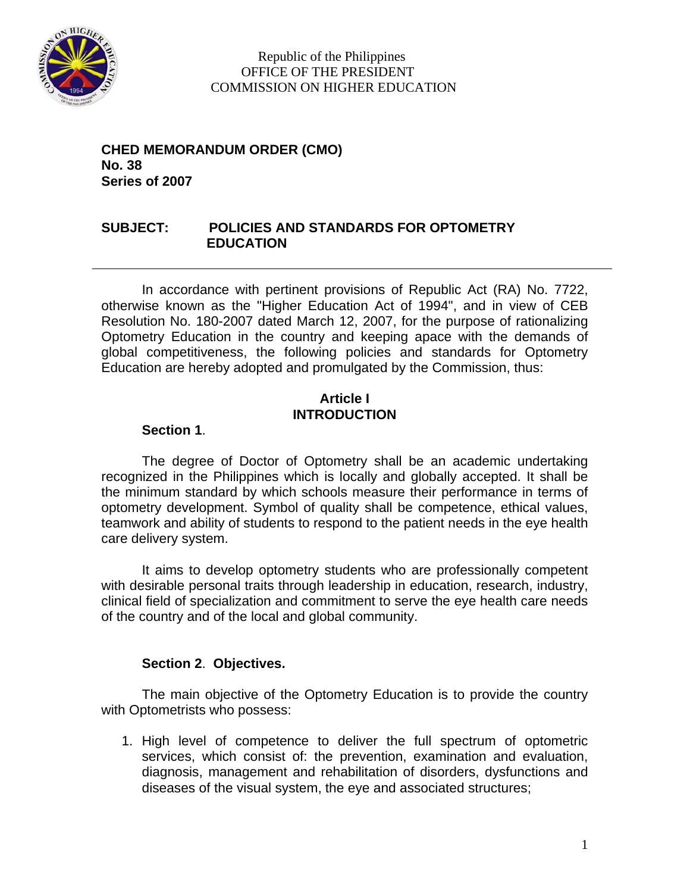

 Republic of the Philippines OFFICE OF THE PRESIDENT COMMISSION ON HIGHER EDUCATION

**CHED MEMORANDUM ORDER (CMO) No. 38 Series of 2007** 

### **SUBJECT: POLICIES AND STANDARDS FOR OPTOMETRY EDUCATION**

In accordance with pertinent provisions of Republic Act (RA) No. 7722, otherwise known as the "Higher Education Act of 1994", and in view of CEB Resolution No. 180-2007 dated March 12, 2007, for the purpose of rationalizing Optometry Education in the country and keeping apace with the demands of global competitiveness, the following policies and standards for Optometry Education are hereby adopted and promulgated by the Commission, thus:

### **Article I INTRODUCTION**

### **Section 1**.

The degree of Doctor of Optometry shall be an academic undertaking recognized in the Philippines which is locally and globally accepted. It shall be the minimum standard by which schools measure their performance in terms of optometry development. Symbol of quality shall be competence, ethical values, teamwork and ability of students to respond to the patient needs in the eye health care delivery system.

It aims to develop optometry students who are professionally competent with desirable personal traits through leadership in education, research, industry, clinical field of specialization and commitment to serve the eye health care needs of the country and of the local and global community.

### **Section 2**. **Objectives.**

The main objective of the Optometry Education is to provide the country with Optometrists who possess:

1. High level of competence to deliver the full spectrum of optometric services, which consist of: the prevention, examination and evaluation, diagnosis, management and rehabilitation of disorders, dysfunctions and diseases of the visual system, the eye and associated structures;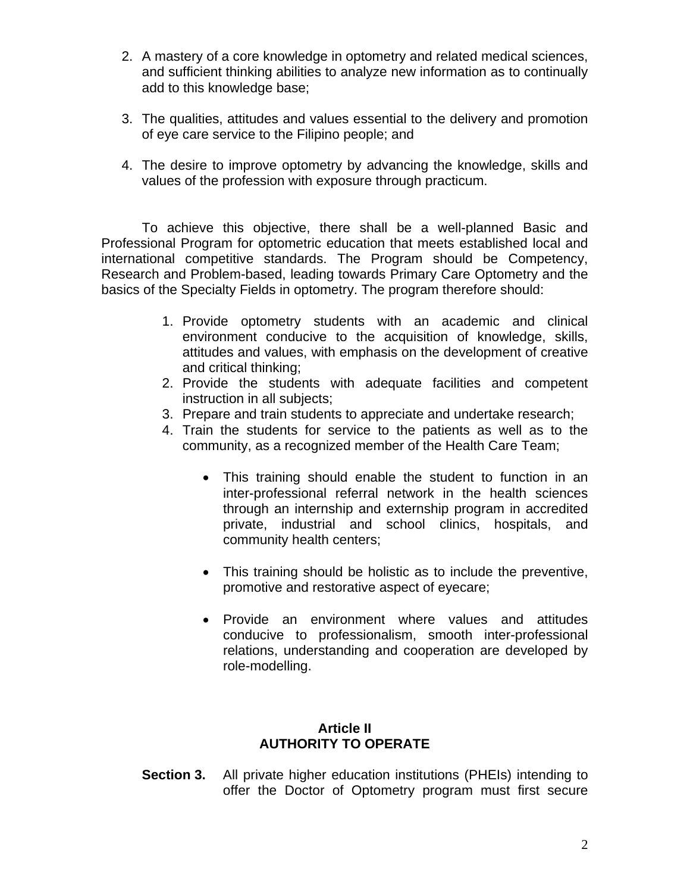- 2. A mastery of a core knowledge in optometry and related medical sciences, and sufficient thinking abilities to analyze new information as to continually add to this knowledge base;
- 3. The qualities, attitudes and values essential to the delivery and promotion of eye care service to the Filipino people; and
- 4. The desire to improve optometry by advancing the knowledge, skills and values of the profession with exposure through practicum.

To achieve this objective, there shall be a well-planned Basic and Professional Program for optometric education that meets established local and international competitive standards. The Program should be Competency, Research and Problem-based, leading towards Primary Care Optometry and the basics of the Specialty Fields in optometry. The program therefore should:

- 1. Provide optometry students with an academic and clinical environment conducive to the acquisition of knowledge, skills, attitudes and values, with emphasis on the development of creative and critical thinking;
- 2. Provide the students with adequate facilities and competent instruction in all subjects;
- 3. Prepare and train students to appreciate and undertake research;
- 4. Train the students for service to the patients as well as to the community, as a recognized member of the Health Care Team;
	- This training should enable the student to function in an inter-professional referral network in the health sciences through an internship and externship program in accredited private, industrial and school clinics, hospitals, and community health centers;
	- This training should be holistic as to include the preventive, promotive and restorative aspect of eyecare;
	- Provide an environment where values and attitudes conducive to professionalism, smooth inter-professional relations, understanding and cooperation are developed by role-modelling.

### **Article II AUTHORITY TO OPERATE**

**Section 3.**All private higher education institutions (PHEIs) intending to offer the Doctor of Optometry program must first secure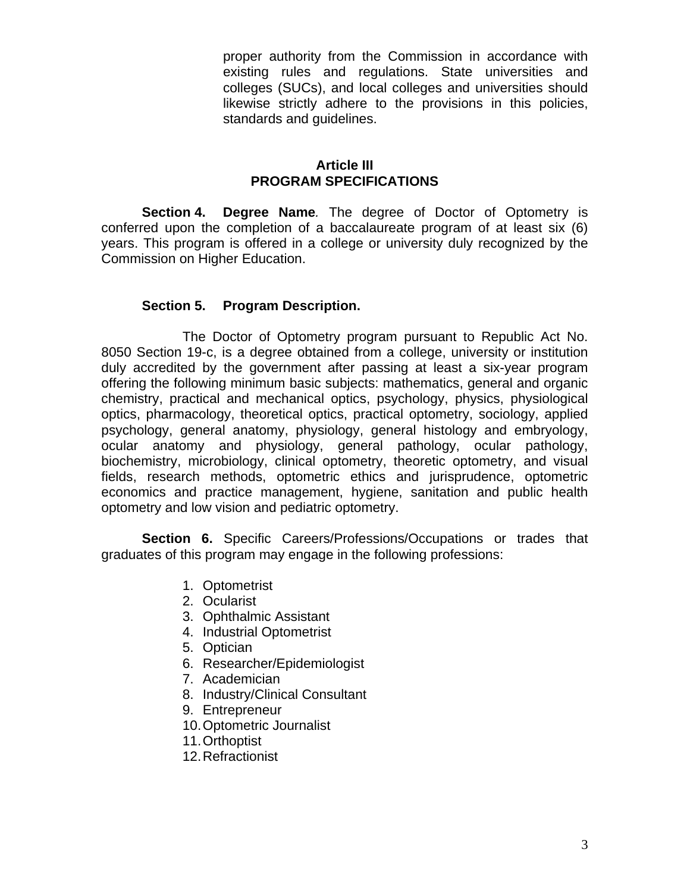proper authority from the Commission in accordance with existing rules and regulations. State universities and colleges (SUCs), and local colleges and universities should likewise strictly adhere to the provisions in this policies, standards and guidelines.

### **Article III PROGRAM SPECIFICATIONS**

**Section 4. Degree Name***.* The degree of Doctor of Optometry is conferred upon the completion of a baccalaureate program of at least six (6) years. This program is offered in a college or university duly recognized by the Commission on Higher Education.

### **Section 5. Program Description.**

The Doctor of Optometry program pursuant to Republic Act No. 8050 Section 19-c, is a degree obtained from a college, university or institution duly accredited by the government after passing at least a six-year program offering the following minimum basic subjects: mathematics, general and organic chemistry, practical and mechanical optics, psychology, physics, physiological optics, pharmacology, theoretical optics, practical optometry, sociology, applied psychology, general anatomy, physiology, general histology and embryology, ocular anatomy and physiology, general pathology, ocular pathology, biochemistry, microbiology, clinical optometry, theoretic optometry, and visual fields, research methods, optometric ethics and jurisprudence, optometric economics and practice management, hygiene, sanitation and public health optometry and low vision and pediatric optometry.

**Section 6.** Specific Careers/Professions/Occupations or trades that graduates of this program may engage in the following professions:

- 1. Optometrist
- 2. Ocularist
- 3. Ophthalmic Assistant
- 4. Industrial Optometrist
- 5. Optician
- 6. Researcher/Epidemiologist
- 7. Academician
- 8. Industry/Clinical Consultant
- 9. Entrepreneur
- 10. Optometric Journalist
- 11. Orthoptist
- 12. Refractionist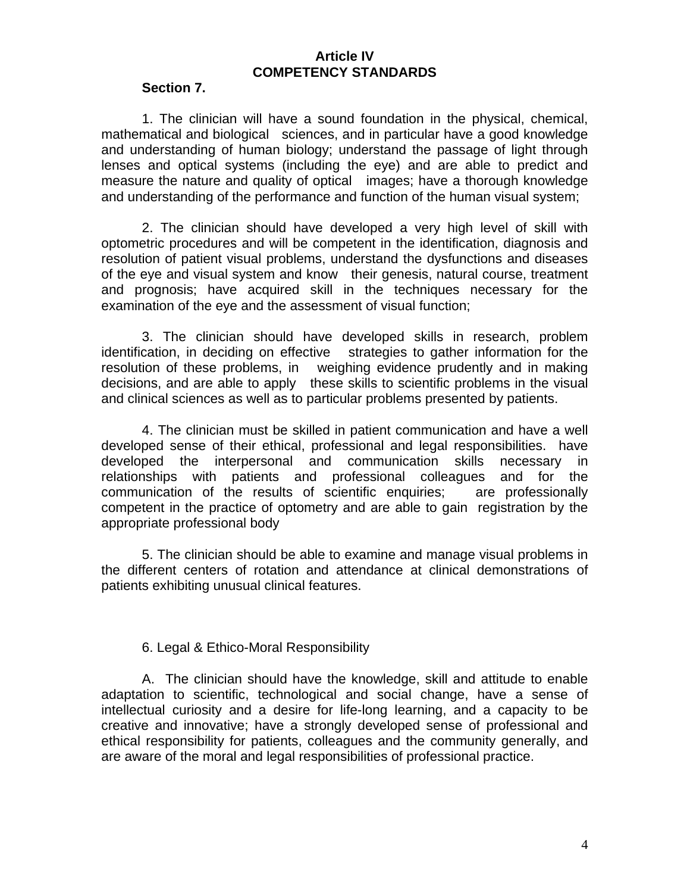### **Article IV COMPETENCY STANDARDS**

#### **Section 7.**

1. The clinician will have a sound foundation in the physical, chemical, mathematical and biological sciences, and in particular have a good knowledge and understanding of human biology; understand the passage of light through lenses and optical systems (including the eye) and are able to predict and measure the nature and quality of optical images; have a thorough knowledge and understanding of the performance and function of the human visual system;

2. The clinician should have developed a very high level of skill with optometric procedures and will be competent in the identification, diagnosis and resolution of patient visual problems, understand the dysfunctions and diseases of the eye and visual system and know their genesis, natural course, treatment and prognosis; have acquired skill in the techniques necessary for the examination of the eye and the assessment of visual function;

3. The clinician should have developed skills in research, problem identification, in deciding on effective strategies to gather information for the resolution of these problems, in weighing evidence prudently and in making decisions, and are able to apply these skills to scientific problems in the visual and clinical sciences as well as to particular problems presented by patients.

4. The clinician must be skilled in patient communication and have a well developed sense of their ethical, professional and legal responsibilities. have developed the interpersonal and communication skills necessary in relationships with patients and professional colleagues and for the communication of the results of scientific enquiries; are professionally competent in the practice of optometry and are able to gain registration by the appropriate professional body

5. The clinician should be able to examine and manage visual problems in the different centers of rotation and attendance at clinical demonstrations of patients exhibiting unusual clinical features.

### 6. Legal & Ethico-Moral Responsibility

A. The clinician should have the knowledge, skill and attitude to enable adaptation to scientific, technological and social change, have a sense of intellectual curiosity and a desire for life-long learning, and a capacity to be creative and innovative; have a strongly developed sense of professional and ethical responsibility for patients, colleagues and the community generally, and are aware of the moral and legal responsibilities of professional practice.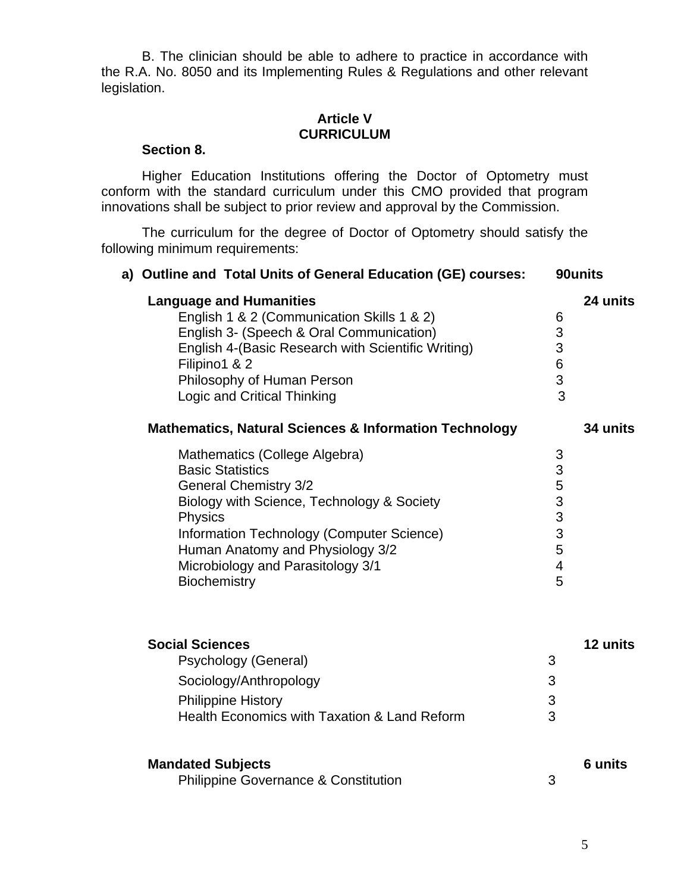B. The clinician should be able to adhere to practice in accordance with the R.A. No. 8050 and its Implementing Rules & Regulations and other relevant legislation.

### **Article V CURRICULUM**

#### **Section 8.**

Higher Education Institutions offering the Doctor of Optometry must conform with the standard curriculum under this CMO provided that program innovations shall be subject to prior review and approval by the Commission.

The curriculum for the degree of Doctor of Optometry should satisfy the following minimum requirements:

| a) Outline and Total Units of General Education (GE) courses:                                                                                                                                                                                                                           |                                           | 90units  |
|-----------------------------------------------------------------------------------------------------------------------------------------------------------------------------------------------------------------------------------------------------------------------------------------|-------------------------------------------|----------|
| <b>Language and Humanities</b><br>English 1 & 2 (Communication Skills 1 & 2)<br>English 3- (Speech & Oral Communication)<br>English 4-(Basic Research with Scientific Writing)<br>Filipino1 & 2<br>Philosophy of Human Person<br>Logic and Critical Thinking                            | 6<br>3<br>3<br>$\,$ 6 $\,$<br>3<br>3      | 24 units |
| <b>Mathematics, Natural Sciences &amp; Information Technology</b>                                                                                                                                                                                                                       |                                           | 34 units |
| Mathematics (College Algebra)<br><b>Basic Statistics</b><br><b>General Chemistry 3/2</b><br>Biology with Science, Technology & Society<br>Physics<br>Information Technology (Computer Science)<br>Human Anatomy and Physiology 3/2<br>Microbiology and Parasitology 3/1<br>Biochemistry | 3<br>3<br>5<br>3<br>3<br>3<br>5<br>4<br>5 |          |
| <b>Social Sciences</b><br>Psychology (General)<br>Sociology/Anthropology<br><b>Philippine History</b><br>Health Economics with Taxation & Land Reform                                                                                                                                   | 3<br>3<br>3<br>3                          | 12 units |
| <b>Mandated Subjects</b><br>Philippine Governance & Constitution                                                                                                                                                                                                                        | 3                                         | 6 units  |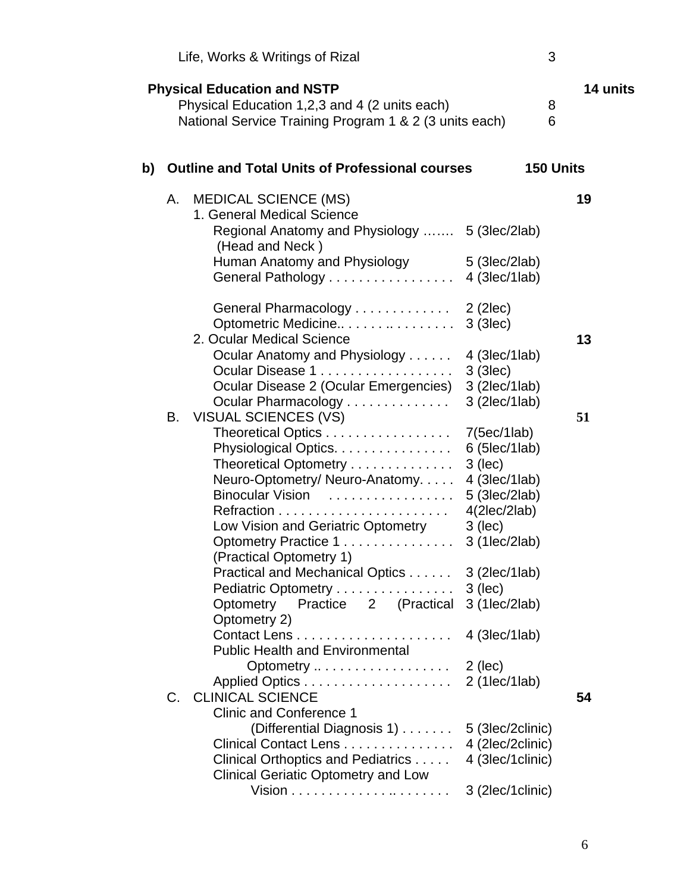| Life, Works & Writings of Rizal                                                                                                                                                                                                                                                                                                                                                                                                                               |                                                                                                                                 | 3                         |
|---------------------------------------------------------------------------------------------------------------------------------------------------------------------------------------------------------------------------------------------------------------------------------------------------------------------------------------------------------------------------------------------------------------------------------------------------------------|---------------------------------------------------------------------------------------------------------------------------------|---------------------------|
| <b>Physical Education and NSTP</b><br>Physical Education 1,2,3 and 4 (2 units each)<br>National Service Training Program 1 & 2 (3 units each)                                                                                                                                                                                                                                                                                                                 |                                                                                                                                 | <b>14 units</b><br>8<br>6 |
| <b>Outline and Total Units of Professional courses</b><br>b)                                                                                                                                                                                                                                                                                                                                                                                                  |                                                                                                                                 | <b>150 Units</b>          |
| <b>MEDICAL SCIENCE (MS)</b><br>А.<br>1. General Medical Science<br>Regional Anatomy and Physiology  5 (3lec/2lab)<br>(Head and Neck)<br>Human Anatomy and Physiology<br>General Pathology 4 (3lec/1lab)                                                                                                                                                                                                                                                       | 5 (3lec/2lab)                                                                                                                   | 19                        |
| General Pharmacology 2 (2lec)<br>Optometric Medicine<br>2. Ocular Medical Science<br>Ocular Anatomy and Physiology<br>Ocular Disease 1<br>Ocular Disease 2 (Ocular Emergencies)<br>Ocular Pharmacology                                                                                                                                                                                                                                                        | $3$ (3lec)<br>4 (3lec/1lab)<br>$3$ (3lec)<br>3 (2lec/1lab)<br>3 (2lec/1lab)                                                     | 13                        |
| VISUAL SCIENCES (VS)<br>В.<br>Theoretical Optics 7(5ec/1lab)<br>Physiological Optics.<br>Theoretical Optometry<br>Neuro-Optometry/Neuro-Anatomy<br>Binocular Vision<br>Low Vision and Geriatric Optometry<br>Optometry Practice 1<br>(Practical Optometry 1)                                                                                                                                                                                                  | $6$ (5lec/1lab)<br>$3$ (lec)<br>4 (3lec/1lab)<br>$5$ (3lec/2lab)<br>4(2 ec/2 ab)<br>$3$ (lec)<br>3 (1lec/2lab)                  | 51                        |
| Practical and Mechanical Optics 3 (2lec/1lab)<br>Pediatric Optometry<br>Optometry Practice 2 (Practical 3 (1lec/2lab)<br>Optometry 2)<br><b>Public Health and Environmental</b><br>Optometry $\dots \dots \dots \dots \dots \dots$ 2 (lec)<br><b>CLINICAL SCIENCE</b><br>$C_{1}$<br><b>Clinic and Conference 1</b><br>(Differential Diagnosis 1)<br>Clinical Contact Lens<br>Clinical Orthoptics and Pediatrics<br><b>Clinical Geriatic Optometry and Low</b> | $3$ (lec)<br>$4$ (3lec/1lab)<br>$2$ (1lec/1lab)<br>5 (3lec/2clinic)<br>4 (2lec/2clinic)<br>4 (3lec/1clinic)<br>3 (2lec/1clinic) | 54                        |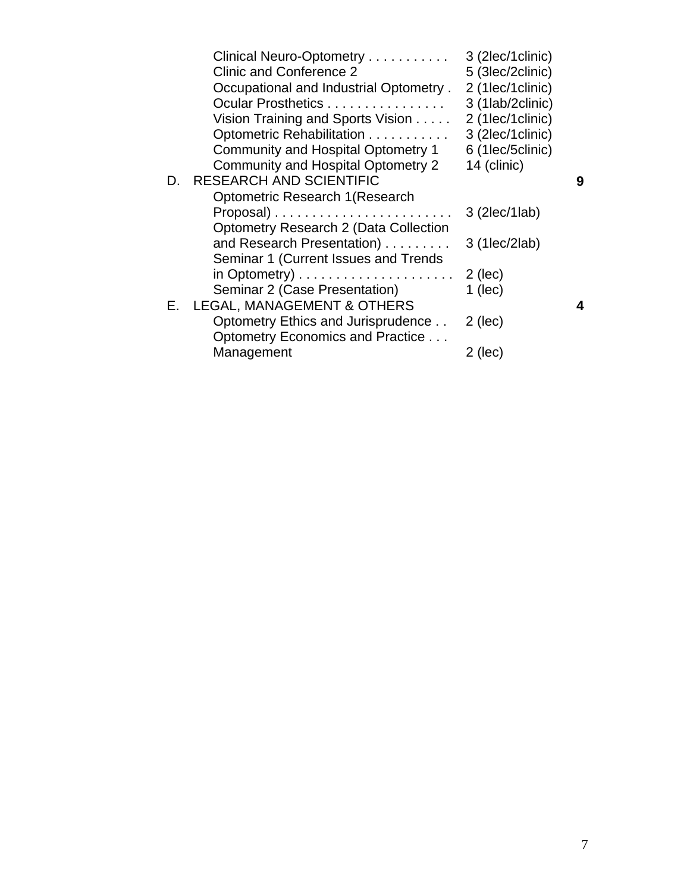|    | Clinical Neuro-Optometry                                  | 3 (2lec/1clinic) |   |
|----|-----------------------------------------------------------|------------------|---|
|    | Clinic and Conference 2                                   | 5 (3lec/2clinic) |   |
|    | Occupational and Industrial Optometry.                    | 2 (1lec/1clinic) |   |
|    | Ocular Prosthetics                                        | 3 (1lab/2clinic) |   |
|    | Vision Training and Sports Vision                         | 2 (1lec/1clinic) |   |
|    | Optometric Rehabilitation                                 | 3 (2lec/1clinic) |   |
|    | <b>Community and Hospital Optometry 1</b>                 | 6 (1lec/5clinic) |   |
|    | Community and Hospital Optometry 2                        | 14 (clinic)      |   |
| D. | <b>RESEARCH AND SCIENTIFIC</b>                            |                  | 9 |
|    | Optometric Research 1 (Research                           |                  |   |
|    |                                                           | 3 (2lec/1lab)    |   |
|    | <b>Optometry Research 2 (Data Collection</b>              |                  |   |
|    | and Research Presentation)                                | 3 (1lec/2lab)    |   |
|    | Seminar 1 (Current Issues and Trends                      |                  |   |
|    | in Optometry) $\ldots \ldots \ldots \ldots \ldots \ldots$ | $2$ (lec)        |   |
|    | Seminar 2 (Case Presentation)                             | $1$ (lec)        |   |
| Е. | <b>LEGAL, MANAGEMENT &amp; OTHERS</b>                     |                  | 4 |
|    | Optometry Ethics and Jurisprudence                        | $2$ (lec)        |   |
|    | Optometry Economics and Practice                          |                  |   |
|    | Management                                                | $2$ (lec)        |   |
|    |                                                           |                  |   |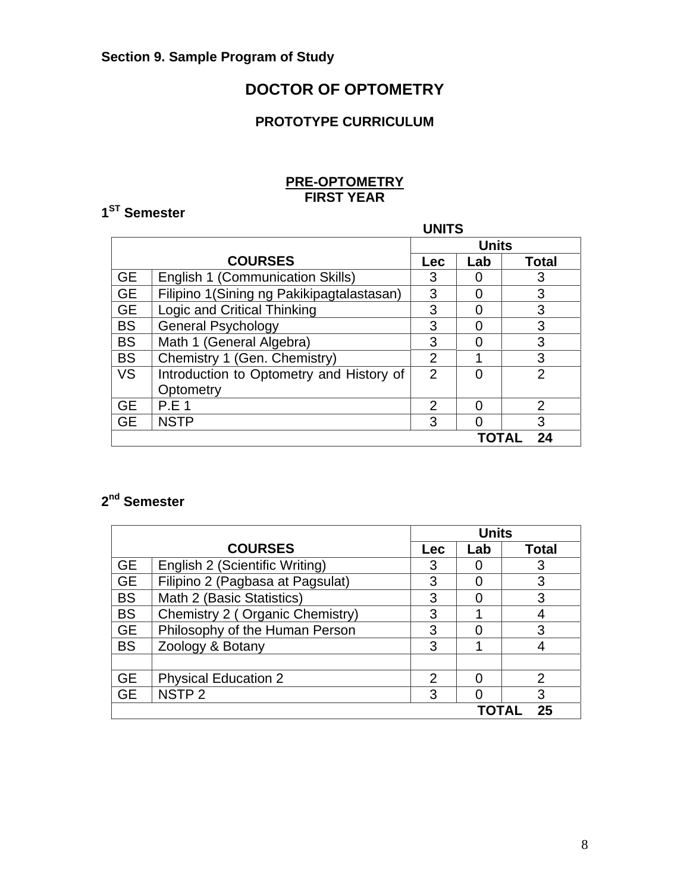## **DOCTOR OF OPTOMETRY**

### **PROTOTYPE CURRICULUM**

### **PRE-OPTOMETRY FIRST YEAR**

# **1ST Semester**

|           | <b>UNITS</b>                              |                |              |                |
|-----------|-------------------------------------------|----------------|--------------|----------------|
|           |                                           |                | <b>Units</b> |                |
|           | <b>COURSES</b>                            | <b>Lec</b>     | Lab          | <b>Total</b>   |
| <b>GE</b> | <b>English 1 (Communication Skills)</b>   | 3              |              | 3              |
| <b>GE</b> | Filipino 1(Sining ng Pakikipagtalastasan) | 3              |              | 3              |
| <b>GE</b> | Logic and Critical Thinking               | 3              |              | 3              |
| <b>BS</b> | <b>General Psychology</b>                 | 3              | Ⴖ            | 3              |
| <b>BS</b> | Math 1 (General Algebra)                  | 3              | 0            | 3              |
| <b>BS</b> | Chemistry 1 (Gen. Chemistry)              | $\overline{2}$ |              | 3              |
| <b>VS</b> | Introduction to Optometry and History of  | 2              |              | $\overline{2}$ |
|           | Optometry                                 |                |              |                |
| <b>GE</b> | <b>P.E 1</b>                              | $\mathcal{P}$  |              | 2              |
| <b>GE</b> | <b>NSTP</b>                               | 3              |              | 3              |
|           | 24<br>TOTAL                               |                |              |                |

## **2nd Semester**

|           |                                  |     | <b>Units</b> |                |  |
|-----------|----------------------------------|-----|--------------|----------------|--|
|           | <b>COURSES</b>                   | Lec | Lab          | <b>Total</b>   |  |
| <b>GE</b> | English 2 (Scientific Writing)   | 3   |              | 3              |  |
| <b>GE</b> | Filipino 2 (Pagbasa at Pagsulat) | 3   |              | 3              |  |
| <b>BS</b> | Math 2 (Basic Statistics)        | 3   |              | 3              |  |
| <b>BS</b> | Chemistry 2 (Organic Chemistry)  | 3   |              |                |  |
| <b>GE</b> | Philosophy of the Human Person   | 3   |              | 3              |  |
| <b>BS</b> | Zoology & Botany                 | 3   |              |                |  |
|           |                                  |     |              |                |  |
| <b>GE</b> | <b>Physical Education 2</b>      | 2   |              | $\overline{2}$ |  |
| <b>GE</b> | NSTP <sub>2</sub>                | 3   |              | 3              |  |
| 25        |                                  |     |              |                |  |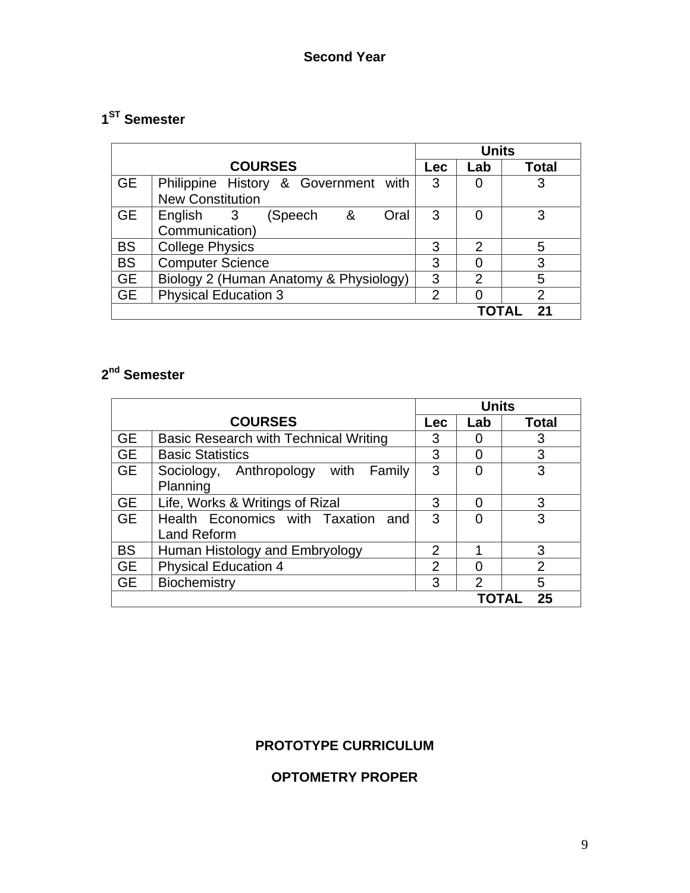# **1ST Semester**

|           |                                          | <b>Units</b>   |                |                |
|-----------|------------------------------------------|----------------|----------------|----------------|
|           | <b>COURSES</b>                           | Lec            | Lab            | <b>Total</b>   |
| <b>GE</b> | Philippine History & Government with     | 3              |                | 3              |
|           | <b>New Constitution</b>                  |                |                |                |
| <b>GE</b> | English 3<br>$\alpha$<br>(Speech<br>Oral | 3              | 0              | 3              |
|           | Communication)                           |                |                |                |
| <b>BS</b> | <b>College Physics</b>                   | 3              | $\mathcal{P}$  | 5              |
| <b>BS</b> | <b>Computer Science</b>                  | 3              | 0              | 3              |
| <b>GE</b> | Biology 2 (Human Anatomy & Physiology)   | 3              | $\overline{2}$ | 5              |
| <b>GE</b> | <b>Physical Education 3</b>              | $\overline{2}$ |                | $\overline{2}$ |
|           |                                          |                |                | -21            |

# **2nd Semester**

|           |                                                          | <b>Units</b>   |     |                |
|-----------|----------------------------------------------------------|----------------|-----|----------------|
|           | <b>COURSES</b>                                           | <b>Lec</b>     | Lab | <b>Total</b>   |
| <b>GE</b> | <b>Basic Research with Technical Writing</b>             | 3              |     | 3              |
| <b>GE</b> | <b>Basic Statistics</b>                                  | 3              | O   | 3              |
| <b>GE</b> | Sociology, Anthropology with Family<br>Planning          | 3              |     | 3              |
| <b>GE</b> | Life, Works & Writings of Rizal                          | 3              | O   | 3              |
| <b>GE</b> | Health Economics with Taxation and<br><b>Land Reform</b> | 3              | ∩   | 3              |
| <b>BS</b> | Human Histology and Embryology                           | $\overline{2}$ |     | 3              |
| <b>GE</b> | <b>Physical Education 4</b>                              | $\mathcal{P}$  | O   | $\overline{2}$ |
| <b>GE</b> | Biochemistry                                             | 3              | 2   | 5              |
|           | 25                                                       |                |     |                |

### **PROTOTYPE CURRICULUM**

# **OPTOMETRY PROPER**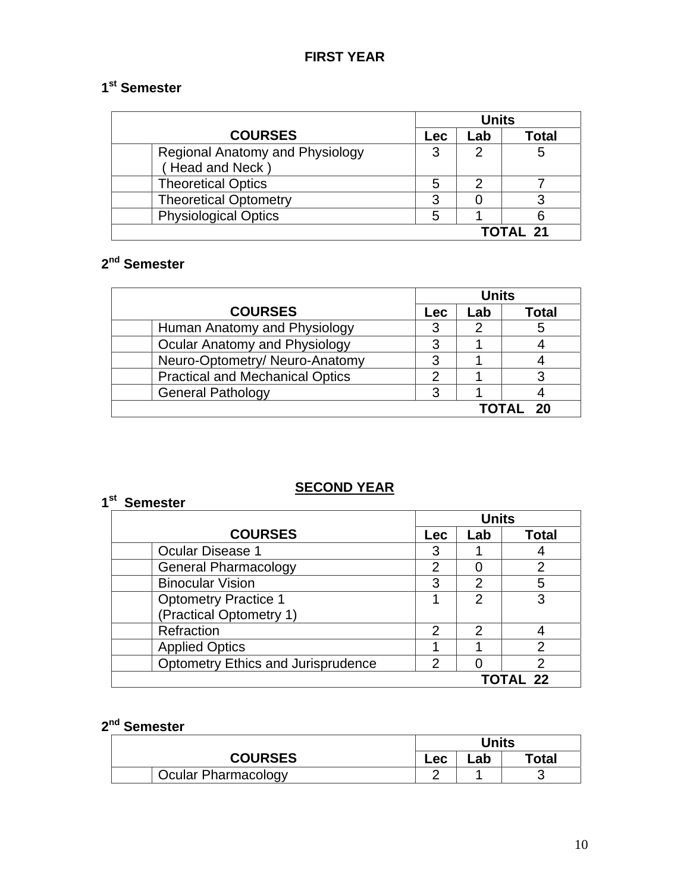# **1st Semester**

|                                                    | <b>Units</b> |     |       |
|----------------------------------------------------|--------------|-----|-------|
| <b>COURSES</b>                                     | <b>Lec</b>   | Lab | Total |
| Regional Anatomy and Physiology<br>(Head and Neck) | 3            |     | 5     |
| <b>Theoretical Optics</b>                          | 5            |     |       |
| <b>Theoretical Optometry</b>                       | ?            |     |       |
| <b>Physiological Optics</b>                        |              |     |       |
|                                                    | ΓΟΤΑΙ 21     |     |       |

# **2nd Semester**

|                                        | <b>Units</b> |     |              |
|----------------------------------------|--------------|-----|--------------|
| <b>COURSES</b>                         | <b>Lec</b>   | Lab | <b>Total</b> |
| Human Anatomy and Physiology           | 3            |     | 5            |
| Ocular Anatomy and Physiology          | 3            |     |              |
| Neuro-Optometry/ Neuro-Anatomy         | 3            |     |              |
| <b>Practical and Mechanical Optics</b> | າ            |     | 3            |
| <b>General Pathology</b>               | 3            |     |              |
|                                        |              |     | TOTAL 20     |

### **SECOND YEAR**

### **1st Semester**

|                                           | <b>Units</b>   |                |              |
|-------------------------------------------|----------------|----------------|--------------|
| <b>COURSES</b>                            | Lec            | Lab            | <b>Total</b> |
| <b>Ocular Disease 1</b>                   | 3              |                |              |
| <b>General Pharmacology</b>               | 2              |                | 2            |
| <b>Binocular Vision</b>                   | 3              | 2              | 5            |
| <b>Optometry Practice 1</b>               |                | 2              | 3            |
| (Practical Optometry 1)                   |                |                |              |
| Refraction                                | 2              | $\overline{2}$ |              |
| <b>Applied Optics</b>                     |                |                | っ            |
| <b>Optometry Ethics and Jurisprudence</b> | $\overline{2}$ |                | 2            |
|                                           |                |                | TOTAL 22     |

# **2nd Semester**

| <sup>''"</sup> Semester    |       |     |       |
|----------------------------|-------|-----|-------|
|                            | Units |     |       |
| <b>COURSES</b>             | Lec   | ∟ab | Total |
| <b>Ocular Pharmacology</b> |       |     |       |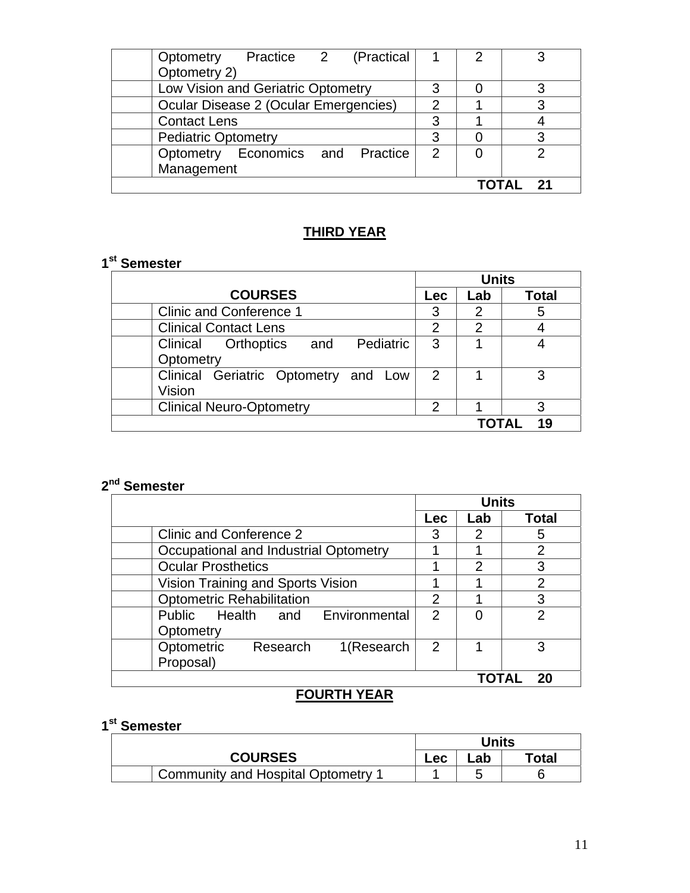| Optometry Practice 2 (Practical       |   | 2 |   |
|---------------------------------------|---|---|---|
| Optometry 2)                          |   |   |   |
| Low Vision and Geriatric Optometry    | 3 |   |   |
| Ocular Disease 2 (Ocular Emergencies) | っ |   | 3 |
| <b>Contact Lens</b>                   | 3 |   |   |
| <b>Pediatric Optometry</b>            | 3 |   |   |
| Optometry Economics and Practice      | 2 |   |   |
| Management                            |   |   |   |
|                                       |   |   |   |

### **THIRD YEAR**

### **1st Semester**

|                                                   |                | <b>Units</b>   |              |
|---------------------------------------------------|----------------|----------------|--------------|
| <b>COURSES</b>                                    | <b>Lec</b>     | Lab            | <b>Total</b> |
| <b>Clinic and Conference 1</b>                    | 3              | 2              | 5            |
| <b>Clinical Contact Lens</b>                      | $\overline{2}$ | $\overline{2}$ |              |
| Pediatric<br>Clinical Orthoptics and<br>Optometry | 3              |                |              |
| Clinical Geriatric Optometry and Low<br>Vision    | 2              |                | 3            |
| <b>Clinical Neuro-Optometry</b>                   | $\overline{2}$ |                | 3            |
|                                                   |                |                | 19           |

# **2nd Semester**

|                                       | <b>Units</b>   |     |                |
|---------------------------------------|----------------|-----|----------------|
|                                       | <b>Lec</b>     | Lab | <b>Total</b>   |
| Clinic and Conference 2               | 3              | 2   | 5              |
| Occupational and Industrial Optometry |                |     | $\overline{2}$ |
| <b>Ocular Prosthetics</b>             |                | 2   | 3              |
| Vision Training and Sports Vision     |                |     | $\overline{2}$ |
| <b>Optometric Rehabilitation</b>      |                |     | 3              |
| Public Health and Environmental       | 2              |     | 2              |
| Optometry                             |                |     |                |
| Optometric<br>1(Research<br>Research  | $\overline{2}$ |     | 3              |
| Proposal)                             |                |     |                |
|                                       |                |     | 20             |

# **FOURTH YEAR**

# **1st Semester**

|                                    |     | Units |       |
|------------------------------------|-----|-------|-------|
| <b>COURSES</b>                     | Lec | _ab   | Total |
| Community and Hospital Optometry 1 |     |       |       |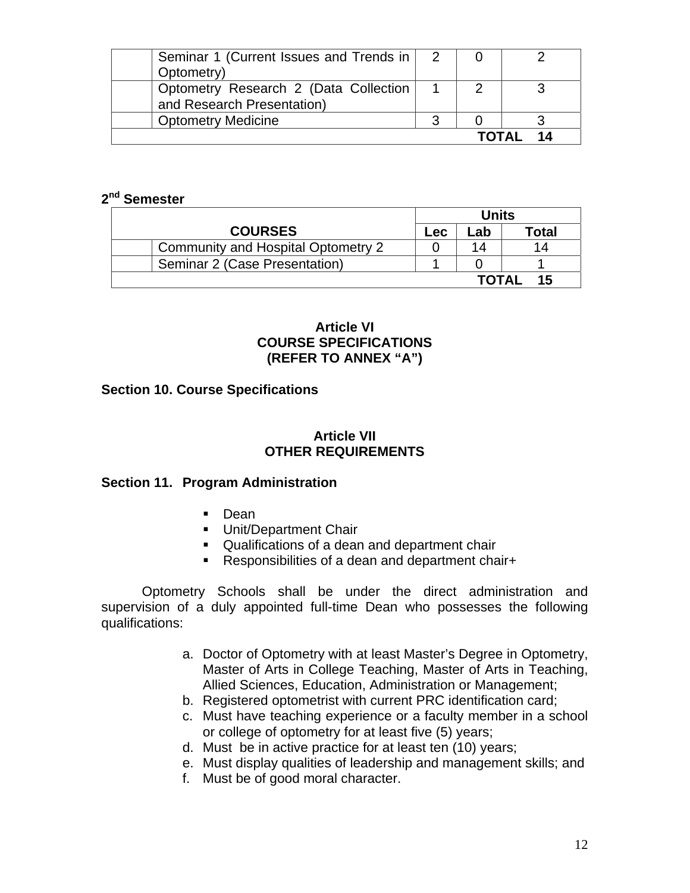| Seminar 1 (Current Issues and Trends in   2 |  |       |  |
|---------------------------------------------|--|-------|--|
| Optometry)                                  |  |       |  |
| Optometry Research 2 (Data Collection       |  |       |  |
| and Research Presentation)                  |  |       |  |
| <b>Optometry Medicine</b>                   |  |       |  |
|                                             |  | ΤΩΤΔΙ |  |

### **2nd Semester**

|                                    |     | Units |       |
|------------------------------------|-----|-------|-------|
| <b>COURSES</b>                     | Lec | ∟ab   | Гоtal |
| Community and Hospital Optometry 2 |     | 14    | 14    |
| Seminar 2 (Case Presentation)      |     |       |       |
|                                    |     | ΤΩΤΔΙ | 15    |

### **Article VI COURSE SPECIFICATIONS (REFER TO ANNEX "A")**

### **Section 10. Course Specifications**

### **Article VII OTHER REQUIREMENTS**

### **Section 11. Program Administration**

- **Dean**
- **Unit/Department Chair**
- Qualifications of a dean and department chair
- Responsibilities of a dean and department chair+

Optometry Schools shall be under the direct administration and supervision of a duly appointed full-time Dean who possesses the following qualifications:

- a. Doctor of Optometry with at least Master's Degree in Optometry, Master of Arts in College Teaching, Master of Arts in Teaching, Allied Sciences, Education, Administration or Management;
- b. Registered optometrist with current PRC identification card;
- c. Must have teaching experience or a faculty member in a school or college of optometry for at least five (5) years;
- d. Must be in active practice for at least ten (10) years;
- e. Must display qualities of leadership and management skills; and
- f. Must be of good moral character.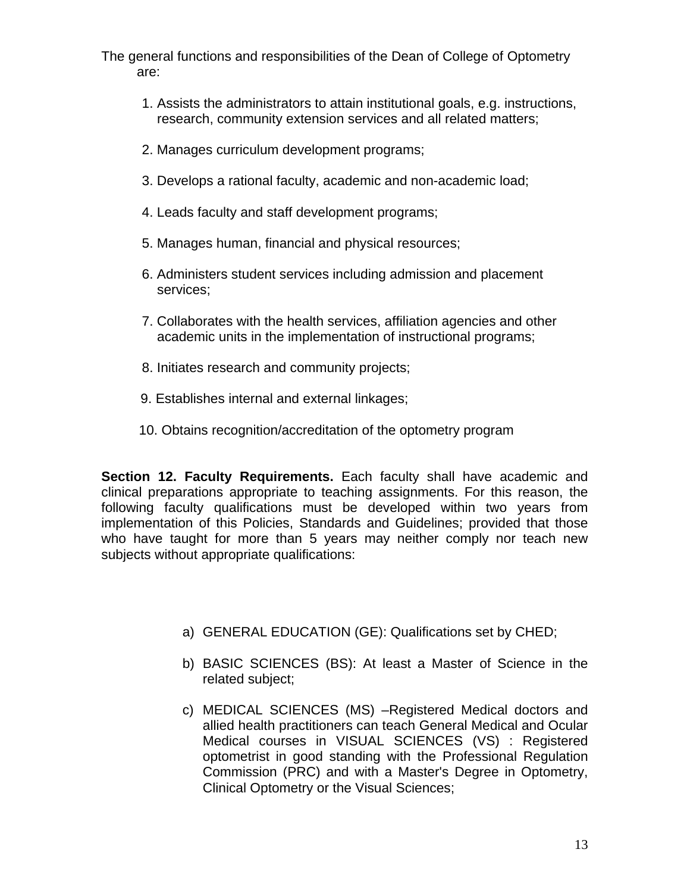The general functions and responsibilities of the Dean of College of Optometry are:

- 1. Assists the administrators to attain institutional goals, e.g. instructions, research, community extension services and all related matters;
- 2. Manages curriculum development programs;
- 3. Develops a rational faculty, academic and non-academic load;
- 4. Leads faculty and staff development programs;
- 5. Manages human, financial and physical resources;
- 6. Administers student services including admission and placement services;
- 7. Collaborates with the health services, affiliation agencies and other academic units in the implementation of instructional programs;
- 8. Initiates research and community projects;
- 9. Establishes internal and external linkages;
- 10. Obtains recognition/accreditation of the optometry program

**Section 12. Faculty Requirements.** Each faculty shall have academic and clinical preparations appropriate to teaching assignments. For this reason, the following faculty qualifications must be developed within two years from implementation of this Policies, Standards and Guidelines; provided that those who have taught for more than 5 years may neither comply nor teach new subjects without appropriate qualifications:

- a) GENERAL EDUCATION (GE): Qualifications set by CHED;
- b) BASIC SCIENCES (BS): At least a Master of Science in the related subject;
- c) MEDICAL SCIENCES (MS) –Registered Medical doctors and allied health practitioners can teach General Medical and Ocular Medical courses in VISUAL SCIENCES (VS) : Registered optometrist in good standing with the Professional Regulation Commission (PRC) and with a Master's Degree in Optometry, Clinical Optometry or the Visual Sciences;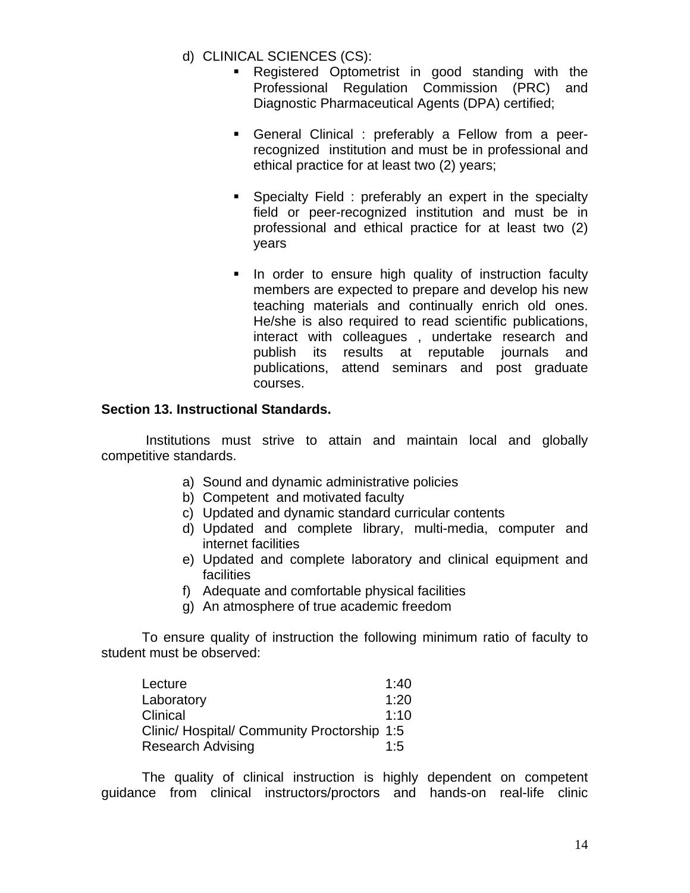- d) CLINICAL SCIENCES (CS):
	- Registered Optometrist in good standing with the Professional Regulation Commission (PRC) and Diagnostic Pharmaceutical Agents (DPA) certified;
	- General Clinical : preferably a Fellow from a peerrecognized institution and must be in professional and ethical practice for at least two (2) years;
	- **Specialty Field : preferably an expert in the specialty** field or peer-recognized institution and must be in professional and ethical practice for at least two (2) years
	- In order to ensure high quality of instruction faculty members are expected to prepare and develop his new teaching materials and continually enrich old ones. He/she is also required to read scientific publications, interact with colleagues , undertake research and publish its results at reputable journals and publications, attend seminars and post graduate courses.

### **Section 13. Instructional Standards.**

Institutions must strive to attain and maintain local and globally competitive standards.

- a) Sound and dynamic administrative policies
- b) Competent and motivated faculty
- c) Updated and dynamic standard curricular contents
- d) Updated and complete library, multi-media, computer and internet facilities
- e) Updated and complete laboratory and clinical equipment and facilities
- f) Adequate and comfortable physical facilities
- g) An atmosphere of true academic freedom

To ensure quality of instruction the following minimum ratio of faculty to student must be observed:

| Lecture                                     | 1:40 |
|---------------------------------------------|------|
| Laboratory                                  | 1:20 |
| Clinical                                    | 1:10 |
| Clinic/ Hospital/ Community Proctorship 1:5 |      |
| <b>Research Advising</b>                    | 1:5  |

The quality of clinical instruction is highly dependent on competent guidance from clinical instructors/proctors and hands-on real-life clinic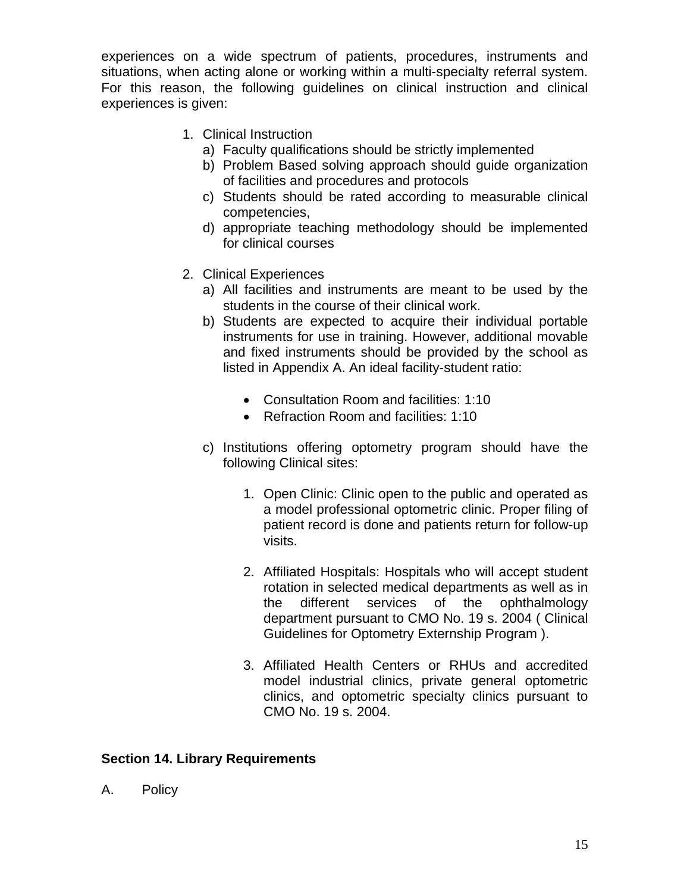experiences on a wide spectrum of patients, procedures, instruments and situations, when acting alone or working within a multi-specialty referral system. For this reason, the following guidelines on clinical instruction and clinical experiences is given:

- 1. Clinical Instruction
	- a) Faculty qualifications should be strictly implemented
	- b) Problem Based solving approach should guide organization of facilities and procedures and protocols
	- c) Students should be rated according to measurable clinical competencies,
	- d) appropriate teaching methodology should be implemented for clinical courses
- 2. Clinical Experiences
	- a) All facilities and instruments are meant to be used by the students in the course of their clinical work.
	- b) Students are expected to acquire their individual portable instruments for use in training. However, additional movable and fixed instruments should be provided by the school as listed in Appendix A. An ideal facility-student ratio:
		- Consultation Room and facilities: 1:10
		- Refraction Room and facilities: 1:10
	- c) Institutions offering optometry program should have the following Clinical sites:
		- 1. Open Clinic: Clinic open to the public and operated as a model professional optometric clinic. Proper filing of patient record is done and patients return for follow-up visits.
		- 2. Affiliated Hospitals: Hospitals who will accept student rotation in selected medical departments as well as in the different services of the ophthalmology department pursuant to CMO No. 19 s. 2004 ( Clinical Guidelines for Optometry Externship Program ).
		- 3. Affiliated Health Centers or RHUs and accredited model industrial clinics, private general optometric clinics, and optometric specialty clinics pursuant to CMO No. 19 s. 2004.

### **Section 14. Library Requirements**

A. Policy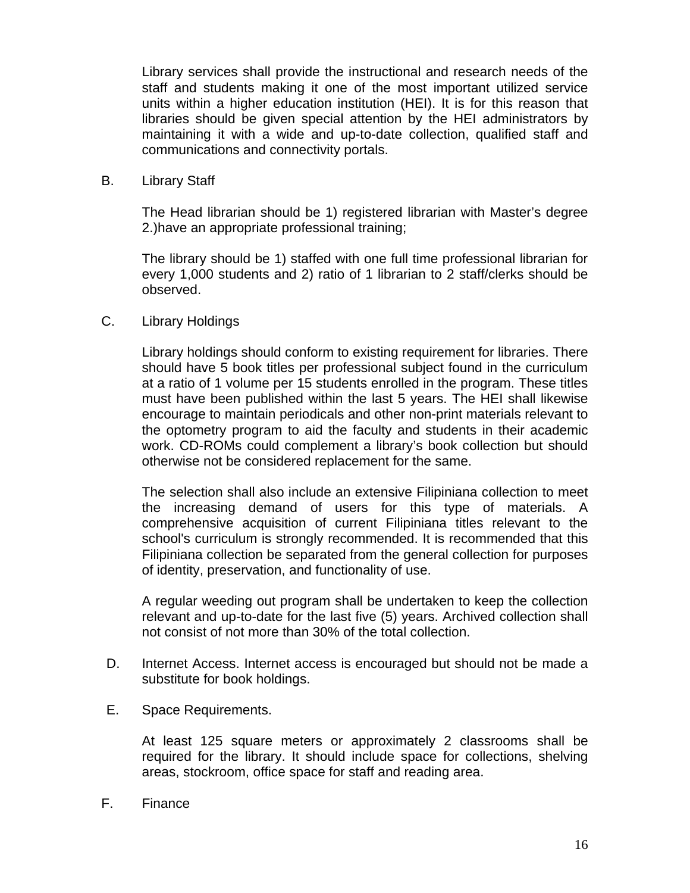Library services shall provide the instructional and research needs of the staff and students making it one of the most important utilized service units within a higher education institution (HEI). It is for this reason that libraries should be given special attention by the HEI administrators by maintaining it with a wide and up-to-date collection, qualified staff and communications and connectivity portals.

B. Library Staff

The Head librarian should be 1) registered librarian with Master's degree 2.)have an appropriate professional training;

The library should be 1) staffed with one full time professional librarian for every 1,000 students and 2) ratio of 1 librarian to 2 staff/clerks should be observed.

C. Library Holdings

Library holdings should conform to existing requirement for libraries. There should have 5 book titles per professional subject found in the curriculum at a ratio of 1 volume per 15 students enrolled in the program. These titles must have been published within the last 5 years. The HEI shall likewise encourage to maintain periodicals and other non-print materials relevant to the optometry program to aid the faculty and students in their academic work. CD-ROMs could complement a library's book collection but should otherwise not be considered replacement for the same.

The selection shall also include an extensive Filipiniana collection to meet the increasing demand of users for this type of materials. A comprehensive acquisition of current Filipiniana titles relevant to the school's curriculum is strongly recommended. It is recommended that this Filipiniana collection be separated from the general collection for purposes of identity, preservation, and functionality of use.

A regular weeding out program shall be undertaken to keep the collection relevant and up-to-date for the last five (5) years. Archived collection shall not consist of not more than 30% of the total collection.

- D. Internet Access. Internet access is encouraged but should not be made a substitute for book holdings.
- E. Space Requirements.

At least 125 square meters or approximately 2 classrooms shall be required for the library. It should include space for collections, shelving areas, stockroom, office space for staff and reading area.

F. Finance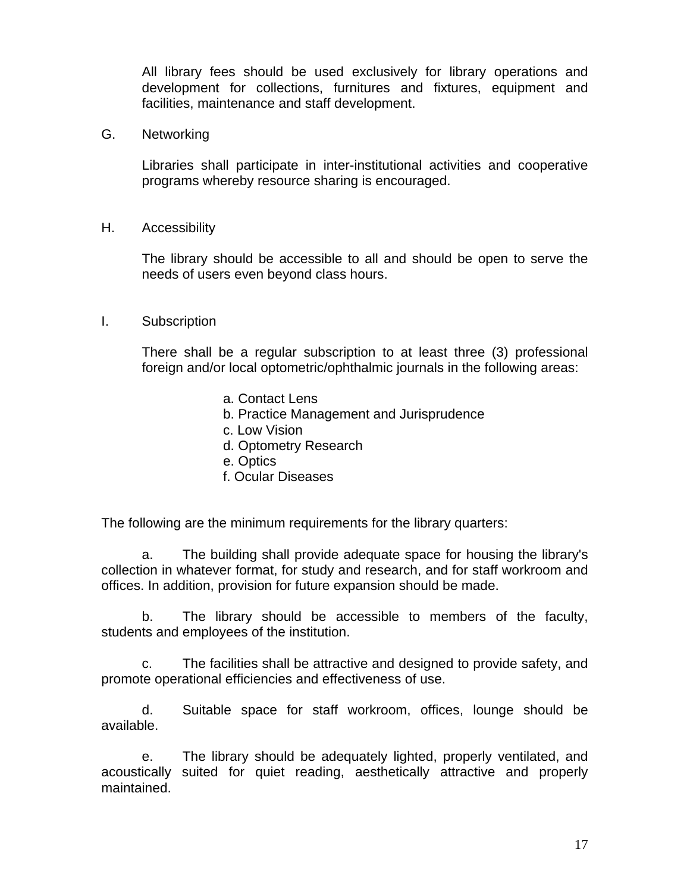All library fees should be used exclusively for library operations and development for collections, furnitures and fixtures, equipment and facilities, maintenance and staff development.

G. Networking

Libraries shall participate in inter-institutional activities and cooperative programs whereby resource sharing is encouraged.

H. Accessibility

The library should be accessible to all and should be open to serve the needs of users even beyond class hours.

#### I. Subscription

There shall be a regular subscription to at least three (3) professional foreign and/or local optometric/ophthalmic journals in the following areas:

- a. Contact Lens
- b. Practice Management and Jurisprudence
- c. Low Vision
- d. Optometry Research
- e. Optics
- f. Ocular Diseases

The following are the minimum requirements for the library quarters:

a. The building shall provide adequate space for housing the library's collection in whatever format, for study and research, and for staff workroom and offices. In addition, provision for future expansion should be made.

b. The library should be accessible to members of the faculty, students and employees of the institution.

c. The facilities shall be attractive and designed to provide safety, and promote operational efficiencies and effectiveness of use.

d. Suitable space for staff workroom, offices, lounge should be available.

e. The library should be adequately lighted, properly ventilated, and acoustically suited for quiet reading, aesthetically attractive and properly maintained.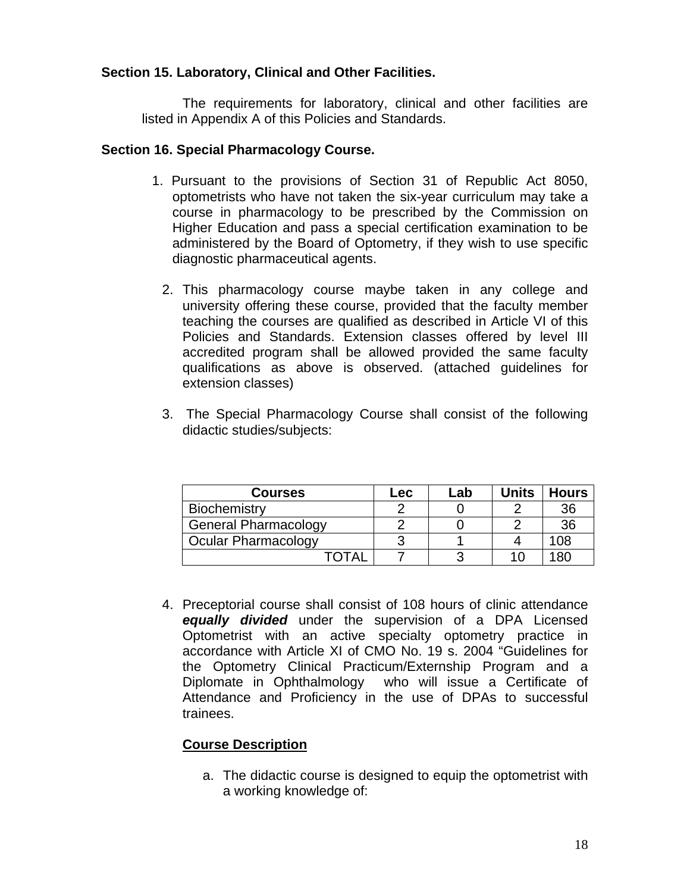### **Section 15. Laboratory, Clinical and Other Facilities.**

The requirements for laboratory, clinical and other facilities are listed in Appendix A of this Policies and Standards.

### **Section 16. Special Pharmacology Course.**

- 1. Pursuant to the provisions of Section 31 of Republic Act 8050, optometrists who have not taken the six-year curriculum may take a course in pharmacology to be prescribed by the Commission on Higher Education and pass a special certification examination to be administered by the Board of Optometry, if they wish to use specific diagnostic pharmaceutical agents.
	- 2. This pharmacology course maybe taken in any college and university offering these course, provided that the faculty member teaching the courses are qualified as described in Article VI of this Policies and Standards. Extension classes offered by level III accredited program shall be allowed provided the same faculty qualifications as above is observed. (attached guidelines for extension classes)
	- 3. The Special Pharmacology Course shall consist of the following didactic studies/subjects:

| <b>Courses</b>              | $\mathsf{rec}$ | Lab | <b>Units</b> | <b>Hours</b> |
|-----------------------------|----------------|-----|--------------|--------------|
| Biochemistry                |                |     |              | 36           |
| <b>General Pharmacology</b> |                |     |              | 36           |
| Ocular Pharmacology         |                |     |              | 108          |
|                             |                |     | 10           | 180          |

4. Preceptorial course shall consist of 108 hours of clinic attendance *equally divided* under the supervision of a DPA Licensed Optometrist with an active specialty optometry practice in accordance with Article XI of CMO No. 19 s. 2004 "Guidelines for the Optometry Clinical Practicum/Externship Program and a Diplomate in Ophthalmology who will issue a Certificate of Attendance and Proficiency in the use of DPAs to successful trainees.

### **Course Description**

a. The didactic course is designed to equip the optometrist with a working knowledge of: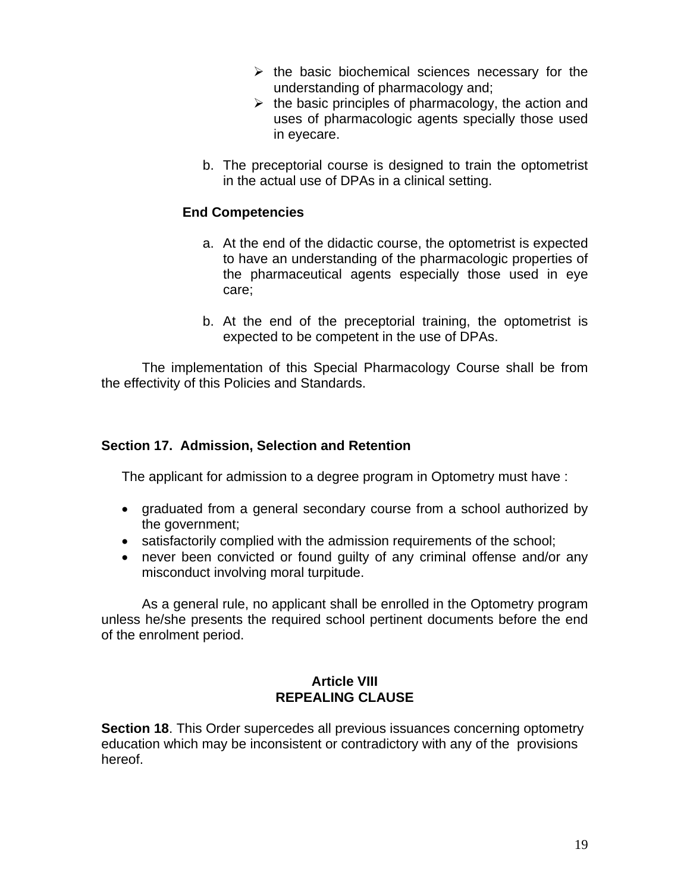- $\triangleright$  the basic biochemical sciences necessary for the understanding of pharmacology and;
- $\triangleright$  the basic principles of pharmacology, the action and uses of pharmacologic agents specially those used in eyecare.
- b. The preceptorial course is designed to train the optometrist in the actual use of DPAs in a clinical setting.

### **End Competencies**

- a. At the end of the didactic course, the optometrist is expected to have an understanding of the pharmacologic properties of the pharmaceutical agents especially those used in eye care;
- b. At the end of the preceptorial training, the optometrist is expected to be competent in the use of DPAs.

The implementation of this Special Pharmacology Course shall be from the effectivity of this Policies and Standards.

#### **Section 17. Admission, Selection and Retention**

The applicant for admission to a degree program in Optometry must have :

- graduated from a general secondary course from a school authorized by the government;
- satisfactorily complied with the admission requirements of the school;
- never been convicted or found guilty of any criminal offense and/or any misconduct involving moral turpitude.

As a general rule, no applicant shall be enrolled in the Optometry program unless he/she presents the required school pertinent documents before the end of the enrolment period.

### **Article VIII REPEALING CLAUSE**

**Section 18.** This Order supercedes all previous issuances concerning optometry education which may be inconsistent or contradictory with any of the provisions hereof.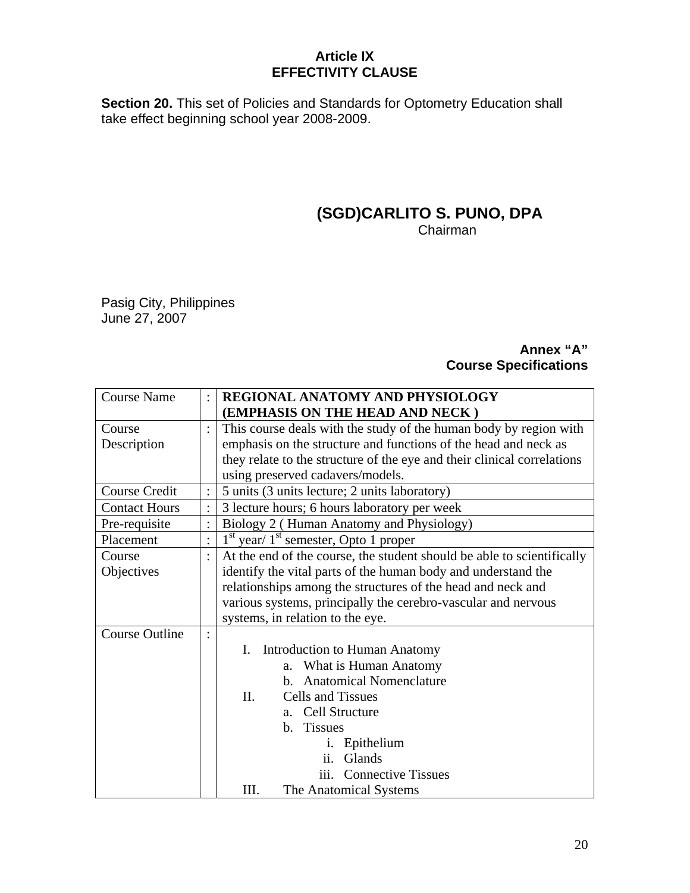### **Article IX EFFECTIVITY CLAUSE**

**Section 20.** This set of Policies and Standards for Optometry Education shall take effect beginning school year 2008-2009.

### **(SGD)CARLITO S. PUNO, DPA Chairman**

Pasig City, Philippines June 27, 2007

### **Annex "A" Course Specifications**

| <b>Course Name</b>    |                | REGIONAL ANATOMY AND PHYSIOLOGY                                         |
|-----------------------|----------------|-------------------------------------------------------------------------|
|                       |                | (EMPHASIS ON THE HEAD AND NECK)                                         |
| Course                |                | This course deals with the study of the human body by region with       |
| Description           |                | emphasis on the structure and functions of the head and neck as         |
|                       |                | they relate to the structure of the eye and their clinical correlations |
|                       |                | using preserved cadavers/models.                                        |
| Course Credit         |                | 5 units (3 units lecture; 2 units laboratory)                           |
| <b>Contact Hours</b>  |                | 3 lecture hours; 6 hours laboratory per week                            |
| Pre-requisite         |                | Biology 2 (Human Anatomy and Physiology)                                |
| Placement             |                | $1st$ year/ $1st$ semester, Opto 1 proper                               |
| Course                |                | At the end of the course, the student should be able to scientifically  |
| Objectives            |                | identify the vital parts of the human body and understand the           |
|                       |                | relationships among the structures of the head and neck and             |
|                       |                | various systems, principally the cerebro-vascular and nervous           |
|                       |                | systems, in relation to the eye.                                        |
| <b>Course Outline</b> | $\ddot{\cdot}$ |                                                                         |
|                       |                | <b>Introduction to Human Anatomy</b><br>I.                              |
|                       |                | a. What is Human Anatomy                                                |
|                       |                | b. Anatomical Nomenclature                                              |
|                       |                | Cells and Tissues<br>$\Pi$ .                                            |
|                       |                | a. Cell Structure                                                       |
|                       |                | b. Tissues                                                              |
|                       |                | i. Epithelium                                                           |
|                       |                | ii.<br>Glands                                                           |
|                       |                | <b>Connective Tissues</b><br>111.                                       |
|                       |                | III.<br>The Anatomical Systems                                          |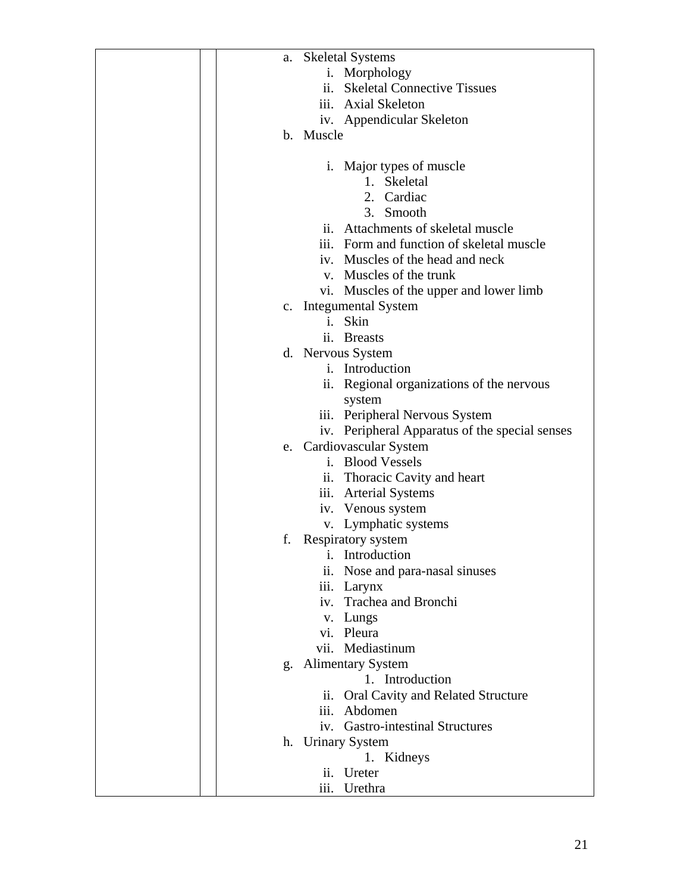| a.        | <b>Skeletal Systems</b>                        |
|-----------|------------------------------------------------|
|           | i. Morphology                                  |
|           | ii. Skeletal Connective Tissues                |
|           | iii. Axial Skeleton                            |
|           |                                                |
|           | iv. Appendicular Skeleton                      |
| b. Muscle |                                                |
|           |                                                |
|           | i. Major types of muscle                       |
|           | 1. Skeletal                                    |
|           | 2. Cardiac                                     |
|           | 3. Smooth                                      |
|           | ii. Attachments of skeletal muscle             |
|           | iii. Form and function of skeletal muscle      |
|           | iv. Muscles of the head and neck               |
|           | v. Muscles of the trunk                        |
|           | vi. Muscles of the upper and lower limb        |
|           | c. Integumental System                         |
|           | i. Skin                                        |
|           | ii. Breasts                                    |
|           | d. Nervous System                              |
|           | i. Introduction                                |
|           | ii. Regional organizations of the nervous      |
|           |                                                |
|           | system                                         |
|           | iii. Peripheral Nervous System                 |
|           | iv. Peripheral Apparatus of the special senses |
|           | e. Cardiovascular System                       |
|           | i. Blood Vessels                               |
|           | ii. Thoracic Cavity and heart                  |
|           | iii. Arterial Systems                          |
|           | iv. Venous system                              |
|           | v. Lymphatic systems                           |
| f.        | Respiratory system                             |
|           | <i>i</i> . Introduction                        |
| ii.       | Nose and para-nasal sinuses                    |
|           | iii. Larynx                                    |
| iv.       | Trachea and Bronchi                            |
|           | v. Lungs                                       |
|           | vi. Pleura                                     |
|           | vii. Mediastinum                               |
| g.        | <b>Alimentary System</b>                       |
|           | 1. Introduction                                |
|           | Oral Cavity and Related Structure<br>11.       |
| iii.      | Abdomen                                        |
|           | iv. Gastro-intestinal Structures               |
|           | h. Urinary System                              |
|           | 1. Kidneys                                     |
| ii.       | Ureter                                         |
|           | iii. Urethra                                   |
|           |                                                |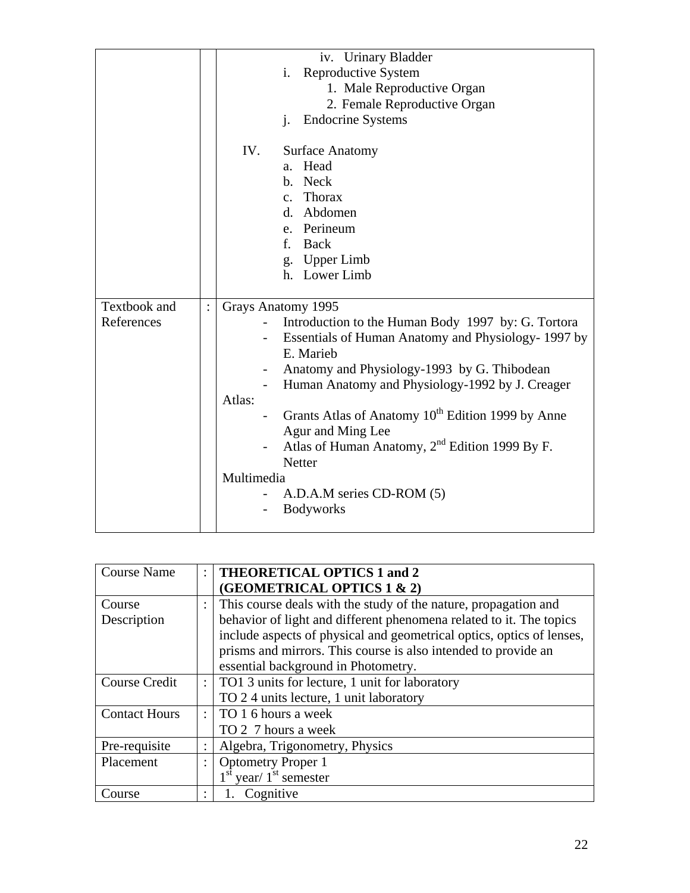|              | iv. Urinary Bladder                                           |
|--------------|---------------------------------------------------------------|
|              | Reproductive System<br>i.                                     |
|              | 1. Male Reproductive Organ                                    |
|              | 2. Female Reproductive Organ                                  |
|              | <b>Endocrine Systems</b><br>$\mathbf{i}$ .                    |
|              |                                                               |
|              | IV.<br><b>Surface Anatomy</b>                                 |
|              | Head<br>a <sub>z</sub>                                        |
|              | b. Neck                                                       |
|              | c. Thorax                                                     |
|              | d. Abdomen                                                    |
|              | e. Perineum                                                   |
|              | f. Back                                                       |
|              | g. Upper Limb                                                 |
|              | h. Lower Limb                                                 |
|              |                                                               |
| Textbook and | Grays Anatomy 1995                                            |
| References   | Introduction to the Human Body 1997 by: G. Tortora            |
|              | Essentials of Human Anatomy and Physiology- 1997 by           |
|              | E. Marieb                                                     |
|              | Anatomy and Physiology-1993 by G. Thibodean                   |
|              | Human Anatomy and Physiology-1992 by J. Creager               |
|              | Atlas:                                                        |
|              | Grants Atlas of Anatomy 10 <sup>th</sup> Edition 1999 by Anne |
|              | Agur and Ming Lee                                             |
|              | Atlas of Human Anatomy, $2nd$ Edition 1999 By F.              |
|              | <b>Netter</b>                                                 |
|              | Multimedia                                                    |
|              |                                                               |
|              |                                                               |
|              | A.D.A.M series CD-ROM (5)<br><b>Bodyworks</b>                 |

| <b>Course Name</b>   |                      | <b>THEORETICAL OPTICS 1 and 2</b>                                     |
|----------------------|----------------------|-----------------------------------------------------------------------|
|                      |                      | (GEOMETRICAL OPTICS 1 & 2)                                            |
| Course               |                      | This course deals with the study of the nature, propagation and       |
| Description          |                      | behavior of light and different phenomena related to it. The topics   |
|                      |                      | include aspects of physical and geometrical optics, optics of lenses, |
|                      |                      | prisms and mirrors. This course is also intended to provide an        |
|                      |                      | essential background in Photometry.                                   |
| Course Credit        | $\ddot{\phantom{0}}$ | TO1 3 units for lecture, 1 unit for laboratory                        |
|                      |                      | TO 2.4 units lecture, 1 unit laboratory                               |
| <b>Contact Hours</b> | ÷                    | TO 1 6 hours a week                                                   |
|                      |                      | TO 2 7 hours a week                                                   |
| Pre-requisite        |                      | Algebra, Trigonometry, Physics                                        |
| Placement            |                      | <b>Optometry Proper 1</b>                                             |
|                      |                      | $1st$ year/ $1st$ semester                                            |
| Course               | $\ddot{\cdot}$       | Cognitive                                                             |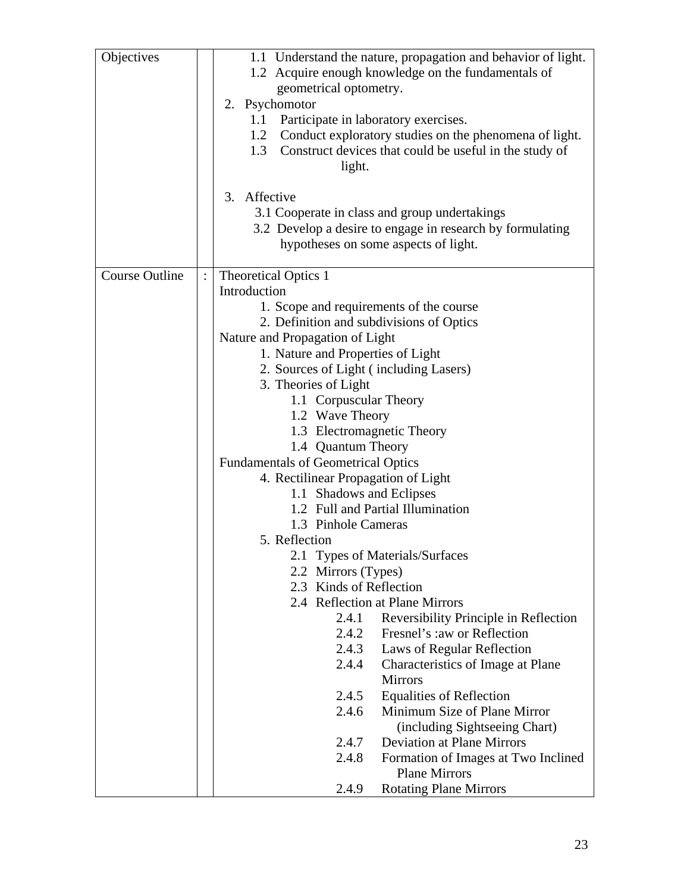| Objectives            | 1.1 Understand the nature, propagation and behavior of light.                                     |
|-----------------------|---------------------------------------------------------------------------------------------------|
|                       | 1.2 Acquire enough knowledge on the fundamentals of                                               |
|                       | geometrical optometry.                                                                            |
|                       | 2. Psychomotor                                                                                    |
|                       | Participate in laboratory exercises.<br>1.1                                                       |
|                       | Conduct exploratory studies on the phenomena of light.<br>1.2                                     |
|                       | 1.3<br>Construct devices that could be useful in the study of                                     |
|                       | light.                                                                                            |
|                       |                                                                                                   |
|                       | 3. Affective                                                                                      |
|                       | 3.1 Cooperate in class and group undertakings                                                     |
|                       | 3.2 Develop a desire to engage in research by formulating<br>hypotheses on some aspects of light. |
|                       |                                                                                                   |
| <b>Course Outline</b> | <b>Theoretical Optics 1</b>                                                                       |
|                       | Introduction                                                                                      |
|                       | 1. Scope and requirements of the course                                                           |
|                       | 2. Definition and subdivisions of Optics                                                          |
|                       | Nature and Propagation of Light                                                                   |
|                       | 1. Nature and Properties of Light                                                                 |
|                       | 2. Sources of Light (including Lasers)<br>3. Theories of Light                                    |
|                       | 1.1 Corpuscular Theory                                                                            |
|                       | 1.2 Wave Theory                                                                                   |
|                       | 1.3 Electromagnetic Theory                                                                        |
|                       | 1.4 Quantum Theory                                                                                |
|                       | <b>Fundamentals of Geometrical Optics</b>                                                         |
|                       | 4. Rectilinear Propagation of Light                                                               |
|                       | 1.1 Shadows and Eclipses                                                                          |
|                       | 1.2 Full and Partial Illumination                                                                 |
|                       | 1.3 Pinhole Cameras                                                                               |
|                       | 5. Reflection                                                                                     |
|                       | 2.1 Types of Materials/Surfaces                                                                   |
|                       | 2.2 Mirrors (Types)                                                                               |
|                       | 2.3 Kinds of Reflection                                                                           |
|                       | 2.4 Reflection at Plane Mirrors                                                                   |
|                       | Reversibility Principle in Reflection<br>2.4.1                                                    |
|                       | 2.4.2<br>Fresnel's :aw or Reflection                                                              |
|                       | 2.4.3<br>Laws of Regular Reflection                                                               |
|                       | 2.4.4<br>Characteristics of Image at Plane<br><b>Mirrors</b>                                      |
|                       | 2.4.5<br><b>Equalities of Reflection</b>                                                          |
|                       | 2.4.6<br>Minimum Size of Plane Mirror                                                             |
|                       | (including Sightseeing Chart)                                                                     |
|                       | 2.4.7<br><b>Deviation at Plane Mirrors</b>                                                        |
|                       | 2.4.8<br>Formation of Images at Two Inclined                                                      |
|                       | <b>Plane Mirrors</b>                                                                              |
|                       | 2.4.9<br><b>Rotating Plane Mirrors</b>                                                            |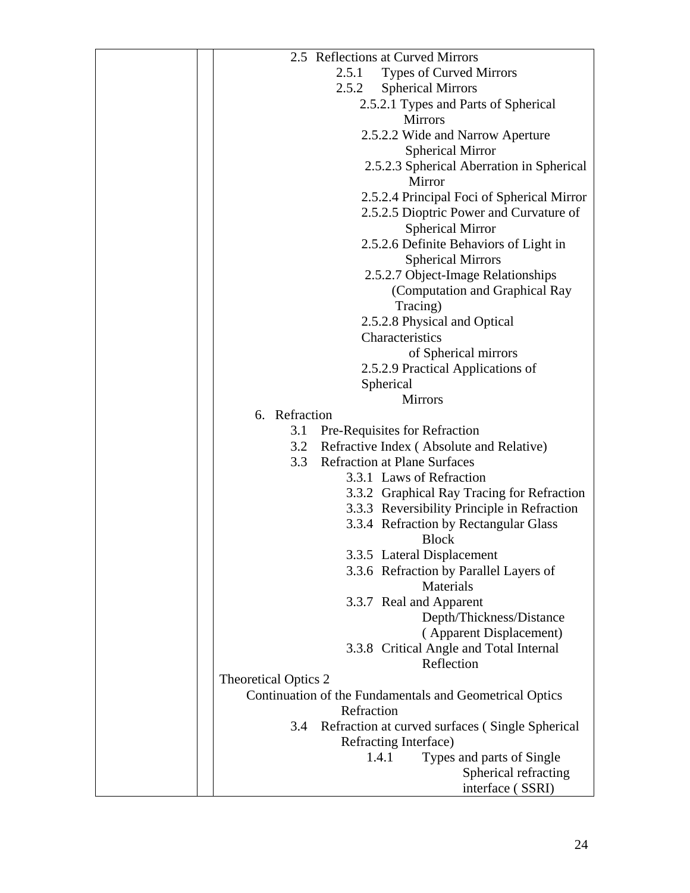| 2.5 Reflections at Curved Mirrors                       |
|---------------------------------------------------------|
| 2.5.1<br><b>Types of Curved Mirrors</b>                 |
| <b>Spherical Mirrors</b><br>2.5.2                       |
| 2.5.2.1 Types and Parts of Spherical                    |
| <b>Mirrors</b>                                          |
| 2.5.2.2 Wide and Narrow Aperture                        |
| <b>Spherical Mirror</b>                                 |
|                                                         |
| 2.5.2.3 Spherical Aberration in Spherical               |
| Mirror                                                  |
| 2.5.2.4 Principal Foci of Spherical Mirror              |
| 2.5.2.5 Dioptric Power and Curvature of                 |
| <b>Spherical Mirror</b>                                 |
| 2.5.2.6 Definite Behaviors of Light in                  |
| <b>Spherical Mirrors</b>                                |
| 2.5.2.7 Object-Image Relationships                      |
| (Computation and Graphical Ray                          |
| Tracing)                                                |
| 2.5.2.8 Physical and Optical                            |
| Characteristics                                         |
| of Spherical mirrors                                    |
|                                                         |
| 2.5.2.9 Practical Applications of                       |
| Spherical                                               |
| <b>Mirrors</b>                                          |
| 6. Refraction                                           |
| 3.1 Pre-Requisites for Refraction                       |
| 3.2 Refractive Index (Absolute and Relative)            |
| 3.3 Refraction at Plane Surfaces                        |
| 3.3.1 Laws of Refraction                                |
| 3.3.2 Graphical Ray Tracing for Refraction              |
| 3.3.3 Reversibility Principle in Refraction             |
| 3.3.4 Refraction by Rectangular Glass                   |
| <b>Block</b>                                            |
| 3.3.5 Lateral Displacement                              |
| 3.3.6 Refraction by Parallel Layers of                  |
| <b>Materials</b>                                        |
| 3.3.7 Real and Apparent                                 |
| Depth/Thickness/Distance                                |
| (Apparent Displacement)                                 |
| 3.3.8 Critical Angle and Total Internal                 |
| Reflection                                              |
|                                                         |
| <b>Theoretical Optics 2</b>                             |
| Continuation of the Fundamentals and Geometrical Optics |
| Refraction                                              |
| Refraction at curved surfaces (Single Spherical<br>3.4  |
| Refracting Interface)                                   |
| Types and parts of Single<br>1.4.1                      |
| Spherical refracting                                    |
| interface (SSRI)                                        |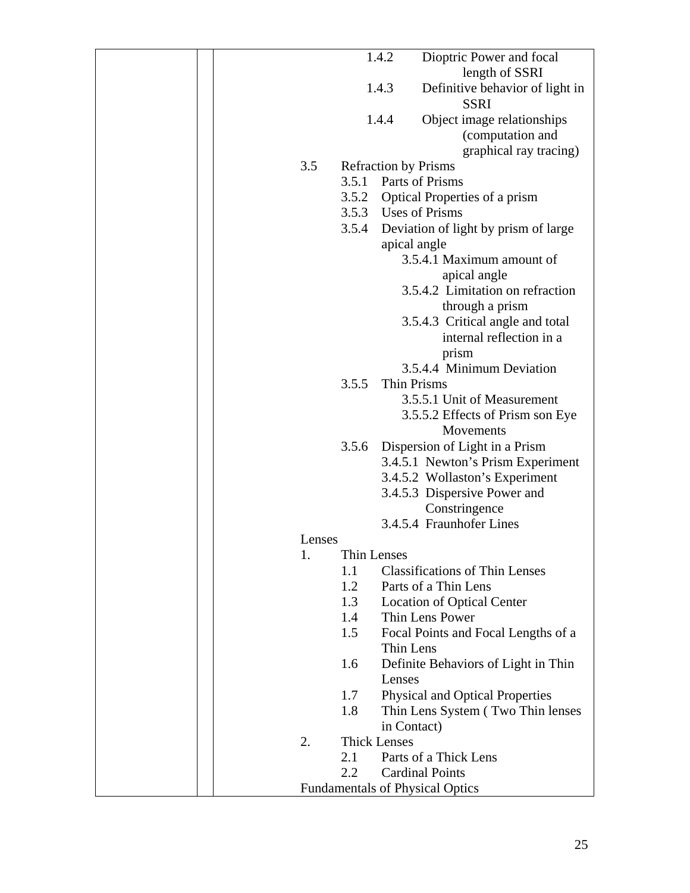|  |        |                     | 1.4.2                       | Dioptric Power and focal                   |
|--|--------|---------------------|-----------------------------|--------------------------------------------|
|  |        |                     |                             | length of SSRI                             |
|  |        |                     | 1.4.3                       | Definitive behavior of light in            |
|  |        |                     |                             | <b>SSRI</b>                                |
|  |        |                     | 1.4.4                       | Object image relationships                 |
|  |        |                     |                             | (computation and                           |
|  |        |                     |                             | graphical ray tracing)                     |
|  | 3.5    |                     | <b>Refraction by Prisms</b> |                                            |
|  |        | 3.5.1               |                             | Parts of Prisms                            |
|  |        |                     |                             | 3.5.2 Optical Properties of a prism        |
|  |        |                     |                             | 3.5.3 Uses of Prisms                       |
|  |        |                     |                             | 3.5.4 Deviation of light by prism of large |
|  |        |                     | apical angle                |                                            |
|  |        |                     |                             | 3.5.4.1 Maximum amount of                  |
|  |        |                     |                             | apical angle                               |
|  |        |                     |                             | 3.5.4.2 Limitation on refraction           |
|  |        |                     |                             | through a prism                            |
|  |        |                     |                             | 3.5.4.3 Critical angle and total           |
|  |        |                     |                             | internal reflection in a                   |
|  |        |                     |                             | prism                                      |
|  |        |                     |                             | 3.5.4.4 Minimum Deviation                  |
|  |        | 3.5.5               | Thin Prisms                 |                                            |
|  |        |                     |                             | 3.5.5.1 Unit of Measurement                |
|  |        |                     |                             |                                            |
|  |        |                     |                             | 3.5.5.2 Effects of Prism son Eye           |
|  |        |                     |                             | Movements                                  |
|  |        | 3.5.6               |                             | Dispersion of Light in a Prism             |
|  |        |                     |                             | 3.4.5.1 Newton's Prism Experiment          |
|  |        |                     |                             | 3.4.5.2 Wollaston's Experiment             |
|  |        |                     |                             | 3.4.5.3 Dispersive Power and               |
|  |        |                     |                             | Constringence<br>3.4.5.4 Fraunhofer Lines  |
|  |        |                     |                             |                                            |
|  | Lenses |                     |                             |                                            |
|  | 1.     | Thin Lenses         |                             |                                            |
|  |        | 1.1                 |                             | <b>Classifications of Thin Lenses</b>      |
|  |        | 1.2                 |                             | Parts of a Thin Lens                       |
|  |        | 1.3                 |                             | <b>Location of Optical Center</b>          |
|  |        | 1.4                 |                             | Thin Lens Power                            |
|  |        | 1.5                 |                             | Focal Points and Focal Lengths of a        |
|  |        |                     | Thin Lens                   |                                            |
|  |        | 1.6                 |                             | Definite Behaviors of Light in Thin        |
|  |        |                     | Lenses                      |                                            |
|  |        | 1.7                 |                             | <b>Physical and Optical Properties</b>     |
|  |        | 1.8                 |                             | Thin Lens System (Two Thin lenses          |
|  |        |                     | in Contact)                 |                                            |
|  | 2.     | <b>Thick Lenses</b> |                             |                                            |
|  |        | 2.1                 |                             | Parts of a Thick Lens                      |
|  |        | 2.2                 |                             | <b>Cardinal Points</b>                     |
|  |        |                     |                             | <b>Fundamentals of Physical Optics</b>     |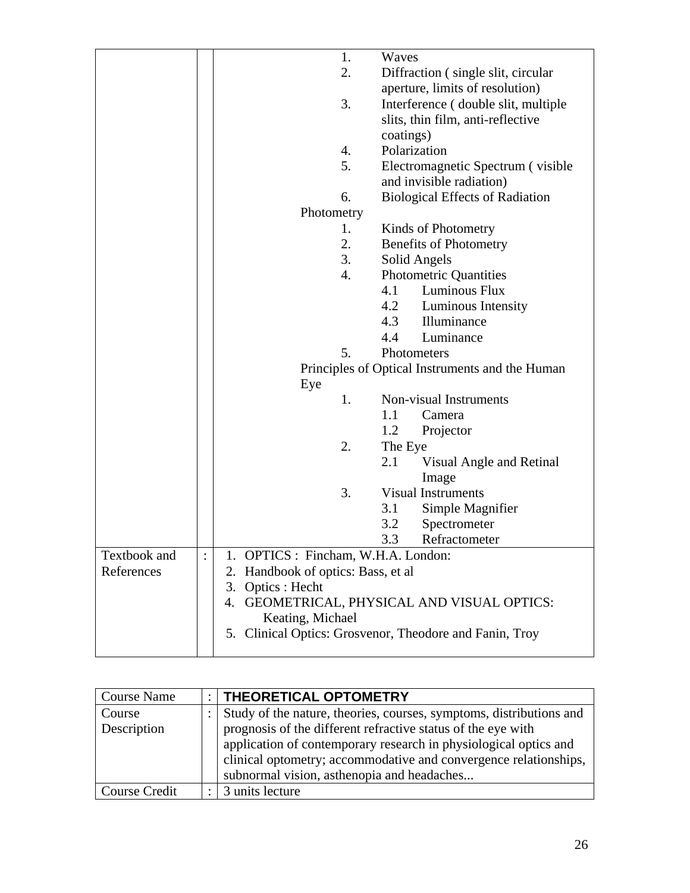|              | 1.<br>Waves                                             |  |  |
|--------------|---------------------------------------------------------|--|--|
|              | 2.<br>Diffraction (single slit, circular                |  |  |
|              | aperture, limits of resolution)                         |  |  |
|              | 3.<br>Interference (double slit, multiple               |  |  |
|              | slits, thin film, anti-reflective                       |  |  |
|              | coatings)                                               |  |  |
|              | Polarization<br>4.                                      |  |  |
|              | 5.<br>Electromagnetic Spectrum (visible)                |  |  |
|              | and invisible radiation)                                |  |  |
|              | 6.<br><b>Biological Effects of Radiation</b>            |  |  |
|              | Photometry                                              |  |  |
|              | Kinds of Photometry<br>1.                               |  |  |
|              | 2.<br><b>Benefits of Photometry</b>                     |  |  |
|              | 3.<br>Solid Angels                                      |  |  |
|              | 4.<br>Photometric Quantities                            |  |  |
|              | Luminous Flux<br>4.1                                    |  |  |
|              | 4.2<br>Luminous Intensity                               |  |  |
|              | 4.3<br>Illuminance                                      |  |  |
|              | 4.4<br>Luminance                                        |  |  |
|              | 5.<br>Photometers                                       |  |  |
|              | Principles of Optical Instruments and the Human         |  |  |
|              | Eye                                                     |  |  |
|              | 1.<br>Non-visual Instruments                            |  |  |
|              | 1.1<br>Camera                                           |  |  |
|              | 1.2<br>Projector                                        |  |  |
|              | 2.<br>The Eye                                           |  |  |
|              | 2.1<br>Visual Angle and Retinal                         |  |  |
|              | Image                                                   |  |  |
|              | 3.<br><b>Visual Instruments</b>                         |  |  |
|              | 3.1<br>Simple Magnifier                                 |  |  |
|              | 3.2<br>Spectrometer                                     |  |  |
|              | 3.3<br>Refractometer                                    |  |  |
| Textbook and | 1. OPTICS : Fincham, W.H.A. London:                     |  |  |
| References   | 2. Handbook of optics: Bass, et al                      |  |  |
|              | 3. Optics : Hecht                                       |  |  |
|              | GEOMETRICAL, PHYSICAL AND VISUAL OPTICS:<br>4.          |  |  |
|              | Keating, Michael                                        |  |  |
|              | 5. Clinical Optics: Grosvenor, Theodore and Fanin, Troy |  |  |
|              |                                                         |  |  |

| <b>Course Name</b> | :   THEORETICAL OPTOMETRY                                           |  |
|--------------------|---------------------------------------------------------------------|--|
| Course             | Study of the nature, theories, courses, symptoms, distributions and |  |
| Description        | prognosis of the different refractive status of the eye with        |  |
|                    | application of contemporary research in physiological optics and    |  |
|                    | clinical optometry; accommodative and convergence relationships,    |  |
|                    | subnormal vision, asthenopia and headaches                          |  |
| Course Credit      | 3 units lecture                                                     |  |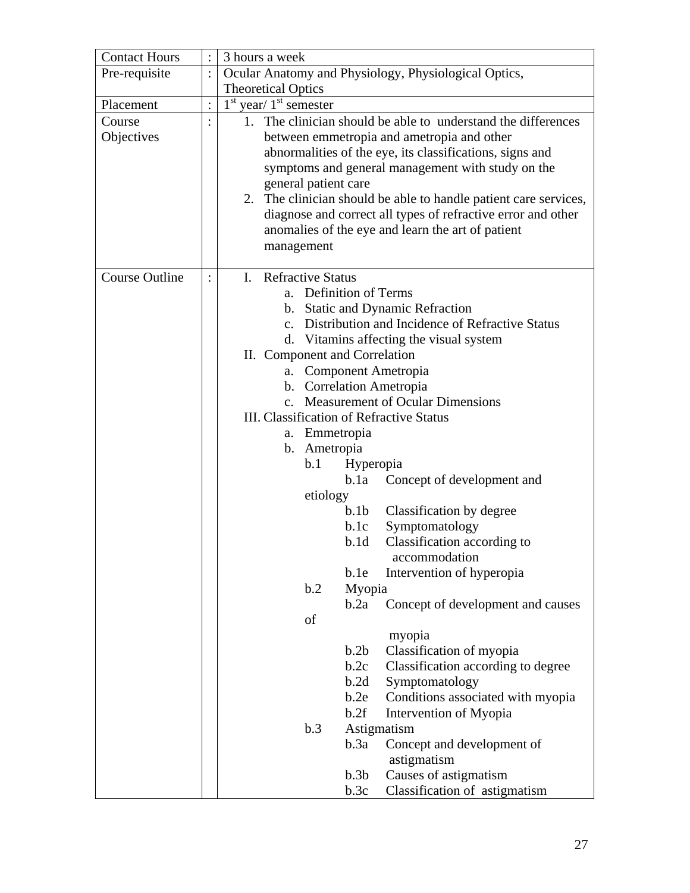| <b>Contact Hours</b>  |                | 3 hours a week                                                   |                                                 |  |  |
|-----------------------|----------------|------------------------------------------------------------------|-------------------------------------------------|--|--|
| Pre-requisite         | $\ddot{\cdot}$ | Ocular Anatomy and Physiology, Physiological Optics,             |                                                 |  |  |
|                       |                | <b>Theoretical Optics</b>                                        |                                                 |  |  |
| Placement             | $\ddot{\cdot}$ | $1st$ year/ $1st$ semester                                       |                                                 |  |  |
| Course                |                | 1. The clinician should be able to understand the differences    |                                                 |  |  |
| Objectives            |                | between emmetropia and ametropia and other                       |                                                 |  |  |
|                       |                | abnormalities of the eye, its classifications, signs and         |                                                 |  |  |
|                       |                | symptoms and general management with study on the                |                                                 |  |  |
|                       |                | general patient care                                             |                                                 |  |  |
|                       |                | 2. The clinician should be able to handle patient care services, |                                                 |  |  |
|                       |                | diagnose and correct all types of refractive error and other     |                                                 |  |  |
|                       |                | anomalies of the eye and learn the art of patient                |                                                 |  |  |
|                       |                | management                                                       |                                                 |  |  |
|                       |                |                                                                  |                                                 |  |  |
| <b>Course Outline</b> |                | <b>Refractive Status</b><br>$\mathbf{L}$                         |                                                 |  |  |
|                       |                | a. Definition of Terms                                           |                                                 |  |  |
|                       |                | b. Static and Dynamic Refraction                                 |                                                 |  |  |
|                       |                | $\mathbf{c}$ .                                                   | Distribution and Incidence of Refractive Status |  |  |
|                       |                | d. Vitamins affecting the visual system                          |                                                 |  |  |
|                       |                | II. Component and Correlation                                    |                                                 |  |  |
|                       |                | Component Ametropia<br>a.                                        |                                                 |  |  |
|                       |                |                                                                  | b. Correlation Ametropia                        |  |  |
|                       |                | c. Measurement of Ocular Dimensions                              |                                                 |  |  |
|                       |                | III. Classification of Refractive Status                         |                                                 |  |  |
|                       |                | a. Emmetropia                                                    |                                                 |  |  |
|                       |                | b. Ametropia                                                     |                                                 |  |  |
|                       |                | b.1<br>Hyperopia<br>b.1a                                         |                                                 |  |  |
|                       |                | Concept of development and<br>etiology                           |                                                 |  |  |
|                       |                | b.1b                                                             |                                                 |  |  |
|                       |                | b.1c                                                             | Classification by degree<br>Symptomatology      |  |  |
|                       |                | b.1d                                                             | Classification according to                     |  |  |
|                       |                |                                                                  | accommodation                                   |  |  |
|                       |                | b.1e                                                             | Intervention of hyperopia                       |  |  |
|                       |                | b.2<br>Myopia                                                    |                                                 |  |  |
|                       |                | b.2a                                                             | Concept of development and causes               |  |  |
|                       |                | of                                                               |                                                 |  |  |
|                       |                | myopia                                                           |                                                 |  |  |
|                       |                | b.2b                                                             | Classification of myopia                        |  |  |
|                       |                | b.2c                                                             | Classification according to degree              |  |  |
|                       |                | b.2d                                                             | Symptomatology                                  |  |  |
|                       |                | b.2e                                                             | Conditions associated with myopia               |  |  |
|                       |                | b.2f                                                             | Intervention of Myopia                          |  |  |
|                       |                | b.3<br>Astigmatism                                               |                                                 |  |  |
|                       |                | b.3a                                                             | Concept and development of                      |  |  |
|                       |                | astigmatism                                                      |                                                 |  |  |
|                       |                | b.3b                                                             | Causes of astigmatism                           |  |  |
|                       |                | b.3c                                                             | Classification of astigmatism                   |  |  |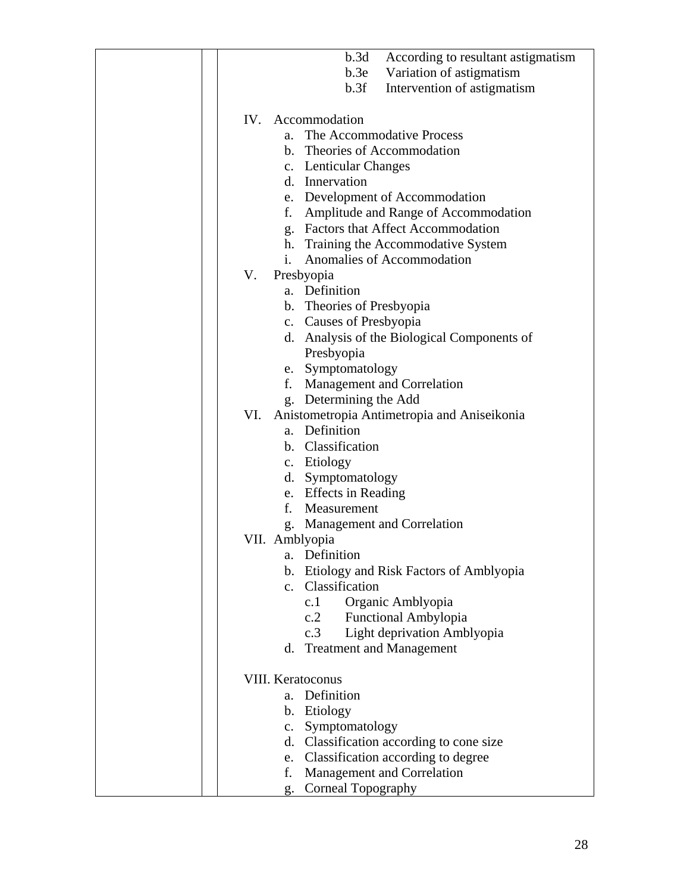| b.3d<br>According to resultant astigmatism                       |
|------------------------------------------------------------------|
| b.3e<br>Variation of astigmatism                                 |
| b.3f<br>Intervention of astigmatism                              |
|                                                                  |
| IV.<br>Accommodation                                             |
| The Accommodative Process<br>a.                                  |
| b. Theories of Accommodation                                     |
| c. Lenticular Changes                                            |
| d. Innervation                                                   |
| e. Development of Accommodation                                  |
| Amplitude and Range of Accommodation<br>f.                       |
| g. Factors that Affect Accommodation                             |
| h. Training the Accommodative System                             |
| Anomalies of Accommodation<br>$\mathbf{i}$ .                     |
| V.<br>Presbyopia                                                 |
| a. Definition                                                    |
| b. Theories of Presbyopia                                        |
| c. Causes of Presbyopia                                          |
| d. Analysis of the Biological Components of                      |
| Presbyopia                                                       |
| e. Symptomatology                                                |
| Management and Correlation<br>f.                                 |
| g. Determining the Add                                           |
| VI. Anistometropia Antimetropia and Aniseikonia<br>a. Definition |
| b. Classification                                                |
| c. Etiology                                                      |
| d. Symptomatology                                                |
| e. Effects in Reading                                            |
| Measurement<br>f.                                                |
| g. Management and Correlation                                    |
| VII. Amblyopia                                                   |
| Definition<br>a.                                                 |
| b. Etiology and Risk Factors of Amblyopia                        |
| c. Classification                                                |
| Organic Amblyopia<br>c.1                                         |
| <b>Functional Ambylopia</b><br>c.2                               |
| Light deprivation Amblyopia<br>c.3                               |
| d. Treatment and Management                                      |
|                                                                  |
| <b>VIII. Keratoconus</b>                                         |
| a. Definition                                                    |
| b. Etiology                                                      |
| Symptomatology<br>c.                                             |
| d. Classification according to cone size                         |
| Classification according to degree<br>e.<br>f.                   |
| Management and Correlation<br><b>Corneal Topography</b>          |
| g.                                                               |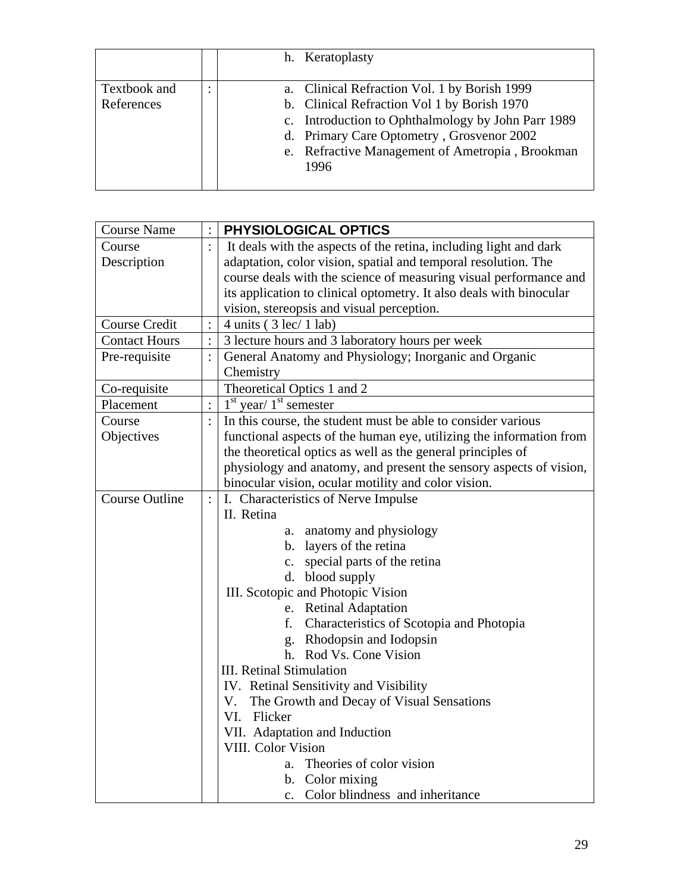|                            |           | h. Keratoplasty                                                                                                                                                                                                                                           |
|----------------------------|-----------|-----------------------------------------------------------------------------------------------------------------------------------------------------------------------------------------------------------------------------------------------------------|
| Textbook and<br>References | $\bullet$ | a. Clinical Refraction Vol. 1 by Borish 1999<br>b. Clinical Refraction Vol 1 by Borish 1970<br>c. Introduction to Ophthalmology by John Parr 1989<br>d. Primary Care Optometry, Grosvenor 2002<br>e. Refractive Management of Ametropia, Brookman<br>1996 |

| <b>Course Name</b>    |                | PHYSIOLOGICAL OPTICS                                                |  |  |
|-----------------------|----------------|---------------------------------------------------------------------|--|--|
| Course                |                | It deals with the aspects of the retina, including light and dark   |  |  |
| Description           |                | adaptation, color vision, spatial and temporal resolution. The      |  |  |
|                       |                | course deals with the science of measuring visual performance and   |  |  |
|                       |                | its application to clinical optometry. It also deals with binocular |  |  |
|                       |                | vision, stereopsis and visual perception.                           |  |  |
| <b>Course Credit</b>  |                | 4 units $(3 \text{ lec} / 1 \text{ lab})$                           |  |  |
| <b>Contact Hours</b>  |                | 3 lecture hours and 3 laboratory hours per week                     |  |  |
| Pre-requisite         |                | General Anatomy and Physiology; Inorganic and Organic               |  |  |
|                       |                | Chemistry                                                           |  |  |
| Co-requisite          |                | Theoretical Optics 1 and 2                                          |  |  |
| Placement             |                | $1st$ year/ $1st$ semester                                          |  |  |
| Course                |                | In this course, the student must be able to consider various        |  |  |
| Objectives            |                | functional aspects of the human eye, utilizing the information from |  |  |
|                       |                | the theoretical optics as well as the general principles of         |  |  |
|                       |                | physiology and anatomy, and present the sensory aspects of vision,  |  |  |
|                       |                | binocular vision, ocular motility and color vision.                 |  |  |
| <b>Course Outline</b> | $\ddot{\cdot}$ | I. Characteristics of Nerve Impulse                                 |  |  |
|                       |                | II. Retina                                                          |  |  |
|                       |                | a. anatomy and physiology                                           |  |  |
|                       |                | b. layers of the retina                                             |  |  |
|                       |                | c. special parts of the retina                                      |  |  |
|                       |                | d. blood supply                                                     |  |  |
|                       |                | III. Scotopic and Photopic Vision                                   |  |  |
|                       |                | e. Retinal Adaptation                                               |  |  |
|                       |                | f. Characteristics of Scotopia and Photopia                         |  |  |
|                       |                | g. Rhodopsin and Iodopsin                                           |  |  |
|                       |                | h. Rod Vs. Cone Vision                                              |  |  |
|                       |                | <b>III.</b> Retinal Stimulation                                     |  |  |
|                       |                | IV. Retinal Sensitivity and Visibility                              |  |  |
|                       |                | The Growth and Decay of Visual Sensations<br>V.                     |  |  |
|                       |                | VI. Flicker                                                         |  |  |
|                       |                | VII. Adaptation and Induction                                       |  |  |
|                       |                | VIII. Color Vision                                                  |  |  |
|                       |                | Theories of color vision<br>a.                                      |  |  |
|                       |                | b. Color mixing                                                     |  |  |
|                       |                | c. Color blindness and inheritance                                  |  |  |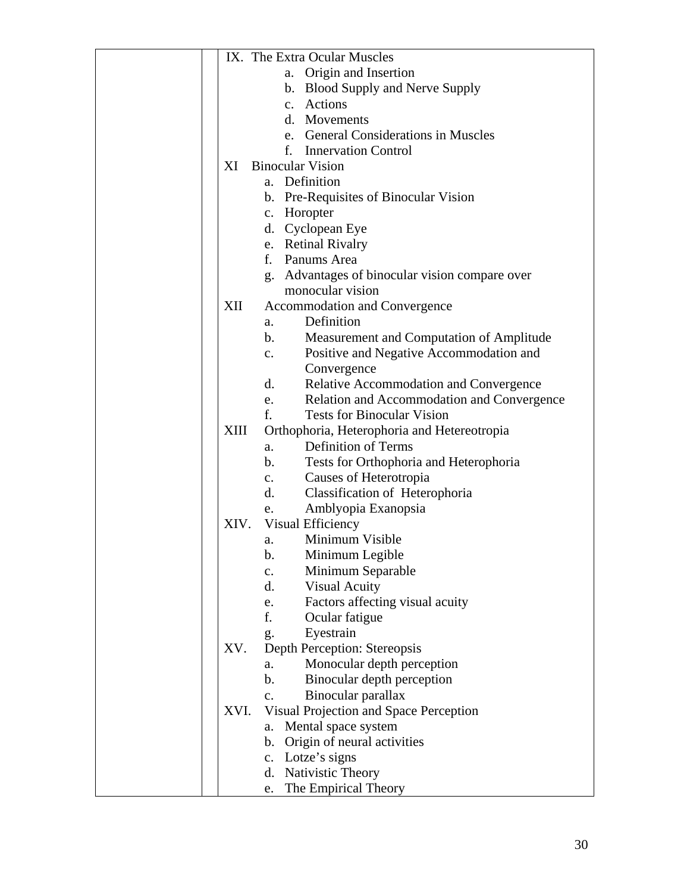| IX. The Extra Ocular Muscles                                      |
|-------------------------------------------------------------------|
| a. Origin and Insertion                                           |
| b. Blood Supply and Nerve Supply                                  |
| c. Actions                                                        |
| d. Movements                                                      |
| e. General Considerations in Muscles                              |
| <b>Innervation Control</b><br>f.                                  |
| XI<br><b>Binocular Vision</b>                                     |
| a. Definition                                                     |
| b. Pre-Requisites of Binocular Vision                             |
| c. Horopter                                                       |
| d. Cyclopean Eye                                                  |
| e. Retinal Rivalry                                                |
| f. Panums Area                                                    |
| g. Advantages of binocular vision compare over                    |
| monocular vision                                                  |
| XII<br>Accommodation and Convergence                              |
| Definition<br>a.                                                  |
| Measurement and Computation of Amplitude<br>$\mathbf{b}$ .        |
| Positive and Negative Accommodation and<br>$\mathbf{c}$ .         |
| Convergence                                                       |
| d.<br>Relative Accommodation and Convergence                      |
| Relation and Accommodation and Convergence<br>e.                  |
| <b>Tests for Binocular Vision</b><br>f.                           |
| XIII<br>Orthophoria, Heterophoria and Hetereotropia               |
| <b>Definition of Terms</b><br>a.                                  |
| Tests for Orthophoria and Heterophoria<br>b.                      |
| Causes of Heterotropia<br>$\mathbf{c}$ .                          |
| Classification of Heterophoria<br>d.                              |
| Amblyopia Exanopsia<br>e.                                         |
| Visual Efficiency<br>XIV.                                         |
| Minimum Visible<br>a.                                             |
| b.<br>Minimum Legible                                             |
| Minimum Separable<br>$\mathbf{c}$ .<br>d.<br><b>Visual Acuity</b> |
| Factors affecting visual acuity<br>e.                             |
| f.<br>Ocular fatigue                                              |
| Eyestrain<br>g.                                                   |
| Depth Perception: Stereopsis<br>XV.                               |
| Monocular depth perception<br>a.                                  |
| Binocular depth perception<br>b.                                  |
| Binocular parallax<br>$C_{\bullet}$                               |
| Visual Projection and Space Perception<br>XVI.                    |
| Mental space system<br>a.                                         |
| b. Origin of neural activities                                    |
| c. Lotze's signs                                                  |
| d. Nativistic Theory                                              |
| The Empirical Theory<br>e.                                        |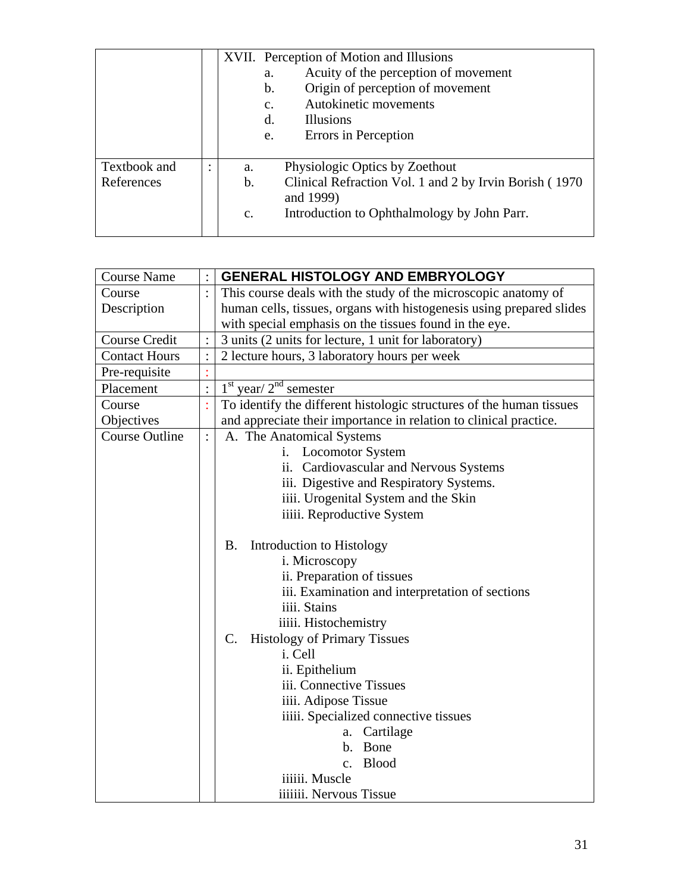|                            |   |                            | XVII. Perception of Motion and Illusions<br>Acuity of the perception of movement<br>a.<br>Origin of perception of movement<br>$\mathbf b$ .<br>Autokinetic movements<br>$\mathbf{C}$ .<br><b>Illusions</b><br>d.<br>Errors in Perception<br>e. |
|----------------------------|---|----------------------------|------------------------------------------------------------------------------------------------------------------------------------------------------------------------------------------------------------------------------------------------|
| Textbook and<br>References | ٠ | a.<br>b.<br>$\mathbf{c}$ . | Physiologic Optics by Zoethout<br>Clinical Refraction Vol. 1 and 2 by Irvin Borish (1970)<br>and 1999)<br>Introduction to Ophthalmology by John Parr.                                                                                          |

| <b>Course Name</b>    |                | <b>GENERAL HISTOLOGY AND EMBRYOLOGY</b>                              |  |  |
|-----------------------|----------------|----------------------------------------------------------------------|--|--|
| Course                | $\ddot{\cdot}$ | This course deals with the study of the microscopic anatomy of       |  |  |
| Description           |                | human cells, tissues, organs with histogenesis using prepared slides |  |  |
|                       |                | with special emphasis on the tissues found in the eye.               |  |  |
| Course Credit         |                | 3 units (2 units for lecture, 1 unit for laboratory)                 |  |  |
| <b>Contact Hours</b>  |                | 2 lecture hours, 3 laboratory hours per week                         |  |  |
| Pre-requisite         |                |                                                                      |  |  |
| Placement             | $\vdots$       | $1st$ year/ $2nd$ semester                                           |  |  |
| Course                |                | To identify the different histologic structures of the human tissues |  |  |
| Objectives            |                | and appreciate their importance in relation to clinical practice.    |  |  |
| <b>Course Outline</b> | $\ddot{\cdot}$ | A. The Anatomical Systems                                            |  |  |
|                       |                | i. Locomotor System                                                  |  |  |
|                       |                | ii. Cardiovascular and Nervous Systems                               |  |  |
|                       |                | iii. Digestive and Respiratory Systems.                              |  |  |
|                       |                | iiii. Urogenital System and the Skin                                 |  |  |
|                       |                | iiiii. Reproductive System                                           |  |  |
|                       |                |                                                                      |  |  |
|                       |                | Introduction to Histology<br><b>B.</b>                               |  |  |
|                       |                | i. Microscopy                                                        |  |  |
|                       |                | ii. Preparation of tissues                                           |  |  |
|                       |                | iii. Examination and interpretation of sections                      |  |  |
|                       |                | iiii. Stains                                                         |  |  |
|                       |                | iiiii. Histochemistry                                                |  |  |
|                       |                | <b>Histology of Primary Tissues</b><br>$\mathbf{C}$ .                |  |  |
|                       |                | i. Cell                                                              |  |  |
|                       |                | ii. Epithelium                                                       |  |  |
|                       |                | iii. Connective Tissues                                              |  |  |
|                       |                | iiii. Adipose Tissue                                                 |  |  |
|                       |                | iiiii. Specialized connective tissues                                |  |  |
|                       |                | Cartilage<br>a.                                                      |  |  |
|                       |                | b. Bone                                                              |  |  |
|                       |                | <b>Blood</b><br>$\mathbf{c}$ .                                       |  |  |
|                       |                | iiiiii. Muscle                                                       |  |  |
|                       |                | iiiiiii. Nervous Tissue                                              |  |  |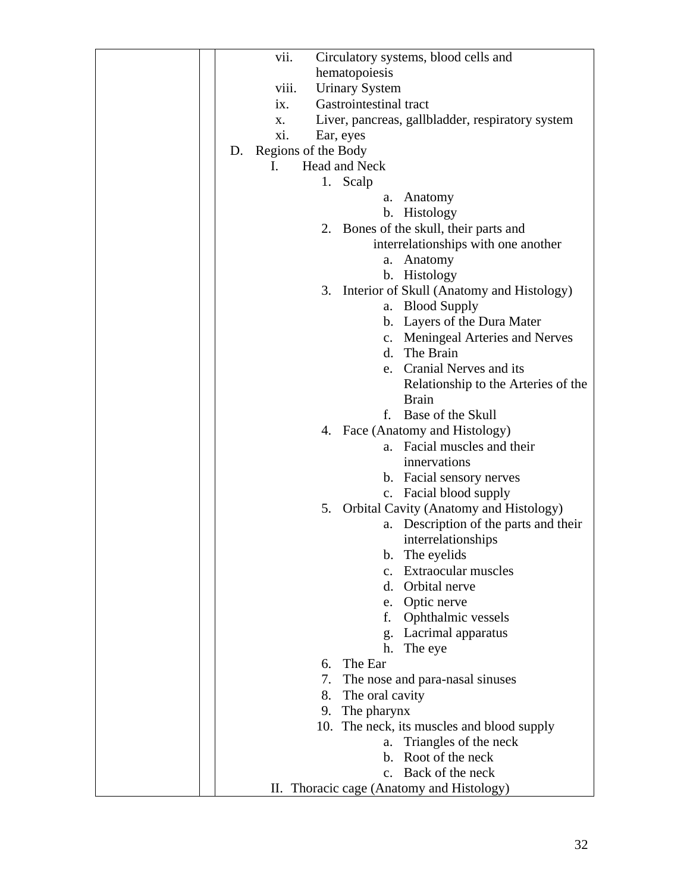| vii.<br>Circulatory systems, blood cells and                                                                                                                                           |
|----------------------------------------------------------------------------------------------------------------------------------------------------------------------------------------|
| hematopoiesis                                                                                                                                                                          |
| <b>Urinary System</b><br>viii.                                                                                                                                                         |
| Gastrointestinal tract<br>$\overline{1}X$ .                                                                                                                                            |
| Liver, pancreas, gallbladder, respiratory system<br>X.                                                                                                                                 |
| xi.<br>Ear, eyes                                                                                                                                                                       |
| Regions of the Body<br>D.                                                                                                                                                              |
| Head and Neck<br>$\mathbf{I}$ .                                                                                                                                                        |
| 1. Scalp                                                                                                                                                                               |
| Anatomy<br>а.                                                                                                                                                                          |
| Histology<br>b.                                                                                                                                                                        |
| 2. Bones of the skull, their parts and                                                                                                                                                 |
| interrelationships with one another                                                                                                                                                    |
| Anatomy<br>a.                                                                                                                                                                          |
| b. Histology                                                                                                                                                                           |
| 3. Interior of Skull (Anatomy and Histology)                                                                                                                                           |
| <b>Blood Supply</b><br>a.                                                                                                                                                              |
| b. Layers of the Dura Mater                                                                                                                                                            |
| c. Meningeal Arteries and Nerves                                                                                                                                                       |
| d. The Brain                                                                                                                                                                           |
| e. Cranial Nerves and its                                                                                                                                                              |
| Relationship to the Arteries of the                                                                                                                                                    |
| <b>Brain</b><br>Base of the Skull<br>f.                                                                                                                                                |
| 4. Face (Anatomy and Histology)                                                                                                                                                        |
| a. Facial muscles and their                                                                                                                                                            |
| innervations                                                                                                                                                                           |
| b. Facial sensory nerves                                                                                                                                                               |
| c. Facial blood supply                                                                                                                                                                 |
| 5. Orbital Cavity (Anatomy and Histology)                                                                                                                                              |
| a. Description of the parts and their                                                                                                                                                  |
| interrelationships                                                                                                                                                                     |
| The eyelids<br>b.                                                                                                                                                                      |
| Extraocular muscles<br>$\mathbf{c}$ .                                                                                                                                                  |
| d. Orbital nerve                                                                                                                                                                       |
| e. Optic nerve                                                                                                                                                                         |
| Ophthalmic vessels<br>f.                                                                                                                                                               |
| g. Lacrimal apparatus                                                                                                                                                                  |
| h.<br>The eye                                                                                                                                                                          |
| The Ear<br>6.                                                                                                                                                                          |
| 7.<br>The nose and para-nasal sinuses                                                                                                                                                  |
| 8. The oral cavity                                                                                                                                                                     |
|                                                                                                                                                                                        |
|                                                                                                                                                                                        |
|                                                                                                                                                                                        |
|                                                                                                                                                                                        |
|                                                                                                                                                                                        |
| The pharynx<br>9.<br>10. The neck, its muscles and blood supply<br>a. Triangles of the neck<br>Root of the neck<br>b.<br>Back of the neck<br>II. Thoracic cage (Anatomy and Histology) |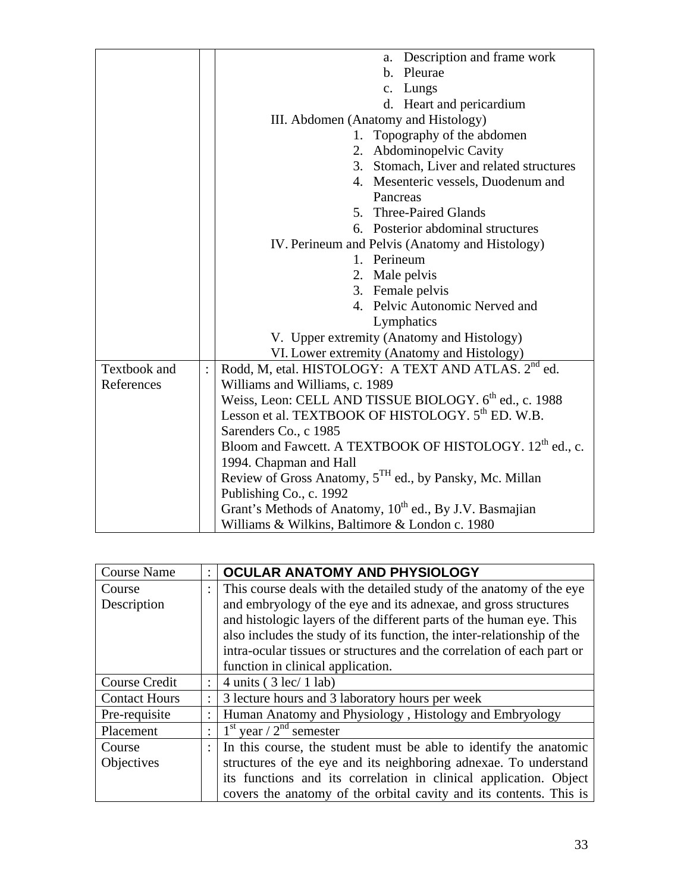|              | a. Description and frame work                                        |  |  |
|--------------|----------------------------------------------------------------------|--|--|
|              | b. Pleurae                                                           |  |  |
|              | c. Lungs                                                             |  |  |
|              | d. Heart and pericardium                                             |  |  |
|              | III. Abdomen (Anatomy and Histology)                                 |  |  |
|              | 1. Topography of the abdomen                                         |  |  |
|              | 2. Abdominopelvic Cavity                                             |  |  |
|              | 3. Stomach, Liver and related structures                             |  |  |
|              | 4. Mesenteric vessels, Duodenum and                                  |  |  |
|              | Pancreas                                                             |  |  |
|              | 5. Three-Paired Glands                                               |  |  |
|              | 6. Posterior abdominal structures                                    |  |  |
|              | IV. Perineum and Pelvis (Anatomy and Histology)                      |  |  |
|              | 1. Perineum                                                          |  |  |
|              | 2. Male pelvis                                                       |  |  |
|              | 3. Female pelvis                                                     |  |  |
|              | 4. Pelvic Autonomic Nerved and                                       |  |  |
|              | Lymphatics                                                           |  |  |
|              | V. Upper extremity (Anatomy and Histology)                           |  |  |
|              | VI. Lower extremity (Anatomy and Histology)                          |  |  |
| Textbook and | Rodd, M, etal. HISTOLOGY: A TEXT AND ATLAS. 2 <sup>nd</sup> ed.      |  |  |
| References   | Williams and Williams, c. 1989                                       |  |  |
|              | Weiss, Leon: CELL AND TISSUE BIOLOGY. 6 <sup>th</sup> ed., c. 1988   |  |  |
|              | Lesson et al. TEXTBOOK OF HISTOLOGY. 5 <sup>th</sup> ED. W.B.        |  |  |
|              | Sarenders Co., c 1985                                                |  |  |
|              | Bloom and Fawcett. A TEXTBOOK OF HISTOLOGY. 12 <sup>th</sup> ed., c. |  |  |
|              | 1994. Chapman and Hall                                               |  |  |
|              | Review of Gross Anatomy, 5 <sup>TH</sup> ed., by Pansky, Mc. Millan  |  |  |
|              | Publishing Co., c. 1992                                              |  |  |
|              | Grant's Methods of Anatomy, 10 <sup>th</sup> ed., By J.V. Basmajian  |  |  |
|              | Williams & Wilkins, Baltimore & London c. 1980                       |  |  |

| <b>Course Name</b>   |                      | OCULAR ANATOMY AND PHYSIOLOGY                                          |
|----------------------|----------------------|------------------------------------------------------------------------|
| Course               | ÷                    | This course deals with the detailed study of the anatomy of the eye    |
| Description          |                      | and embryology of the eye and its adnexae, and gross structures        |
|                      |                      | and histologic layers of the different parts of the human eye. This    |
|                      |                      | also includes the study of its function, the inter-relationship of the |
|                      |                      | intra-ocular tissues or structures and the correlation of each part or |
|                      |                      | function in clinical application.                                      |
| Course Credit        | $\ddot{\cdot}$       | 4 units $(3 \text{ lec} / 1 \text{ lab})$                              |
| <b>Contact Hours</b> | $\ddot{\cdot}$       | 3 lecture hours and 3 laboratory hours per week                        |
| Pre-requisite        | $\ddot{\cdot}$       | Human Anatomy and Physiology, Histology and Embryology                 |
| Placement            | $\ddot{\phantom{a}}$ | $1st$ year / $2nd$ semester                                            |
| Course               | $\ddot{\cdot}$       | In this course, the student must be able to identify the anatomic      |
| Objectives           |                      | structures of the eye and its neighboring adnexae. To understand       |
|                      |                      | its functions and its correlation in clinical application. Object      |
|                      |                      | covers the anatomy of the orbital cavity and its contents. This is     |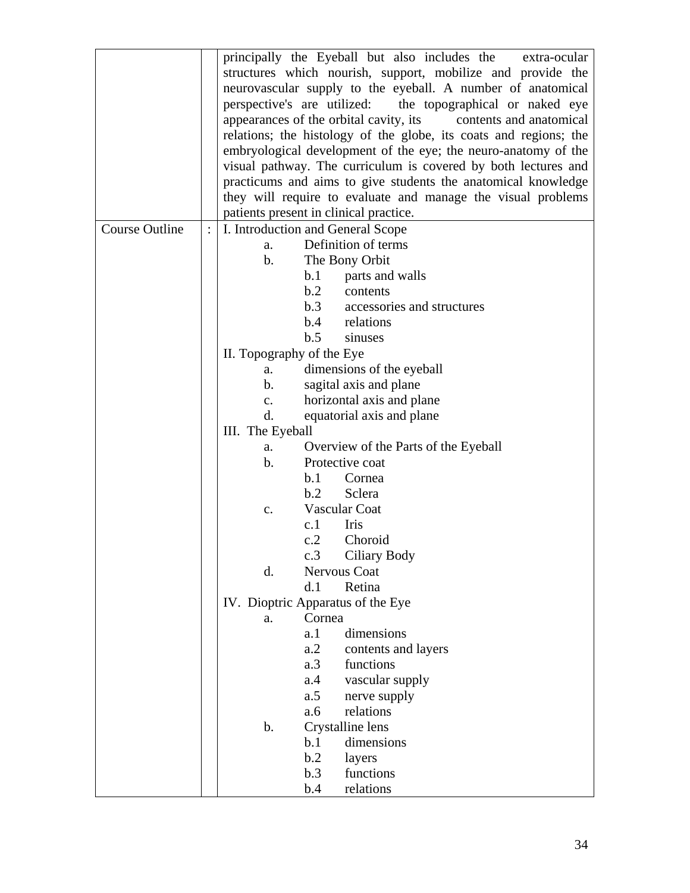| principally the Eyeball but also includes the<br>extra-ocular     |  |  |
|-------------------------------------------------------------------|--|--|
| structures which nourish, support, mobilize and provide the       |  |  |
| neurovascular supply to the eyeball. A number of anatomical       |  |  |
| perspective's are utilized:<br>the topographical or naked eye     |  |  |
| appearances of the orbital cavity, its<br>contents and anatomical |  |  |
|                                                                   |  |  |
| relations; the histology of the globe, its coats and regions; the |  |  |
| embryological development of the eye; the neuro-anatomy of the    |  |  |
| visual pathway. The curriculum is covered by both lectures and    |  |  |
| practicums and aims to give students the anatomical knowledge     |  |  |
| they will require to evaluate and manage the visual problems      |  |  |
| patients present in clinical practice.                            |  |  |
| $\ddot{\cdot}$<br>I. Introduction and General Scope               |  |  |
| Definition of terms<br>a.                                         |  |  |
| The Bony Orbit<br>$\mathbf b$ .                                   |  |  |
| b.1<br>parts and walls                                            |  |  |
| b.2<br>contents                                                   |  |  |
| b.3<br>accessories and structures                                 |  |  |
| b.4 relations                                                     |  |  |
| b.5<br>sinuses                                                    |  |  |
| II. Topography of the Eye                                         |  |  |
| dimensions of the eyeball<br>a.                                   |  |  |
| sagital axis and plane<br>b.                                      |  |  |
| horizontal axis and plane<br>$C_{\bullet}$                        |  |  |
| d.<br>equatorial axis and plane                                   |  |  |
| III. The Eyeball                                                  |  |  |
| Overview of the Parts of the Eyeball<br>a.                        |  |  |
| $\mathbf b$ .<br>Protective coat                                  |  |  |
| b.1<br>Cornea                                                     |  |  |
| b.2<br>Sclera                                                     |  |  |
| Vascular Coat<br>$C_{\bullet}$                                    |  |  |
| c.1<br>Iris                                                       |  |  |
| c.2<br>Choroid                                                    |  |  |
| Ciliary Body<br>c.3                                               |  |  |
| d.<br>Nervous Coat                                                |  |  |
| d.1<br>Retina                                                     |  |  |
| IV. Dioptric Apparatus of the Eye                                 |  |  |
| Cornea<br>a.                                                      |  |  |
| dimensions<br>a.1                                                 |  |  |
| a.2<br>contents and layers                                        |  |  |
| a.3<br>functions                                                  |  |  |
| vascular supply<br>a.4                                            |  |  |
| a.5<br>nerve supply                                               |  |  |
| relations<br>a.6                                                  |  |  |
| Crystalline lens<br>$\mathbf b$ .                                 |  |  |
|                                                                   |  |  |
|                                                                   |  |  |
| b.1<br>dimensions                                                 |  |  |
| b.2<br>layers<br>functions<br>b.3                                 |  |  |
|                                                                   |  |  |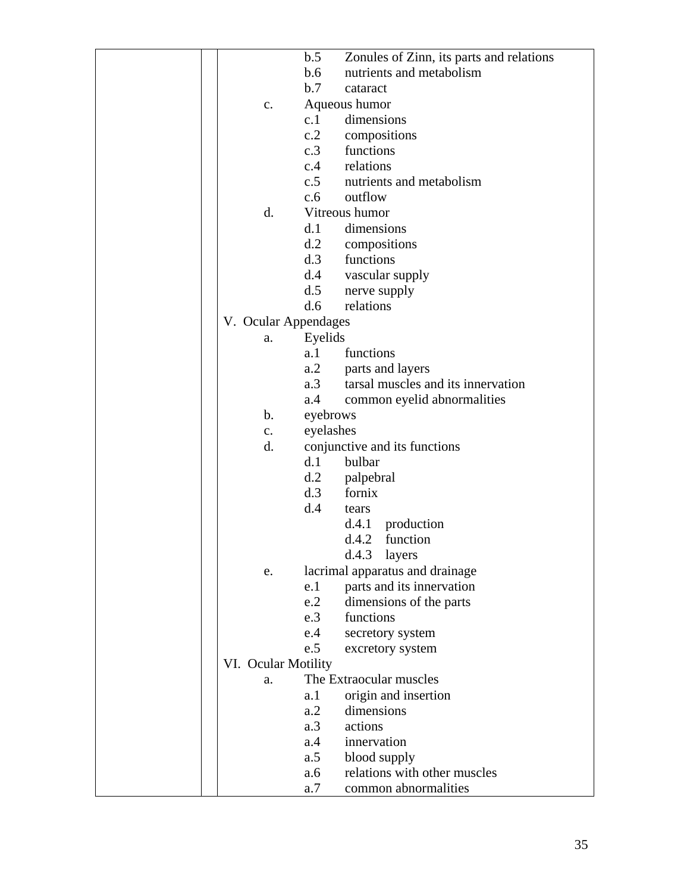|                      | b.5        | Zonules of Zinn, its parts and relations |
|----------------------|------------|------------------------------------------|
|                      | b.6        | nutrients and metabolism                 |
|                      | b.7        | cataract                                 |
| $C_{\bullet}$        |            | Aqueous humor                            |
|                      | c.1        | dimensions                               |
|                      | c.2        | compositions                             |
|                      | c.3        | functions                                |
|                      | c.4        | relations                                |
|                      | c.5        | nutrients and metabolism                 |
|                      | c.6        | outflow                                  |
| d.                   |            | Vitreous humor                           |
|                      | d.1        | dimensions                               |
|                      | d.2        | compositions                             |
|                      | d.3        | functions                                |
|                      | d.4        | vascular supply                          |
|                      | d.5        | nerve supply                             |
|                      | d.6        | relations                                |
| V. Ocular Appendages |            |                                          |
| a.                   | Eyelids    |                                          |
|                      | a.1        | functions                                |
|                      | a.2        | parts and layers                         |
|                      | a.3        | tarsal muscles and its innervation       |
|                      | a.4        | common eyelid abnormalities              |
| $\mathbf b$ .        | eyebrows   |                                          |
| $\mathbf{c}$ .       | eyelashes  |                                          |
| d.                   |            | conjunctive and its functions            |
|                      | d.1        | bulbar                                   |
|                      | d.2        | palpebral                                |
|                      | d.3        | fornix                                   |
|                      | d.4        | tears                                    |
|                      |            | d.4.1 production                         |
|                      |            | d.4.2<br>function                        |
|                      |            | d.4.3<br>layers                          |
|                      |            |                                          |
| e.                   | e.1        | lacrimal apparatus and drainage          |
|                      | e.2        | parts and its innervation                |
|                      |            | dimensions of the parts<br>functions     |
|                      | e.3<br>e.4 |                                          |
|                      | e.5        | secretory system                         |
|                      |            | excretory system                         |
| VI. Ocular Motility  |            | The Extraocular muscles                  |
| a.                   |            |                                          |
|                      | a. 1       | origin and insertion                     |
|                      | a.2        | dimensions                               |
|                      | a.3        | actions                                  |
|                      | a.4        | innervation                              |
|                      | a.5        | blood supply                             |
|                      | a.6        | relations with other muscles             |
|                      | a.7        | common abnormalities                     |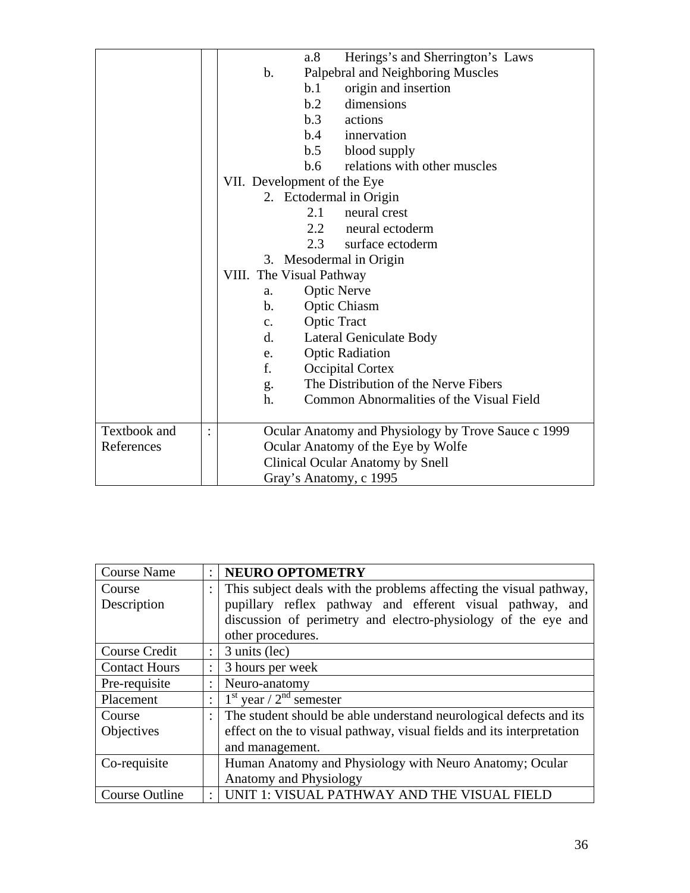|              |                | Herings's and Sherrington's Laws<br>a.8             |  |  |  |
|--------------|----------------|-----------------------------------------------------|--|--|--|
|              |                | Palpebral and Neighboring Muscles<br>$\mathbf b$ .  |  |  |  |
|              |                | origin and insertion<br>b.1                         |  |  |  |
|              |                | b.2<br>dimensions                                   |  |  |  |
|              |                | b.3<br>actions                                      |  |  |  |
|              |                | b.4<br>innervation                                  |  |  |  |
|              |                | b.5 blood supply                                    |  |  |  |
|              |                | relations with other muscles<br>b.6                 |  |  |  |
|              |                | VII. Development of the Eye                         |  |  |  |
|              |                | 2. Ectodermal in Origin                             |  |  |  |
|              |                | 2.1<br>neural crest                                 |  |  |  |
|              |                | 2.2<br>neural ectoderm                              |  |  |  |
|              |                | surface ectoderm<br>2.3                             |  |  |  |
|              |                | 3. Mesodermal in Origin                             |  |  |  |
|              |                | VIII. The Visual Pathway                            |  |  |  |
|              |                | <b>Optic Nerve</b><br>a.                            |  |  |  |
|              |                | Optic Chiasm<br>$\mathbf b$ .                       |  |  |  |
|              |                | <b>Optic Tract</b><br>$C_{\bullet}$                 |  |  |  |
|              |                | Lateral Geniculate Body<br>$\rm d$ .                |  |  |  |
|              |                | <b>Optic Radiation</b><br>e.                        |  |  |  |
|              |                | f.<br>Occipital Cortex                              |  |  |  |
|              |                | The Distribution of the Nerve Fibers<br>g.          |  |  |  |
|              |                | h.<br>Common Abnormalities of the Visual Field      |  |  |  |
|              |                |                                                     |  |  |  |
| Textbook and | $\ddot{\cdot}$ | Ocular Anatomy and Physiology by Trove Sauce c 1999 |  |  |  |
| References   |                | Ocular Anatomy of the Eye by Wolfe                  |  |  |  |
|              |                | <b>Clinical Ocular Anatomy by Snell</b>             |  |  |  |
|              |                | Gray's Anatomy, c 1995                              |  |  |  |

| <b>Course Name</b>   | $\bullet$            | <b>NEURO OPTOMETRY</b>                                                |
|----------------------|----------------------|-----------------------------------------------------------------------|
| Course               | ٠                    | This subject deals with the problems affecting the visual pathway,    |
| Description          |                      | pupillary reflex pathway and efferent visual pathway, and             |
|                      |                      | discussion of perimetry and electro-physiology of the eye and         |
|                      |                      | other procedures.                                                     |
| <b>Course Credit</b> | $\ddot{\phantom{a}}$ | 3 units (lec)                                                         |
| <b>Contact Hours</b> | $\ddot{\phantom{a}}$ | 3 hours per week                                                      |
| Pre-requisite        | $\ddot{\cdot}$       | Neuro-anatomy                                                         |
| Placement            | ٠                    | $1st$ year / $2nd$ semester                                           |
| Course               | $\bullet$            | The student should be able understand neurological defects and its    |
| Objectives           |                      | effect on the to visual pathway, visual fields and its interpretation |
|                      |                      | and management.                                                       |
| Co-requisite         |                      | Human Anatomy and Physiology with Neuro Anatomy; Ocular               |
|                      |                      | <b>Anatomy and Physiology</b>                                         |
| Course Outline       | $\ddot{\cdot}$       | UNIT 1: VISUAL PATHWAY AND THE VISUAL FIELD                           |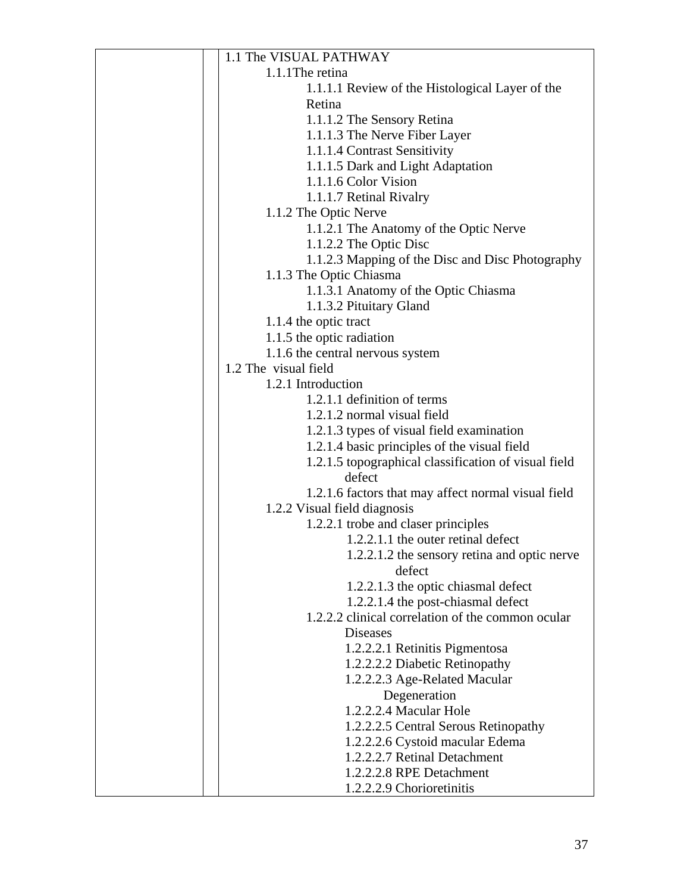| 1.1 The VISUAL PATHWAY                                          |
|-----------------------------------------------------------------|
| 1.1.1 The retina                                                |
| 1.1.1.1 Review of the Histological Layer of the                 |
| Retina                                                          |
| 1.1.1.2 The Sensory Retina                                      |
| 1.1.1.3 The Nerve Fiber Layer                                   |
| 1.1.1.4 Contrast Sensitivity                                    |
| 1.1.1.5 Dark and Light Adaptation                               |
| 1.1.1.6 Color Vision                                            |
| 1.1.1.7 Retinal Rivalry                                         |
| 1.1.2 The Optic Nerve                                           |
| 1.1.2.1 The Anatomy of the Optic Nerve                          |
| 1.1.2.2 The Optic Disc                                          |
| 1.1.2.3 Mapping of the Disc and Disc Photography                |
| 1.1.3 The Optic Chiasma                                         |
| 1.1.3.1 Anatomy of the Optic Chiasma                            |
| 1.1.3.2 Pituitary Gland                                         |
| 1.1.4 the optic tract                                           |
| 1.1.5 the optic radiation                                       |
| 1.1.6 the central nervous system                                |
| 1.2 The visual field                                            |
| 1.2.1 Introduction                                              |
| 1.2.1.1 definition of terms                                     |
| 1.2.1.2 normal visual field                                     |
| 1.2.1.3 types of visual field examination                       |
| 1.2.1.4 basic principles of the visual field                    |
| 1.2.1.5 topographical classification of visual field            |
| defect                                                          |
| 1.2.1.6 factors that may affect normal visual field             |
| 1.2.2 Visual field diagnosis                                    |
| 1.2.2.1 trobe and claser principles                             |
| 1.2.2.1.1 the outer retinal defect                              |
| 1.2.2.1.2 the sensory retina and optic nerve                    |
| defect                                                          |
| 1.2.2.1.3 the optic chiasmal defect                             |
| 1.2.2.1.4 the post-chiasmal defect                              |
| 1.2.2.2 clinical correlation of the common ocular               |
| <b>Diseases</b>                                                 |
| 1.2.2.2.1 Retinitis Pigmentosa                                  |
| 1.2.2.2.2 Diabetic Retinopathy                                  |
| 1.2.2.2.3 Age-Related Macular                                   |
| Degeneration<br>1.2.2.2.4 Macular Hole                          |
|                                                                 |
| 1.2.2.2.5 Central Serous Retinopathy                            |
| 1.2.2.2.6 Cystoid macular Edema<br>1.2.2.2.7 Retinal Detachment |
|                                                                 |
| 1.2.2.2.8 RPE Detachment                                        |
| 1.2.2.2.9 Chorioretinitis                                       |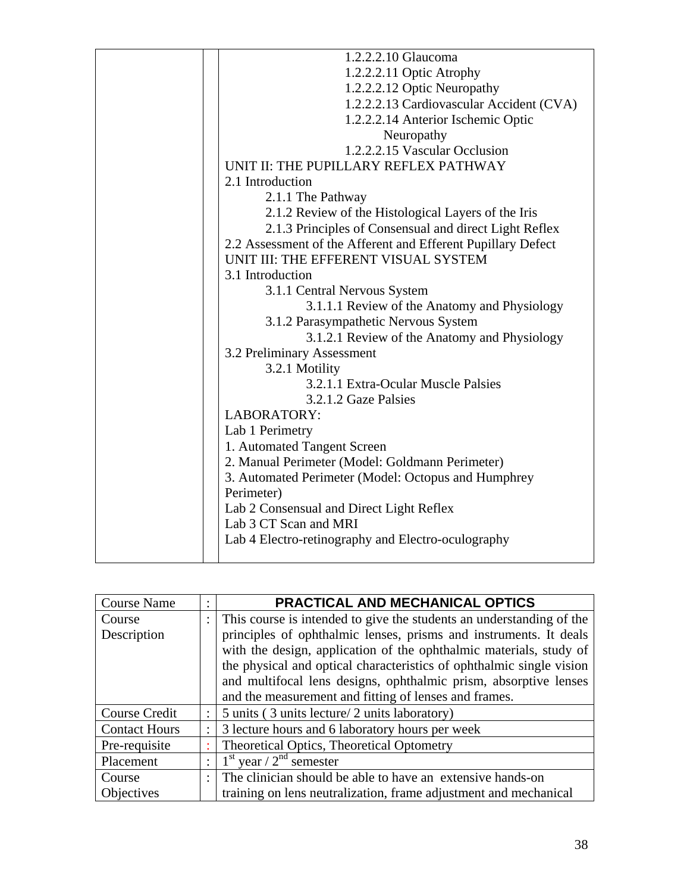| 1.2.2.2.10 Glaucoma                                          |
|--------------------------------------------------------------|
| 1.2.2.2.11 Optic Atrophy                                     |
| 1.2.2.2.12 Optic Neuropathy                                  |
| 1.2.2.2.13 Cardiovascular Accident (CVA)                     |
| 1.2.2.2.14 Anterior Ischemic Optic                           |
| Neuropathy                                                   |
| 1.2.2.2.15 Vascular Occlusion                                |
| UNIT II: THE PUPILLARY REFLEX PATHWAY                        |
| 2.1 Introduction                                             |
| 2.1.1 The Pathway                                            |
| 2.1.2 Review of the Histological Layers of the Iris          |
| 2.1.3 Principles of Consensual and direct Light Reflex       |
| 2.2 Assessment of the Afferent and Efferent Pupillary Defect |
| UNIT III: THE EFFERENT VISUAL SYSTEM                         |
| 3.1 Introduction                                             |
| 3.1.1 Central Nervous System                                 |
| 3.1.1.1 Review of the Anatomy and Physiology                 |
| 3.1.2 Parasympathetic Nervous System                         |
| 3.1.2.1 Review of the Anatomy and Physiology                 |
| 3.2 Preliminary Assessment                                   |
| 3.2.1 Motility                                               |
| 3.2.1.1 Extra-Ocular Muscle Palsies                          |
| 3.2.1.2 Gaze Palsies                                         |
| <b>LABORATORY:</b>                                           |
| Lab 1 Perimetry                                              |
| 1. Automated Tangent Screen                                  |
| 2. Manual Perimeter (Model: Goldmann Perimeter)              |
| 3. Automated Perimeter (Model: Octopus and Humphrey          |
| Perimeter)                                                   |
| Lab 2 Consensual and Direct Light Reflex                     |
| Lab 3 CT Scan and MRI                                        |
| Lab 4 Electro-retinography and Electro-oculography           |
|                                                              |

| <b>Course Name</b>   | ٠              | PRACTICAL AND MECHANICAL OPTICS                                      |
|----------------------|----------------|----------------------------------------------------------------------|
| Course               |                | This course is intended to give the students an understanding of the |
| Description          |                | principles of ophthalmic lenses, prisms and instruments. It deals    |
|                      |                | with the design, application of the ophthalmic materials, study of   |
|                      |                | the physical and optical characteristics of ophthalmic single vision |
|                      |                | and multifocal lens designs, ophthalmic prism, absorptive lenses     |
|                      |                | and the measurement and fitting of lenses and frames.                |
| <b>Course Credit</b> | $\ddot{\cdot}$ | 5 units (3 units lecture/2 units laboratory)                         |
| <b>Contact Hours</b> |                | 3 lecture hours and 6 laboratory hours per week                      |
| Pre-requisite        |                | <b>Theoretical Optics, Theoretical Optometry</b>                     |
| Placement            |                | $1st$ year / $2nd$ semester                                          |
| Course               | $\ddot{\cdot}$ | The clinician should be able to have an extensive hands-on           |
| Objectives           |                | training on lens neutralization, frame adjustment and mechanical     |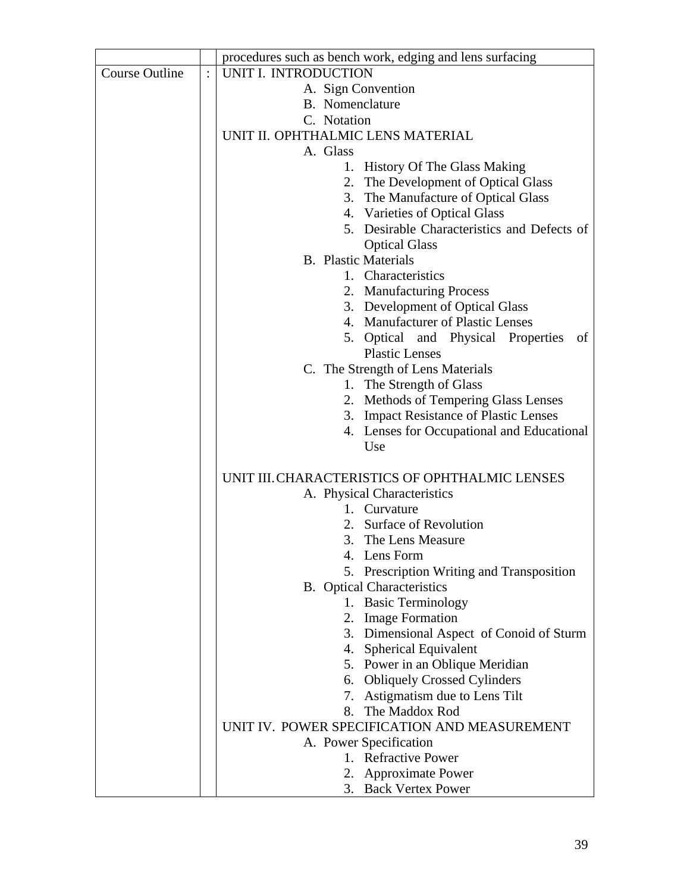|                       |                | procedures such as bench work, edging and lens surfacing |
|-----------------------|----------------|----------------------------------------------------------|
| <b>Course Outline</b> | $\ddot{\cdot}$ | UNIT I. INTRODUCTION                                     |
|                       |                | A. Sign Convention                                       |
|                       |                | <b>B.</b> Nomenclature                                   |
|                       |                | C. Notation                                              |
|                       |                | UNIT II. OPHTHALMIC LENS MATERIAL                        |
|                       |                | A. Glass                                                 |
|                       |                | 1. History Of The Glass Making                           |
|                       |                | 2. The Development of Optical Glass                      |
|                       |                | The Manufacture of Optical Glass<br>3.                   |
|                       |                | 4. Varieties of Optical Glass                            |
|                       |                | 5. Desirable Characteristics and Defects of              |
|                       |                | <b>Optical Glass</b>                                     |
|                       |                | <b>B.</b> Plastic Materials                              |
|                       |                | 1. Characteristics                                       |
|                       |                | 2. Manufacturing Process                                 |
|                       |                | 3. Development of Optical Glass                          |
|                       |                | 4. Manufacturer of Plastic Lenses                        |
|                       |                | 5. Optical and Physical Properties<br>of                 |
|                       |                | <b>Plastic Lenses</b>                                    |
|                       |                | C. The Strength of Lens Materials                        |
|                       |                | The Strength of Glass<br>1.                              |
|                       |                | Methods of Tempering Glass Lenses<br>2.                  |
|                       |                | 3. Impact Resistance of Plastic Lenses                   |
|                       |                | 4. Lenses for Occupational and Educational<br>Use        |
|                       |                |                                                          |
|                       |                | UNIT III. CHARACTERISTICS OF OPHTHALMIC LENSES           |
|                       |                | A. Physical Characteristics                              |
|                       |                | 1. Curvature                                             |
|                       |                | 2. Surface of Revolution                                 |
|                       |                | 3. The Lens Measure                                      |
|                       |                | 4.<br>Lens Form                                          |
|                       |                | 5. Prescription Writing and Transposition                |
|                       |                | <b>B.</b> Optical Characteristics                        |
|                       |                | 1. Basic Terminology                                     |
|                       |                | 2. Image Formation                                       |
|                       |                | 3. Dimensional Aspect of Conoid of Sturm                 |
|                       |                | 4. Spherical Equivalent                                  |
|                       |                | Power in an Oblique Meridian<br>5.                       |
|                       |                | <b>Obliquely Crossed Cylinders</b><br>6.                 |
|                       |                | 7. Astigmatism due to Lens Tilt                          |
|                       |                | The Maddox Rod<br>8.                                     |
|                       |                | UNIT IV. POWER SPECIFICATION AND MEASUREMENT             |
|                       |                | A. Power Specification                                   |
|                       |                | 1. Refractive Power                                      |
|                       |                | 2. Approximate Power                                     |
|                       |                | 3. Back Vertex Power                                     |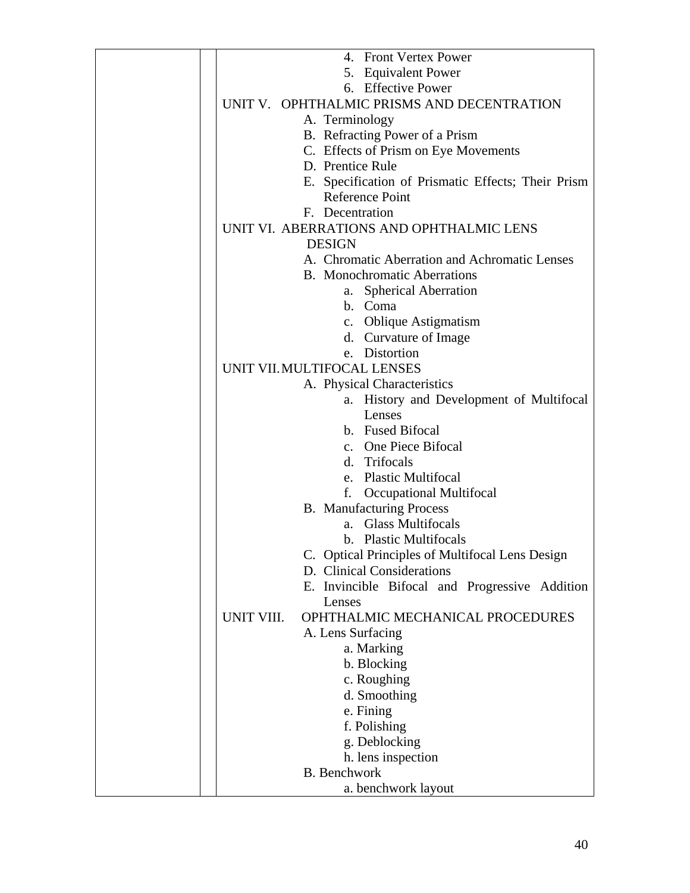| 4. Front Vertex Power                              |
|----------------------------------------------------|
| 5. Equivalent Power                                |
| 6. Effective Power                                 |
| UNIT V. OPHTHALMIC PRISMS AND DECENTRATION         |
| A. Terminology                                     |
| B. Refracting Power of a Prism                     |
| C. Effects of Prism on Eye Movements               |
| D. Prentice Rule                                   |
| E. Specification of Prismatic Effects; Their Prism |
| <b>Reference Point</b>                             |
| F. Decentration                                    |
| UNIT VI. ABERRATIONS AND OPHTHALMIC LENS           |
|                                                    |
| <b>DESIGN</b>                                      |
| A. Chromatic Aberration and Achromatic Lenses      |
| <b>B.</b> Monochromatic Aberrations                |
| <b>Spherical Aberration</b><br>a.                  |
| b. Coma                                            |
| c. Oblique Astigmatism                             |
| d. Curvature of Image                              |
| e. Distortion                                      |
| UNIT VII. MULTIFOCAL LENSES                        |
| A. Physical Characteristics                        |
| a. History and Development of Multifocal           |
| Lenses                                             |
| b. Fused Bifocal                                   |
| c. One Piece Bifocal                               |
|                                                    |
| d. Trifocals                                       |
| e. Plastic Multifocal                              |
| <b>Occupational Multifocal</b><br>f.               |
| <b>B.</b> Manufacturing Process                    |
| a. Glass Multifocals                               |
| b. Plastic Multifocals                             |
| C. Optical Principles of Multifocal Lens Design    |
| D. Clinical Considerations                         |
| E. Invincible Bifocal and Progressive Addition     |
| Lenses                                             |
| OPHTHALMIC MECHANICAL PROCEDURES<br>UNIT VIII.     |
| A. Lens Surfacing                                  |
| a. Marking                                         |
| b. Blocking                                        |
|                                                    |
| c. Roughing                                        |
| d. Smoothing                                       |
| e. Fining                                          |
| f. Polishing                                       |
| g. Deblocking                                      |
| h. lens inspection                                 |
| <b>B.</b> Benchwork                                |
| a. benchwork layout                                |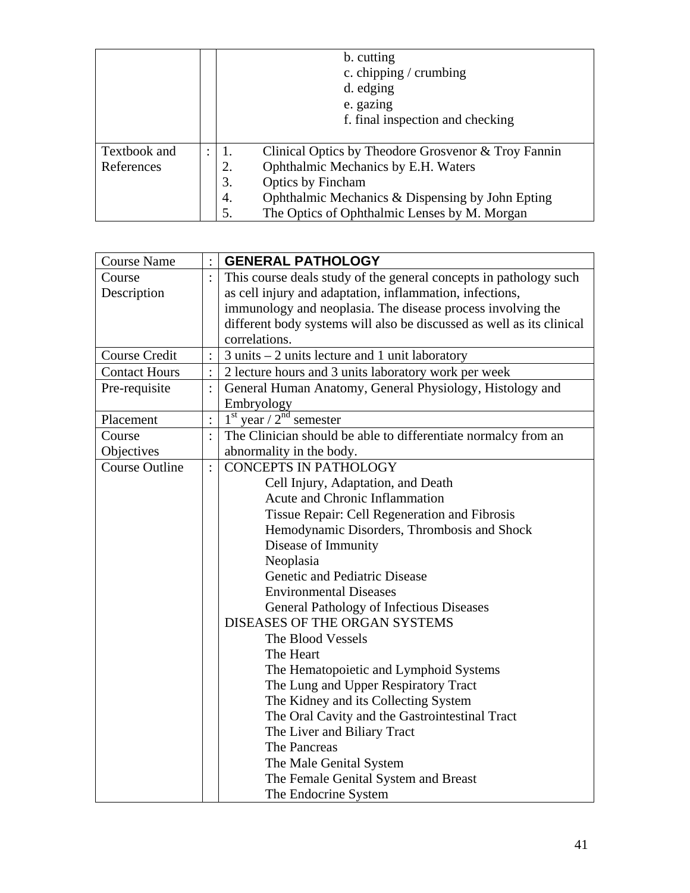|              |                |    | b. cutting<br>c. chipping / crumbing<br>d. edging<br>e. gazing<br>f. final inspection and checking |
|--------------|----------------|----|----------------------------------------------------------------------------------------------------|
| Textbook and | $\ddot{\cdot}$ |    | Clinical Optics by Theodore Grosvenor & Troy Fannin                                                |
| References   |                | 2. | Ophthalmic Mechanics by E.H. Waters                                                                |
|              |                | 3. | Optics by Fincham                                                                                  |
|              |                | 4. | Ophthalmic Mechanics & Dispensing by John Epting                                                   |
|              |                | 5. | The Optics of Ophthalmic Lenses by M. Morgan                                                       |

| <b>Course Name</b>    |                | <b>GENERAL PATHOLOGY</b>                                              |
|-----------------------|----------------|-----------------------------------------------------------------------|
| Course                |                | This course deals study of the general concepts in pathology such     |
| Description           |                | as cell injury and adaptation, inflammation, infections,              |
|                       |                | immunology and neoplasia. The disease process involving the           |
|                       |                | different body systems will also be discussed as well as its clinical |
|                       |                | correlations.                                                         |
| <b>Course Credit</b>  |                | $3$ units $-2$ units lecture and 1 unit laboratory                    |
| <b>Contact Hours</b>  |                | 2 lecture hours and 3 units laboratory work per week                  |
| Pre-requisite         | $\ddot{\cdot}$ | General Human Anatomy, General Physiology, Histology and              |
|                       |                | Embryology                                                            |
| Placement             | $\ddot{\cdot}$ | $1st$ year / $2nd$ semester                                           |
| Course                |                | The Clinician should be able to differentiate normalcy from an        |
| Objectives            |                | abnormality in the body.                                              |
| <b>Course Outline</b> |                | <b>CONCEPTS IN PATHOLOGY</b>                                          |
|                       |                | Cell Injury, Adaptation, and Death                                    |
|                       |                | Acute and Chronic Inflammation                                        |
|                       |                | Tissue Repair: Cell Regeneration and Fibrosis                         |
|                       |                | Hemodynamic Disorders, Thrombosis and Shock                           |
|                       |                | Disease of Immunity                                                   |
|                       |                | Neoplasia                                                             |
|                       |                | Genetic and Pediatric Disease                                         |
|                       |                | <b>Environmental Diseases</b>                                         |
|                       |                | General Pathology of Infectious Diseases                              |
|                       |                | DISEASES OF THE ORGAN SYSTEMS                                         |
|                       |                | The Blood Vessels                                                     |
|                       |                | The Heart                                                             |
|                       |                | The Hematopoietic and Lymphoid Systems                                |
|                       |                | The Lung and Upper Respiratory Tract                                  |
|                       |                | The Kidney and its Collecting System                                  |
|                       |                | The Oral Cavity and the Gastrointestinal Tract                        |
|                       |                | The Liver and Biliary Tract                                           |
|                       |                | The Pancreas                                                          |
|                       |                | The Male Genital System                                               |
|                       |                | The Female Genital System and Breast                                  |
|                       |                | The Endocrine System                                                  |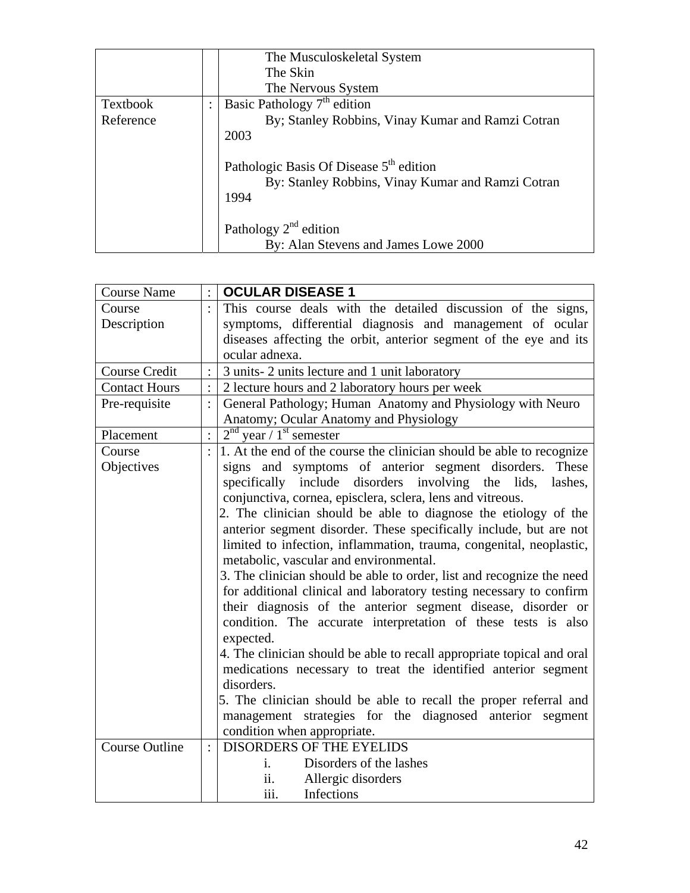|           |                | The Musculoskeletal System                                                                                       |  |
|-----------|----------------|------------------------------------------------------------------------------------------------------------------|--|
|           |                | The Skin                                                                                                         |  |
|           |                | The Nervous System                                                                                               |  |
| Textbook  | $\ddot{\cdot}$ | Basic Pathology $7th$ edition                                                                                    |  |
| Reference |                | By; Stanley Robbins, Vinay Kumar and Ramzi Cotran                                                                |  |
|           |                | 2003                                                                                                             |  |
|           |                | Pathologic Basis Of Disease 5 <sup>th</sup> edition<br>By: Stanley Robbins, Vinay Kumar and Ramzi Cotran<br>1994 |  |
|           |                | Pathology $2^{nd}$ edition                                                                                       |  |
|           |                | By: Alan Stevens and James Lowe 2000                                                                             |  |

| <b>Course Name</b>    |                | <b>OCULAR DISEASE 1</b>                                                |
|-----------------------|----------------|------------------------------------------------------------------------|
| Course                |                | This course deals with the detailed discussion of the signs,           |
| Description           |                | symptoms, differential diagnosis and management of ocular              |
|                       |                | diseases affecting the orbit, anterior segment of the eye and its      |
|                       |                | ocular adnexa.                                                         |
| <b>Course Credit</b>  |                | 3 units-2 units lecture and 1 unit laboratory                          |
| <b>Contact Hours</b>  |                | 2 lecture hours and 2 laboratory hours per week                        |
| Pre-requisite         |                | General Pathology; Human Anatomy and Physiology with Neuro             |
|                       |                | Anatomy; Ocular Anatomy and Physiology                                 |
| Placement             | $\ddot{\cdot}$ | $2nd$ year / 1 <sup>st</sup> semester                                  |
| Course                |                | 1. At the end of the course the clinician should be able to recognize  |
| Objectives            |                | signs and symptoms of anterior segment disorders.<br>These             |
|                       |                | specifically include disorders involving the lids,<br>lashes,          |
|                       |                | conjunctiva, cornea, episclera, sclera, lens and vitreous.             |
|                       |                | 2. The clinician should be able to diagnose the etiology of the        |
|                       |                | anterior segment disorder. These specifically include, but are not     |
|                       |                | limited to infection, inflammation, trauma, congenital, neoplastic,    |
|                       |                | metabolic, vascular and environmental.                                 |
|                       |                | 3. The clinician should be able to order, list and recognize the need  |
|                       |                | for additional clinical and laboratory testing necessary to confirm    |
|                       |                | their diagnosis of the anterior segment disease, disorder or           |
|                       |                | condition. The accurate interpretation of these tests is also          |
|                       |                | expected.                                                              |
|                       |                | 4. The clinician should be able to recall appropriate topical and oral |
|                       |                | medications necessary to treat the identified anterior segment         |
|                       |                | disorders.                                                             |
|                       |                | 5. The clinician should be able to recall the proper referral and      |
|                       |                | management strategies for the diagnosed anterior segment               |
|                       |                | condition when appropriate.                                            |
| <b>Course Outline</b> | $\ddot{\cdot}$ | <b>DISORDERS OF THE EYELIDS</b>                                        |
|                       |                | Disorders of the lashes<br>1.                                          |
|                       |                | ii.<br>Allergic disorders                                              |
|                       |                | iii.<br>Infections                                                     |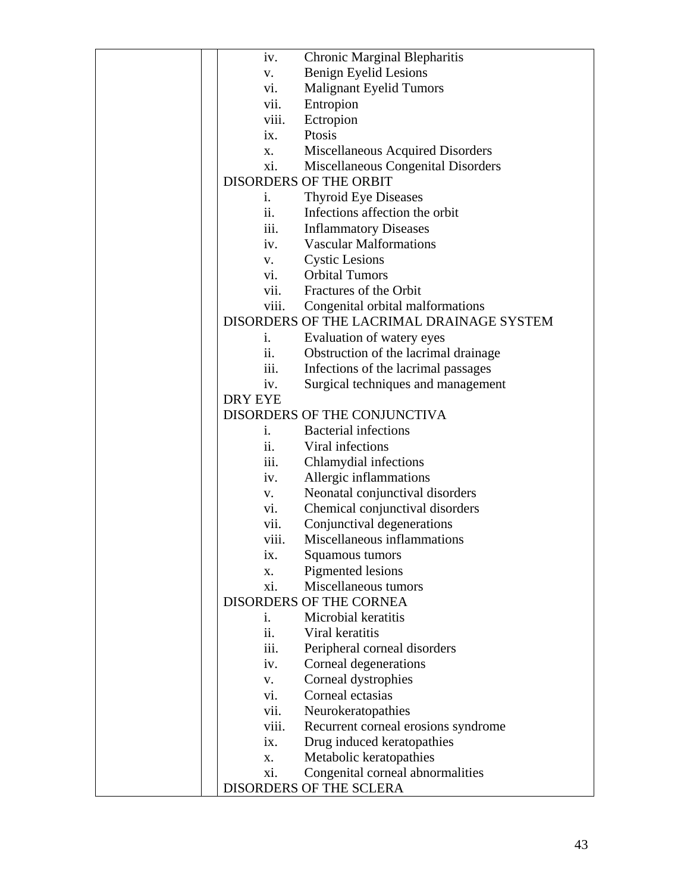| iv.               | <b>Chronic Marginal Blepharitis</b>       |
|-------------------|-------------------------------------------|
| V.                | Benign Eyelid Lesions                     |
| vi.               | <b>Malignant Eyelid Tumors</b>            |
| vii.              | Entropion                                 |
| viii.             | Ectropion                                 |
| ix.               | Ptosis                                    |
| X.                | Miscellaneous Acquired Disorders          |
| xi.               | Miscellaneous Congenital Disorders        |
|                   | <b>DISORDERS OF THE ORBIT</b>             |
| i.                | <b>Thyroid Eye Diseases</b>               |
| ii.               | Infections affection the orbit            |
| iii.              | <b>Inflammatory Diseases</b>              |
| iv.               | <b>Vascular Malformations</b>             |
| V.                | <b>Cystic Lesions</b>                     |
| vi.               | <b>Orbital Tumors</b>                     |
| vii.              | Fractures of the Orbit                    |
| viii.             | Congenital orbital malformations          |
|                   | DISORDERS OF THE LACRIMAL DRAINAGE SYSTEM |
| $\mathbf{1}$ .    | Evaluation of watery eyes                 |
| ii.               | Obstruction of the lacrimal drainage      |
| iii.              | Infections of the lacrimal passages       |
| iv.               | Surgical techniques and management        |
| DRY EYE           |                                           |
|                   | DISORDERS OF THE CONJUNCTIVA              |
| i.                | <b>Bacterial infections</b>               |
| ii.               | Viral infections                          |
| iii.              | Chlamydial infections                     |
| iv.               | Allergic inflammations                    |
| V.                | Neonatal conjunctival disorders           |
| vi.               | Chemical conjunctival disorders           |
| vii.              | Conjunctival degenerations                |
| viii.             | Miscellaneous inflammations               |
| ix.               | Squamous tumors                           |
| X.                | Pigmented lesions                         |
| xi.               | Miscellaneous tumors                      |
|                   | <b>DISORDERS OF THE CORNEA</b>            |
| i.                | Microbial keratitis                       |
| ii.               | Viral keratitis                           |
| 111.              | Peripheral corneal disorders              |
| iv.               | Corneal degenerations                     |
| V.                | Corneal dystrophies                       |
| vi.               | Corneal ectasias                          |
| vii.              | Neurokeratopathies                        |
| viii.             | Recurrent corneal erosions syndrome       |
| $\overline{1}X$ . | Drug induced keratopathies                |
| X.                | Metabolic keratopathies                   |
| xi.               | Congenital corneal abnormalities          |
|                   | DISORDERS OF THE SCLERA                   |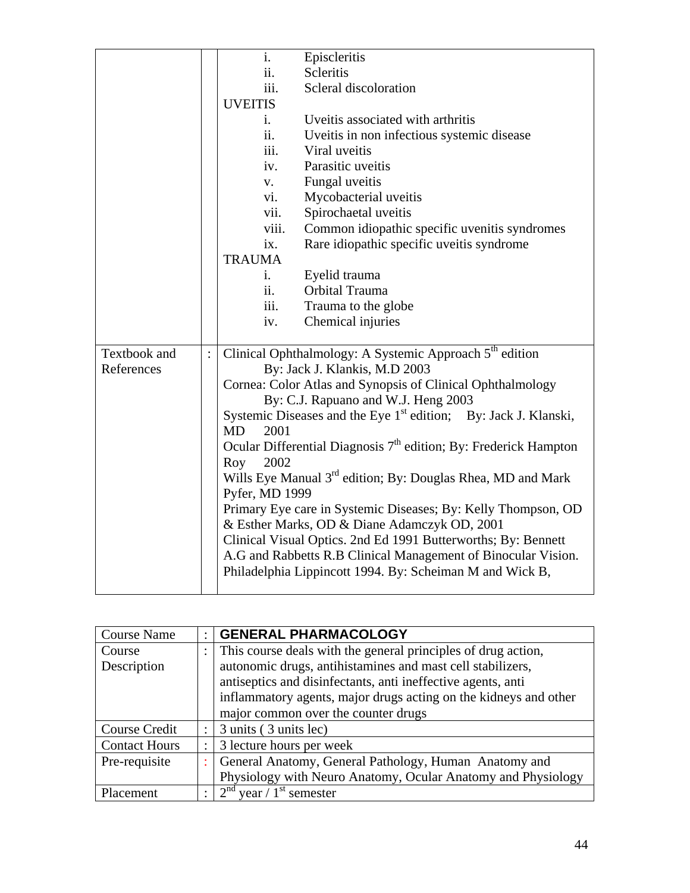|              |          | i.                | Episcleritis                                                                |
|--------------|----------|-------------------|-----------------------------------------------------------------------------|
|              |          | ii.               | Scleritis                                                                   |
|              |          | iii.              | Scleral discoloration                                                       |
|              |          | <b>UVEITIS</b>    |                                                                             |
|              |          | i.                | Uveitis associated with arthritis                                           |
|              |          | ii.               | Uveitis in non infectious systemic disease                                  |
|              |          | iii.              | Viral uveitis                                                               |
|              |          | iv.               | Parasitic uveitis                                                           |
|              |          | V.                | Fungal uveitis                                                              |
|              |          | vi.               | Mycobacterial uveitis                                                       |
|              |          | vii.              | Spirochaetal uveitis                                                        |
|              |          | viii.             | Common idiopathic specific uvenitis syndromes                               |
|              |          | ix.               | Rare idiopathic specific uveitis syndrome                                   |
|              |          | <b>TRAUMA</b>     |                                                                             |
|              |          | i.                | Eyelid trauma                                                               |
|              |          | ii.               | Orbital Trauma                                                              |
|              |          | iii.              | Trauma to the globe                                                         |
|              |          | iv.               | Chemical injuries                                                           |
|              |          |                   |                                                                             |
| Textbook and | $\vdots$ |                   | Clinical Ophthalmology: A Systemic Approach 5 <sup>th</sup> edition         |
| References   |          |                   | By: Jack J. Klankis, M.D 2003                                               |
|              |          |                   | Cornea: Color Atlas and Synopsis of Clinical Ophthalmology                  |
|              |          |                   | By: C.J. Rapuano and W.J. Heng 2003                                         |
|              |          |                   | Systemic Diseases and the Eye 1 <sup>st</sup> edition; By: Jack J. Klanski, |
|              |          | <b>MD</b><br>2001 |                                                                             |
|              |          |                   | Ocular Differential Diagnosis $7th$ edition; By: Frederick Hampton          |
|              |          | 2002<br>Roy       |                                                                             |
|              |          |                   | Wills Eye Manual 3 <sup>rd</sup> edition; By: Douglas Rhea, MD and Mark     |
|              |          | Pyfer, MD 1999    |                                                                             |
|              |          |                   | Primary Eye care in Systemic Diseases; By: Kelly Thompson, OD               |
|              |          |                   | & Esther Marks, OD & Diane Adamczyk OD, 2001                                |
|              |          |                   | Clinical Visual Optics. 2nd Ed 1991 Butterworths; By: Bennett               |
|              |          |                   | A.G and Rabbetts R.B Clinical Management of Binocular Vision.               |
|              |          |                   | Philadelphia Lippincott 1994. By: Scheiman M and Wick B,                    |
|              |          |                   |                                                                             |

| <b>Course Name</b>   |           | <b>GENERAL PHARMACOLOGY</b>                                      |  |  |
|----------------------|-----------|------------------------------------------------------------------|--|--|
| Course               |           | This course deals with the general principles of drug action,    |  |  |
| Description          |           | autonomic drugs, antihistamines and mast cell stabilizers,       |  |  |
|                      |           | antiseptics and disinfectants, anti ineffective agents, anti     |  |  |
|                      |           | inflammatory agents, major drugs acting on the kidneys and other |  |  |
|                      |           | major common over the counter drugs                              |  |  |
| Course Credit        |           | 3 units (3 units lec)                                            |  |  |
| <b>Contact Hours</b> |           | 3 lecture hours per week                                         |  |  |
| Pre-requisite        |           | General Anatomy, General Pathology, Human Anatomy and            |  |  |
|                      |           | Physiology with Neuro Anatomy, Ocular Anatomy and Physiology     |  |  |
| Placement            | $\bullet$ | $2nd$ year / 1 <sup>st</sup> semester                            |  |  |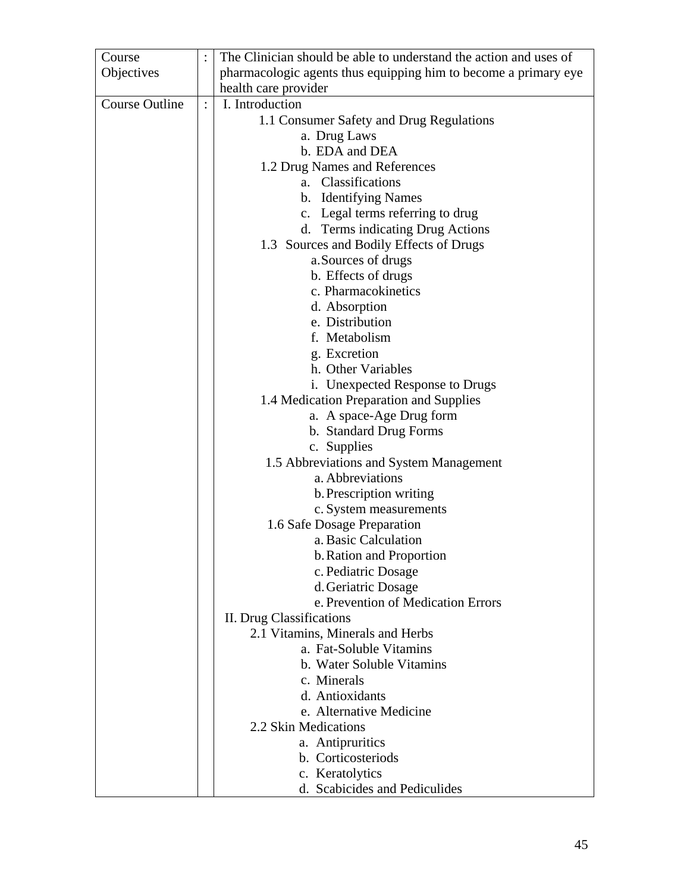| Course                |                | The Clinician should be able to understand the action and uses of |
|-----------------------|----------------|-------------------------------------------------------------------|
| Objectives            |                | pharmacologic agents thus equipping him to become a primary eye   |
|                       |                | health care provider                                              |
| <b>Course Outline</b> | $\ddot{\cdot}$ | I. Introduction                                                   |
|                       |                | 1.1 Consumer Safety and Drug Regulations                          |
|                       |                | a. Drug Laws                                                      |
|                       |                | b. EDA and DEA                                                    |
|                       |                | 1.2 Drug Names and References                                     |
|                       |                | a. Classifications                                                |
|                       |                | b. Identifying Names                                              |
|                       |                | c. Legal terms referring to drug                                  |
|                       |                | d. Terms indicating Drug Actions                                  |
|                       |                | 1.3 Sources and Bodily Effects of Drugs                           |
|                       |                | a. Sources of drugs                                               |
|                       |                | b. Effects of drugs                                               |
|                       |                | c. Pharmacokinetics                                               |
|                       |                | d. Absorption                                                     |
|                       |                | e. Distribution                                                   |
|                       |                | f. Metabolism                                                     |
|                       |                | g. Excretion                                                      |
|                       |                | h. Other Variables                                                |
|                       |                | i. Unexpected Response to Drugs                                   |
|                       |                | 1.4 Medication Preparation and Supplies                           |
|                       |                | a. A space-Age Drug form                                          |
|                       |                | b. Standard Drug Forms                                            |
|                       |                | c. Supplies                                                       |
|                       |                | 1.5 Abbreviations and System Management                           |
|                       |                | a. Abbreviations                                                  |
|                       |                | b. Prescription writing                                           |
|                       |                | c. System measurements                                            |
|                       |                | 1.6 Safe Dosage Preparation                                       |
|                       |                | a. Basic Calculation                                              |
|                       |                | b. Ration and Proportion                                          |
|                       |                | c. Pediatric Dosage                                               |
|                       |                | d. Geriatric Dosage                                               |
|                       |                | e. Prevention of Medication Errors                                |
|                       |                | II. Drug Classifications                                          |
|                       |                | 2.1 Vitamins, Minerals and Herbs                                  |
|                       |                | a. Fat-Soluble Vitamins                                           |
|                       |                | b. Water Soluble Vitamins                                         |
|                       |                | c. Minerals                                                       |
|                       |                | d. Antioxidants                                                   |
|                       |                | e. Alternative Medicine                                           |
|                       |                | 2.2 Skin Medications                                              |
|                       |                | a. Antipruritics                                                  |
|                       |                | b. Corticosteriods                                                |
|                       |                | c. Keratolytics                                                   |
|                       |                | d. Scabicides and Pediculides                                     |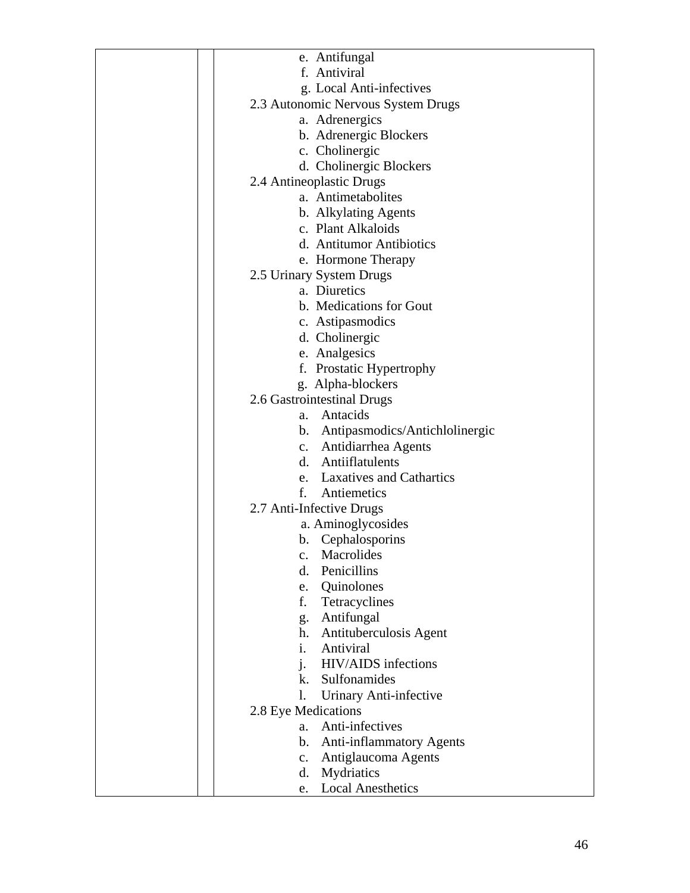| e. Antifungal                       |
|-------------------------------------|
| f. Antiviral                        |
| g. Local Anti-infectives            |
| 2.3 Autonomic Nervous System Drugs  |
| a. Adrenergics                      |
| b. Adrenergic Blockers              |
| c. Cholinergic                      |
| d. Cholinergic Blockers             |
| 2.4 Antineoplastic Drugs            |
| a. Antimetabolites                  |
| b. Alkylating Agents                |
| c. Plant Alkaloids                  |
| d. Antitumor Antibiotics            |
| e. Hormone Therapy                  |
| 2.5 Urinary System Drugs            |
| a. Diuretics                        |
| b. Medications for Gout             |
| c. Astipasmodics                    |
| d. Cholinergic                      |
| e. Analgesics                       |
| f. Prostatic Hypertrophy            |
| g. Alpha-blockers                   |
| 2.6 Gastrointestinal Drugs          |
| a. Antacids                         |
| b. Antipasmodics/Antichlolinergic   |
| c. Antidiarrhea Agents              |
| d. Antiiflatulents                  |
| e. Laxatives and Cathartics         |
| f.<br>Antiemetics                   |
| 2.7 Anti-Infective Drugs            |
| a. Aminoglycosides                  |
| Cephalosporins<br>b.                |
| Macrolides<br>$\mathbf{c}$ .        |
| Penicillins<br>d.                   |
| Quinolones<br>e.                    |
| Tetracyclines<br>f.                 |
| Antifungal<br>g.                    |
| Antituberculosis Agent<br>h.        |
| Antiviral<br>i.                     |
| $i$ .<br><b>HIV/AIDS</b> infections |
| k. Sulfonamides                     |
| Urinary Anti-infective<br>l.        |
| 2.8 Eye Medications                 |
| Anti-infectives<br>$a_{\cdot}$      |
| b. Anti-inflammatory Agents         |
| Antiglaucoma Agents<br>c.           |
| Mydriatics<br>d.                    |
| <b>Local Anesthetics</b><br>e.      |
|                                     |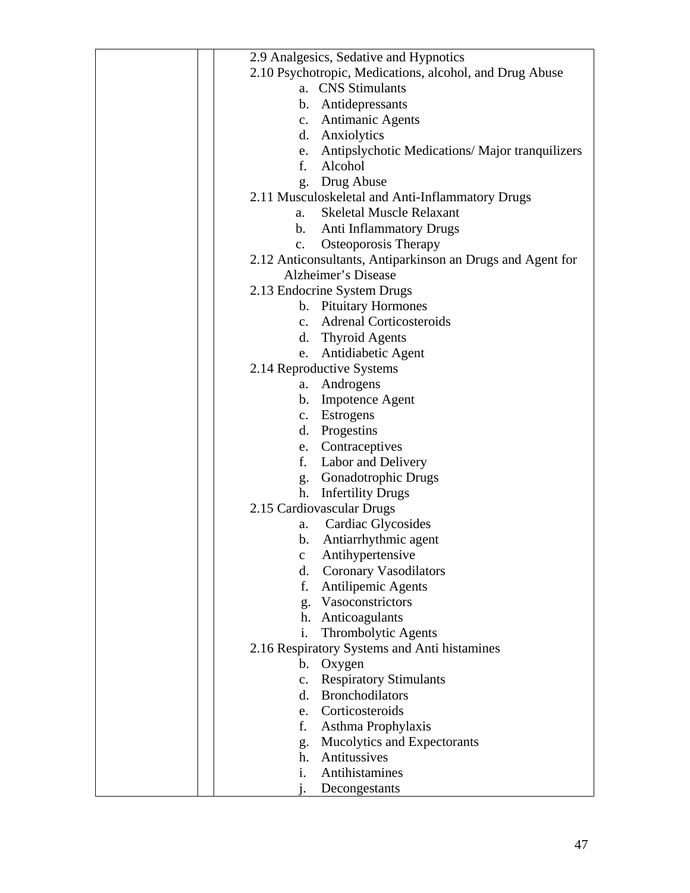| 2.9 Analgesics, Sedative and Hypnotics                     |
|------------------------------------------------------------|
| 2.10 Psychotropic, Medications, alcohol, and Drug Abuse    |
| a. CNS Stimulants                                          |
| b. Antidepressants                                         |
|                                                            |
| c. Antimanic Agents                                        |
| d. Anxiolytics                                             |
| e. Antipslychotic Medications/Major tranquilizers          |
| f. Alcohol                                                 |
| g. Drug Abuse                                              |
| 2.11 Musculoskeletal and Anti-Inflammatory Drugs           |
| <b>Skeletal Muscle Relaxant</b><br>a.                      |
| b. Anti Inflammatory Drugs                                 |
| c. Osteoporosis Therapy                                    |
| 2.12 Anticonsultants, Antiparkinson an Drugs and Agent for |
| Alzheimer's Disease                                        |
| 2.13 Endocrine System Drugs                                |
| b. Pituitary Hormones                                      |
| c. Adrenal Corticosteroids                                 |
|                                                            |
| d. Thyroid Agents                                          |
| e. Antidiabetic Agent                                      |
| 2.14 Reproductive Systems                                  |
| a. Androgens                                               |
| b. Impotence Agent                                         |
| c. Estrogens                                               |
| d. Progestins                                              |
| e. Contraceptives                                          |
| f. Labor and Delivery                                      |
| g. Gonadotrophic Drugs                                     |
| <b>Infertility Drugs</b><br>h.                             |
| 2.15 Cardiovascular Drugs                                  |
|                                                            |
| Cardiac Glycosides<br>a.                                   |
| Antiarrhythmic agent<br>b.                                 |
| Antihypertensive<br>$\mathbf C$                            |
| <b>Coronary Vasodilators</b><br>d.                         |
| Antilipemic Agents<br>f.                                   |
| g. Vasoconstrictors                                        |
| h. Anticoagulants                                          |
| i.<br>Thrombolytic Agents                                  |
| 2.16 Respiratory Systems and Anti histamines               |
| Oxygen<br>b.                                               |
| <b>Respiratory Stimulants</b><br>$c_{\cdot}$               |
| <b>Bronchodilators</b><br>d.                               |
| Corticosteroids<br>e.                                      |
| Asthma Prophylaxis<br>f.                                   |
| Mucolytics and Expectorants<br>g.                          |
| Antitussives<br>h.                                         |
| Antihistamines<br>i.                                       |
| Decongestants                                              |
|                                                            |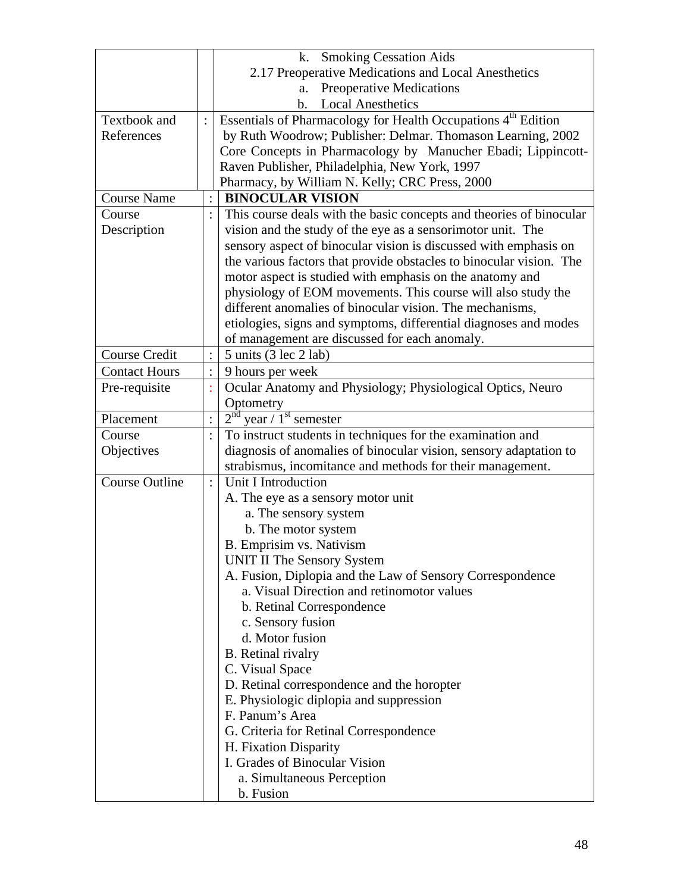|                       | k. Smoking Cessation Aids                                                 |  |
|-----------------------|---------------------------------------------------------------------------|--|
|                       | 2.17 Preoperative Medications and Local Anesthetics                       |  |
|                       | <b>Preoperative Medications</b><br>a.                                     |  |
|                       | <b>Local Anesthetics</b><br>b.                                            |  |
| Textbook and          | Essentials of Pharmacology for Health Occupations 4 <sup>th</sup> Edition |  |
| References            | by Ruth Woodrow; Publisher: Delmar. Thomason Learning, 2002               |  |
|                       | Core Concepts in Pharmacology by Manucher Ebadi; Lippincott-              |  |
|                       | Raven Publisher, Philadelphia, New York, 1997                             |  |
|                       | Pharmacy, by William N. Kelly; CRC Press, 2000                            |  |
| <b>Course Name</b>    | <b>BINOCULAR VISION</b>                                                   |  |
| Course                | This course deals with the basic concepts and theories of binocular       |  |
| Description           | vision and the study of the eye as a sensorimotor unit. The               |  |
|                       | sensory aspect of binocular vision is discussed with emphasis on          |  |
|                       | the various factors that provide obstacles to binocular vision. The       |  |
|                       | motor aspect is studied with emphasis on the anatomy and                  |  |
|                       | physiology of EOM movements. This course will also study the              |  |
|                       | different anomalies of binocular vision. The mechanisms,                  |  |
|                       | etiologies, signs and symptoms, differential diagnoses and modes          |  |
|                       | of management are discussed for each anomaly.                             |  |
| <b>Course Credit</b>  | 5 units (3 lec 2 lab)                                                     |  |
| <b>Contact Hours</b>  |                                                                           |  |
|                       | 9 hours per week                                                          |  |
| Pre-requisite         | Ocular Anatomy and Physiology; Physiological Optics, Neuro<br>÷           |  |
|                       | Optometry                                                                 |  |
| Placement             | $2nd$ year / 1 <sup>st</sup> semester                                     |  |
| Course                | To instruct students in techniques for the examination and<br>$\bullet$   |  |
| Objectives            | diagnosis of anomalies of binocular vision, sensory adaptation to         |  |
|                       | strabismus, incomitance and methods for their management.                 |  |
| <b>Course Outline</b> | Unit I Introduction<br>$\ddot{\cdot}$                                     |  |
|                       | A. The eye as a sensory motor unit                                        |  |
|                       | a. The sensory system                                                     |  |
|                       | b. The motor system                                                       |  |
|                       | B. Emprisim vs. Nativism                                                  |  |
|                       | <b>UNIT II The Sensory System</b>                                         |  |
|                       | A. Fusion, Diplopia and the Law of Sensory Correspondence                 |  |
|                       | a. Visual Direction and retinomotor values                                |  |
|                       | b. Retinal Correspondence                                                 |  |
|                       | c. Sensory fusion                                                         |  |
|                       | d. Motor fusion                                                           |  |
|                       | <b>B.</b> Retinal rivalry                                                 |  |
|                       | C. Visual Space                                                           |  |
|                       | D. Retinal correspondence and the horopter                                |  |
|                       | E. Physiologic diplopia and suppression                                   |  |
|                       | F. Panum's Area                                                           |  |
|                       |                                                                           |  |
|                       | G. Criteria for Retinal Correspondence                                    |  |
|                       | H. Fixation Disparity                                                     |  |
|                       | I. Grades of Binocular Vision                                             |  |
|                       | a. Simultaneous Perception                                                |  |
|                       | b. Fusion                                                                 |  |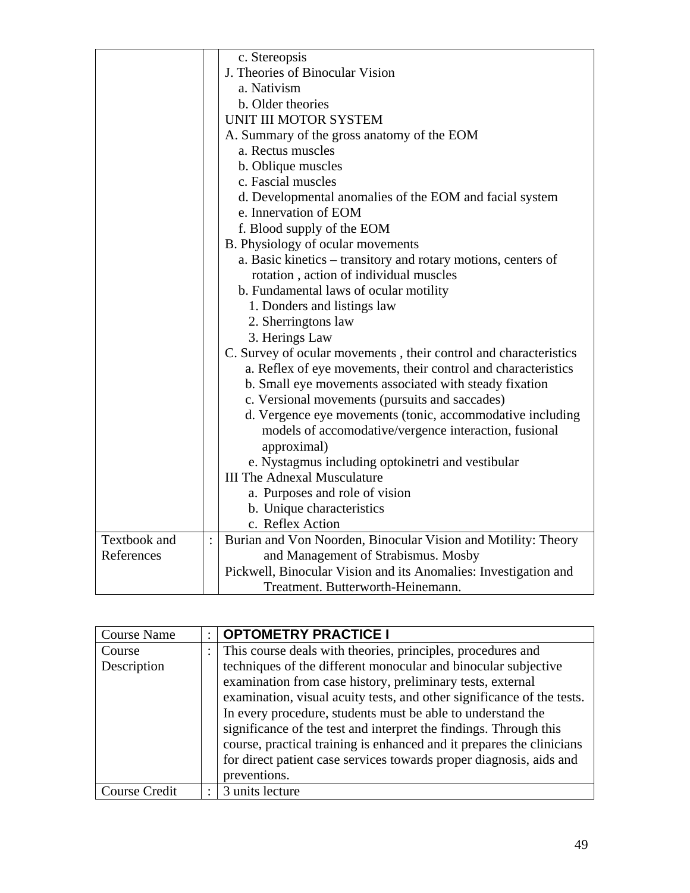|                     | c. Stereopsis                                                    |
|---------------------|------------------------------------------------------------------|
|                     | J. Theories of Binocular Vision                                  |
|                     | a. Nativism                                                      |
|                     | b. Older theories                                                |
|                     | UNIT III MOTOR SYSTEM                                            |
|                     | A. Summary of the gross anatomy of the EOM                       |
|                     | a. Rectus muscles                                                |
|                     | b. Oblique muscles                                               |
|                     | c. Fascial muscles                                               |
|                     | d. Developmental anomalies of the EOM and facial system          |
|                     | e. Innervation of EOM                                            |
|                     | f. Blood supply of the EOM                                       |
|                     | B. Physiology of ocular movements                                |
|                     | a. Basic kinetics – transitory and rotary motions, centers of    |
|                     | rotation, action of individual muscles                           |
|                     | b. Fundamental laws of ocular motility                           |
|                     | 1. Donders and listings law                                      |
|                     | 2. Sherringtons law                                              |
|                     | 3. Herings Law                                                   |
|                     | C. Survey of ocular movements, their control and characteristics |
|                     | a. Reflex of eye movements, their control and characteristics    |
|                     | b. Small eye movements associated with steady fixation           |
|                     | c. Versional movements (pursuits and saccades)                   |
|                     | d. Vergence eye movements (tonic, accommodative including        |
|                     | models of accomodative/vergence interaction, fusional            |
|                     | approximal)                                                      |
|                     | e. Nystagmus including optokinetri and vestibular                |
|                     | <b>III The Adnexal Musculature</b>                               |
|                     | a. Purposes and role of vision                                   |
|                     | b. Unique characteristics                                        |
|                     | c. Reflex Action                                                 |
| <b>Textbook</b> and | Burian and Von Noorden, Binocular Vision and Motility: Theory    |
| References          | and Management of Strabismus. Mosby                              |
|                     | Pickwell, Binocular Vision and its Anomalies: Investigation and  |
|                     | Treatment. Butterworth-Heinemann.                                |
|                     |                                                                  |

| <b>Course Name</b>   | <b>OPTOMETRY PRACTICE I</b>                                            |
|----------------------|------------------------------------------------------------------------|
| Course               | This course deals with theories, principles, procedures and            |
| Description          | techniques of the different monocular and binocular subjective         |
|                      | examination from case history, preliminary tests, external             |
|                      | examination, visual acuity tests, and other significance of the tests. |
|                      | In every procedure, students must be able to understand the            |
|                      | significance of the test and interpret the findings. Through this      |
|                      | course, practical training is enhanced and it prepares the clinicians  |
|                      | for direct patient case services towards proper diagnosis, aids and    |
|                      | preventions.                                                           |
| <b>Course Credit</b> | 3 units lecture                                                        |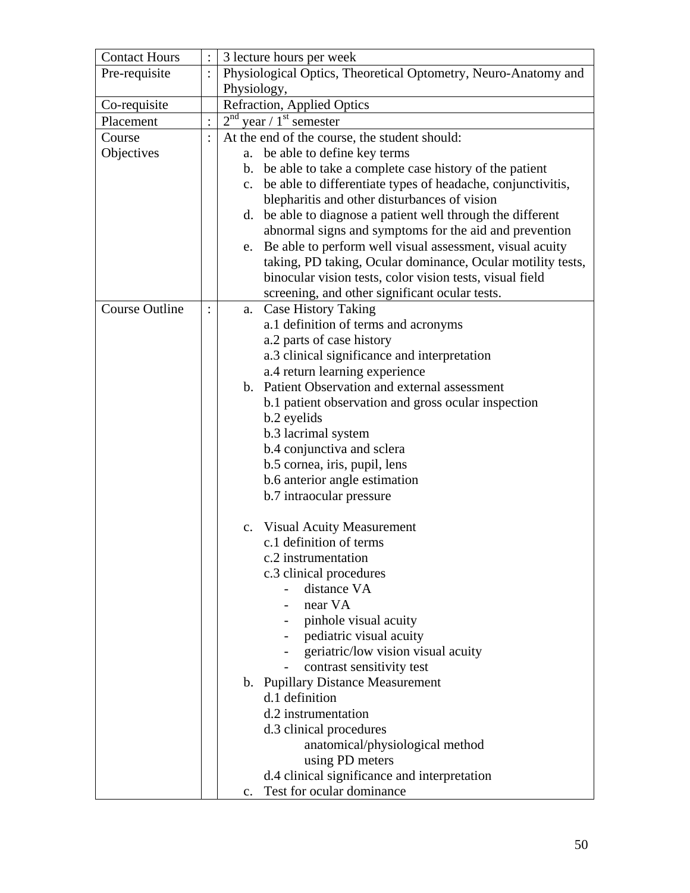| <b>Contact Hours</b>  |          | 3 lecture hours per week                                          |  |
|-----------------------|----------|-------------------------------------------------------------------|--|
| Pre-requisite         | $\vdots$ | Physiological Optics, Theoretical Optometry, Neuro-Anatomy and    |  |
|                       |          | Physiology,                                                       |  |
| Co-requisite          |          | Refraction, Applied Optics                                        |  |
| Placement             |          | $2nd$ year / 1 <sup>st</sup> semester                             |  |
| Course                |          | At the end of the course, the student should:                     |  |
| Objectives            |          | a. be able to define key terms                                    |  |
|                       |          | b. be able to take a complete case history of the patient         |  |
|                       |          | be able to differentiate types of headache, conjunctivitis,<br>c. |  |
|                       |          | blepharitis and other disturbances of vision                      |  |
|                       |          | d. be able to diagnose a patient well through the different       |  |
|                       |          | abnormal signs and symptoms for the aid and prevention            |  |
|                       |          | e. Be able to perform well visual assessment, visual acuity       |  |
|                       |          | taking, PD taking, Ocular dominance, Ocular motility tests,       |  |
|                       |          | binocular vision tests, color vision tests, visual field          |  |
|                       |          | screening, and other significant ocular tests.                    |  |
| <b>Course Outline</b> |          | <b>Case History Taking</b><br>a.                                  |  |
|                       |          | a.1 definition of terms and acronyms                              |  |
|                       |          | a.2 parts of case history                                         |  |
|                       |          | a.3 clinical significance and interpretation                      |  |
|                       |          | a.4 return learning experience                                    |  |
|                       |          | b. Patient Observation and external assessment                    |  |
|                       |          | b.1 patient observation and gross ocular inspection               |  |
|                       |          | b.2 eyelids                                                       |  |
|                       |          | b.3 lacrimal system                                               |  |
|                       |          | b.4 conjunctiva and sclera                                        |  |
|                       |          | b.5 cornea, iris, pupil, lens                                     |  |
|                       |          | b.6 anterior angle estimation                                     |  |
|                       |          | b.7 intraocular pressure                                          |  |
|                       |          |                                                                   |  |
|                       |          | c. Visual Acuity Measurement                                      |  |
|                       |          | c.1 definition of terms                                           |  |
|                       |          | c.2 instrumentation                                               |  |
|                       |          | c.3 clinical procedures                                           |  |
|                       |          | distance VA                                                       |  |
|                       |          | near VA                                                           |  |
|                       |          | pinhole visual acuity                                             |  |
|                       |          | pediatric visual acuity                                           |  |
|                       |          | geriatric/low vision visual acuity                                |  |
|                       |          | contrast sensitivity test                                         |  |
|                       |          | b. Pupillary Distance Measurement<br>d.1 definition               |  |
|                       |          | d.2 instrumentation                                               |  |
|                       |          | d.3 clinical procedures                                           |  |
|                       |          |                                                                   |  |
|                       |          | anatomical/physiological method<br>using PD meters                |  |
|                       |          | d.4 clinical significance and interpretation                      |  |
|                       |          | Test for ocular dominance<br>$\mathbf{c}$ .                       |  |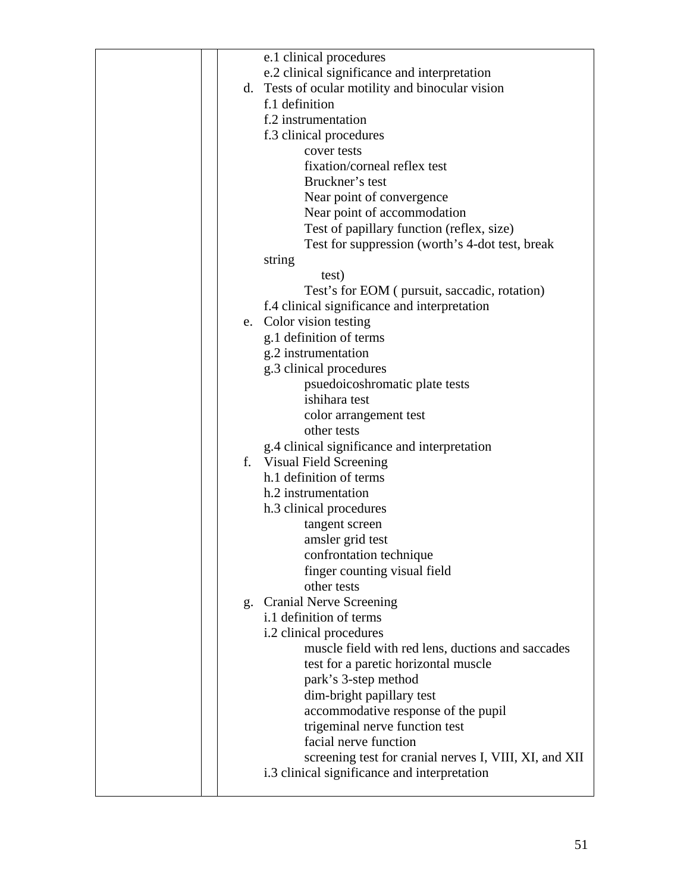|                | e.1 clinical procedures                                |
|----------------|--------------------------------------------------------|
|                | e.2 clinical significance and interpretation           |
|                | d. Tests of ocular motility and binocular vision       |
|                | f.1 definition                                         |
|                | f.2 instrumentation                                    |
|                | f.3 clinical procedures                                |
|                | cover tests                                            |
|                | fixation/corneal reflex test                           |
|                | Bruckner's test                                        |
|                | Near point of convergence                              |
|                | Near point of accommodation                            |
|                | Test of papillary function (reflex, size)              |
|                |                                                        |
|                | Test for suppression (worth's 4-dot test, break        |
|                | string                                                 |
|                | test)                                                  |
|                | Test's for EOM ( pursuit, saccadic, rotation)          |
|                | f.4 clinical significance and interpretation           |
|                | e. Color vision testing                                |
|                | g.1 definition of terms                                |
|                | g.2 instrumentation                                    |
|                | g.3 clinical procedures                                |
|                | psuedoicoshromatic plate tests                         |
|                | ishihara test                                          |
|                | color arrangement test                                 |
|                | other tests                                            |
|                | g.4 clinical significance and interpretation           |
|                | f. Visual Field Screening                              |
|                | h.1 definition of terms                                |
|                | h.2 instrumentation                                    |
|                | h.3 clinical procedures                                |
|                | tangent screen                                         |
|                | amsler grid test                                       |
|                | confrontation technique                                |
|                | finger counting visual field                           |
|                | other tests                                            |
| $\mathbf{g}$ . | <b>Cranial Nerve Screening</b>                         |
|                | i.1 definition of terms                                |
|                | i.2 clinical procedures                                |
|                | muscle field with red lens, ductions and saccades      |
|                | test for a paretic horizontal muscle                   |
|                | park's 3-step method                                   |
|                | dim-bright papillary test                              |
|                | accommodative response of the pupil                    |
|                | trigeminal nerve function test                         |
|                | facial nerve function                                  |
|                |                                                        |
|                | screening test for cranial nerves I, VIII, XI, and XII |
|                | i.3 clinical significance and interpretation           |
|                |                                                        |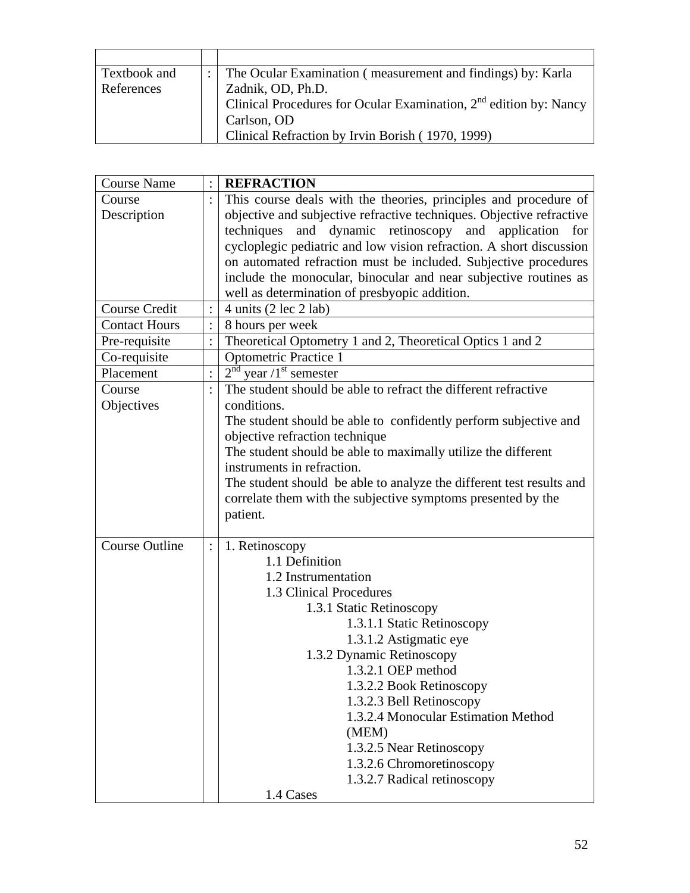| Textbook and | The Ocular Examination (measurement and findings) by: Karla         |
|--------------|---------------------------------------------------------------------|
| References   | Zadnik, OD, Ph.D.                                                   |
|              | Clinical Procedures for Ocular Examination, $2nd$ edition by: Nancy |
|              | Carlson, OD                                                         |
|              | Clinical Refraction by Irvin Borish (1970, 1999)                    |

| <b>Course Name</b><br><b>REFRACTION</b>                                             |  |
|-------------------------------------------------------------------------------------|--|
| This course deals with the theories, principles and procedure of<br>Course          |  |
| Description<br>objective and subjective refractive techniques. Objective refractive |  |
| and dynamic retinoscopy and application for<br>techniques                           |  |
| cycloplegic pediatric and low vision refraction. A short discussion                 |  |
| on automated refraction must be included. Subjective procedures                     |  |
| include the monocular, binocular and near subjective routines as                    |  |
| well as determination of presbyopic addition.                                       |  |
| Course Credit<br>4 units $(2 \text{ lec } 2 \text{ lab})$                           |  |
| <b>Contact Hours</b><br>8 hours per week                                            |  |
| Theoretical Optometry 1 and 2, Theoretical Optics 1 and 2<br>Pre-requisite          |  |
| <b>Optometric Practice 1</b><br>Co-requisite                                        |  |
| $2nd$ year /1 <sup>st</sup> semester<br>Placement<br>$\vdots$                       |  |
| The student should be able to refract the different refractive<br>Course            |  |
| Objectives<br>conditions.                                                           |  |
| The student should be able to confidently perform subjective and                    |  |
| objective refraction technique                                                      |  |
| The student should be able to maximally utilize the different                       |  |
| instruments in refraction.                                                          |  |
| The student should be able to analyze the different test results and                |  |
| correlate them with the subjective symptoms presented by the                        |  |
| patient.                                                                            |  |
|                                                                                     |  |
| <b>Course Outline</b><br>1. Retinoscopy<br>1.1 Definition                           |  |
|                                                                                     |  |
| 1.2 Instrumentation<br>1.3 Clinical Procedures                                      |  |
|                                                                                     |  |
| 1.3.1 Static Retinoscopy                                                            |  |
| 1.3.1.1 Static Retinoscopy<br>1.3.1.2 Astigmatic eye                                |  |
| 1.3.2 Dynamic Retinoscopy                                                           |  |
| 1.3.2.1 OEP method                                                                  |  |
| 1.3.2.2 Book Retinoscopy                                                            |  |
| 1.3.2.3 Bell Retinoscopy                                                            |  |
| 1.3.2.4 Monocular Estimation Method                                                 |  |
| (MEM)                                                                               |  |
| 1.3.2.5 Near Retinoscopy                                                            |  |
| 1.3.2.6 Chromoretinoscopy                                                           |  |
|                                                                                     |  |
| 1.3.2.7 Radical retinoscopy                                                         |  |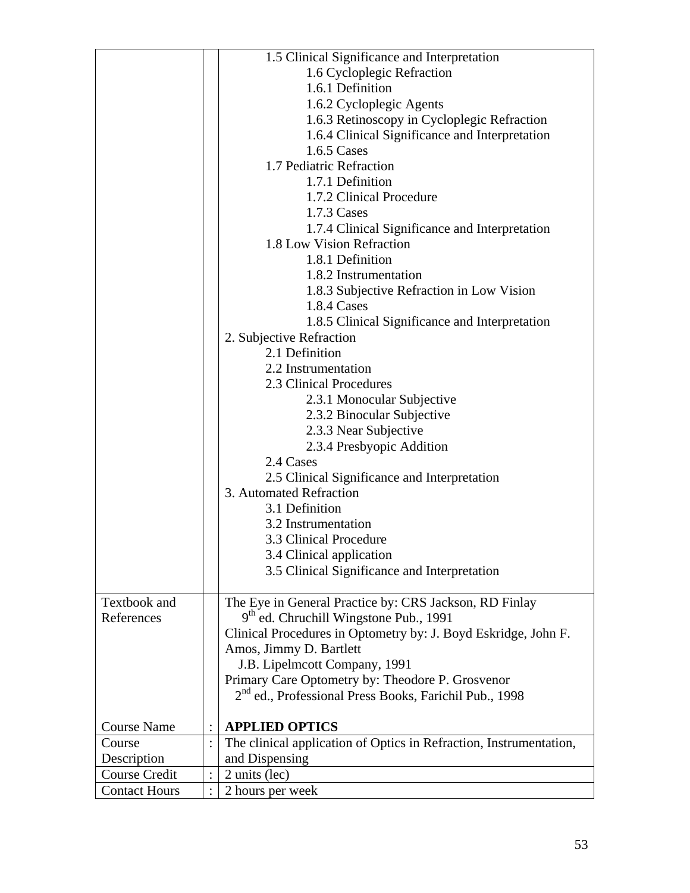|                      | 1.5 Clinical Significance and Interpretation                       |
|----------------------|--------------------------------------------------------------------|
|                      | 1.6 Cycloplegic Refraction                                         |
|                      | 1.6.1 Definition                                                   |
|                      | 1.6.2 Cycloplegic Agents                                           |
|                      | 1.6.3 Retinoscopy in Cycloplegic Refraction                        |
|                      | 1.6.4 Clinical Significance and Interpretation                     |
|                      | 1.6.5 Cases                                                        |
|                      | 1.7 Pediatric Refraction                                           |
|                      | 1.7.1 Definition                                                   |
|                      | 1.7.2 Clinical Procedure                                           |
|                      | 1.7.3 Cases                                                        |
|                      | 1.7.4 Clinical Significance and Interpretation                     |
|                      | 1.8 Low Vision Refraction                                          |
|                      | 1.8.1 Definition                                                   |
|                      |                                                                    |
|                      | 1.8.2 Instrumentation                                              |
|                      | 1.8.3 Subjective Refraction in Low Vision                          |
|                      | 1.8.4 Cases                                                        |
|                      | 1.8.5 Clinical Significance and Interpretation                     |
|                      | 2. Subjective Refraction                                           |
|                      | 2.1 Definition                                                     |
|                      | 2.2 Instrumentation                                                |
|                      | 2.3 Clinical Procedures                                            |
|                      | 2.3.1 Monocular Subjective                                         |
|                      | 2.3.2 Binocular Subjective                                         |
|                      | 2.3.3 Near Subjective                                              |
|                      | 2.3.4 Presbyopic Addition                                          |
|                      | 2.4 Cases                                                          |
|                      | 2.5 Clinical Significance and Interpretation                       |
|                      | 3. Automated Refraction                                            |
|                      | 3.1 Definition                                                     |
|                      | 3.2 Instrumentation                                                |
|                      | 3.3 Clinical Procedure                                             |
|                      | 3.4 Clinical application                                           |
|                      | 3.5 Clinical Significance and Interpretation                       |
|                      |                                                                    |
| Textbook and         | The Eye in General Practice by: CRS Jackson, RD Finlay             |
| References           | 9 <sup>th</sup> ed. Chruchill Wingstone Pub., 1991                 |
|                      | Clinical Procedures in Optometry by: J. Boyd Eskridge, John F.     |
|                      | Amos, Jimmy D. Bartlett                                            |
|                      | J.B. Lipelmcott Company, 1991                                      |
|                      | Primary Care Optometry by: Theodore P. Grosvenor                   |
|                      | 2 <sup>nd</sup> ed., Professional Press Books, Farichil Pub., 1998 |
|                      |                                                                    |
| <b>Course Name</b>   | <b>APPLIED OPTICS</b>                                              |
| Course               | The clinical application of Optics in Refraction, Instrumentation, |
| Description          | and Dispensing                                                     |
| Course Credit        | 2 units (lec)                                                      |
| <b>Contact Hours</b> | 2 hours per week                                                   |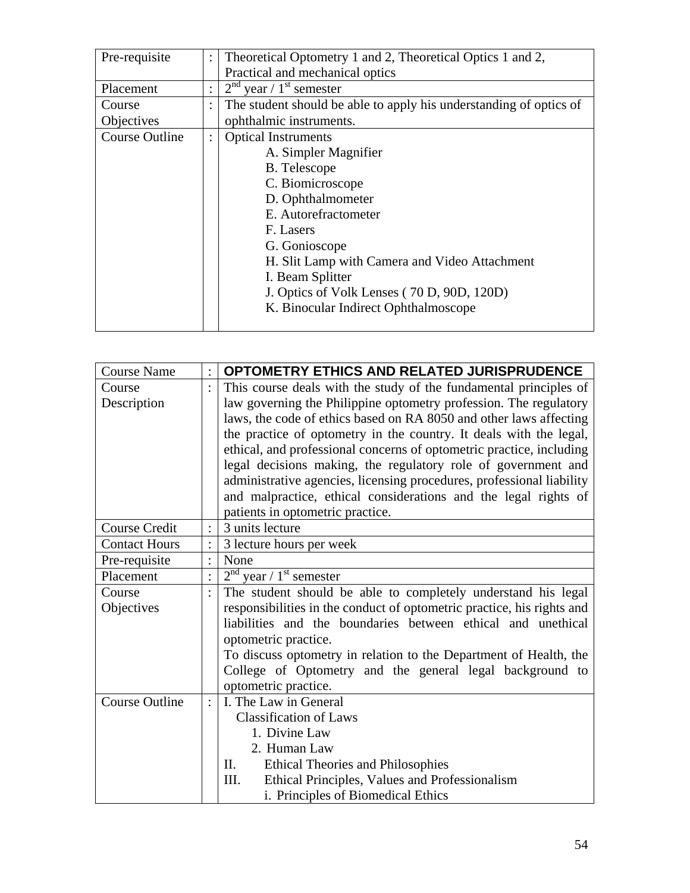| Pre-requisite         | $\ddot{\cdot}$ | Theoretical Optometry 1 and 2, Theoretical Optics 1 and 2,         |  |  |
|-----------------------|----------------|--------------------------------------------------------------------|--|--|
|                       |                | Practical and mechanical optics                                    |  |  |
| Placement             | ٠              | $2nd$ year / 1 <sup>st</sup> semester                              |  |  |
| Course                | $\ddot{\cdot}$ | The student should be able to apply his understanding of optics of |  |  |
| Objectives            |                | ophthalmic instruments.                                            |  |  |
| <b>Course Outline</b> | $\ddot{\cdot}$ | <b>Optical Instruments</b>                                         |  |  |
|                       |                | A. Simpler Magnifier                                               |  |  |
|                       |                | <b>B.</b> Telescope                                                |  |  |
|                       |                | C. Biomicroscope                                                   |  |  |
|                       |                | D. Ophthalmometer                                                  |  |  |
|                       |                | E. Autorefractometer                                               |  |  |
|                       |                | F. Lasers                                                          |  |  |
|                       |                | G. Gonioscope                                                      |  |  |
|                       |                | H. Slit Lamp with Camera and Video Attachment                      |  |  |
|                       |                | I. Beam Splitter                                                   |  |  |
|                       |                | J. Optics of Volk Lenses (70 D, 90D, 120D)                         |  |  |
|                       |                | K. Binocular Indirect Ophthalmoscope                               |  |  |
|                       |                |                                                                    |  |  |

| <b>Course Name</b>    | $\ddot{\cdot}$ | <b>OPTOMETRY ETHICS AND RELATED JURISPRUDENCE</b>                      |  |
|-----------------------|----------------|------------------------------------------------------------------------|--|
| Course                |                | This course deals with the study of the fundamental principles of      |  |
| Description           |                | law governing the Philippine optometry profession. The regulatory      |  |
|                       |                | laws, the code of ethics based on RA 8050 and other laws affecting     |  |
|                       |                | the practice of optometry in the country. It deals with the legal,     |  |
|                       |                | ethical, and professional concerns of optometric practice, including   |  |
|                       |                | legal decisions making, the regulatory role of government and          |  |
|                       |                | administrative agencies, licensing procedures, professional liability  |  |
|                       |                | and malpractice, ethical considerations and the legal rights of        |  |
|                       |                | patients in optometric practice.                                       |  |
| <b>Course Credit</b>  |                | 3 units lecture                                                        |  |
| <b>Contact Hours</b>  |                | 3 lecture hours per week                                               |  |
| Pre-requisite         |                | None                                                                   |  |
| Placement             |                | $2nd$ year / 1 <sup>st</sup> semester                                  |  |
| Course                |                | The student should be able to completely understand his legal          |  |
| Objectives            |                | responsibilities in the conduct of optometric practice, his rights and |  |
|                       |                | liabilities and the boundaries between ethical and unethical           |  |
|                       |                | optometric practice.                                                   |  |
|                       |                | To discuss optometry in relation to the Department of Health, the      |  |
|                       |                | College of Optometry and the general legal background to               |  |
|                       |                | optometric practice.                                                   |  |
| <b>Course Outline</b> |                | I. The Law in General                                                  |  |
|                       |                | <b>Classification of Laws</b>                                          |  |
|                       |                | 1. Divine Law                                                          |  |
|                       |                | 2. Human Law                                                           |  |
|                       |                | <b>Ethical Theories and Philosophies</b><br>П.                         |  |
|                       |                | Ethical Principles, Values and Professionalism<br>Ш.                   |  |
|                       |                | i. Principles of Biomedical Ethics                                     |  |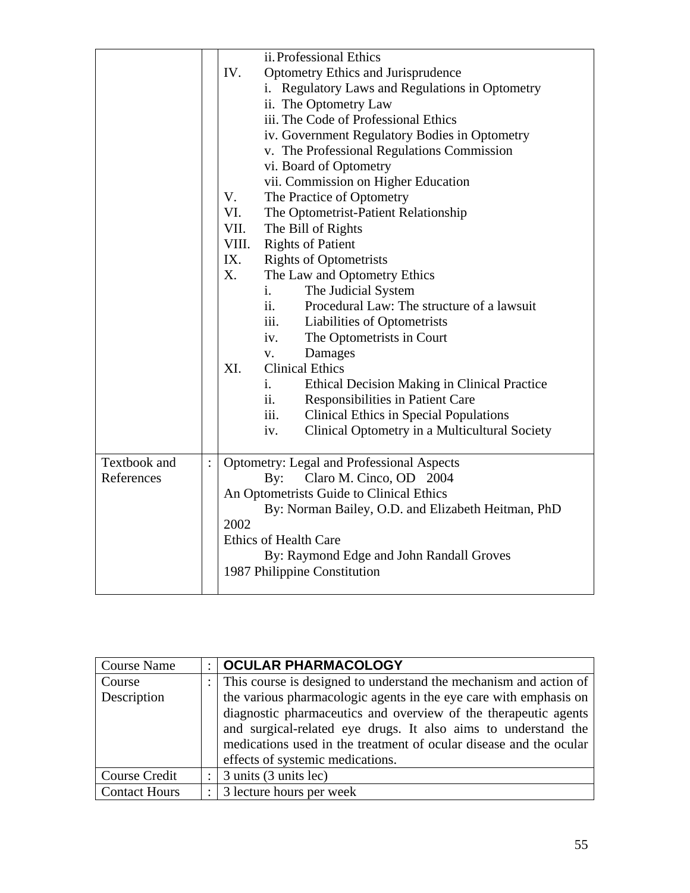| Textbook and | $\ddot{\cdot}$ | ii. Professional Ethics<br>IV.<br>Optometry Ethics and Jurisprudence<br>i. Regulatory Laws and Regulations in Optometry<br>ii. The Optometry Law<br>iii. The Code of Professional Ethics<br>iv. Government Regulatory Bodies in Optometry<br>v. The Professional Regulations Commission<br>vi. Board of Optometry<br>vii. Commission on Higher Education<br>V.<br>The Practice of Optometry<br>VI.<br>The Optometrist-Patient Relationship<br>VII.<br>The Bill of Rights<br><b>Rights of Patient</b><br>VIII.<br><b>Rights of Optometrists</b><br>IX.<br>X.<br>The Law and Optometry Ethics<br>The Judicial System<br>$\mathbf{i}$ .<br>Procedural Law: The structure of a lawsuit<br>ii.<br>iii. Liabilities of Optometrists<br>iv.<br>The Optometrists in Court<br>Damages<br>V.<br><b>Clinical Ethics</b><br>XI.<br>Ethical Decision Making in Clinical Practice<br>i.<br>ii.<br>Responsibilities in Patient Care<br><b>Clinical Ethics in Special Populations</b><br>iii.<br>Clinical Optometry in a Multicultural Society<br>iv.<br>Optometry: Legal and Professional Aspects |
|--------------|----------------|------------------------------------------------------------------------------------------------------------------------------------------------------------------------------------------------------------------------------------------------------------------------------------------------------------------------------------------------------------------------------------------------------------------------------------------------------------------------------------------------------------------------------------------------------------------------------------------------------------------------------------------------------------------------------------------------------------------------------------------------------------------------------------------------------------------------------------------------------------------------------------------------------------------------------------------------------------------------------------------------------------------------------------------------------------------------------------|
| References   |                | Claro M. Cinco, OD 2004<br>By:<br>An Optometrists Guide to Clinical Ethics                                                                                                                                                                                                                                                                                                                                                                                                                                                                                                                                                                                                                                                                                                                                                                                                                                                                                                                                                                                                         |
|              |                | By: Norman Bailey, O.D. and Elizabeth Heitman, PhD                                                                                                                                                                                                                                                                                                                                                                                                                                                                                                                                                                                                                                                                                                                                                                                                                                                                                                                                                                                                                                 |
|              |                | 2002                                                                                                                                                                                                                                                                                                                                                                                                                                                                                                                                                                                                                                                                                                                                                                                                                                                                                                                                                                                                                                                                               |
|              |                | <b>Ethics of Health Care</b>                                                                                                                                                                                                                                                                                                                                                                                                                                                                                                                                                                                                                                                                                                                                                                                                                                                                                                                                                                                                                                                       |
|              |                | By: Raymond Edge and John Randall Groves                                                                                                                                                                                                                                                                                                                                                                                                                                                                                                                                                                                                                                                                                                                                                                                                                                                                                                                                                                                                                                           |
|              |                | 1987 Philippine Constitution                                                                                                                                                                                                                                                                                                                                                                                                                                                                                                                                                                                                                                                                                                                                                                                                                                                                                                                                                                                                                                                       |

| <b>Course Name</b>   |              | :   OCULAR PHARMACOLOGY                                             |  |
|----------------------|--------------|---------------------------------------------------------------------|--|
| Course               |              | : This course is designed to understand the mechanism and action of |  |
| Description          |              | the various pharmacologic agents in the eye care with emphasis on   |  |
|                      |              | diagnostic pharmaceutics and overview of the therapeutic agents     |  |
|                      |              | and surgical-related eye drugs. It also aims to understand the      |  |
|                      |              | medications used in the treatment of ocular disease and the ocular  |  |
|                      |              | effects of systemic medications.                                    |  |
| <b>Course Credit</b> | $\mathbf{L}$ | 3 units (3 units lec)                                               |  |
| <b>Contact Hours</b> |              | $\therefore$ 3 lecture hours per week                               |  |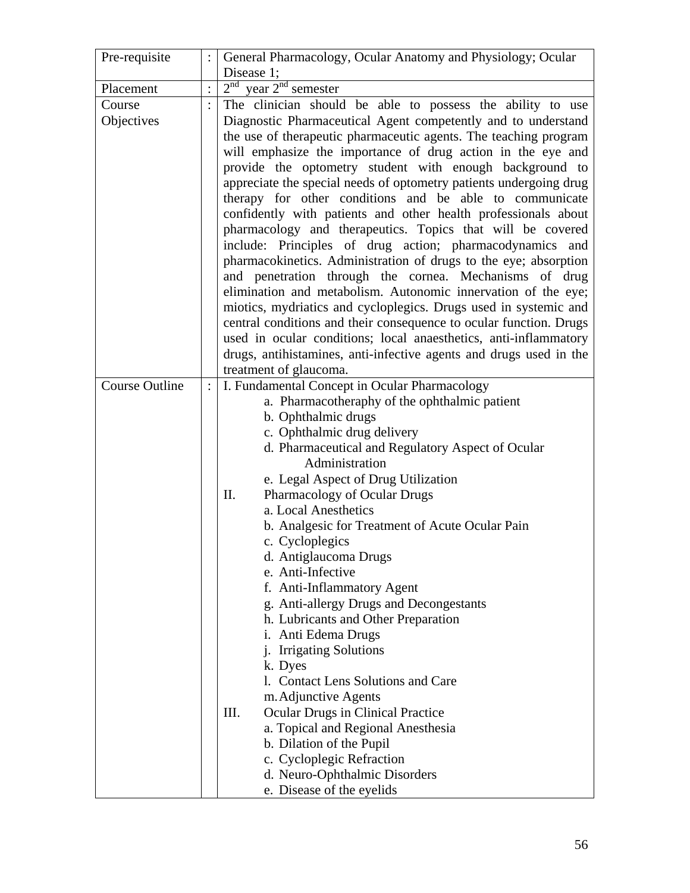| Pre-requisite         |                | General Pharmacology, Ocular Anatomy and Physiology; Ocular        |  |
|-----------------------|----------------|--------------------------------------------------------------------|--|
|                       |                | Disease 1;                                                         |  |
| Placement             |                | $2nd$ year $2nd$ semester                                          |  |
| Course                |                | The clinician should be able to possess the ability to use         |  |
| Objectives            |                | Diagnostic Pharmaceutical Agent competently and to understand      |  |
|                       |                | the use of therapeutic pharmaceutic agents. The teaching program   |  |
|                       |                | will emphasize the importance of drug action in the eye and        |  |
|                       |                | provide the optometry student with enough background to            |  |
|                       |                | appreciate the special needs of optometry patients undergoing drug |  |
|                       |                | therapy for other conditions and be able to communicate            |  |
|                       |                | confidently with patients and other health professionals about     |  |
|                       |                | pharmacology and therapeutics. Topics that will be covered         |  |
|                       |                | include: Principles of drug action; pharmacodynamics and           |  |
|                       |                | pharmacokinetics. Administration of drugs to the eye; absorption   |  |
|                       |                | and penetration through the cornea. Mechanisms of drug             |  |
|                       |                | elimination and metabolism. Autonomic innervation of the eye;      |  |
|                       |                | miotics, mydriatics and cycloplegics. Drugs used in systemic and   |  |
|                       |                | central conditions and their consequence to ocular function. Drugs |  |
|                       |                | used in ocular conditions; local anaesthetics, anti-inflammatory   |  |
|                       |                | drugs, antihistamines, anti-infective agents and drugs used in the |  |
|                       |                | treatment of glaucoma.                                             |  |
| <b>Course Outline</b> | $\ddot{\cdot}$ | I. Fundamental Concept in Ocular Pharmacology                      |  |
|                       |                | a. Pharmacotheraphy of the ophthalmic patient                      |  |
|                       |                | b. Ophthalmic drugs                                                |  |
|                       |                | c. Ophthalmic drug delivery                                        |  |
|                       |                | d. Pharmaceutical and Regulatory Aspect of Ocular                  |  |
|                       |                | Administration                                                     |  |
|                       |                | e. Legal Aspect of Drug Utilization                                |  |
|                       |                | II.<br>Pharmacology of Ocular Drugs                                |  |
|                       |                | a. Local Anesthetics                                               |  |
|                       |                | b. Analgesic for Treatment of Acute Ocular Pain                    |  |
|                       |                | c. Cycloplegics                                                    |  |
|                       |                | d. Antiglaucoma Drugs                                              |  |
|                       |                | e. Anti-Infective                                                  |  |
|                       |                | f. Anti-Inflammatory Agent                                         |  |
|                       |                | g. Anti-allergy Drugs and Decongestants                            |  |
|                       |                | h. Lubricants and Other Preparation                                |  |
|                       |                | i. Anti Edema Drugs                                                |  |
|                       |                | j. Irrigating Solutions                                            |  |
|                       |                | k. Dyes<br>1. Contact Lens Solutions and Care                      |  |
|                       |                | m. Adjunctive Agents                                               |  |
|                       |                | III.<br><b>Ocular Drugs in Clinical Practice</b>                   |  |
|                       |                | a. Topical and Regional Anesthesia                                 |  |
|                       |                | b. Dilation of the Pupil                                           |  |
|                       |                | c. Cycloplegic Refraction                                          |  |
|                       |                | d. Neuro-Ophthalmic Disorders                                      |  |
|                       |                | e. Disease of the eyelids                                          |  |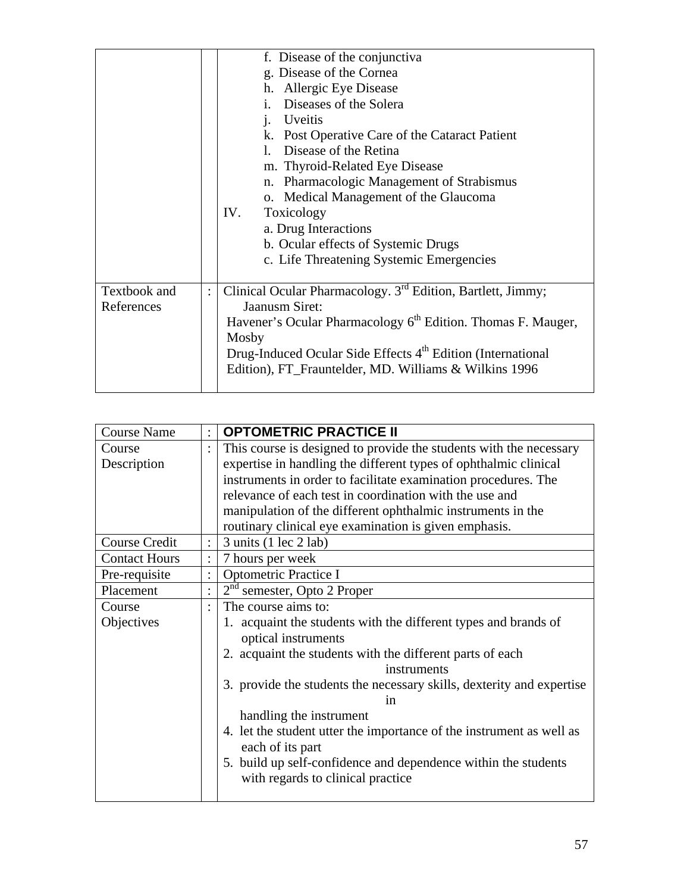|              |                | f. Disease of the conjunctiva                                            |
|--------------|----------------|--------------------------------------------------------------------------|
|              |                | g. Disease of the Cornea                                                 |
|              |                | h. Allergic Eye Disease                                                  |
|              |                | Diseases of the Solera                                                   |
|              |                | Uveitis<br>j.                                                            |
|              |                | k. Post Operative Care of the Cataract Patient                           |
|              |                | Disease of the Retina                                                    |
|              |                | m. Thyroid-Related Eye Disease                                           |
|              |                | Pharmacologic Management of Strabismus<br>n.                             |
|              |                | o. Medical Management of the Glaucoma                                    |
|              |                | IV.<br>Toxicology                                                        |
|              |                | a. Drug Interactions                                                     |
|              |                | b. Ocular effects of Systemic Drugs                                      |
|              |                | c. Life Threatening Systemic Emergencies                                 |
|              |                |                                                                          |
| Textbook and | $\ddot{\cdot}$ | Clinical Ocular Pharmacology. 3 <sup>rd</sup> Edition, Bartlett, Jimmy;  |
| References   |                | Jaanusm Siret:                                                           |
|              |                | Havener's Ocular Pharmacology 6 <sup>th</sup> Edition. Thomas F. Mauger, |
|              |                | Mosby                                                                    |
|              |                | Drug-Induced Ocular Side Effects 4 <sup>th</sup> Edition (International  |
|              |                | Edition), FT_Frauntelder, MD. Williams & Wilkins 1996                    |
|              |                |                                                                          |

| <b>Course Name</b>   |                | <b>OPTOMETRIC PRACTICE II</b>                                         |
|----------------------|----------------|-----------------------------------------------------------------------|
| Course               |                | This course is designed to provide the students with the necessary    |
| Description          |                | expertise in handling the different types of ophthalmic clinical      |
|                      |                | instruments in order to facilitate examination procedures. The        |
|                      |                | relevance of each test in coordination with the use and               |
|                      |                | manipulation of the different ophthalmic instruments in the           |
|                      |                | routinary clinical eye examination is given emphasis.                 |
| <b>Course Credit</b> |                | 3 units (1 lec 2 lab)                                                 |
| <b>Contact Hours</b> | $\ddot{\cdot}$ | 7 hours per week                                                      |
| Pre-requisite        |                | <b>Optometric Practice I</b>                                          |
| Placement            |                | 2 <sup>nd</sup><br>semester, Opto 2 Proper                            |
| Course               | $\ddot{\cdot}$ | The course aims to:                                                   |
| Objectives           |                | 1. acquaint the students with the different types and brands of       |
|                      |                | optical instruments                                                   |
|                      |                | 2. acquaint the students with the different parts of each             |
|                      |                | instruments                                                           |
|                      |                | 3. provide the students the necessary skills, dexterity and expertise |
|                      |                | in                                                                    |
|                      |                | handling the instrument                                               |
|                      |                | 4. Let the student utter the importance of the instrument as well as  |
|                      |                | each of its part                                                      |
|                      |                | 5. build up self-confidence and dependence within the students        |
|                      |                | with regards to clinical practice                                     |
|                      |                |                                                                       |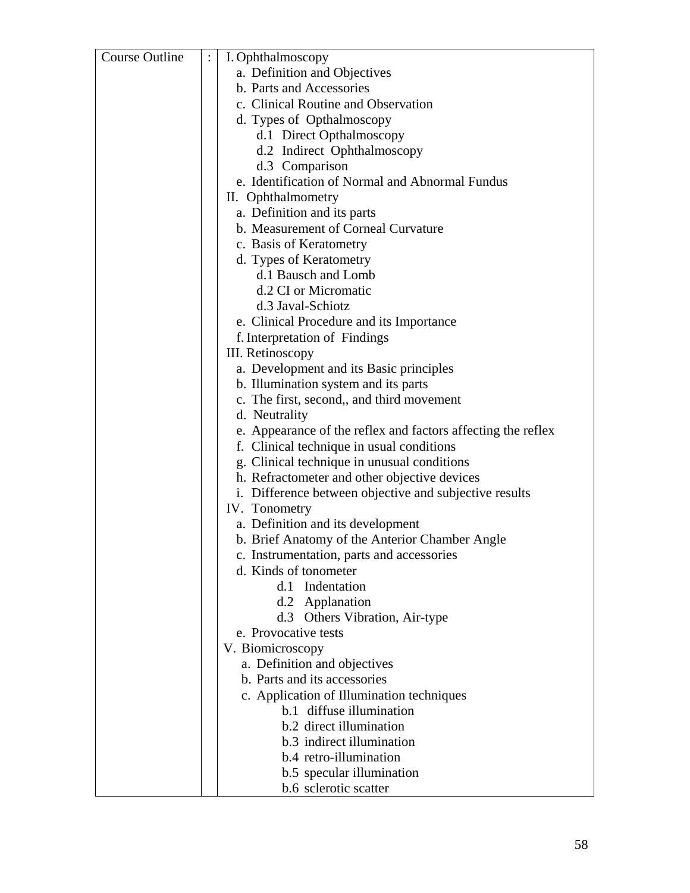| Course Outline | I. Ophthalmoscopy                                            |
|----------------|--------------------------------------------------------------|
|                | a. Definition and Objectives                                 |
|                | b. Parts and Accessories                                     |
|                | c. Clinical Routine and Observation                          |
|                | d. Types of Opthalmoscopy                                    |
|                | d.1 Direct Opthalmoscopy                                     |
|                | d.2 Indirect Ophthalmoscopy                                  |
|                | d.3 Comparison                                               |
|                | e. Identification of Normal and Abnormal Fundus              |
|                | II. Ophthalmometry                                           |
|                | a. Definition and its parts                                  |
|                | b. Measurement of Corneal Curvature                          |
|                | c. Basis of Keratometry                                      |
|                | d. Types of Keratometry                                      |
|                | d.1 Bausch and Lomb                                          |
|                | d.2 CI or Micromatic                                         |
|                | d.3 Javal-Schiotz                                            |
|                |                                                              |
|                | e. Clinical Procedure and its Importance                     |
|                | f. Interpretation of Findings                                |
|                | III. Retinoscopy                                             |
|                | a. Development and its Basic principles                      |
|                | b. Illumination system and its parts                         |
|                | c. The first, second,, and third movement                    |
|                | d. Neutrality                                                |
|                | e. Appearance of the reflex and factors affecting the reflex |
|                | f. Clinical technique in usual conditions                    |
|                | g. Clinical technique in unusual conditions                  |
|                | h. Refractometer and other objective devices                 |
|                | i. Difference between objective and subjective results       |
|                | IV. Tonometry                                                |
|                | a. Definition and its development                            |
|                | b. Brief Anatomy of the Anterior Chamber Angle               |
|                | c. Instrumentation, parts and accessories                    |
|                | d. Kinds of tonometer                                        |
|                | d.1 Indentation                                              |
|                | d.2 Applanation                                              |
|                | d.3 Others Vibration, Air-type                               |
|                | e. Provocative tests                                         |
|                | V. Biomicroscopy                                             |
|                | a. Definition and objectives                                 |
|                | b. Parts and its accessories                                 |
|                | c. Application of Illumination techniques                    |
|                | b.1 diffuse illumination                                     |
|                | b.2 direct illumination                                      |
|                | b.3 indirect illumination                                    |
|                | b.4 retro-illumination                                       |
|                | b.5 specular illumination                                    |
|                | b.6 sclerotic scatter                                        |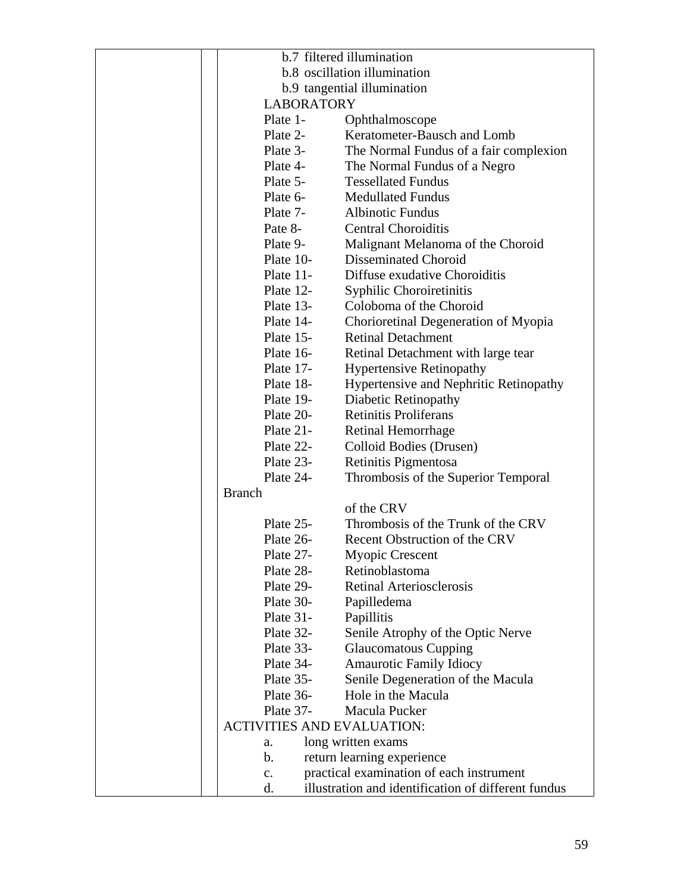|                                   | b.7 filtered illumination                           |
|-----------------------------------|-----------------------------------------------------|
|                                   | b.8 oscillation illumination                        |
|                                   |                                                     |
| <b>LABORATORY</b>                 | b.9 tangential illumination                         |
|                                   |                                                     |
| Plate 1-                          | Ophthalmoscope                                      |
| Plate 2-                          | Keratometer-Bausch and Lomb                         |
| Plate 3-                          | The Normal Fundus of a fair complexion              |
| Plate 4-                          | The Normal Fundus of a Negro                        |
| Plate 5-                          | <b>Tessellated Fundus</b>                           |
| Plate 6-                          | <b>Medullated Fundus</b>                            |
| Plate 7-                          | <b>Albinotic Fundus</b>                             |
| Pate 8-                           | <b>Central Choroiditis</b>                          |
| Plate 9-                          | Malignant Melanoma of the Choroid                   |
| Plate 10-                         | <b>Disseminated Choroid</b>                         |
| Plate $11$ -                      | Diffuse exudative Choroiditis                       |
| Plate 12-                         | Syphilic Choroiretinitis                            |
| Plate 13-                         | Coloboma of the Choroid                             |
| Plate 14-                         | Chorioretinal Degeneration of Myopia                |
| Plate 15-                         | <b>Retinal Detachment</b>                           |
| Plate 16-                         | Retinal Detachment with large tear                  |
| Plate 17-                         | <b>Hypertensive Retinopathy</b>                     |
| Plate 18-                         | Hypertensive and Nephritic Retinopathy              |
| Plate 19-                         | Diabetic Retinopathy                                |
| Plate 20-                         | <b>Retinitis Proliferans</b>                        |
| Plate $21$ -                      | Retinal Hemorrhage                                  |
| Plate 22-                         | Colloid Bodies (Drusen)                             |
| Plate 23-                         | Retinitis Pigmentosa                                |
| Plate 24-                         | Thrombosis of the Superior Temporal                 |
| <b>Branch</b>                     |                                                     |
|                                   | of the CRV                                          |
| Plate 25-                         | Thrombosis of the Trunk of the CRV                  |
| Plate 26-                         | <b>Recent Obstruction of the CRV</b>                |
| Plate 27-                         | Myopic Crescent                                     |
| Plate 28-                         | Retinoblastoma                                      |
| Plate 29-                         | <b>Retinal Arteriosclerosis</b>                     |
| Plate 30-                         |                                                     |
|                                   | Papilledema                                         |
| Plate 31-                         | Papillitis                                          |
| Plate 32-                         | Senile Atrophy of the Optic Nerve                   |
| Plate 33-                         | <b>Glaucomatous Cupping</b>                         |
| Plate 34-                         | <b>Amaurotic Family Idiocy</b>                      |
| Plate 35-                         | Senile Degeneration of the Macula                   |
| Plate 36-                         | Hole in the Macula                                  |
| Plate 37-                         | Macula Pucker                                       |
| <b>ACTIVITIES AND EVALUATION:</b> |                                                     |
| a.                                | long written exams                                  |
| b.                                | return learning experience                          |
| $\mathbf{c}$ .                    | practical examination of each instrument            |
| d.                                | illustration and identification of different fundus |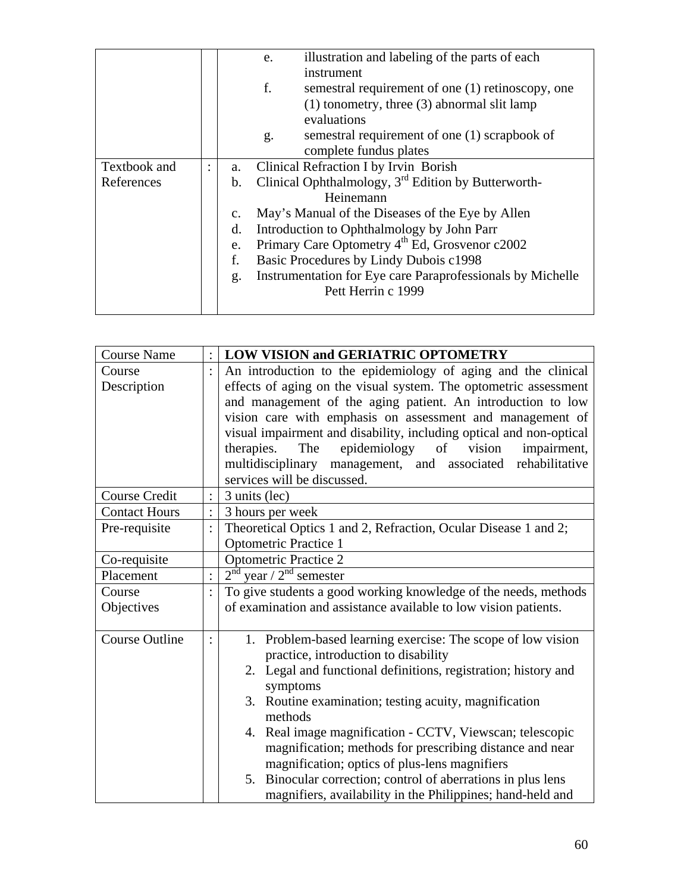|              |                |                                                                   | illustration and labeling of the parts of each<br>e.       |
|--------------|----------------|-------------------------------------------------------------------|------------------------------------------------------------|
|              |                |                                                                   | instrument                                                 |
|              |                |                                                                   | f.<br>semestral requirement of one (1) retinoscopy, one    |
|              |                |                                                                   | $(1)$ tonometry, three $(3)$ abnormal slit lamp            |
|              |                |                                                                   | evaluations                                                |
|              |                |                                                                   | semestral requirement of one (1) scrapbook of<br>g.        |
|              |                |                                                                   | complete fundus plates                                     |
| Textbook and | $\ddot{\cdot}$ | a.                                                                | Clinical Refraction I by Irvin Borish                      |
| References   |                | b.                                                                | Clinical Ophthalmology, $3rd$ Edition by Butterworth-      |
|              |                |                                                                   | Heinemann                                                  |
|              |                | May's Manual of the Diseases of the Eye by Allen<br>$C_{\bullet}$ |                                                            |
|              |                | d.                                                                | Introduction to Ophthalmology by John Parr                 |
|              |                | e.                                                                | Primary Care Optometry 4 <sup>th</sup> Ed, Grosvenor c2002 |
|              |                | f.                                                                | Basic Procedures by Lindy Dubois c1998                     |
|              |                | g.                                                                | Instrumentation for Eye care Paraprofessionals by Michelle |
|              |                |                                                                   | Pett Herrin c 1999                                         |
|              |                |                                                                   |                                                            |

| <b>Course Name</b>    | <b>LOW VISION and GERIATRIC OPTOMETRY</b>                                  |  |
|-----------------------|----------------------------------------------------------------------------|--|
| Course                | An introduction to the epidemiology of aging and the clinical              |  |
| Description           | effects of aging on the visual system. The optometric assessment           |  |
|                       | and management of the aging patient. An introduction to low                |  |
|                       | vision care with emphasis on assessment and management of                  |  |
|                       | visual impairment and disability, including optical and non-optical        |  |
|                       | therapies.<br>epidemiology of<br>The<br>vision<br>impairment,              |  |
|                       | multidisciplinary management, and associated rehabilitative                |  |
|                       | services will be discussed.                                                |  |
| Course Credit         | 3 units (lec)                                                              |  |
| <b>Contact Hours</b>  | 3 hours per week                                                           |  |
| Pre-requisite         | Theoretical Optics 1 and 2, Refraction, Ocular Disease 1 and 2;            |  |
|                       | <b>Optometric Practice 1</b>                                               |  |
| Co-requisite          | <b>Optometric Practice 2</b>                                               |  |
| Placement             | $2nd$ year / $2nd$ semester                                                |  |
| Course                | To give students a good working knowledge of the needs, methods            |  |
| Objectives            | of examination and assistance available to low vision patients.            |  |
| <b>Course Outline</b> | 1. Problem-based learning exercise: The scope of low vision                |  |
|                       | practice, introduction to disability                                       |  |
|                       | 2. Legal and functional definitions, registration; history and<br>symptoms |  |
|                       | 3. Routine examination; testing acuity, magnification                      |  |
|                       | methods                                                                    |  |
|                       | 4. Real image magnification - CCTV, Viewscan; telescopic                   |  |
|                       | magnification; methods for prescribing distance and near                   |  |
|                       | magnification; optics of plus-lens magnifiers                              |  |
|                       | Binocular correction; control of aberrations in plus lens<br>5.            |  |
|                       | magnifiers, availability in the Philippines; hand-held and                 |  |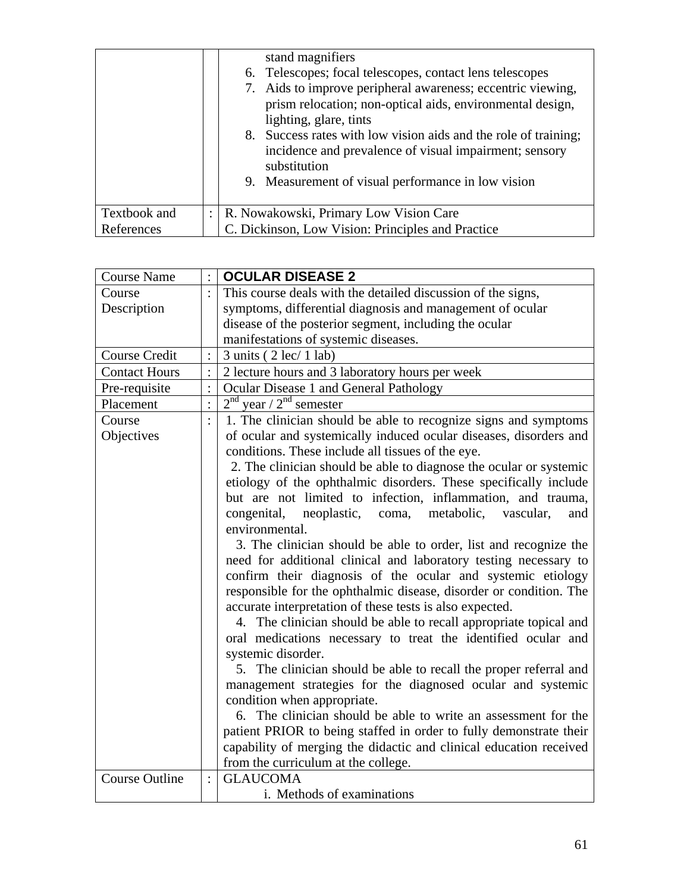|              | stand magnifiers<br>6. Telescopes; focal telescopes, contact lens telescopes<br>7. Aids to improve peripheral awareness; eccentric viewing,<br>prism relocation; non-optical aids, environmental design,<br>lighting, glare, tints<br>8. Success rates with low vision aids and the role of training;<br>incidence and prevalence of visual impairment; sensory<br>substitution<br>9. Measurement of visual performance in low vision |
|--------------|---------------------------------------------------------------------------------------------------------------------------------------------------------------------------------------------------------------------------------------------------------------------------------------------------------------------------------------------------------------------------------------------------------------------------------------|
| Textbook and | R. Nowakowski, Primary Low Vision Care                                                                                                                                                                                                                                                                                                                                                                                                |
| References   | C. Dickinson, Low Vision: Principles and Practice                                                                                                                                                                                                                                                                                                                                                                                     |

| <b>Course Name</b>    |                | <b>OCULAR DISEASE 2</b>                                            |  |
|-----------------------|----------------|--------------------------------------------------------------------|--|
| Course                |                | This course deals with the detailed discussion of the signs,       |  |
| Description           |                | symptoms, differential diagnosis and management of ocular          |  |
|                       |                | disease of the posterior segment, including the ocular             |  |
|                       |                | manifestations of systemic diseases.                               |  |
| Course Credit         |                | $3 \text{ units}$ ( $2 \text{ lec}$ / $1 \text{ lab}$ )            |  |
| <b>Contact Hours</b>  |                | 2 lecture hours and 3 laboratory hours per week                    |  |
| Pre-requisite         |                | Ocular Disease 1 and General Pathology                             |  |
| Placement             | $\vdots$       | $2nd$ year / $2nd$ semester                                        |  |
| Course                | $\ddot{\cdot}$ | 1. The clinician should be able to recognize signs and symptoms    |  |
| Objectives            |                | of ocular and systemically induced ocular diseases, disorders and  |  |
|                       |                | conditions. These include all tissues of the eye.                  |  |
|                       |                | 2. The clinician should be able to diagnose the ocular or systemic |  |
|                       |                | etiology of the ophthalmic disorders. These specifically include   |  |
|                       |                | but are not limited to infection, inflammation, and trauma,        |  |
|                       |                | congenital, neoplastic,<br>metabolic,<br>coma,<br>vascular,<br>and |  |
|                       |                | environmental.                                                     |  |
|                       |                | 3. The clinician should be able to order, list and recognize the   |  |
|                       |                | need for additional clinical and laboratory testing necessary to   |  |
|                       |                | confirm their diagnosis of the ocular and systemic etiology        |  |
|                       |                | responsible for the ophthalmic disease, disorder or condition. The |  |
|                       |                | accurate interpretation of these tests is also expected.           |  |
|                       |                | 4. The clinician should be able to recall appropriate topical and  |  |
|                       |                | oral medications necessary to treat the identified ocular and      |  |
|                       |                | systemic disorder.                                                 |  |
|                       |                | 5. The clinician should be able to recall the proper referral and  |  |
|                       |                | management strategies for the diagnosed ocular and systemic        |  |
|                       |                | condition when appropriate.                                        |  |
|                       |                | 6. The clinician should be able to write an assessment for the     |  |
|                       |                | patient PRIOR to being staffed in order to fully demonstrate their |  |
|                       |                | capability of merging the didactic and clinical education received |  |
|                       |                | from the curriculum at the college.                                |  |
| <b>Course Outline</b> | $\ddot{\cdot}$ | <b>GLAUCOMA</b>                                                    |  |
|                       |                | i. Methods of examinations                                         |  |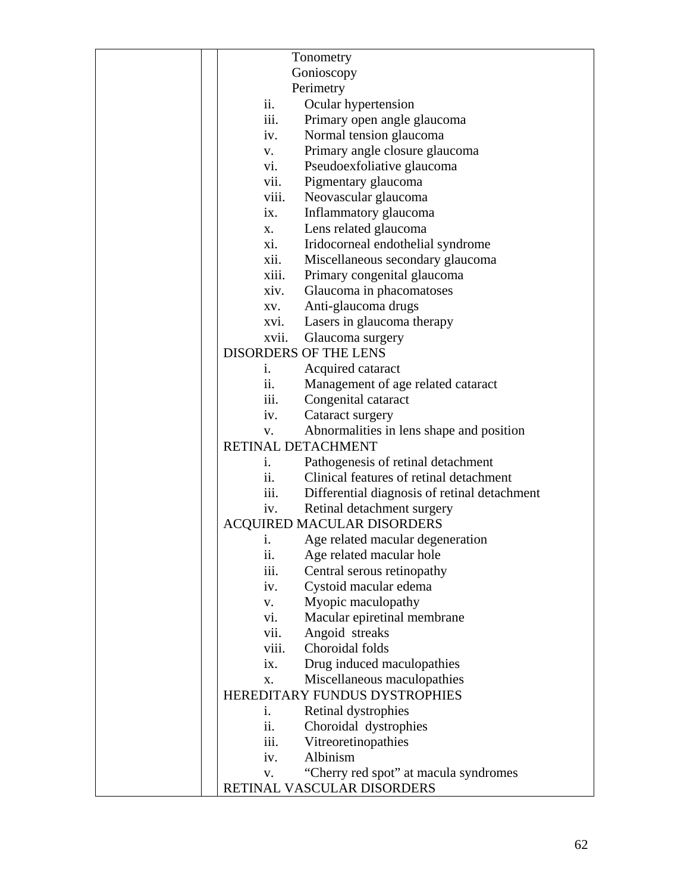|                   | Tonometry                                    |  |
|-------------------|----------------------------------------------|--|
|                   | Gonioscopy                                   |  |
|                   | Perimetry                                    |  |
| ii.               | Ocular hypertension                          |  |
| iii.              | Primary open angle glaucoma                  |  |
| iv.               | Normal tension glaucoma                      |  |
| V.                | Primary angle closure glaucoma               |  |
| $\overline{vi}$ . | Pseudoexfoliative glaucoma                   |  |
| vii.              | Pigmentary glaucoma                          |  |
| viii.             | Neovascular glaucoma                         |  |
| ix.               | Inflammatory glaucoma                        |  |
| X.                | Lens related glaucoma                        |  |
| xi.               | Iridocorneal endothelial syndrome            |  |
| xii.              | Miscellaneous secondary glaucoma             |  |
| xiii.             | Primary congenital glaucoma                  |  |
| xiv.              | Glaucoma in phacomatoses                     |  |
| XV.               | Anti-glaucoma drugs                          |  |
| XVI.              | Lasers in glaucoma therapy                   |  |
| xvii.             | Glaucoma surgery                             |  |
|                   | <b>DISORDERS OF THE LENS</b>                 |  |
| i.                | Acquired cataract                            |  |
| ii.               | Management of age related cataract           |  |
| iii.              | Congenital cataract                          |  |
| iv.               | Cataract surgery                             |  |
| V.                | Abnormalities in lens shape and position     |  |
|                   | RETINAL DETACHMENT                           |  |
| $\mathbf{1}$ .    | Pathogenesis of retinal detachment           |  |
| ii.               | Clinical features of retinal detachment      |  |
| iii.              | Differential diagnosis of retinal detachment |  |
| iv.               | Retinal detachment surgery                   |  |
|                   | ACQUIRED MACULAR DISORDERS                   |  |
| i.                | Age related macular degeneration             |  |
| ii.               | Age related macular hole                     |  |
| iii.              | Central serous retinopathy                   |  |
| iv.               | Cystoid macular edema                        |  |
| V.                | Myopic maculopathy                           |  |
| vi.               | Macular epiretinal membrane                  |  |
| vii.              | Angoid streaks                               |  |
| viii.             | Choroidal folds                              |  |
| ix.               | Drug induced maculopathies                   |  |
| X.                | Miscellaneous maculopathies                  |  |
|                   | HEREDITARY FUNDUS DYSTROPHIES                |  |
| i.                | Retinal dystrophies                          |  |
| ii.               | Choroidal dystrophies                        |  |
| iii.              | Vitreoretinopathies                          |  |
| iv.               | Albinism                                     |  |
| V.                | "Cherry red spot" at macula syndromes        |  |
|                   | RETINAL VASCULAR DISORDERS                   |  |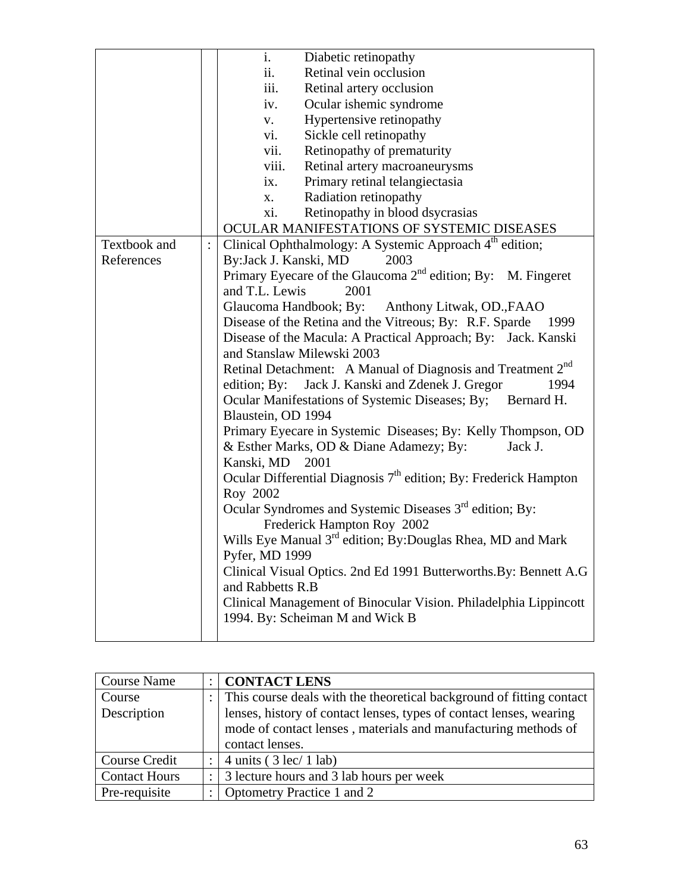|              | i.<br>Diabetic retinopathy                                              |
|--------------|-------------------------------------------------------------------------|
|              | ii.<br>Retinal vein occlusion                                           |
|              | iii.<br>Retinal artery occlusion                                        |
|              | Ocular ishemic syndrome<br>iv.                                          |
|              | Hypertensive retinopathy<br>V.                                          |
|              | Sickle cell retinopathy<br>vi.                                          |
|              | vii.<br>Retinopathy of prematurity                                      |
|              | Retinal artery macroaneurysms<br>viii.                                  |
|              | Primary retinal telangiectasia<br>ix.                                   |
|              | Radiation retinopathy<br>X.                                             |
|              | Retinopathy in blood dsycrasias<br>xi.                                  |
|              | OCULAR MANIFESTATIONS OF SYSTEMIC DISEASES                              |
| Textbook and | Clinical Ophthalmology: A Systemic Approach 4 <sup>th</sup> edition;    |
| References   | By: Jack J. Kanski, MD<br>2003                                          |
|              | Primary Eyecare of the Glaucoma $2nd$ edition; By: M. Fingeret          |
|              | and T.L. Lewis<br>2001                                                  |
|              | Glaucoma Handbook; By: Anthony Litwak, OD., FAAO                        |
|              | Disease of the Retina and the Vitreous; By: R.F. Sparde<br>1999         |
|              | Disease of the Macula: A Practical Approach; By: Jack. Kanski           |
|              | and Stanslaw Milewski 2003                                              |
|              | Retinal Detachment: A Manual of Diagnosis and Treatment 2 <sup>nd</sup> |
|              | edition; By: Jack J. Kanski and Zdenek J. Gregor<br>1994                |
|              | Ocular Manifestations of Systemic Diseases; By; Bernard H.              |
|              | Blaustein, OD 1994                                                      |
|              | Primary Eyecare in Systemic Diseases; By: Kelly Thompson, OD            |
|              | & Esther Marks, OD & Diane Adamezy; By:<br>Jack J.                      |
|              | Kanski, MD 2001                                                         |
|              | Ocular Differential Diagnosis $7th$ edition; By: Frederick Hampton      |
|              | Roy 2002                                                                |
|              | Ocular Syndromes and Systemic Diseases 3 <sup>rd</sup> edition; By:     |
|              | Frederick Hampton Roy 2002                                              |
|              | Wills Eye Manual 3 <sup>rd</sup> edition; By: Douglas Rhea, MD and Mark |
|              | Pyfer, MD 1999                                                          |
|              | Clinical Visual Optics. 2nd Ed 1991 Butterworths. By: Bennett A.G       |
|              | and Rabbetts R.B                                                        |
|              | Clinical Management of Binocular Vision. Philadelphia Lippincott        |
|              | 1994. By: Scheiman M and Wick B                                         |
|              |                                                                         |

| <b>Course Name</b>   |   | <b>CONTACT LENS</b>                                                                                                                                      |
|----------------------|---|----------------------------------------------------------------------------------------------------------------------------------------------------------|
| Course               |   | : This course deals with the theoretical background of fitting contact                                                                                   |
| Description          |   | lenses, history of contact lenses, types of contact lenses, wearing<br>mode of contact lenses, materials and manufacturing methods of<br>contact lenses. |
| Course Credit        |   | 4 units ( $3 \text{ lec} / 1 \text{ lab}$ )                                                                                                              |
| <b>Contact Hours</b> | ٠ | 3 lecture hours and 3 lab hours per week                                                                                                                 |
| Pre-requisite        |   | Optometry Practice 1 and 2                                                                                                                               |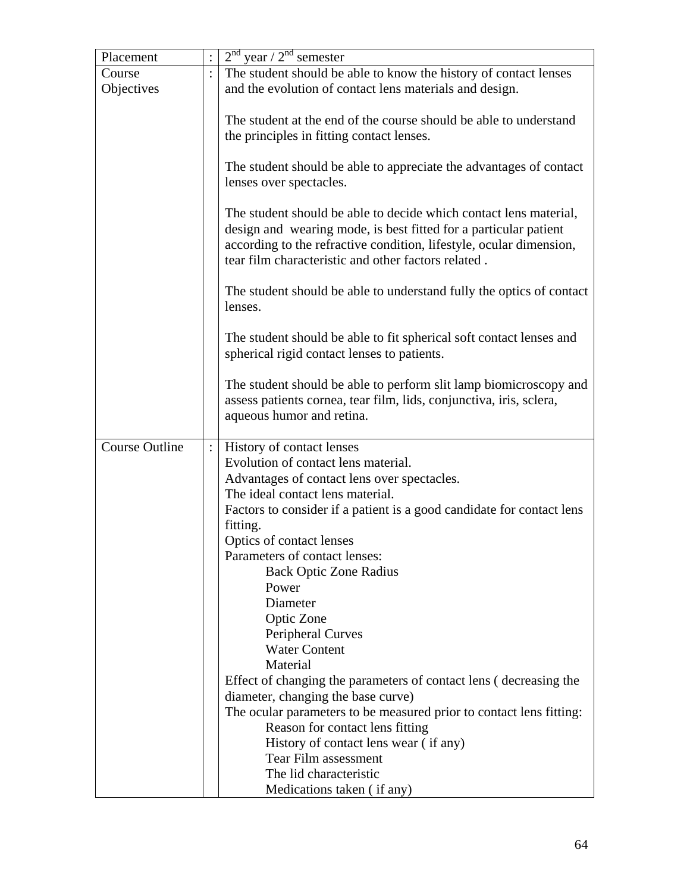| Placement             |                | $2nd$ year / $2nd$ semester                                                     |
|-----------------------|----------------|---------------------------------------------------------------------------------|
| Course                |                | The student should be able to know the history of contact lenses                |
| Objectives            |                | and the evolution of contact lens materials and design.                         |
|                       |                |                                                                                 |
|                       |                | The student at the end of the course should be able to understand               |
|                       |                | the principles in fitting contact lenses.                                       |
|                       |                |                                                                                 |
|                       |                | The student should be able to appreciate the advantages of contact              |
|                       |                | lenses over spectacles.                                                         |
|                       |                |                                                                                 |
|                       |                | The student should be able to decide which contact lens material,               |
|                       |                | design and wearing mode, is best fitted for a particular patient                |
|                       |                | according to the refractive condition, lifestyle, ocular dimension,             |
|                       |                | tear film characteristic and other factors related.                             |
|                       |                |                                                                                 |
|                       |                | The student should be able to understand fully the optics of contact<br>lenses. |
|                       |                |                                                                                 |
|                       |                | The student should be able to fit spherical soft contact lenses and             |
|                       |                | spherical rigid contact lenses to patients.                                     |
|                       |                |                                                                                 |
|                       |                | The student should be able to perform slit lamp biomicroscopy and               |
|                       |                | assess patients cornea, tear film, lids, conjunctiva, iris, sclera,             |
|                       |                | aqueous humor and retina.                                                       |
|                       |                |                                                                                 |
| <b>Course Outline</b> | $\ddot{\cdot}$ | History of contact lenses                                                       |
|                       |                | Evolution of contact lens material.                                             |
|                       |                | Advantages of contact lens over spectacles.                                     |
|                       |                | The ideal contact lens material.                                                |
|                       |                | Factors to consider if a patient is a good candidate for contact lens           |
|                       |                | fitting.                                                                        |
|                       |                | Optics of contact lenses                                                        |
|                       |                | Parameters of contact lenses:<br><b>Back Optic Zone Radius</b>                  |
|                       |                | Power                                                                           |
|                       |                | Diameter                                                                        |
|                       |                | Optic Zone                                                                      |
|                       |                | <b>Peripheral Curves</b>                                                        |
|                       |                | <b>Water Content</b>                                                            |
|                       |                | Material                                                                        |
|                       |                | Effect of changing the parameters of contact lens (decreasing the               |
|                       |                | diameter, changing the base curve)                                              |
|                       |                | The ocular parameters to be measured prior to contact lens fitting:             |
|                       |                | Reason for contact lens fitting                                                 |
|                       |                | History of contact lens wear (if any)                                           |
|                       |                | <b>Tear Film assessment</b>                                                     |
|                       |                | The lid characteristic                                                          |
|                       |                | Medications taken (if any)                                                      |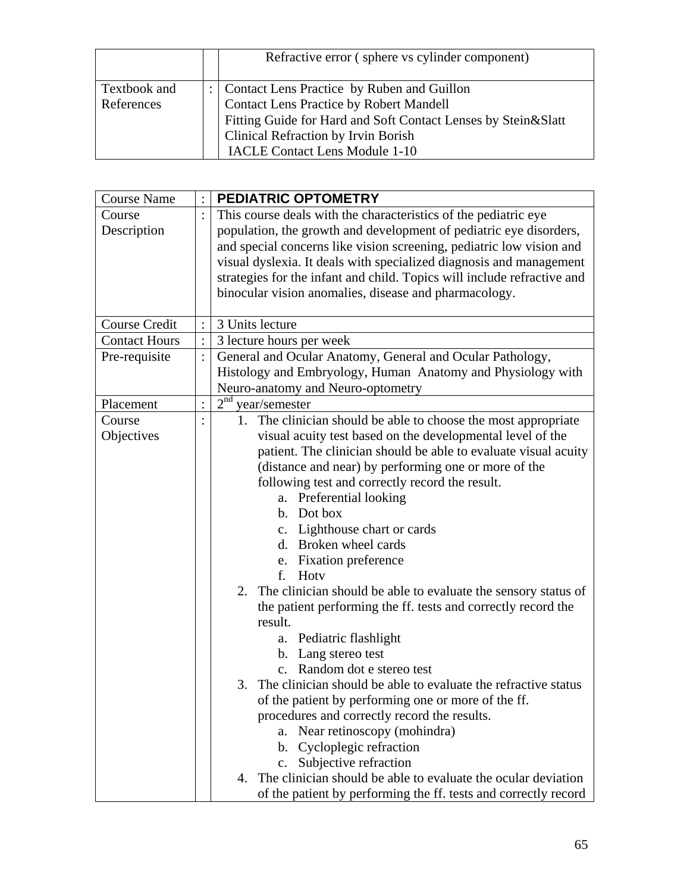|              | Refractive error (sphere vs cylinder component)               |
|--------------|---------------------------------------------------------------|
| Textbook and | Contact Lens Practice by Ruben and Guillon                    |
| References   | <b>Contact Lens Practice by Robert Mandell</b>                |
|              | Fitting Guide for Hard and Soft Contact Lenses by Stein&Slatt |
|              | Clinical Refraction by Irvin Borish                           |
|              | <b>IACLE Contact Lens Module 1-10</b>                         |

| <b>Course Name</b>   | $\ddot{\cdot}$ | PEDIATRIC OPTOMETRY                                                     |
|----------------------|----------------|-------------------------------------------------------------------------|
| Course               |                | This course deals with the characteristics of the pediatric eye         |
| Description          |                | population, the growth and development of pediatric eye disorders,      |
|                      |                | and special concerns like vision screening, pediatric low vision and    |
|                      |                | visual dyslexia. It deals with specialized diagnosis and management     |
|                      |                | strategies for the infant and child. Topics will include refractive and |
|                      |                | binocular vision anomalies, disease and pharmacology.                   |
|                      |                |                                                                         |
| Course Credit        |                | 3 Units lecture                                                         |
| <b>Contact Hours</b> |                | 3 lecture hours per week                                                |
| Pre-requisite        | $\colon$       | General and Ocular Anatomy, General and Ocular Pathology,               |
|                      |                | Histology and Embryology, Human Anatomy and Physiology with             |
|                      |                | Neuro-anatomy and Neuro-optometry                                       |
| Placement            | $\colon$       | 2 <sup>nd</sup><br>year/semester                                        |
| Course               |                | 1. The clinician should be able to choose the most appropriate          |
| Objectives           |                | visual acuity test based on the developmental level of the              |
|                      |                | patient. The clinician should be able to evaluate visual acuity         |
|                      |                | (distance and near) by performing one or more of the                    |
|                      |                | following test and correctly record the result.                         |
|                      |                | a. Preferential looking                                                 |
|                      |                | b. Dot box                                                              |
|                      |                | c. Lighthouse chart or cards                                            |
|                      |                | d. Broken wheel cards                                                   |
|                      |                | e. Fixation preference                                                  |
|                      |                | f.<br>Hoty                                                              |
|                      |                | 2. The clinician should be able to evaluate the sensory status of       |
|                      |                | the patient performing the ff. tests and correctly record the           |
|                      |                | result.                                                                 |
|                      |                | Pediatric flashlight<br>a.                                              |
|                      |                | b. Lang stereo test                                                     |
|                      |                | c. Random dot e stereo test                                             |
|                      |                | 3. The clinician should be able to evaluate the refractive status       |
|                      |                | of the patient by performing one or more of the ff.                     |
|                      |                | procedures and correctly record the results.                            |
|                      |                | Near retinoscopy (mohindra)<br>a.                                       |
|                      |                | b. Cycloplegic refraction                                               |
|                      |                | c. Subjective refraction                                                |
|                      |                | 4. The clinician should be able to evaluate the ocular deviation        |
|                      |                | of the patient by performing the ff. tests and correctly record         |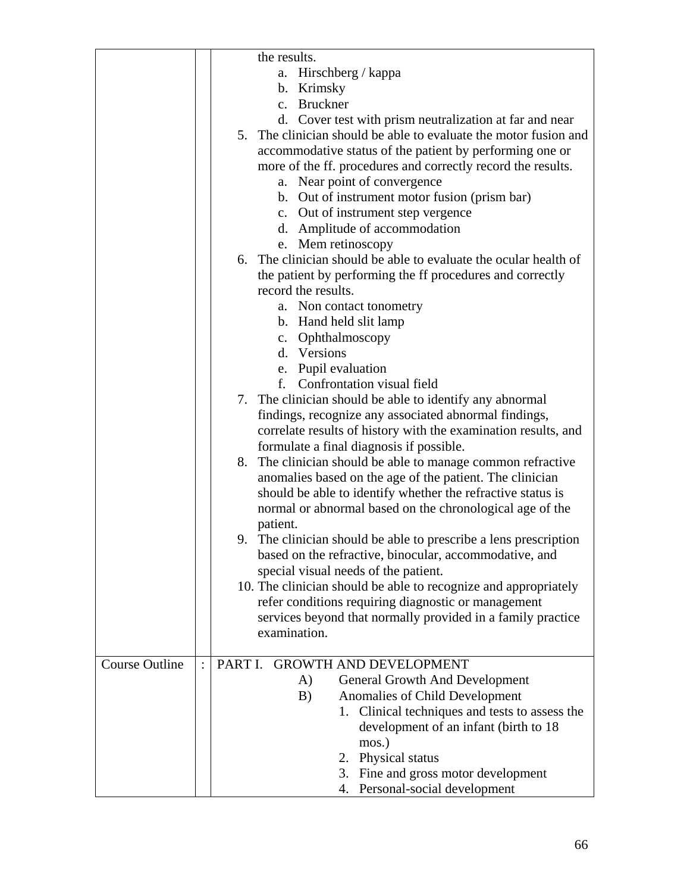|                       | the results.                                                     |
|-----------------------|------------------------------------------------------------------|
|                       | Hirschberg / kappa<br>a.                                         |
|                       | b. Krimsky                                                       |
|                       | c. Bruckner                                                      |
|                       | d. Cover test with prism neutralization at far and near          |
|                       | 5. The clinician should be able to evaluate the motor fusion and |
|                       | accommodative status of the patient by performing one or         |
|                       | more of the ff. procedures and correctly record the results.     |
|                       | a. Near point of convergence                                     |
|                       | b. Out of instrument motor fusion (prism bar)                    |
|                       |                                                                  |
|                       | c. Out of instrument step vergence                               |
|                       | d. Amplitude of accommodation                                    |
|                       | e. Mem retinoscopy                                               |
|                       | 6. The clinician should be able to evaluate the ocular health of |
|                       | the patient by performing the ff procedures and correctly        |
|                       | record the results.                                              |
|                       | a. Non contact tonometry                                         |
|                       | b. Hand held slit lamp                                           |
|                       | c. Ophthalmoscopy                                                |
|                       | d. Versions                                                      |
|                       | e. Pupil evaluation                                              |
|                       | Confrontation visual field<br>f.                                 |
|                       | 7. The clinician should be able to identify any abnormal         |
|                       | findings, recognize any associated abnormal findings,            |
|                       | correlate results of history with the examination results, and   |
|                       | formulate a final diagnosis if possible.                         |
|                       | 8. The clinician should be able to manage common refractive      |
|                       | anomalies based on the age of the patient. The clinician         |
|                       | should be able to identify whether the refractive status is      |
|                       | normal or abnormal based on the chronological age of the         |
|                       | patient.                                                         |
|                       | 9. The clinician should be able to prescribe a lens prescription |
|                       | based on the refractive, binocular, accommodative, and           |
|                       |                                                                  |
|                       | special visual needs of the patient.                             |
|                       | 10. The clinician should be able to recognize and appropriately  |
|                       | refer conditions requiring diagnostic or management              |
|                       | services beyond that normally provided in a family practice      |
|                       | examination.                                                     |
| <b>Course Outline</b> | PART I.<br><b>GROWTH AND DEVELOPMENT</b>                         |
|                       |                                                                  |
|                       | A)<br><b>General Growth And Development</b>                      |
|                       | Anomalies of Child Development<br>B)                             |
|                       | 1. Clinical techniques and tests to assess the                   |
|                       | development of an infant (birth to 18)                           |
|                       | mos.)                                                            |
|                       | 2. Physical status                                               |
|                       | 3. Fine and gross motor development                              |
|                       | 4. Personal-social development                                   |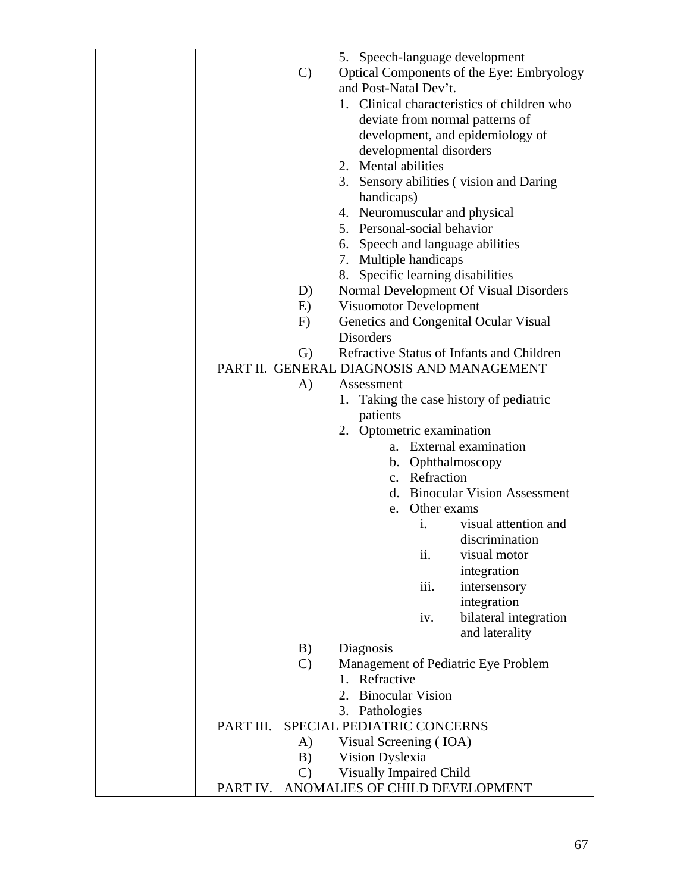|               | 5. Speech-language development              |
|---------------|---------------------------------------------|
| $\mathcal{C}$ | Optical Components of the Eye: Embryology   |
|               | and Post-Natal Dev't.                       |
|               | 1. Clinical characteristics of children who |
|               | deviate from normal patterns of             |
|               |                                             |
|               | development, and epidemiology of            |
|               | developmental disorders                     |
|               | 2. Mental abilities                         |
|               | 3. Sensory abilities (vision and Daring     |
|               | handicaps)                                  |
|               | 4. Neuromuscular and physical               |
|               | 5. Personal-social behavior                 |
|               | 6. Speech and language abilities            |
|               | 7. Multiple handicaps                       |
|               | 8. Specific learning disabilities           |
| D)            | Normal Development Of Visual Disorders      |
|               | Visuomotor Development                      |
| E)            |                                             |
| F)            | Genetics and Congenital Ocular Visual       |
|               | <b>Disorders</b>                            |
| $\mathbf{G}$  | Refractive Status of Infants and Children   |
|               | PART II. GENERAL DIAGNOSIS AND MANAGEMENT   |
| A)            | Assessment                                  |
|               | 1. Taking the case history of pediatric     |
|               | patients                                    |
|               | 2. Optometric examination                   |
|               | a. External examination                     |
|               | b. Ophthalmoscopy                           |
|               | c. Refraction                               |
|               | d. Binocular Vision Assessment              |
|               | Other exams<br>e.                           |
|               | visual attention and<br>i.                  |
|               | discrimination                              |
|               | visual motor<br>$\overline{11}$ .           |
|               | integration                                 |
|               |                                             |
|               | iii.<br>intersensory                        |
|               | integration                                 |
|               | bilateral integration<br>iv.                |
|               | and laterality                              |
| B)            | Diagnosis                                   |
| $\mathcal{C}$ | Management of Pediatric Eye Problem         |
|               | 1. Refractive                               |
|               | 2.<br><b>Binocular Vision</b>               |
|               | 3. Pathologies                              |
| PART III.     | SPECIAL PEDIATRIC CONCERNS                  |
| A)            | Visual Screening (IOA)                      |
| B)            | Vision Dyslexia                             |
| $\mathbf{C}$  | Visually Impaired Child                     |
| PART IV.      | ANOMALIES OF CHILD DEVELOPMENT              |
|               |                                             |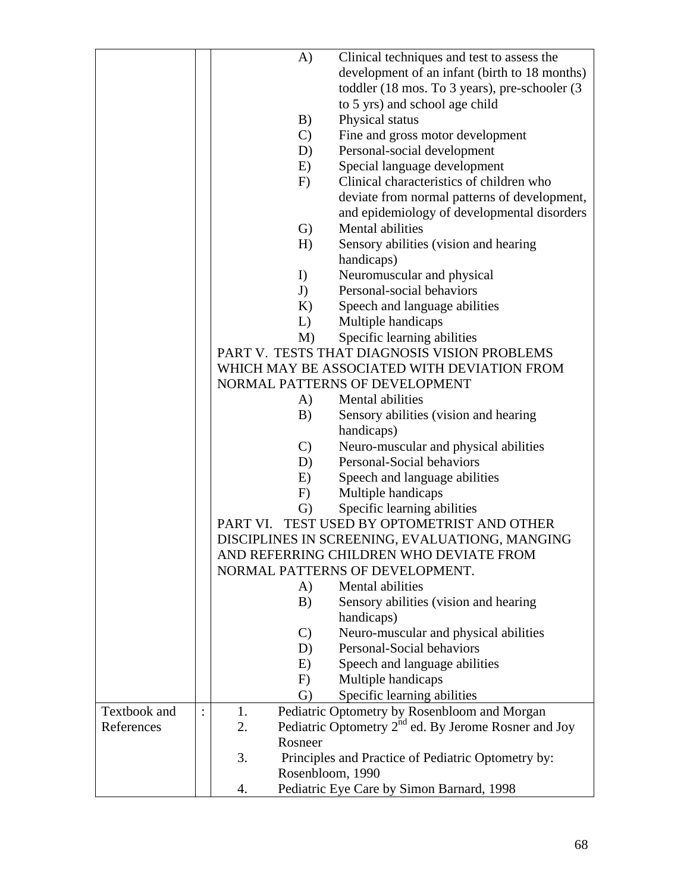|              | A)               | Clinical techniques and test to assess the                                                |
|--------------|------------------|-------------------------------------------------------------------------------------------|
|              |                  | development of an infant (birth to 18 months)                                             |
|              |                  | toddler (18 mos. To 3 years), pre-schooler (3                                             |
|              |                  | to 5 yrs) and school age child                                                            |
|              | B)               | Physical status                                                                           |
|              | $\mathcal{C}$    | Fine and gross motor development                                                          |
|              | D)               | Personal-social development                                                               |
|              | E)               | Special language development                                                              |
|              | F)               | Clinical characteristics of children who                                                  |
|              |                  | deviate from normal patterns of development,                                              |
|              |                  | and epidemiology of developmental disorders                                               |
|              | G)               | Mental abilities                                                                          |
|              | H)               | Sensory abilities (vision and hearing                                                     |
|              |                  | handicaps)                                                                                |
|              | I)               | Neuromuscular and physical                                                                |
|              | J)               | Personal-social behaviors                                                                 |
|              | K)               | Speech and language abilities                                                             |
|              | $L$ )            | Multiple handicaps                                                                        |
|              | M)               | Specific learning abilities                                                               |
|              |                  | PART V. TESTS THAT DIAGNOSIS VISION PROBLEMS                                              |
|              |                  | WHICH MAY BE ASSOCIATED WITH DEVIATION FROM                                               |
|              |                  | NORMAL PATTERNS OF DEVELOPMENT                                                            |
|              | A)               | Mental abilities                                                                          |
|              | B)               | Sensory abilities (vision and hearing                                                     |
|              |                  | handicaps)                                                                                |
|              | $\mathbf{C}$     | Neuro-muscular and physical abilities                                                     |
|              | D)               | Personal-Social behaviors                                                                 |
|              | E)               | Speech and language abilities                                                             |
|              | F)               | Multiple handicaps                                                                        |
|              | G)               | Specific learning abilities                                                               |
|              | PART VI.         | TEST USED BY OPTOMETRIST AND OTHER                                                        |
|              |                  | DISCIPLINES IN SCREENING, EVALUATIONG, MANGING<br>AND REFERRING CHILDREN WHO DEVIATE FROM |
|              |                  |                                                                                           |
|              |                  | NORMAL PATTERNS OF DEVELOPMENT.                                                           |
|              | A)<br>B)         | Mental abilities                                                                          |
|              |                  | Sensory abilities (vision and hearing<br>handicaps)                                       |
|              | $\mathbf{C}$     | Neuro-muscular and physical abilities                                                     |
|              | D)               | Personal-Social behaviors                                                                 |
|              | E)               | Speech and language abilities                                                             |
|              | F)               | Multiple handicaps                                                                        |
|              | G)               | Specific learning abilities                                                               |
| Textbook and | 1.               | Pediatric Optometry by Rosenbloom and Morgan                                              |
| References   | 2.               | Pediatric Optometry 2 <sup>nd</sup> ed. By Jerome Rosner and Joy                          |
|              | Rosneer          |                                                                                           |
|              | 3.               | Principles and Practice of Pediatric Optometry by:                                        |
|              | Rosenbloom, 1990 |                                                                                           |
|              | 4.               | Pediatric Eye Care by Simon Barnard, 1998                                                 |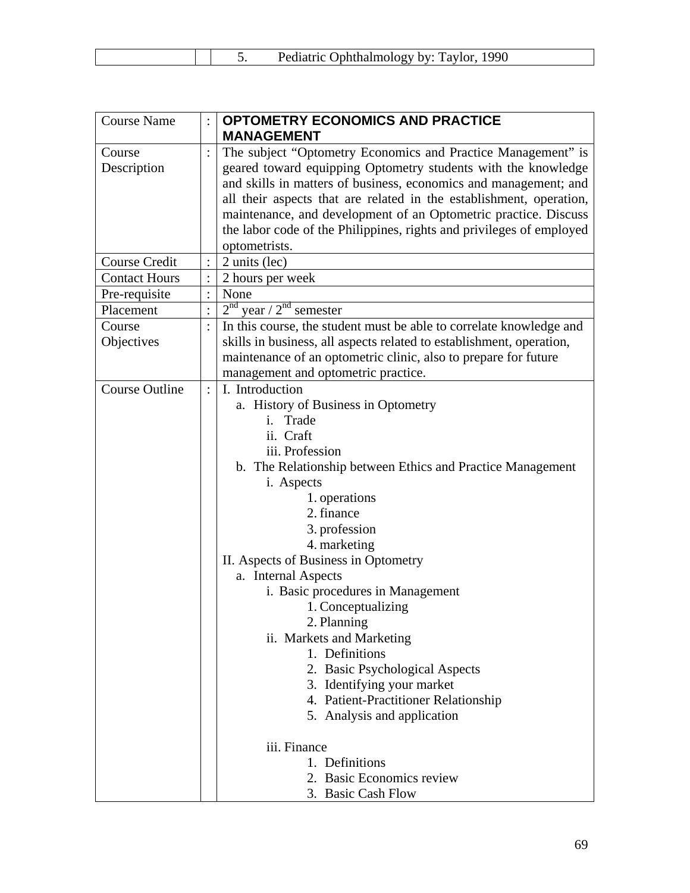| Pediatric Ophthalmology by: Taylor<br>1990 |
|--------------------------------------------|
|--------------------------------------------|

| The subject "Optometry Economics and Practice Management" is<br>geared toward equipping Optometry students with the knowledge<br>and skills in matters of business, economics and management; and<br>all their aspects that are related in the establishment, operation,<br>maintenance, and development of an Optometric practice. Discuss<br>the labor code of the Philippines, rights and privileges of employed<br>optometrists.<br>2 units (lec)                                                                                                                                                                                   |  |
|-----------------------------------------------------------------------------------------------------------------------------------------------------------------------------------------------------------------------------------------------------------------------------------------------------------------------------------------------------------------------------------------------------------------------------------------------------------------------------------------------------------------------------------------------------------------------------------------------------------------------------------------|--|
|                                                                                                                                                                                                                                                                                                                                                                                                                                                                                                                                                                                                                                         |  |
|                                                                                                                                                                                                                                                                                                                                                                                                                                                                                                                                                                                                                                         |  |
|                                                                                                                                                                                                                                                                                                                                                                                                                                                                                                                                                                                                                                         |  |
| 2 hours per week                                                                                                                                                                                                                                                                                                                                                                                                                                                                                                                                                                                                                        |  |
| None                                                                                                                                                                                                                                                                                                                                                                                                                                                                                                                                                                                                                                    |  |
| $2nd$ year / $2nd$ semester                                                                                                                                                                                                                                                                                                                                                                                                                                                                                                                                                                                                             |  |
| In this course, the student must be able to correlate knowledge and<br>skills in business, all aspects related to establishment, operation,<br>maintenance of an optometric clinic, also to prepare for future                                                                                                                                                                                                                                                                                                                                                                                                                          |  |
| management and optometric practice.<br>I. Introduction<br>a. History of Business in Optometry<br>Trade<br>i.<br>ii. Craft<br>iii. Profession<br>b. The Relationship between Ethics and Practice Management<br>i. Aspects<br>1. operations<br>2. finance<br>3. profession<br>4. marketing<br>II. Aspects of Business in Optometry<br>a. Internal Aspects<br>i. Basic procedures in Management<br>1. Conceptualizing<br>2. Planning<br>ii. Markets and Marketing<br>1. Definitions<br>2. Basic Psychological Aspects<br>3. Identifying your market<br>4. Patient-Practitioner Relationship<br>5. Analysis and application<br>iii. Finance |  |
|                                                                                                                                                                                                                                                                                                                                                                                                                                                                                                                                                                                                                                         |  |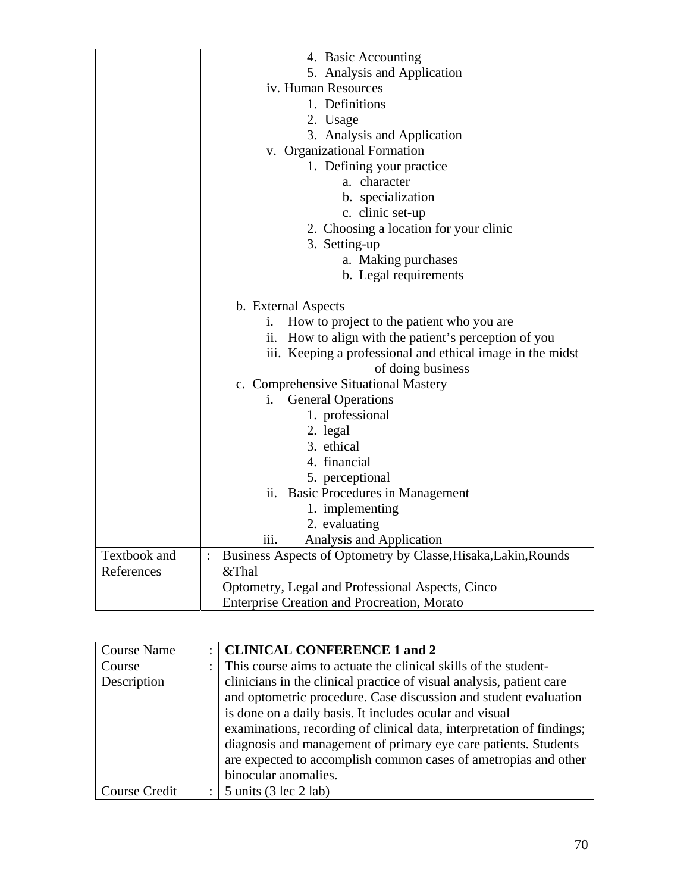|              | 4. Basic Accounting                                                 |  |  |
|--------------|---------------------------------------------------------------------|--|--|
|              | 5. Analysis and Application                                         |  |  |
|              | iv. Human Resources                                                 |  |  |
|              | 1. Definitions                                                      |  |  |
|              | 2. Usage                                                            |  |  |
|              | 3. Analysis and Application                                         |  |  |
|              | v. Organizational Formation                                         |  |  |
|              | 1. Defining your practice                                           |  |  |
|              | a. character                                                        |  |  |
|              | b. specialization                                                   |  |  |
|              | c. clinic set-up                                                    |  |  |
|              | 2. Choosing a location for your clinic                              |  |  |
|              | 3. Setting-up                                                       |  |  |
|              | a. Making purchases                                                 |  |  |
|              | b. Legal requirements                                               |  |  |
|              |                                                                     |  |  |
|              | b. External Aspects                                                 |  |  |
|              | How to project to the patient who you are<br>i.                     |  |  |
|              | ii. How to align with the patient's perception of you               |  |  |
|              | iii. Keeping a professional and ethical image in the midst          |  |  |
|              | of doing business                                                   |  |  |
|              | c. Comprehensive Situational Mastery                                |  |  |
|              | <b>General Operations</b><br>i.                                     |  |  |
|              | 1. professional                                                     |  |  |
|              | 2. legal                                                            |  |  |
|              | 3. ethical                                                          |  |  |
|              | 4. financial                                                        |  |  |
|              | 5. perceptional                                                     |  |  |
|              | ii. Basic Procedures in Management                                  |  |  |
|              | 1. implementing                                                     |  |  |
|              | 2. evaluating                                                       |  |  |
|              | Analysis and Application<br>iii.                                    |  |  |
| Textbook and | Business Aspects of Optometry by Classe, Hisaka, Lakin, Rounds<br>: |  |  |
| References   | &Thal                                                               |  |  |
|              | Optometry, Legal and Professional Aspects, Cinco                    |  |  |
|              | <b>Enterprise Creation and Procreation, Morato</b>                  |  |  |

| <b>Course Name</b>   | <b>CLINICAL CONFERENCE 1 and 2</b>                                    |
|----------------------|-----------------------------------------------------------------------|
| Course               | This course aims to actuate the clinical skills of the student-       |
| Description          | clinicians in the clinical practice of visual analysis, patient care  |
|                      | and optometric procedure. Case discussion and student evaluation      |
|                      | is done on a daily basis. It includes ocular and visual               |
|                      | examinations, recording of clinical data, interpretation of findings; |
|                      | diagnosis and management of primary eye care patients. Students       |
|                      | are expected to accomplish common cases of ametropias and other       |
|                      | binocular anomalies.                                                  |
| <b>Course Credit</b> | $5 \text{ units}$ (3 lec 2 lab)                                       |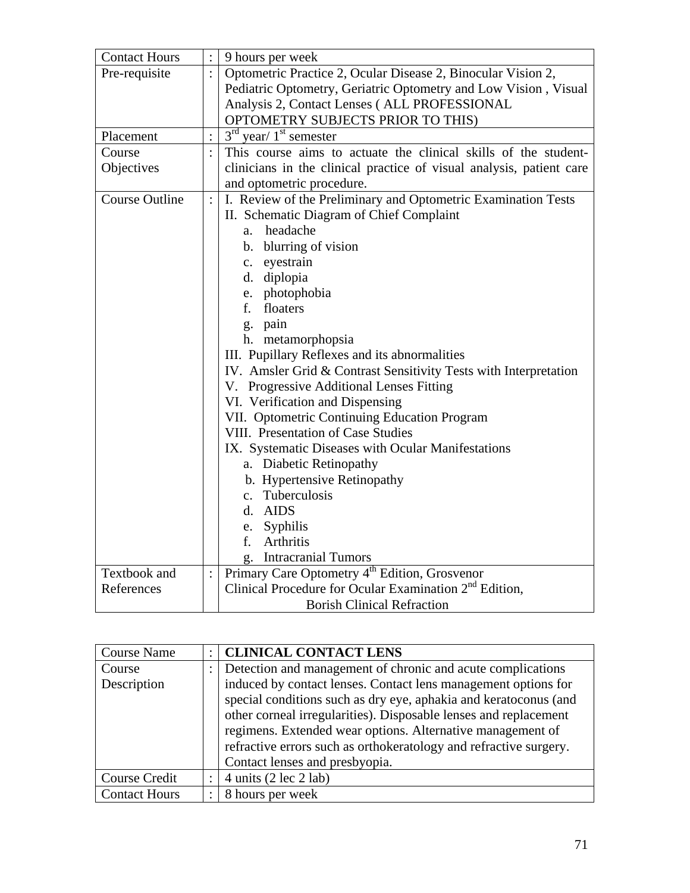| <b>Contact Hours</b>  |                | 9 hours per week                                                     |
|-----------------------|----------------|----------------------------------------------------------------------|
| Pre-requisite         |                | Optometric Practice 2, Ocular Disease 2, Binocular Vision 2,         |
|                       |                | Pediatric Optometry, Geriatric Optometry and Low Vision, Visual      |
|                       |                | Analysis 2, Contact Lenses ( ALL PROFESSIONAL                        |
|                       |                | OPTOMETRY SUBJECTS PRIOR TO THIS)                                    |
| Placement             | $\ddot{\cdot}$ | $3rd$ year/ $1st$ semester                                           |
| Course                |                | This course aims to actuate the clinical skills of the student-      |
| Objectives            |                | clinicians in the clinical practice of visual analysis, patient care |
|                       |                | and optometric procedure.                                            |
| <b>Course Outline</b> | $\ddot{\cdot}$ | I. Review of the Preliminary and Optometric Examination Tests        |
|                       |                | II. Schematic Diagram of Chief Complaint                             |
|                       |                | headache<br>a.                                                       |
|                       |                | b. blurring of vision                                                |
|                       |                | c. eyestrain                                                         |
|                       |                | d. diplopia                                                          |
|                       |                | e. photophobia                                                       |
|                       |                | f. floaters                                                          |
|                       |                | g. pain                                                              |
|                       |                | h. metamorphopsia                                                    |
|                       |                | III. Pupillary Reflexes and its abnormalities                        |
|                       |                | IV. Amsler Grid & Contrast Sensitivity Tests with Interpretation     |
|                       |                | V. Progressive Additional Lenses Fitting                             |
|                       |                | VI. Verification and Dispensing                                      |
|                       |                | VII. Optometric Continuing Education Program                         |
|                       |                | VIII. Presentation of Case Studies                                   |
|                       |                | IX. Systematic Diseases with Ocular Manifestations                   |
|                       |                | a. Diabetic Retinopathy                                              |
|                       |                | b. Hypertensive Retinopathy                                          |
|                       |                | c. Tuberculosis                                                      |
|                       |                | d. AIDS                                                              |
|                       |                | Syphilis<br>e.                                                       |
|                       |                | f.<br><b>Arthritis</b>                                               |
|                       |                | <b>Intracranial Tumors</b><br>g.                                     |
| Textbook and          | $\ddot{\cdot}$ | Primary Care Optometry 4 <sup>th</sup> Edition, Grosvenor            |
| References            |                | Clinical Procedure for Ocular Examination $2nd$ Edition,             |
|                       |                | <b>Borish Clinical Refraction</b>                                    |

| <b>Course Name</b>   |   | <b>CLINICAL CONTACT LENS</b>                                      |
|----------------------|---|-------------------------------------------------------------------|
| Course               |   | Detection and management of chronic and acute complications       |
| Description          |   | induced by contact lenses. Contact lens management options for    |
|                      |   | special conditions such as dry eye, aphakia and keratoconus (and  |
|                      |   | other corneal irregularities). Disposable lenses and replacement  |
|                      |   | regimens. Extended wear options. Alternative management of        |
|                      |   | refractive errors such as orthokeratology and refractive surgery. |
|                      |   | Contact lenses and presbyopia.                                    |
| <b>Course Credit</b> |   | 4 units $(2 \text{ lec } 2 \text{ lab})$                          |
| <b>Contact Hours</b> | ٠ | 8 hours per week                                                  |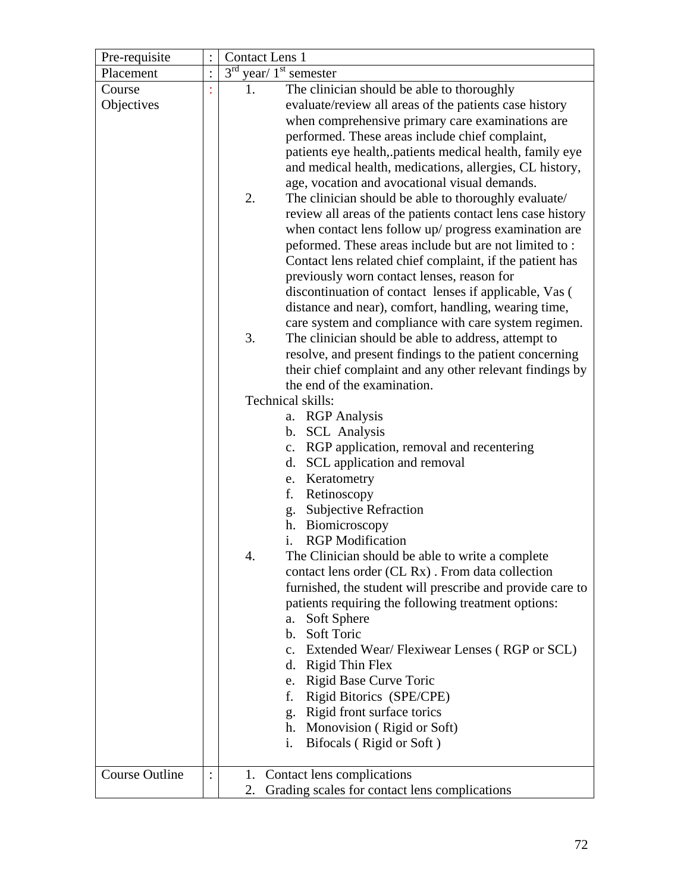| Pre-requisite         |          | Contact Lens 1                                             |
|-----------------------|----------|------------------------------------------------------------|
| Placement             | $\vdots$ | $3^{\text{rd}}$<br>year/ $1st$ semester                    |
| Course                |          | The clinician should be able to thoroughly<br>1.           |
| Objectives            |          | evaluate/review all areas of the patients case history     |
|                       |          | when comprehensive primary care examinations are           |
|                       |          | performed. These areas include chief complaint,            |
|                       |          | patients eye health, patients medical health, family eye   |
|                       |          | and medical health, medications, allergies, CL history,    |
|                       |          | age, vocation and avocational visual demands.              |
|                       |          | 2.<br>The clinician should be able to thoroughly evaluate/ |
|                       |          | review all areas of the patients contact lens case history |
|                       |          | when contact lens follow up/ progress examination are      |
|                       |          | peformed. These areas include but are not limited to:      |
|                       |          | Contact lens related chief complaint, if the patient has   |
|                       |          | previously worn contact lenses, reason for                 |
|                       |          | discontinuation of contact lenses if applicable, Vas (     |
|                       |          | distance and near), comfort, handling, wearing time,       |
|                       |          | care system and compliance with care system regimen.       |
|                       |          | 3.<br>The clinician should be able to address, attempt to  |
|                       |          | resolve, and present findings to the patient concerning    |
|                       |          | their chief complaint and any other relevant findings by   |
|                       |          | the end of the examination.                                |
|                       |          | Technical skills:                                          |
|                       |          | a. RGP Analysis                                            |
|                       |          | b. SCL Analysis                                            |
|                       |          | c. RGP application, removal and recentering                |
|                       |          | d. SCL application and removal                             |
|                       |          | e. Keratometry<br>f.                                       |
|                       |          | Retinoscopy<br>g. Subjective Refraction                    |
|                       |          | h. Biomicroscopy                                           |
|                       |          | <b>RGP</b> Modification<br>i.                              |
|                       |          | 4.<br>The Clinician should be able to write a complete     |
|                       |          | contact lens order (CL Rx). From data collection           |
|                       |          | furnished, the student will prescribe and provide care to  |
|                       |          | patients requiring the following treatment options:        |
|                       |          | a. Soft Sphere                                             |
|                       |          | b. Soft Toric                                              |
|                       |          | Extended Wear/Flexiwear Lenses (RGP or SCL)<br>$c_{\cdot}$ |
|                       |          | d. Rigid Thin Flex                                         |
|                       |          | e. Rigid Base Curve Toric                                  |
|                       |          | Rigid Bitorics (SPE/CPE)<br>f.                             |
|                       |          | g. Rigid front surface torics                              |
|                       |          | h. Monovision (Rigid or Soft)                              |
|                       |          | Bifocals (Rigid or Soft)<br>i.                             |
|                       |          |                                                            |
| <b>Course Outline</b> |          | 1. Contact lens complications                              |
|                       |          | Grading scales for contact lens complications<br>2.        |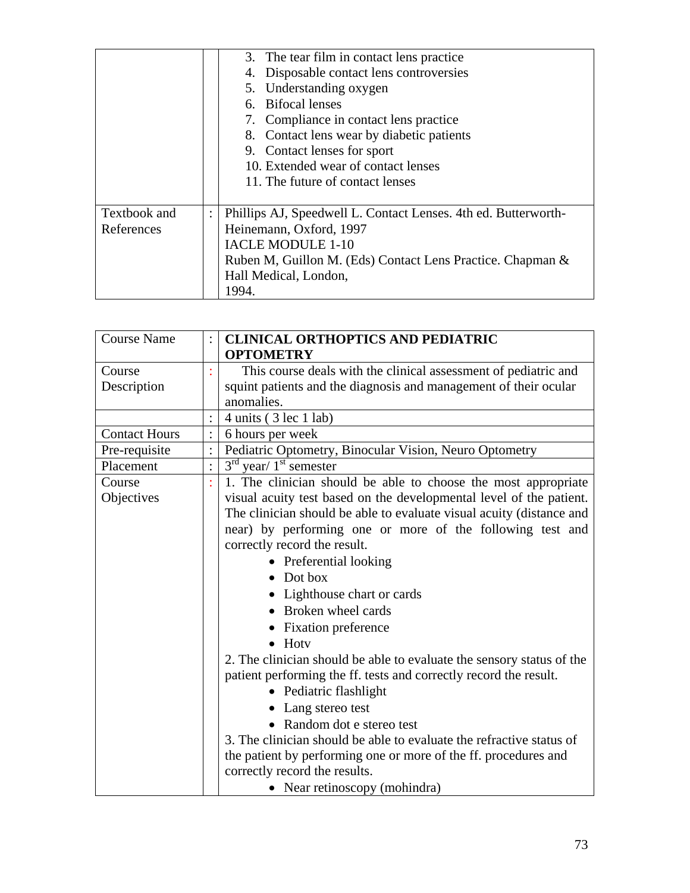|                            |                | 3. The tear film in contact lens practice<br>Disposable contact lens controversies<br>4.<br>5. Understanding oxygen<br>6. Bifocal lenses<br>7. Compliance in contact lens practice<br>8. Contact lens wear by diabetic patients<br>9. Contact lenses for sport<br>10. Extended wear of contact lenses<br>11. The future of contact lenses |
|----------------------------|----------------|-------------------------------------------------------------------------------------------------------------------------------------------------------------------------------------------------------------------------------------------------------------------------------------------------------------------------------------------|
| Textbook and<br>References | $\ddot{\cdot}$ | Phillips AJ, Speedwell L. Contact Lenses. 4th ed. Butterworth-<br>Heinemann, Oxford, 1997<br>IACLE MODULE 1-10<br>Ruben M, Guillon M. (Eds) Contact Lens Practice. Chapman &<br>Hall Medical, London,<br>1994.                                                                                                                            |

| <b>Course Name</b>   | <b>CLINICAL ORTHOPTICS AND PEDIATRIC</b><br><b>OPTOMETRY</b>          |
|----------------------|-----------------------------------------------------------------------|
| Course               | This course deals with the clinical assessment of pediatric and       |
| Description          | squint patients and the diagnosis and management of their ocular      |
|                      | anomalies.                                                            |
|                      | $4 \text{ units}$ (3 lec 1 lab)                                       |
| <b>Contact Hours</b> | 6 hours per week                                                      |
| Pre-requisite        | Pediatric Optometry, Binocular Vision, Neuro Optometry                |
| Placement            | $3rd$ year/ $1st$ semester                                            |
| Course               | 1. The clinician should be able to choose the most appropriate        |
| Objectives           | visual acuity test based on the developmental level of the patient.   |
|                      | The clinician should be able to evaluate visual acuity (distance and  |
|                      | near) by performing one or more of the following test and             |
|                      | correctly record the result.                                          |
|                      | • Preferential looking                                                |
|                      | $\bullet$ Dot box                                                     |
|                      | • Lighthouse chart or cards                                           |
|                      | Broken wheel cards                                                    |
|                      | • Fixation preference                                                 |
|                      | $\bullet$ Hoty                                                        |
|                      | 2. The clinician should be able to evaluate the sensory status of the |
|                      | patient performing the ff. tests and correctly record the result.     |
|                      | • Pediatric flashlight                                                |
|                      | • Lang stereo test                                                    |
|                      | • Random dot e stereo test                                            |
|                      | 3. The clinician should be able to evaluate the refractive status of  |
|                      | the patient by performing one or more of the ff. procedures and       |
|                      | correctly record the results.                                         |
|                      | • Near retinoscopy (mohindra)                                         |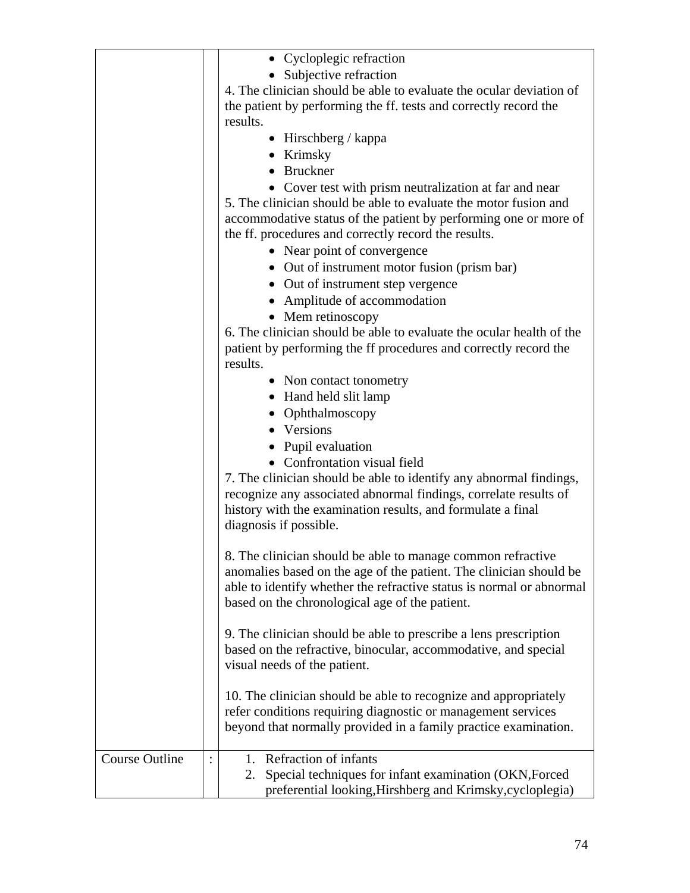|                       | • Cycloplegic refraction                                             |
|-----------------------|----------------------------------------------------------------------|
|                       |                                                                      |
|                       | • Subjective refraction                                              |
|                       | 4. The clinician should be able to evaluate the ocular deviation of  |
|                       | the patient by performing the ff. tests and correctly record the     |
|                       | results.                                                             |
|                       | • Hirschberg / kappa                                                 |
|                       | • Krimsky                                                            |
|                       | • Bruckner                                                           |
|                       | • Cover test with prism neutralization at far and near               |
|                       | 5. The clinician should be able to evaluate the motor fusion and     |
|                       | accommodative status of the patient by performing one or more of     |
|                       | the ff. procedures and correctly record the results.                 |
|                       | • Near point of convergence                                          |
|                       |                                                                      |
|                       | • Out of instrument motor fusion (prism bar)                         |
|                       | • Out of instrument step vergence                                    |
|                       | • Amplitude of accommodation                                         |
|                       | • Mem retinoscopy                                                    |
|                       | 6. The clinician should be able to evaluate the ocular health of the |
|                       | patient by performing the ff procedures and correctly record the     |
|                       | results.                                                             |
|                       | • Non contact tonometry                                              |
|                       | • Hand held slit lamp                                                |
|                       | Ophthalmoscopy                                                       |
|                       | • Versions                                                           |
|                       |                                                                      |
|                       | • Pupil evaluation                                                   |
|                       | • Confrontation visual field                                         |
|                       | 7. The clinician should be able to identify any abnormal findings,   |
|                       | recognize any associated abnormal findings, correlate results of     |
|                       | history with the examination results, and formulate a final          |
|                       | diagnosis if possible.                                               |
|                       |                                                                      |
|                       | 8. The clinician should be able to manage common refractive          |
|                       | anomalies based on the age of the patient. The clinician should be   |
|                       | able to identify whether the refractive status is normal or abnormal |
|                       | based on the chronological age of the patient.                       |
|                       |                                                                      |
|                       | 9. The clinician should be able to prescribe a lens prescription     |
|                       | based on the refractive, binocular, accommodative, and special       |
|                       | visual needs of the patient.                                         |
|                       |                                                                      |
|                       | 10. The clinician should be able to recognize and appropriately      |
|                       | refer conditions requiring diagnostic or management services         |
|                       | beyond that normally provided in a family practice examination.      |
|                       |                                                                      |
| <b>Course Outline</b> | Refraction of infants<br>1.                                          |
|                       |                                                                      |
|                       | Special techniques for infant examination (OKN, Forced<br>2.         |
|                       | preferential looking, Hirshberg and Krimsky, cycloplegia)            |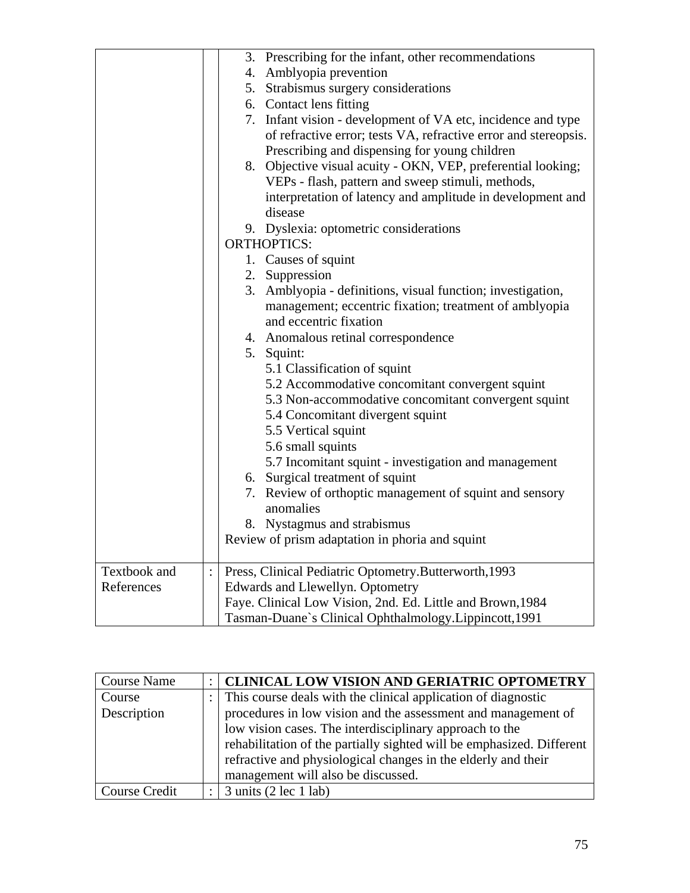|              |                | 3. Prescribing for the infant, other recommendations            |
|--------------|----------------|-----------------------------------------------------------------|
|              |                | 4. Amblyopia prevention                                         |
|              |                | 5. Strabismus surgery considerations                            |
|              |                | 6. Contact lens fitting                                         |
|              |                | 7. Infant vision - development of VA etc, incidence and type    |
|              |                |                                                                 |
|              |                | of refractive error; tests VA, refractive error and stereopsis. |
|              |                | Prescribing and dispensing for young children                   |
|              |                | 8. Objective visual acuity - OKN, VEP, preferential looking;    |
|              |                | VEPs - flash, pattern and sweep stimuli, methods,               |
|              |                | interpretation of latency and amplitude in development and      |
|              |                | disease                                                         |
|              |                | 9. Dyslexia: optometric considerations                          |
|              |                | <b>ORTHOPTICS:</b>                                              |
|              |                | 1. Causes of squint                                             |
|              |                | 2. Suppression                                                  |
|              |                | 3. Amblyopia - definitions, visual function; investigation,     |
|              |                | management; eccentric fixation; treatment of amblyopia          |
|              |                | and eccentric fixation                                          |
|              |                | 4. Anomalous retinal correspondence                             |
|              |                | 5. Squint:                                                      |
|              |                | 5.1 Classification of squint                                    |
|              |                | 5.2 Accommodative concomitant convergent squint                 |
|              |                | 5.3 Non-accommodative concomitant convergent squint             |
|              |                | 5.4 Concomitant divergent squint                                |
|              |                | 5.5 Vertical squint                                             |
|              |                | 5.6 small squints                                               |
|              |                | 5.7 Incomitant squint - investigation and management            |
|              |                | 6. Surgical treatment of squint                                 |
|              |                | 7. Review of orthoptic management of squint and sensory         |
|              |                | anomalies                                                       |
|              |                | 8. Nystagmus and strabismus                                     |
|              |                | Review of prism adaptation in phoria and squint                 |
| Textbook and | $\ddot{\cdot}$ | Press, Clinical Pediatric Optometry.Butterworth, 1993           |
| References   |                | Edwards and Llewellyn. Optometry                                |
|              |                | Faye. Clinical Low Vision, 2nd. Ed. Little and Brown, 1984      |
|              |                | Tasman-Duane's Clinical Ophthalmology.Lippincott, 1991          |

| <b>Course Name</b> | <b>CLINICAL LOW VISION AND GERIATRIC OPTOMETRY</b>                    |
|--------------------|-----------------------------------------------------------------------|
| Course             | This course deals with the clinical application of diagnostic         |
| Description        | procedures in low vision and the assessment and management of         |
|                    | low vision cases. The interdisciplinary approach to the               |
|                    | rehabilitation of the partially sighted will be emphasized. Different |
|                    | refractive and physiological changes in the elderly and their         |
|                    | management will also be discussed.                                    |
| Course Credit      | $\frac{3 \text{ units}}{2 \text{ sec}} 1 \text{ lab}$                 |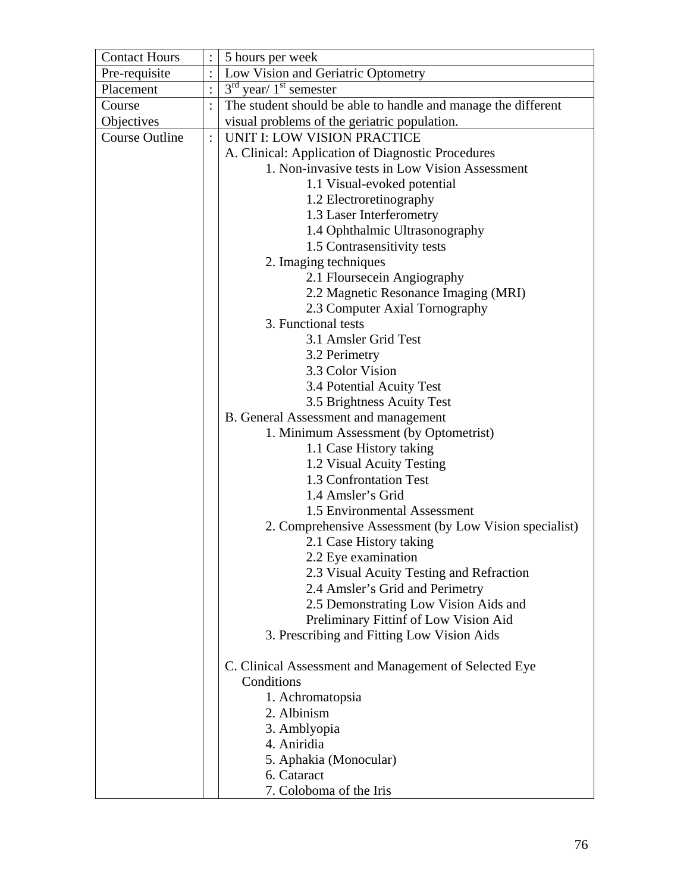| <b>Contact Hours</b>  |                | 5 hours per week                                              |
|-----------------------|----------------|---------------------------------------------------------------|
| Pre-requisite         |                | Low Vision and Geriatric Optometry                            |
| Placement             |                | $3rd$ year/ $1st$ semester                                    |
| Course                |                | The student should be able to handle and manage the different |
| Objectives            |                | visual problems of the geriatric population.                  |
| <b>Course Outline</b> | $\ddot{\cdot}$ | <b>UNIT I: LOW VISION PRACTICE</b>                            |
|                       |                | A. Clinical: Application of Diagnostic Procedures             |
|                       |                | 1. Non-invasive tests in Low Vision Assessment                |
|                       |                | 1.1 Visual-evoked potential                                   |
|                       |                | 1.2 Electroretinography                                       |
|                       |                | 1.3 Laser Interferometry                                      |
|                       |                | 1.4 Ophthalmic Ultrasonography                                |
|                       |                | 1.5 Contrasensitivity tests                                   |
|                       |                | 2. Imaging techniques                                         |
|                       |                | 2.1 Floursecein Angiography                                   |
|                       |                | 2.2 Magnetic Resonance Imaging (MRI)                          |
|                       |                | 2.3 Computer Axial Tornography                                |
|                       |                | 3. Functional tests                                           |
|                       |                | 3.1 Amsler Grid Test                                          |
|                       |                | 3.2 Perimetry                                                 |
|                       |                | 3.3 Color Vision                                              |
|                       |                | 3.4 Potential Acuity Test                                     |
|                       |                | 3.5 Brightness Acuity Test                                    |
|                       |                | <b>B.</b> General Assessment and management                   |
|                       |                | 1. Minimum Assessment (by Optometrist)                        |
|                       |                | 1.1 Case History taking                                       |
|                       |                | 1.2 Visual Acuity Testing                                     |
|                       |                | 1.3 Confrontation Test                                        |
|                       |                | 1.4 Amsler's Grid                                             |
|                       |                | 1.5 Environmental Assessment                                  |
|                       |                | 2. Comprehensive Assessment (by Low Vision specialist)        |
|                       |                | 2.1 Case History taking                                       |
|                       |                | 2.2 Eye examination                                           |
|                       |                | 2.3 Visual Acuity Testing and Refraction                      |
|                       |                | 2.4 Amsler's Grid and Perimetry                               |
|                       |                | 2.5 Demonstrating Low Vision Aids and                         |
|                       |                | Preliminary Fittinf of Low Vision Aid                         |
|                       |                | 3. Prescribing and Fitting Low Vision Aids                    |
|                       |                |                                                               |
|                       |                | C. Clinical Assessment and Management of Selected Eye         |
|                       |                | Conditions                                                    |
|                       |                | 1. Achromatopsia                                              |
|                       |                | 2. Albinism                                                   |
|                       |                | 3. Amblyopia                                                  |
|                       |                | 4. Aniridia                                                   |
|                       |                | 5. Aphakia (Monocular)                                        |
|                       |                | 6. Cataract                                                   |
|                       |                | 7. Coloboma of the Iris                                       |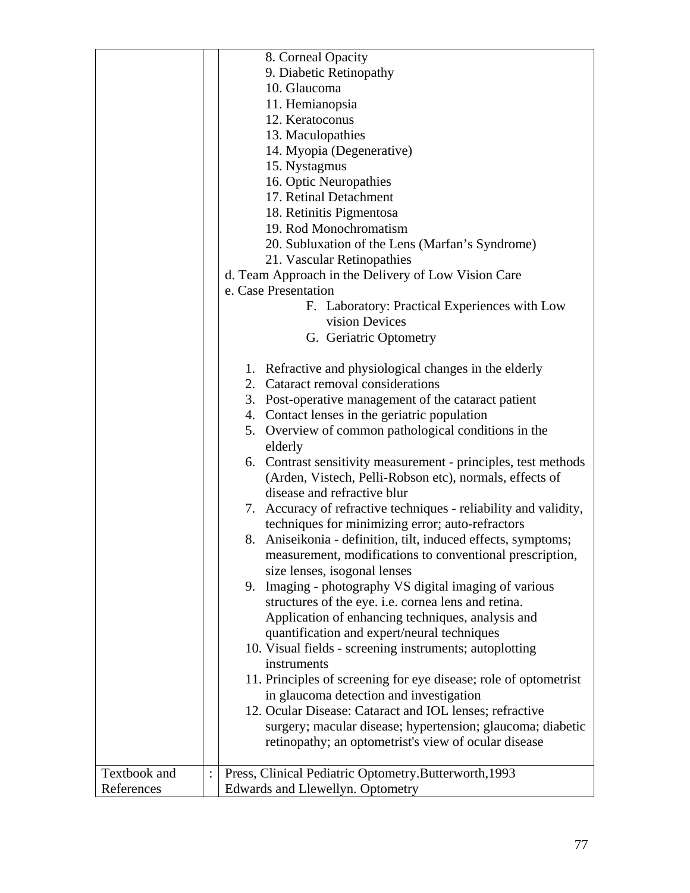|              | 8. Corneal Opacity                                                |
|--------------|-------------------------------------------------------------------|
|              | 9. Diabetic Retinopathy                                           |
|              | 10. Glaucoma                                                      |
|              | 11. Hemianopsia                                                   |
|              | 12. Keratoconus                                                   |
|              |                                                                   |
|              | 13. Maculopathies                                                 |
|              | 14. Myopia (Degenerative)                                         |
|              | 15. Nystagmus                                                     |
|              | 16. Optic Neuropathies                                            |
|              | 17. Retinal Detachment                                            |
|              | 18. Retinitis Pigmentosa                                          |
|              | 19. Rod Monochromatism                                            |
|              | 20. Subluxation of the Lens (Marfan's Syndrome)                   |
|              | 21. Vascular Retinopathies                                        |
|              | d. Team Approach in the Delivery of Low Vision Care               |
|              | e. Case Presentation                                              |
|              | F. Laboratory: Practical Experiences with Low                     |
|              | vision Devices                                                    |
|              | G. Geriatric Optometry                                            |
|              |                                                                   |
|              | 1. Refractive and physiological changes in the elderly            |
|              | 2. Cataract removal considerations                                |
|              | 3. Post-operative management of the cataract patient              |
|              |                                                                   |
|              | 4. Contact lenses in the geriatric population                     |
|              | 5. Overview of common pathological conditions in the<br>elderly   |
|              | 6. Contrast sensitivity measurement - principles, test methods    |
|              | (Arden, Vistech, Pelli-Robson etc), normals, effects of           |
|              | disease and refractive blur                                       |
|              | 7. Accuracy of refractive techniques - reliability and validity,  |
|              | techniques for minimizing error; auto-refractors                  |
|              | 8. Aniseikonia - definition, tilt, induced effects, symptoms;     |
|              |                                                                   |
|              | measurement, modifications to conventional prescription,          |
|              | size lenses, isogonal lenses                                      |
|              | 9. Imaging - photography VS digital imaging of various            |
|              | structures of the eye. <i>i.e.</i> cornea lens and retina.        |
|              | Application of enhancing techniques, analysis and                 |
|              | quantification and expert/neural techniques                       |
|              | 10. Visual fields - screening instruments; autoplotting           |
|              | instruments                                                       |
|              | 11. Principles of screening for eye disease; role of optometrist  |
|              | in glaucoma detection and investigation                           |
|              | 12. Ocular Disease: Cataract and IOL lenses; refractive           |
|              | surgery; macular disease; hypertension; glaucoma; diabetic        |
|              | retinopathy; an optometrist's view of ocular disease              |
|              |                                                                   |
| Textbook and | Press, Clinical Pediatric Optometry.Butterworth, 1993<br>$\vdots$ |
| References   | Edwards and Llewellyn. Optometry                                  |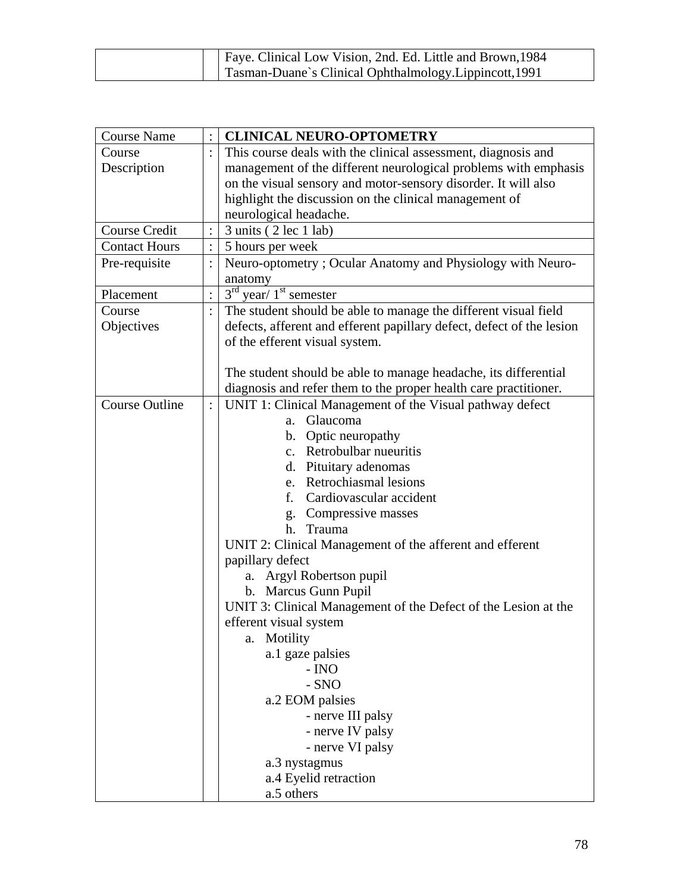|  | Faye. Clinical Low Vision, 2nd. Ed. Little and Brown, 1984 |
|--|------------------------------------------------------------|
|  | Tasman-Duane's Clinical Ophthalmology. Lippincott, 1991    |

| <b>Course Name</b>    |                | <b>CLINICAL NEURO-OPTOMETRY</b>                                       |
|-----------------------|----------------|-----------------------------------------------------------------------|
| Course                |                | This course deals with the clinical assessment, diagnosis and         |
| Description           |                | management of the different neurological problems with emphasis       |
|                       |                | on the visual sensory and motor-sensory disorder. It will also        |
|                       |                | highlight the discussion on the clinical management of                |
|                       |                | neurological headache.                                                |
| <b>Course Credit</b>  |                | 3 units (2 lec 1 lab)                                                 |
| <b>Contact Hours</b>  |                | 5 hours per week                                                      |
| Pre-requisite         |                | Neuro-optometry; Ocular Anatomy and Physiology with Neuro-            |
|                       |                | anatomy                                                               |
| Placement             |                | $3rd$ year/ $1st$ semester                                            |
| Course                |                | The student should be able to manage the different visual field       |
| Objectives            |                | defects, afferent and efferent papillary defect, defect of the lesion |
|                       |                | of the efferent visual system.                                        |
|                       |                |                                                                       |
|                       |                | The student should be able to manage headache, its differential       |
|                       |                | diagnosis and refer them to the proper health care practitioner.      |
| <b>Course Outline</b> | $\ddot{\cdot}$ | UNIT 1: Clinical Management of the Visual pathway defect              |
|                       |                | Glaucoma<br>$a_{\cdot}$                                               |
|                       |                | b. Optic neuropathy                                                   |
|                       |                | c. Retrobulbar nueuritis                                              |
|                       |                | d. Pituitary adenomas                                                 |
|                       |                | e. Retrochiasmal lesions                                              |
|                       |                | f. Cardiovascular accident                                            |
|                       |                | Compressive masses<br>$g_{\rm{}}$ .                                   |
|                       |                | Trauma<br>h.                                                          |
|                       |                | UNIT 2: Clinical Management of the afferent and efferent              |
|                       |                | papillary defect                                                      |
|                       |                | Argyl Robertson pupil<br>a.                                           |
|                       |                | b. Marcus Gunn Pupil                                                  |
|                       |                | UNIT 3: Clinical Management of the Defect of the Lesion at the        |
|                       |                | efferent visual system                                                |
|                       |                | Motility<br>a.                                                        |
|                       |                | a.1 gaze palsies                                                      |
|                       |                | - INO                                                                 |
|                       |                | $-SNO$                                                                |
|                       |                | a.2 EOM palsies                                                       |
|                       |                | - nerve III palsy                                                     |
|                       |                | - nerve IV palsy                                                      |
|                       |                | - nerve VI palsy                                                      |
|                       |                | a.3 nystagmus                                                         |
|                       |                | a.4 Eyelid retraction                                                 |
|                       |                | a.5 others                                                            |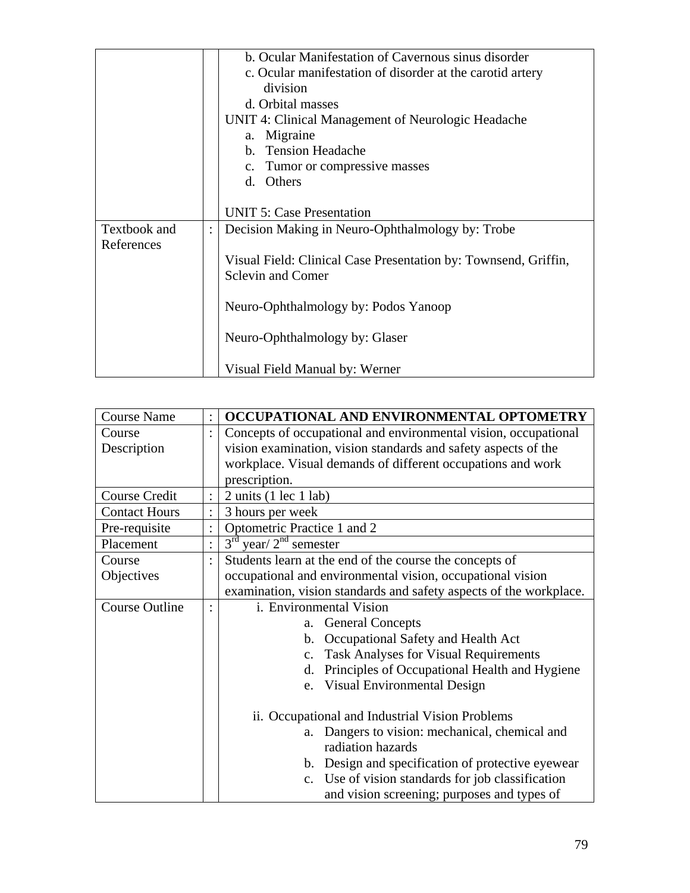|              | b. Ocular Manifestation of Cavernous sinus disorder             |
|--------------|-----------------------------------------------------------------|
|              | c. Ocular manifestation of disorder at the carotid artery       |
|              | division                                                        |
|              | d. Orbital masses                                               |
|              | UNIT 4: Clinical Management of Neurologic Headache              |
|              | a. Migraine                                                     |
|              | b. Tension Headache                                             |
|              | c. Tumor or compressive masses                                  |
|              | d. Others                                                       |
|              |                                                                 |
|              | <b>UNIT 5: Case Presentation</b>                                |
| Textbook and | Decision Making in Neuro-Ophthalmology by: Trobe                |
| References   |                                                                 |
|              | Visual Field: Clinical Case Presentation by: Townsend, Griffin, |
|              | <b>Sclevin and Comer</b>                                        |
|              |                                                                 |
|              | Neuro-Ophthalmology by: Podos Yanoop                            |
|              |                                                                 |
|              | Neuro-Ophthalmology by: Glaser                                  |
|              |                                                                 |
|              | Visual Field Manual by: Werner                                  |

| <b>Course Name</b>    |                | OCCUPATIONAL AND ENVIRONMENTAL OPTOMETRY                           |
|-----------------------|----------------|--------------------------------------------------------------------|
| Course                |                | Concepts of occupational and environmental vision, occupational    |
| Description           |                | vision examination, vision standards and safety aspects of the     |
|                       |                | workplace. Visual demands of different occupations and work        |
|                       |                | prescription.                                                      |
| Course Credit         |                | $2 \text{ units}$ (1 lec 1 lab)                                    |
| <b>Contact Hours</b>  |                | 3 hours per week                                                   |
| Pre-requisite         |                | Optometric Practice 1 and 2                                        |
| Placement             | $\ddot{\cdot}$ | $3rd$ year/ $2nd$ semester                                         |
| Course                |                | Students learn at the end of the course the concepts of            |
| Objectives            |                | occupational and environmental vision, occupational vision         |
|                       |                | examination, vision standards and safety aspects of the workplace. |
| <b>Course Outline</b> |                | i. Environmental Vision                                            |
|                       |                | <b>General Concepts</b><br>a.                                      |
|                       |                | Occupational Safety and Health Act<br>$\mathbf{b}$ .               |
|                       |                | <b>Task Analyses for Visual Requirements</b><br>$\mathbf{c}$ .     |
|                       |                | Principles of Occupational Health and Hygiene<br>d.                |
|                       |                | e. Visual Environmental Design                                     |
|                       |                | ii. Occupational and Industrial Vision Problems                    |
|                       |                | Dangers to vision: mechanical, chemical and<br>a.                  |
|                       |                | radiation hazards                                                  |
|                       |                | b. Design and specification of protective eyewear                  |
|                       |                | c. Use of vision standards for job classification                  |
|                       |                | and vision screening; purposes and types of                        |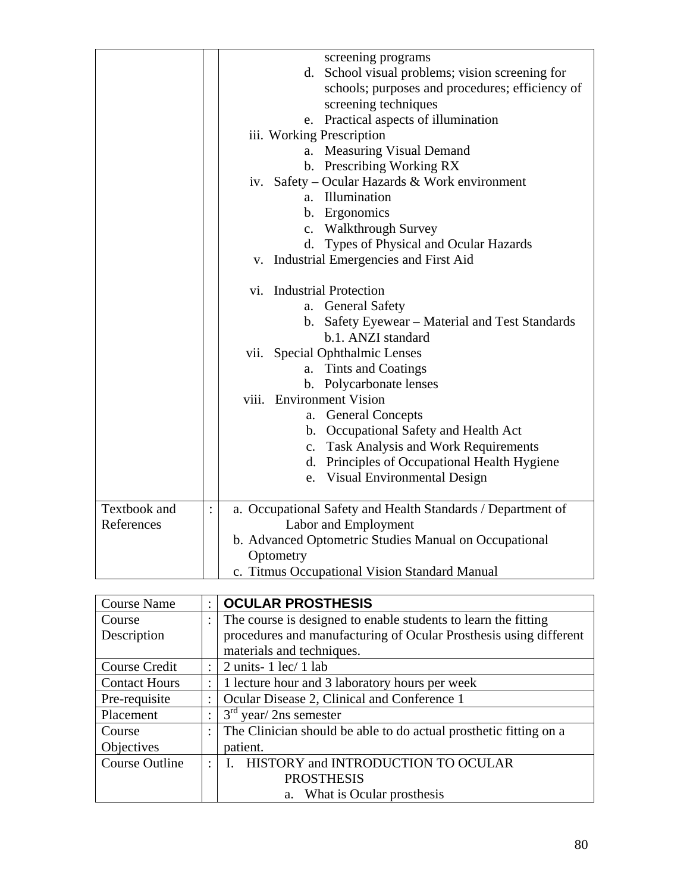| screening programs<br>d. School visual problems; vision screening for<br>schools; purposes and procedures; efficiency of<br>screening techniques<br>Practical aspects of illumination<br>e.<br>iii. Working Prescription<br>a. Measuring Visual Demand<br>b. Prescribing Working RX<br>iv. Safety – Ocular Hazards & Work environment<br>a. Illumination<br>b. Ergonomics<br>c. Walkthrough Survey<br>d. Types of Physical and Ocular Hazards<br>v. Industrial Emergencies and First Aid<br><b>Industrial Protection</b><br>Vİ.<br><b>General Safety</b><br>a.<br>b. Safety Eyewear - Material and Test Standards<br>b.1. ANZI standard<br><b>Special Ophthalmic Lenses</b> |
|-----------------------------------------------------------------------------------------------------------------------------------------------------------------------------------------------------------------------------------------------------------------------------------------------------------------------------------------------------------------------------------------------------------------------------------------------------------------------------------------------------------------------------------------------------------------------------------------------------------------------------------------------------------------------------|
| a. Tints and Coatings<br>b. Polycarbonate lenses<br>viii. Environment Vision<br><b>General Concepts</b><br>a.<br>b. Occupational Safety and Health Act                                                                                                                                                                                                                                                                                                                                                                                                                                                                                                                      |
| c. Task Analysis and Work Requirements<br>d. Principles of Occupational Health Hygiene<br>e. Visual Environmental Design                                                                                                                                                                                                                                                                                                                                                                                                                                                                                                                                                    |
| a. Occupational Safety and Health Standards / Department of<br>Labor and Employment<br>b. Advanced Optometric Studies Manual on Occupational<br>Optometry<br>c. Titmus Occupational Vision Standard Manual                                                                                                                                                                                                                                                                                                                                                                                                                                                                  |
|                                                                                                                                                                                                                                                                                                                                                                                                                                                                                                                                                                                                                                                                             |

| <b>Course Name</b>    | $\ddot{\phantom{a}}$ | <b>OCULAR PROSTHESIS</b>                                          |
|-----------------------|----------------------|-------------------------------------------------------------------|
| Course                |                      | The course is designed to enable students to learn the fitting    |
| Description           |                      | procedures and manufacturing of Ocular Prosthesis using different |
|                       |                      | materials and techniques.                                         |
| Course Credit         | $\ddot{\cdot}$       | $2$ units- 1 lec/ 1 lab                                           |
| <b>Contact Hours</b>  | ÷                    | 1 lecture hour and 3 laboratory hours per week                    |
| Pre-requisite         | $\ddot{\phantom{a}}$ | Ocular Disease 2, Clinical and Conference 1                       |
| Placement             | ٠                    | $3rd$ year/ 2ns semester                                          |
| Course                | $\ddot{\cdot}$       | The Clinician should be able to do actual prosthetic fitting on a |
| Objectives            |                      | patient.                                                          |
| <b>Course Outline</b> | ٠                    | HISTORY and INTRODUCTION TO OCULAR                                |
|                       |                      | <b>PROSTHESIS</b>                                                 |
|                       |                      | a. What is Ocular prosthesis                                      |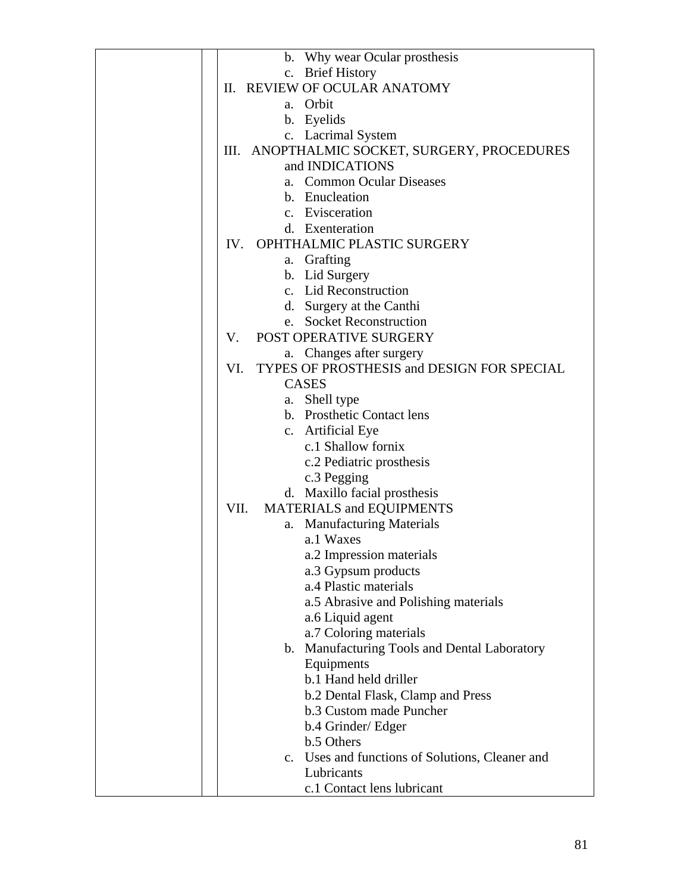| b. Why wear Ocular prosthesis                     |
|---------------------------------------------------|
| c. Brief History                                  |
| II. REVIEW OF OCULAR ANATOMY                      |
| a. Orbit                                          |
| b. Eyelids                                        |
| c. Lacrimal System                                |
| III. ANOPTHALMIC SOCKET, SURGERY, PROCEDURES      |
| and INDICATIONS                                   |
| <b>Common Ocular Diseases</b><br>а.               |
| b. Enucleation                                    |
| c. Evisceration                                   |
| d. Exenteration                                   |
| IV. OPHTHALMIC PLASTIC SURGERY                    |
| a. Grafting                                       |
| b. Lid Surgery                                    |
| c. Lid Reconstruction                             |
|                                                   |
| d. Surgery at the Canthi                          |
| e. Socket Reconstruction                          |
| <b>POST OPERATIVE SURGERY</b><br>V.               |
| a. Changes after surgery                          |
| TYPES OF PROSTHESIS and DESIGN FOR SPECIAL<br>VI. |
| <b>CASES</b>                                      |
| a. Shell type                                     |
| b. Prosthetic Contact lens                        |
| c. Artificial Eye                                 |
| c.1 Shallow fornix                                |
| c.2 Pediatric prosthesis                          |
| c.3 Pegging                                       |
| d. Maxillo facial prosthesis                      |
| MATERIALS and EQUIPMENTS<br>VII.                  |
| a. Manufacturing Materials                        |
| a.1 Waxes                                         |
| a.2 Impression materials                          |
| a.3 Gypsum products                               |
| a.4 Plastic materials                             |
| a.5 Abrasive and Polishing materials              |
| a.6 Liquid agent                                  |
| a.7 Coloring materials                            |
| b. Manufacturing Tools and Dental Laboratory      |
| Equipments                                        |
| b.1 Hand held driller                             |
|                                                   |
| b.2 Dental Flask, Clamp and Press                 |
| <b>b.3 Custom made Puncher</b>                    |
| b.4 Grinder/ Edger                                |
| b.5 Others                                        |
| c. Uses and functions of Solutions, Cleaner and   |
| Lubricants                                        |
| c.1 Contact lens lubricant                        |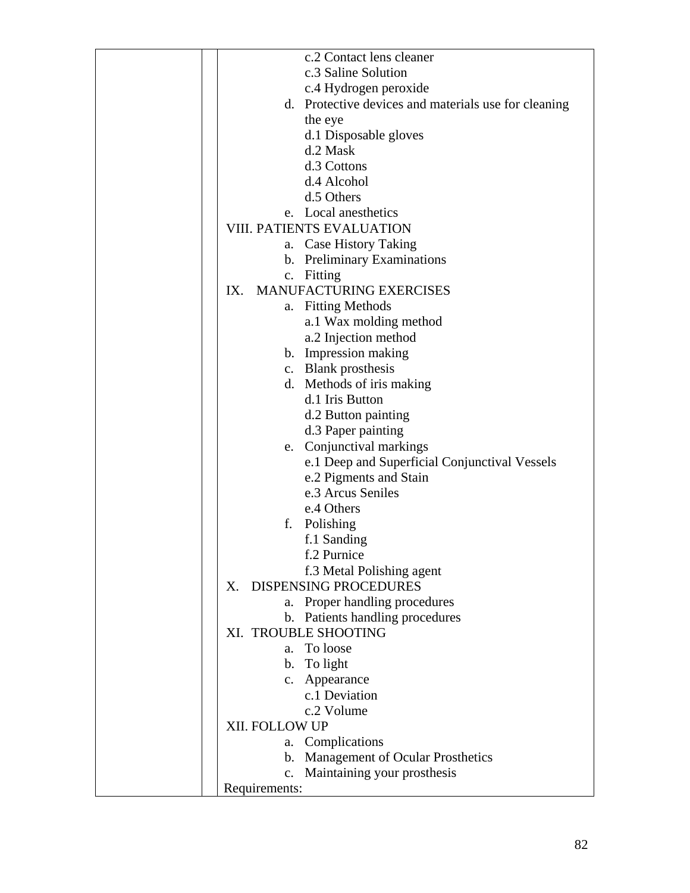| c.2 Contact lens cleaner                             |  |
|------------------------------------------------------|--|
| c.3 Saline Solution                                  |  |
| c.4 Hydrogen peroxide                                |  |
| d. Protective devices and materials use for cleaning |  |
| the eye                                              |  |
| d.1 Disposable gloves                                |  |
| d.2 Mask                                             |  |
| d.3 Cottons                                          |  |
| d.4 Alcohol                                          |  |
| d.5 Others                                           |  |
| e. Local anesthetics                                 |  |
| VIII. PATIENTS EVALUATION                            |  |
| a. Case History Taking                               |  |
| b. Preliminary Examinations                          |  |
| c. Fitting                                           |  |
| MANUFACTURING EXERCISES<br>IX.                       |  |
| <b>Fitting Methods</b><br>a.                         |  |
| a.1 Wax molding method                               |  |
| a.2 Injection method                                 |  |
| b. Impression making                                 |  |
| c. Blank prosthesis                                  |  |
| d. Methods of iris making                            |  |
| d.1 Iris Button                                      |  |
| d.2 Button painting                                  |  |
| d.3 Paper painting                                   |  |
| e. Conjunctival markings                             |  |
| e.1 Deep and Superficial Conjunctival Vessels        |  |
| e.2 Pigments and Stain                               |  |
| e.3 Arcus Seniles                                    |  |
| e.4 Others                                           |  |
| f. Polishing                                         |  |
| f.1 Sanding                                          |  |
| f.2 Purnice                                          |  |
| f.3 Metal Polishing agent                            |  |
| <b>DISPENSING PROCEDURES</b><br>X.                   |  |
| a. Proper handling procedures                        |  |
| b. Patients handling procedures                      |  |
| XI. TROUBLE SHOOTING                                 |  |
| a. To loose                                          |  |
| b. To light                                          |  |
| c. Appearance                                        |  |
| c.1 Deviation                                        |  |
| c.2 Volume                                           |  |
| XII. FOLLOW UP                                       |  |
| a. Complications                                     |  |
| b. Management of Ocular Prosthetics                  |  |
| Maintaining your prosthesis<br>c.                    |  |
| Requirements:                                        |  |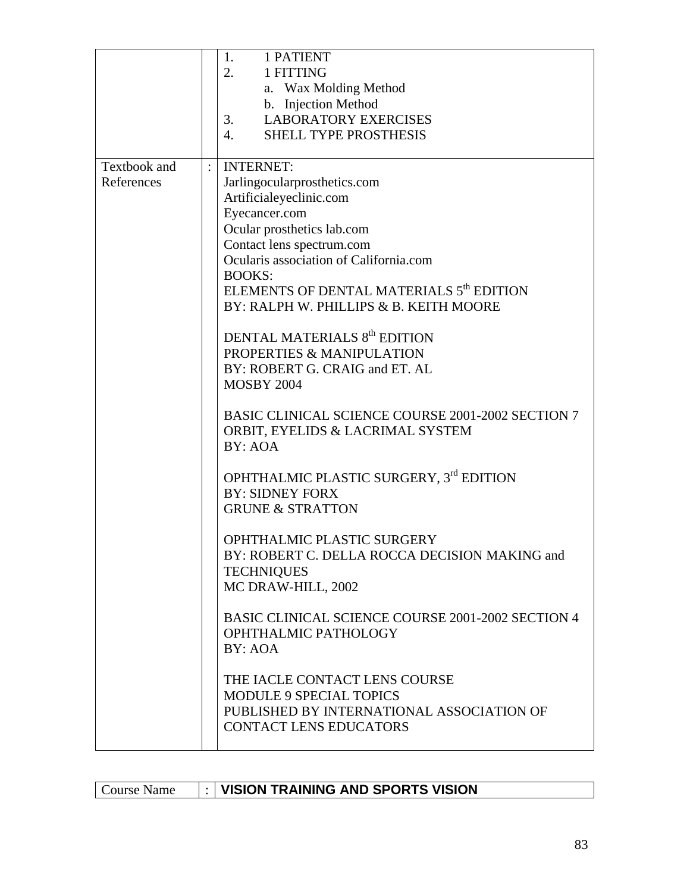|                                   |                | <b>1 PATIENT</b><br>1.<br>2.<br>1 FITTING<br>a. Wax Molding Method<br>b. Injection Method<br><b>LABORATORY EXERCISES</b><br>3.<br>SHELL TYPE PROSTHESIS<br>4.                                                                                                                                                                                                                                                                                                                                                                                                                                                                                                                                                                                                                                                                                                                                                                                                                                                                   |
|-----------------------------------|----------------|---------------------------------------------------------------------------------------------------------------------------------------------------------------------------------------------------------------------------------------------------------------------------------------------------------------------------------------------------------------------------------------------------------------------------------------------------------------------------------------------------------------------------------------------------------------------------------------------------------------------------------------------------------------------------------------------------------------------------------------------------------------------------------------------------------------------------------------------------------------------------------------------------------------------------------------------------------------------------------------------------------------------------------|
| <b>Textbook</b> and<br>References | $\ddot{\cdot}$ | <b>INTERNET:</b><br>Jarlingocularprosthetics.com<br>Artificialeyeclinic.com<br>Eyecancer.com<br>Ocular prosthetics lab.com<br>Contact lens spectrum.com<br>Ocularis association of California.com<br><b>BOOKS:</b><br>ELEMENTS OF DENTAL MATERIALS 5 <sup>th</sup> EDITION<br>BY: RALPH W. PHILLIPS & B. KEITH MOORE<br>DENTAL MATERIALS 8 <sup>th</sup> EDITION<br>PROPERTIES & MANIPULATION<br>BY: ROBERT G. CRAIG and ET. AL<br><b>MOSBY 2004</b><br>BASIC CLINICAL SCIENCE COURSE 2001-2002 SECTION 7<br>ORBIT, EYELIDS & LACRIMAL SYSTEM<br>BY: AOA<br>OPHTHALMIC PLASTIC SURGERY, 3rd EDITION<br><b>BY: SIDNEY FORX</b><br><b>GRUNE &amp; STRATTON</b><br>OPHTHALMIC PLASTIC SURGERY<br>BY: ROBERT C. DELLA ROCCA DECISION MAKING and<br><b>TECHNIQUES</b><br>MC DRAW-HILL, 2002<br>BASIC CLINICAL SCIENCE COURSE 2001-2002 SECTION 4<br>OPHTHALMIC PATHOLOGY<br>BY: AOA<br>THE IACLE CONTACT LENS COURSE<br><b>MODULE 9 SPECIAL TOPICS</b><br>PUBLISHED BY INTERNATIONAL ASSOCIATION OF<br><b>CONTACT LENS EDUCATORS</b> |

| Course Name |  | VISION TRAINING AND SPORTS VISION |
|-------------|--|-----------------------------------|
|-------------|--|-----------------------------------|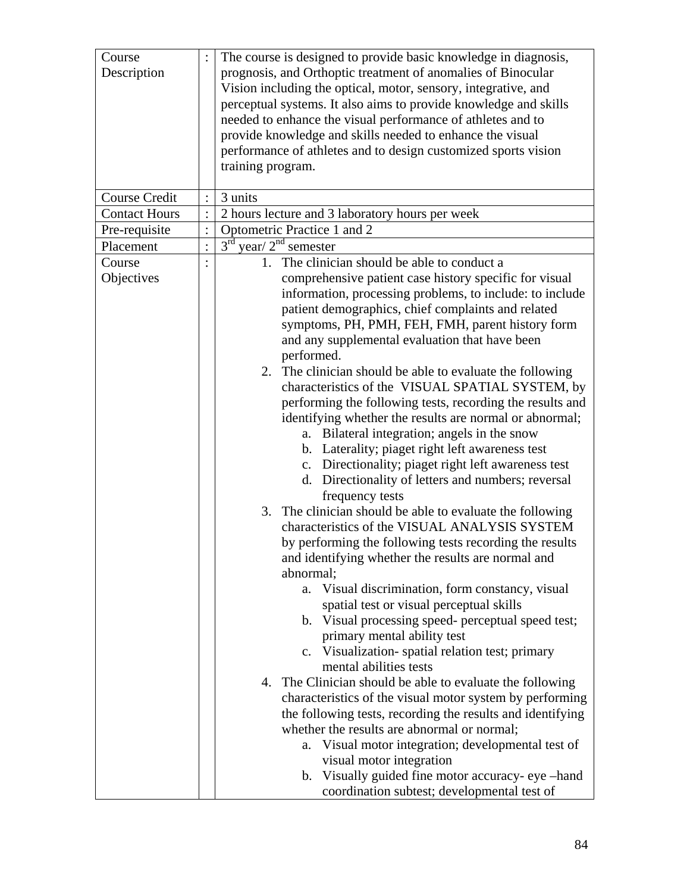| Course Credit<br>3 units<br><b>Contact Hours</b><br>2 hours lecture and 3 laboratory hours per week<br>Optometric Practice 1 and 2<br>Pre-requisite<br>$\ddot{\cdot}$<br>$3^{\text{rd}}$<br>year/ $2nd$ semester<br>Placement<br>$\vdots$<br>1. The clinician should be able to conduct a<br>Course<br>Objectives<br>comprehensive patient case history specific for visual<br>information, processing problems, to include: to include<br>patient demographics, chief complaints and related<br>symptoms, PH, PMH, FEH, FMH, parent history form<br>and any supplemental evaluation that have been<br>performed.<br>2. The clinician should be able to evaluate the following<br>characteristics of the VISUAL SPATIAL SYSTEM, by<br>performing the following tests, recording the results and<br>identifying whether the results are normal or abnormal;<br>a. Bilateral integration; angels in the snow<br>b. Laterality; piaget right left awareness test<br>c. Directionality; piaget right left awareness test<br>d. Directionality of letters and numbers; reversal<br>frequency tests<br>3. The clinician should be able to evaluate the following<br>characteristics of the VISUAL ANALYSIS SYSTEM<br>by performing the following tests recording the results<br>and identifying whether the results are normal and<br>abnormal;<br>a. Visual discrimination, form constancy, visual<br>spatial test or visual perceptual skills<br>b. Visual processing speed- perceptual speed test;<br>primary mental ability test<br>c. Visualization-spatial relation test; primary<br>mental abilities tests<br>4. The Clinician should be able to evaluate the following<br>characteristics of the visual motor system by performing<br>the following tests, recording the results and identifying | Course<br>Description | The course is designed to provide basic knowledge in diagnosis,<br>prognosis, and Orthoptic treatment of anomalies of Binocular<br>Vision including the optical, motor, sensory, integrative, and<br>perceptual systems. It also aims to provide knowledge and skills<br>needed to enhance the visual performance of athletes and to<br>provide knowledge and skills needed to enhance the visual<br>performance of athletes and to design customized sports vision<br>training program. |
|----------------------------------------------------------------------------------------------------------------------------------------------------------------------------------------------------------------------------------------------------------------------------------------------------------------------------------------------------------------------------------------------------------------------------------------------------------------------------------------------------------------------------------------------------------------------------------------------------------------------------------------------------------------------------------------------------------------------------------------------------------------------------------------------------------------------------------------------------------------------------------------------------------------------------------------------------------------------------------------------------------------------------------------------------------------------------------------------------------------------------------------------------------------------------------------------------------------------------------------------------------------------------------------------------------------------------------------------------------------------------------------------------------------------------------------------------------------------------------------------------------------------------------------------------------------------------------------------------------------------------------------------------------------------------------------------------------------------------------------------------------------------------------------------------|-----------------------|------------------------------------------------------------------------------------------------------------------------------------------------------------------------------------------------------------------------------------------------------------------------------------------------------------------------------------------------------------------------------------------------------------------------------------------------------------------------------------------|
|                                                                                                                                                                                                                                                                                                                                                                                                                                                                                                                                                                                                                                                                                                                                                                                                                                                                                                                                                                                                                                                                                                                                                                                                                                                                                                                                                                                                                                                                                                                                                                                                                                                                                                                                                                                                    |                       |                                                                                                                                                                                                                                                                                                                                                                                                                                                                                          |
|                                                                                                                                                                                                                                                                                                                                                                                                                                                                                                                                                                                                                                                                                                                                                                                                                                                                                                                                                                                                                                                                                                                                                                                                                                                                                                                                                                                                                                                                                                                                                                                                                                                                                                                                                                                                    |                       |                                                                                                                                                                                                                                                                                                                                                                                                                                                                                          |
|                                                                                                                                                                                                                                                                                                                                                                                                                                                                                                                                                                                                                                                                                                                                                                                                                                                                                                                                                                                                                                                                                                                                                                                                                                                                                                                                                                                                                                                                                                                                                                                                                                                                                                                                                                                                    |                       |                                                                                                                                                                                                                                                                                                                                                                                                                                                                                          |
|                                                                                                                                                                                                                                                                                                                                                                                                                                                                                                                                                                                                                                                                                                                                                                                                                                                                                                                                                                                                                                                                                                                                                                                                                                                                                                                                                                                                                                                                                                                                                                                                                                                                                                                                                                                                    |                       |                                                                                                                                                                                                                                                                                                                                                                                                                                                                                          |
|                                                                                                                                                                                                                                                                                                                                                                                                                                                                                                                                                                                                                                                                                                                                                                                                                                                                                                                                                                                                                                                                                                                                                                                                                                                                                                                                                                                                                                                                                                                                                                                                                                                                                                                                                                                                    |                       |                                                                                                                                                                                                                                                                                                                                                                                                                                                                                          |
| whether the results are abnormal or normal;<br>Visual motor integration; developmental test of<br>a.<br>visual motor integration<br>b. Visually guided fine motor accuracy- eye -hand<br>coordination subtest; developmental test of                                                                                                                                                                                                                                                                                                                                                                                                                                                                                                                                                                                                                                                                                                                                                                                                                                                                                                                                                                                                                                                                                                                                                                                                                                                                                                                                                                                                                                                                                                                                                               |                       |                                                                                                                                                                                                                                                                                                                                                                                                                                                                                          |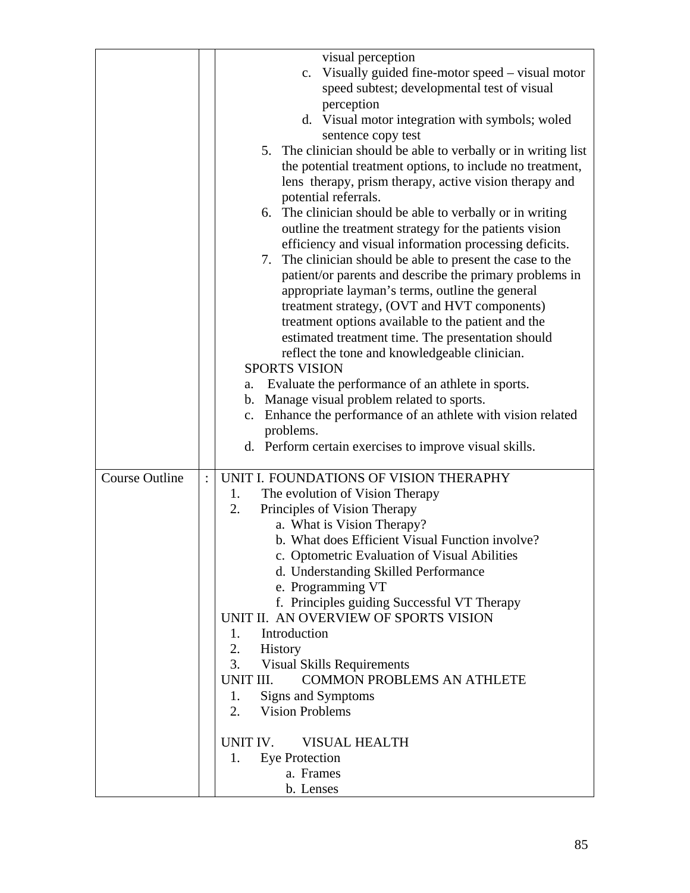|                       | visual perception                                              |
|-----------------------|----------------------------------------------------------------|
|                       | c. Visually guided fine-motor speed – visual motor             |
|                       |                                                                |
|                       | speed subtest; developmental test of visual<br>perception      |
|                       |                                                                |
|                       | d. Visual motor integration with symbols; woled                |
|                       | sentence copy test                                             |
|                       | 5. The clinician should be able to verbally or in writing list |
|                       | the potential treatment options, to include no treatment,      |
|                       | lens therapy, prism therapy, active vision therapy and         |
|                       | potential referrals.                                           |
|                       | 6. The clinician should be able to verbally or in writing      |
|                       | outline the treatment strategy for the patients vision         |
|                       | efficiency and visual information processing deficits.         |
|                       | 7. The clinician should be able to present the case to the     |
|                       | patient/or parents and describe the primary problems in        |
|                       | appropriate layman's terms, outline the general                |
|                       | treatment strategy, (OVT and HVT components)                   |
|                       | treatment options available to the patient and the             |
|                       | estimated treatment time. The presentation should              |
|                       | reflect the tone and knowledgeable clinician.                  |
|                       | <b>SPORTS VISION</b>                                           |
|                       | Evaluate the performance of an athlete in sports.<br>а.        |
|                       | b. Manage visual problem related to sports.                    |
|                       | c. Enhance the performance of an athlete with vision related   |
|                       | problems.                                                      |
|                       | d. Perform certain exercises to improve visual skills.         |
| <b>Course Outline</b> | UNIT I. FOUNDATIONS OF VISION THERAPHY                         |
|                       | The evolution of Vision Therapy<br>1.                          |
|                       | 2.<br>Principles of Vision Therapy                             |
|                       | a. What is Vision Therapy?                                     |
|                       | b. What does Efficient Visual Function involve?                |
|                       | c. Optometric Evaluation of Visual Abilities                   |
|                       | d. Understanding Skilled Performance                           |
|                       | e. Programming VT                                              |
|                       | f. Principles guiding Successful VT Therapy                    |
|                       | UNIT II. AN OVERVIEW OF SPORTS VISION                          |
|                       | Introduction<br>$1_{-}$                                        |
|                       | 2.<br>History                                                  |
|                       | 3.<br><b>Visual Skills Requirements</b>                        |
|                       | <b>COMMON PROBLEMS AN ATHLETE</b><br>UNIT III.                 |
|                       | Signs and Symptoms<br>1.                                       |
|                       | 2.<br><b>Vision Problems</b>                                   |
|                       |                                                                |
|                       | UNIT IV.<br><b>VISUAL HEALTH</b>                               |
|                       | <b>Eye Protection</b><br>1.                                    |
|                       | a. Frames                                                      |
|                       | b. Lenses                                                      |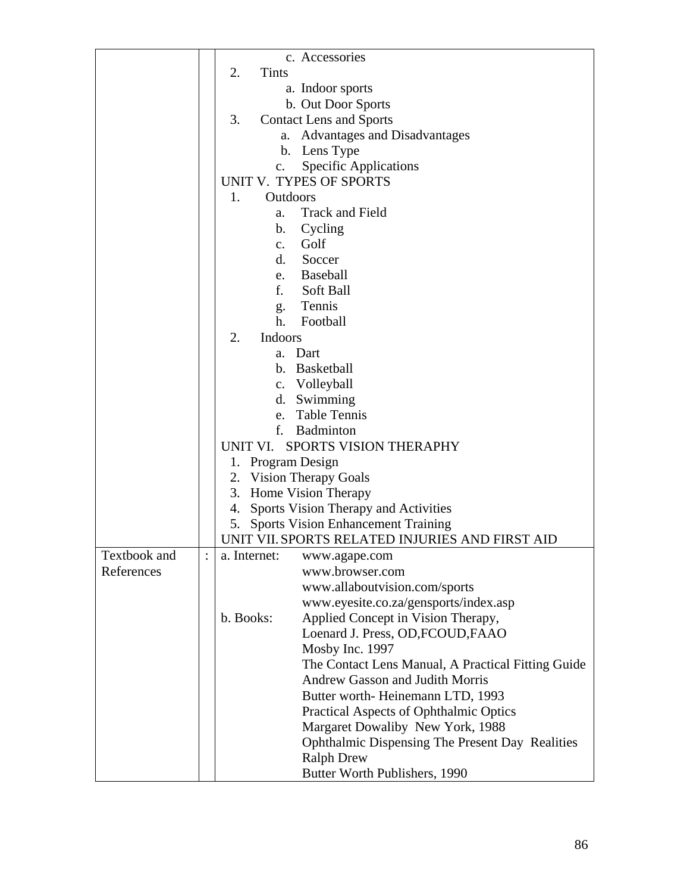|              | c. Accessories                                     |
|--------------|----------------------------------------------------|
|              | 2.<br>Tints                                        |
|              | a. Indoor sports                                   |
|              | b. Out Door Sports                                 |
|              | 3.<br><b>Contact Lens and Sports</b>               |
|              | a. Advantages and Disadvantages                    |
|              | b. Lens Type                                       |
|              | <b>Specific Applications</b><br>c.                 |
|              | UNIT V. TYPES OF SPORTS                            |
|              | Outdoors<br>1.                                     |
|              | <b>Track and Field</b><br>a.                       |
|              | b.<br>Cycling                                      |
|              | c. Golf                                            |
|              | d. Soccer                                          |
|              | e. Baseball                                        |
|              | f.<br>Soft Ball                                    |
|              | g. Tennis                                          |
|              | Football<br>h <sub>1</sub>                         |
|              | Indoors<br>2.                                      |
|              | a. Dart                                            |
|              | b. Basketball                                      |
|              | c. Volleyball                                      |
|              | d. Swimming                                        |
|              | e. Table Tennis                                    |
|              | f.<br><b>Badminton</b>                             |
|              | UNIT VI. SPORTS VISION THERAPHY                    |
|              | 1. Program Design                                  |
|              | 2. Vision Therapy Goals                            |
|              | 3. Home Vision Therapy                             |
|              | Sports Vision Therapy and Activities<br>4.         |
|              | <b>Sports Vision Enhancement Training</b><br>5.    |
|              | UNIT VII. SPORTS RELATED INJURIES AND FIRST AID    |
| Textbook and | a. Internet:<br>www.agape.com                      |
| References   | www.browser.com                                    |
|              | www.allaboutvision.com/sports                      |
|              | www.eyesite.co.za/gensports/index.asp              |
|              | Applied Concept in Vision Therapy,<br>b. Books:    |
|              | Loenard J. Press, OD, FCOUD, FAAO                  |
|              | Mosby Inc. 1997                                    |
|              | The Contact Lens Manual, A Practical Fitting Guide |
|              | <b>Andrew Gasson and Judith Morris</b>             |
|              | Butter worth-Heinemann LTD, 1993                   |
|              | Practical Aspects of Ophthalmic Optics             |
|              | Margaret Dowaliby New York, 1988                   |
|              | Ophthalmic Dispensing The Present Day Realities    |
|              | <b>Ralph Drew</b>                                  |
|              | Butter Worth Publishers, 1990                      |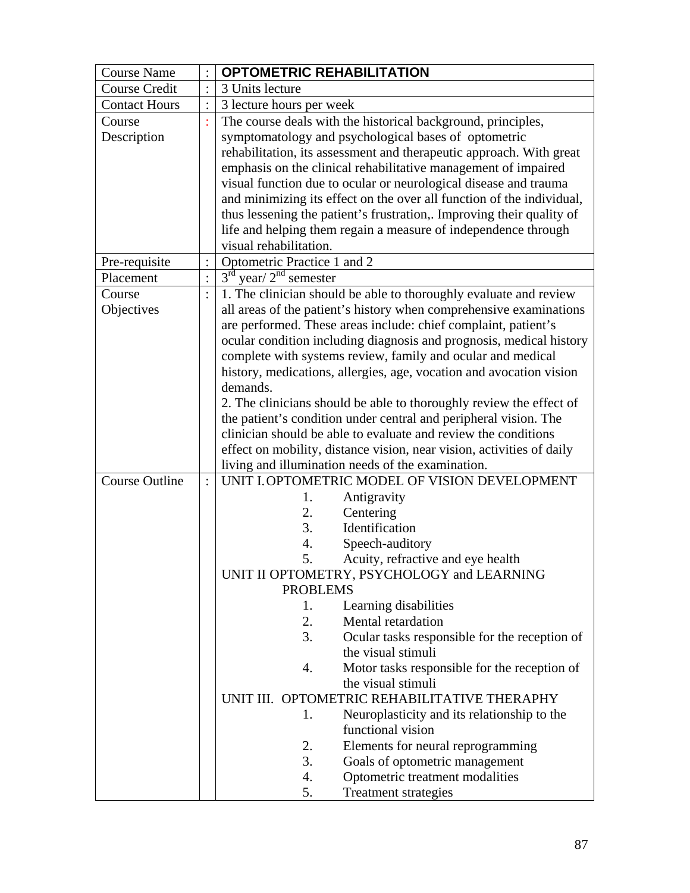| <b>Course Name</b>    | <b>OPTOMETRIC REHABILITATION</b>                                                                    |  |  |  |
|-----------------------|-----------------------------------------------------------------------------------------------------|--|--|--|
| <b>Course Credit</b>  | 3 Units lecture                                                                                     |  |  |  |
| <b>Contact Hours</b>  | 3 lecture hours per week                                                                            |  |  |  |
| Course                | The course deals with the historical background, principles,                                        |  |  |  |
| Description           | symptomatology and psychological bases of optometric                                                |  |  |  |
|                       | rehabilitation, its assessment and therapeutic approach. With great                                 |  |  |  |
|                       | emphasis on the clinical rehabilitative management of impaired                                      |  |  |  |
|                       | visual function due to ocular or neurological disease and trauma                                    |  |  |  |
|                       | and minimizing its effect on the over all function of the individual,                               |  |  |  |
|                       | thus lessening the patient's frustration,. Improving their quality of                               |  |  |  |
|                       | life and helping them regain a measure of independence through                                      |  |  |  |
|                       | visual rehabilitation.                                                                              |  |  |  |
| Pre-requisite         | Optometric Practice 1 and 2                                                                         |  |  |  |
| Placement             | $3rd$ year/ $2nd$ semester                                                                          |  |  |  |
| Course                | 1. The clinician should be able to thoroughly evaluate and review                                   |  |  |  |
| Objectives            | all areas of the patient's history when comprehensive examinations                                  |  |  |  |
|                       | are performed. These areas include: chief complaint, patient's                                      |  |  |  |
|                       | ocular condition including diagnosis and prognosis, medical history                                 |  |  |  |
|                       | complete with systems review, family and ocular and medical                                         |  |  |  |
|                       | history, medications, allergies, age, vocation and avocation vision                                 |  |  |  |
|                       | demands.                                                                                            |  |  |  |
|                       | 2. The clinicians should be able to thoroughly review the effect of                                 |  |  |  |
|                       | the patient's condition under central and peripheral vision. The                                    |  |  |  |
|                       | clinician should be able to evaluate and review the conditions                                      |  |  |  |
|                       | effect on mobility, distance vision, near vision, activities of daily                               |  |  |  |
| <b>Course Outline</b> | living and illumination needs of the examination.<br>UNIT I. OPTOMETRIC MODEL OF VISION DEVELOPMENT |  |  |  |
|                       | Antigravity<br>1.                                                                                   |  |  |  |
|                       | 2.<br>Centering                                                                                     |  |  |  |
|                       | Identification<br>3.                                                                                |  |  |  |
|                       | Speech-auditory<br>4.                                                                               |  |  |  |
|                       | 5.<br>Acuity, refractive and eye health                                                             |  |  |  |
|                       | UNIT II OPTOMETRY, PSYCHOLOGY and LEARNING                                                          |  |  |  |
|                       | <b>PROBLEMS</b>                                                                                     |  |  |  |
|                       | Learning disabilities<br>1.                                                                         |  |  |  |
|                       | 2.<br>Mental retardation                                                                            |  |  |  |
|                       | 3.<br>Ocular tasks responsible for the reception of                                                 |  |  |  |
|                       | the visual stimuli                                                                                  |  |  |  |
|                       | Motor tasks responsible for the reception of<br>4.                                                  |  |  |  |
|                       | the visual stimuli                                                                                  |  |  |  |
|                       | UNIT III. OPTOMETRIC REHABILITATIVE THERAPHY                                                        |  |  |  |
|                       | Neuroplasticity and its relationship to the<br>1.<br>functional vision                              |  |  |  |
|                       | 2.                                                                                                  |  |  |  |
|                       | Elements for neural reprogramming<br>3.                                                             |  |  |  |
|                       | Goals of optometric management                                                                      |  |  |  |
|                       |                                                                                                     |  |  |  |
|                       | Optometric treatment modalities<br>4.<br>Treatment strategies<br>5.                                 |  |  |  |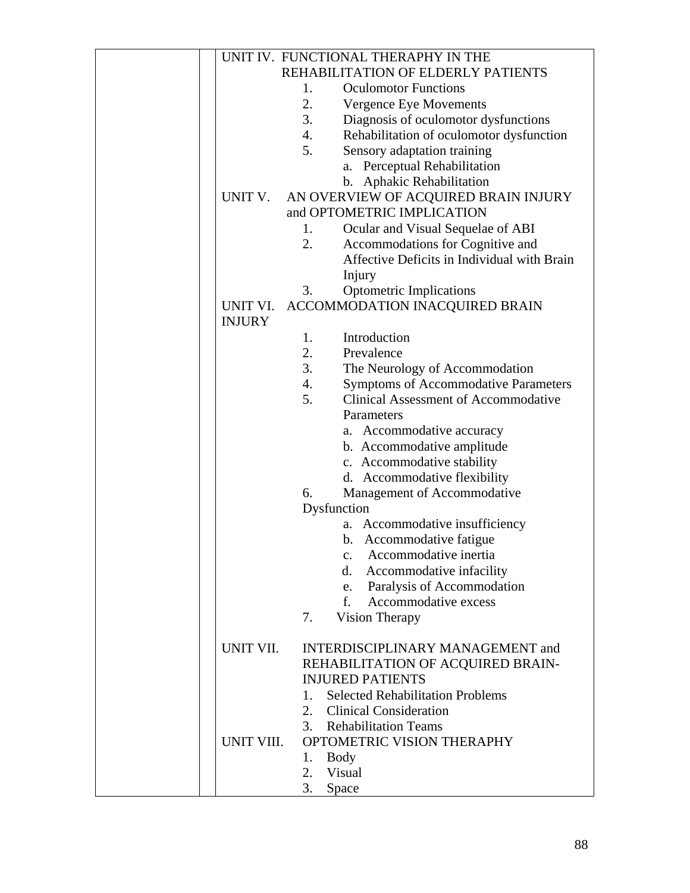|                           |    | UNIT IV. FUNCTIONAL THERAPHY IN THE         |
|---------------------------|----|---------------------------------------------|
|                           |    | REHABILITATION OF ELDERLY PATIENTS          |
|                           | 1. | <b>Oculomotor Functions</b>                 |
|                           | 2. | Vergence Eye Movements                      |
|                           | 3. | Diagnosis of oculomotor dysfunctions        |
|                           | 4. | Rehabilitation of oculomotor dysfunction    |
|                           | 5. | Sensory adaptation training                 |
|                           |    | a. Perceptual Rehabilitation                |
|                           |    | b. Aphakic Rehabilitation                   |
| UNIT V.                   |    | AN OVERVIEW OF ACQUIRED BRAIN INJURY        |
|                           |    | and OPTOMETRIC IMPLICATION                  |
|                           | 1. |                                             |
|                           |    | Ocular and Visual Sequelae of ABI           |
|                           | 2. | Accommodations for Cognitive and            |
|                           |    | Affective Deficits in Individual with Brain |
|                           |    | Injury                                      |
|                           | 3. | <b>Optometric Implications</b>              |
| UNIT VI.<br><b>INJURY</b> |    | ACCOMMODATION INACQUIRED BRAIN              |
|                           | 1. | Introduction                                |
|                           | 2. | Prevalence                                  |
|                           | 3. | The Neurology of Accommodation              |
|                           | 4. | <b>Symptoms of Accommodative Parameters</b> |
|                           | 5. | <b>Clinical Assessment of Accommodative</b> |
|                           |    | Parameters                                  |
|                           |    | a. Accommodative accuracy                   |
|                           |    | b. Accommodative amplitude                  |
|                           |    | c. Accommodative stability                  |
|                           |    | d. Accommodative flexibility                |
|                           | 6. | Management of Accommodative                 |
|                           |    | Dysfunction                                 |
|                           |    |                                             |
|                           |    | a. Accommodative insufficiency              |
|                           |    | b. Accommodative fatigue                    |
|                           |    | $\mathbf{c}$ .<br>Accommodative inertia     |
|                           |    | Accommodative infacility<br>d.              |
|                           |    | Paralysis of Accommodation<br>e.            |
|                           |    | Accommodative excess<br>$f_{\rm{r}}$        |
|                           | 7. | Vision Therapy                              |
|                           |    |                                             |
| UNIT VII.                 |    | <b>INTERDISCIPLINARY MANAGEMENT and</b>     |
|                           |    | REHABILITATION OF ACQUIRED BRAIN-           |
|                           |    | <b>INJURED PATIENTS</b>                     |
|                           | 1. | <b>Selected Rehabilitation Problems</b>     |
|                           |    | 2. Clinical Consideration                   |
|                           |    | 3. Rehabilitation Teams                     |
| UNIT VIII.                |    | OPTOMETRIC VISION THERAPHY                  |
|                           | 1. | Body                                        |
|                           | 2. | Visual                                      |
|                           | 3. | Space                                       |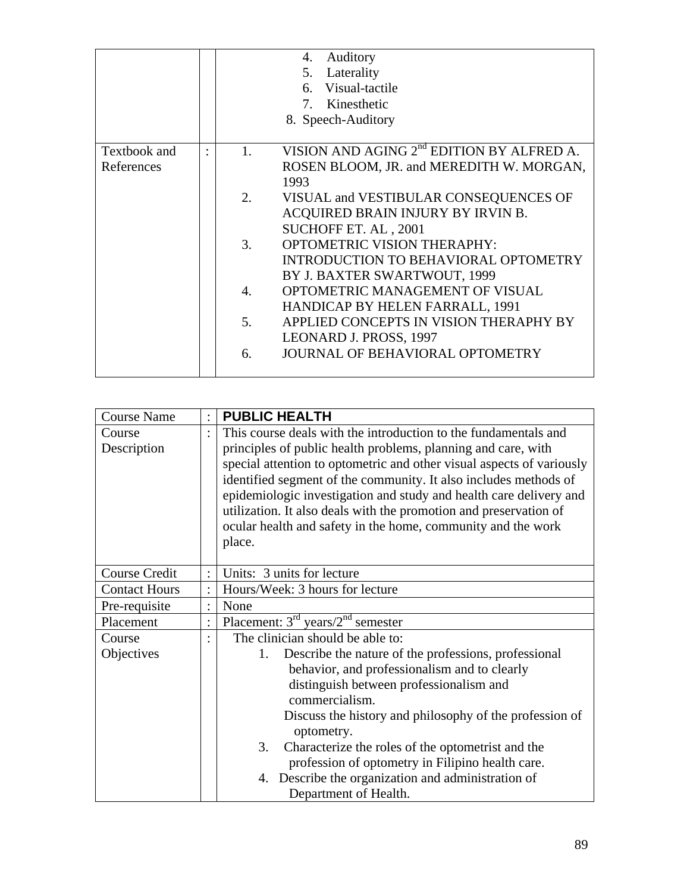|              |    | Auditory<br>4.<br>5. Laterality<br>6. Visual-tactile<br>7. Kinesthetic<br>8. Speech-Auditory |
|--------------|----|----------------------------------------------------------------------------------------------|
| Textbook and | 1. | VISION AND AGING 2 <sup>nd</sup> EDITION BY ALFRED A.                                        |
| References   |    | ROSEN BLOOM, JR. and MEREDITH W. MORGAN,                                                     |
|              |    | 1993                                                                                         |
|              | 2. | VISUAL and VESTIBULAR CONSEQUENCES OF                                                        |
|              |    | ACQUIRED BRAIN INJURY BY IRVIN B.                                                            |
|              |    | SUCHOFF ET. AL, 2001                                                                         |
|              | 3. | <b>OPTOMETRIC VISION THERAPHY:</b>                                                           |
|              |    | INTRODUCTION TO BEHAVIORAL OPTOMETRY                                                         |
|              |    | BY J. BAXTER SWARTWOUT, 1999                                                                 |
|              | 4. | OPTOMETRIC MANAGEMENT OF VISUAL                                                              |
|              |    | HANDICAP BY HELEN FARRALL, 1991                                                              |
|              | 5. | APPLIED CONCEPTS IN VISION THERAPHY BY                                                       |
|              |    | LEONARD J. PROSS, 1997                                                                       |
|              | 6. | <b>JOURNAL OF BEHAVIORAL OPTOMETRY</b>                                                       |
|              |    |                                                                                              |

| <b>Course Name</b>   |         | <b>PUBLIC HEALTH</b>                                                  |  |  |  |  |
|----------------------|---------|-----------------------------------------------------------------------|--|--|--|--|
| Course               |         | This course deals with the introduction to the fundamentals and       |  |  |  |  |
| Description          |         | principles of public health problems, planning and care, with         |  |  |  |  |
|                      |         | special attention to optometric and other visual aspects of variously |  |  |  |  |
|                      |         | identified segment of the community. It also includes methods of      |  |  |  |  |
|                      |         | epidemiologic investigation and study and health care delivery and    |  |  |  |  |
|                      |         | utilization. It also deals with the promotion and preservation of     |  |  |  |  |
|                      |         | ocular health and safety in the home, community and the work          |  |  |  |  |
|                      |         | place.                                                                |  |  |  |  |
| <b>Course Credit</b> |         | Units: 3 units for lecture                                            |  |  |  |  |
| <b>Contact Hours</b> |         | Hours/Week: 3 hours for lecture                                       |  |  |  |  |
|                      |         |                                                                       |  |  |  |  |
| Pre-requisite        | $\cdot$ | None                                                                  |  |  |  |  |
| Placement            | $\cdot$ | Placement: $3rd$ years/ $2nd$ semester                                |  |  |  |  |
| Course               |         | The clinician should be able to:                                      |  |  |  |  |
| Objectives           |         | Describe the nature of the professions, professional<br>1.            |  |  |  |  |
|                      |         | behavior, and professionalism and to clearly                          |  |  |  |  |
|                      |         | distinguish between professionalism and                               |  |  |  |  |
|                      |         | commercialism.                                                        |  |  |  |  |
|                      |         | Discuss the history and philosophy of the profession of               |  |  |  |  |
|                      |         | optometry.                                                            |  |  |  |  |
|                      |         | 3.<br>Characterize the roles of the optometrist and the               |  |  |  |  |
|                      |         | profession of optometry in Filipino health care.                      |  |  |  |  |
|                      |         | 4. Describe the organization and administration of                    |  |  |  |  |
|                      |         | Department of Health.                                                 |  |  |  |  |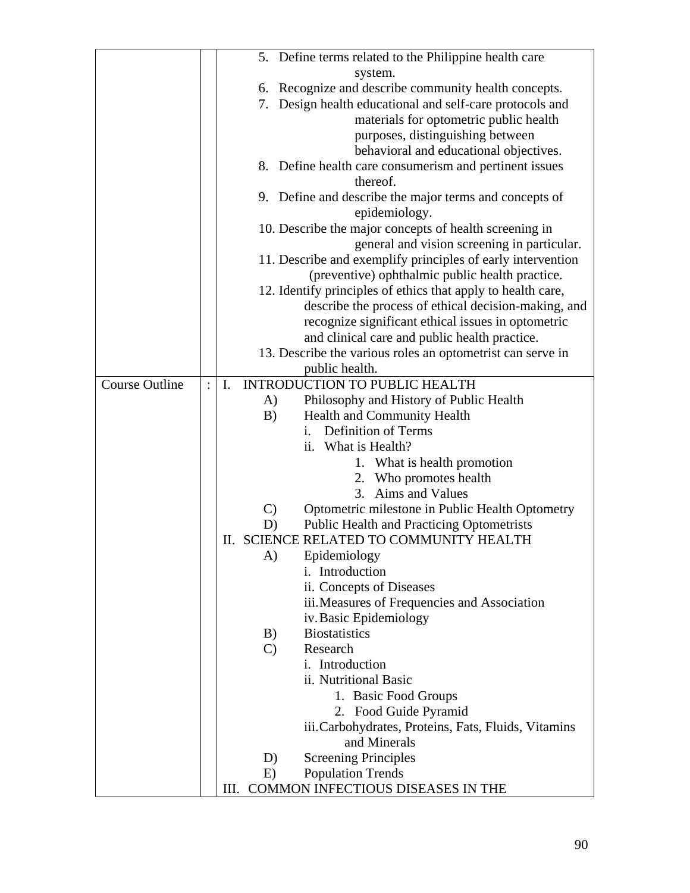|                       | 5. Define terms related to the Philippine health care                    |  |
|-----------------------|--------------------------------------------------------------------------|--|
|                       | system.                                                                  |  |
|                       | 6. Recognize and describe community health concepts.                     |  |
|                       | Design health educational and self-care protocols and<br>7.              |  |
|                       | materials for optometric public health                                   |  |
|                       | purposes, distinguishing between                                         |  |
|                       | behavioral and educational objectives.                                   |  |
|                       | 8. Define health care consumerism and pertinent issues                   |  |
|                       | thereof.                                                                 |  |
|                       | 9. Define and describe the major terms and concepts of                   |  |
|                       | epidemiology.                                                            |  |
|                       | 10. Describe the major concepts of health screening in                   |  |
|                       |                                                                          |  |
|                       | general and vision screening in particular.                              |  |
|                       | 11. Describe and exemplify principles of early intervention              |  |
|                       | (preventive) ophthalmic public health practice.                          |  |
|                       | 12. Identify principles of ethics that apply to health care,             |  |
|                       | describe the process of ethical decision-making, and                     |  |
|                       | recognize significant ethical issues in optometric                       |  |
|                       | and clinical care and public health practice.                            |  |
|                       | 13. Describe the various roles an optometrist can serve in               |  |
|                       | public health.                                                           |  |
| <b>Course Outline</b> | <b>INTRODUCTION TO PUBLIC HEALTH</b><br>$\mathbf{I}$ .<br>$\ddot{\cdot}$ |  |
|                       | Philosophy and History of Public Health<br>A)                            |  |
|                       | Health and Community Health<br>B)                                        |  |
|                       | <b>Definition of Terms</b><br>$\mathbf{1}$ .                             |  |
|                       | ii. What is Health?                                                      |  |
|                       | 1. What is health promotion                                              |  |
|                       | 2. Who promotes health                                                   |  |
|                       | Aims and Values<br>3.                                                    |  |
|                       | $\mathcal{C}$<br>Optometric milestone in Public Health Optometry         |  |
|                       | <b>Public Health and Practicing Optometrists</b><br>D)                   |  |
|                       | II. SCIENCE RELATED TO COMMUNITY HEALTH                                  |  |
|                       | A)<br>Epidemiology                                                       |  |
|                       | i. Introduction                                                          |  |
|                       | ii. Concepts of Diseases                                                 |  |
|                       | iii. Measures of Frequencies and Association                             |  |
|                       | iv. Basic Epidemiology                                                   |  |
|                       | <b>Biostatistics</b><br>B)                                               |  |
|                       | $\mathcal{C}$<br>Research                                                |  |
|                       | i. Introduction                                                          |  |
|                       | ii. Nutritional Basic                                                    |  |
|                       | 1. Basic Food Groups                                                     |  |
|                       | 2. Food Guide Pyramid                                                    |  |
|                       | iii. Carbohydrates, Proteins, Fats, Fluids, Vitamins                     |  |
|                       | and Minerals                                                             |  |
|                       | <b>Screening Principles</b><br>D)                                        |  |
|                       | E)<br><b>Population Trends</b>                                           |  |
|                       | III. COMMON INFECTIOUS DISEASES IN THE                                   |  |
|                       |                                                                          |  |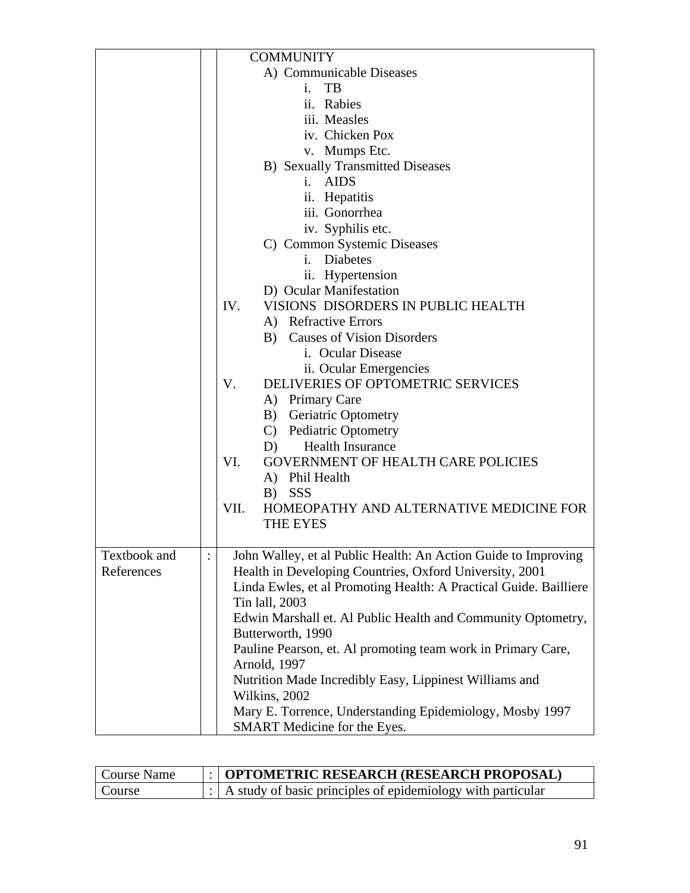|              | <b>COMMUNITY</b>                                                  |
|--------------|-------------------------------------------------------------------|
|              | A) Communicable Diseases                                          |
|              | TB<br>i.                                                          |
|              | ii. Rabies                                                        |
|              | iii. Measles                                                      |
|              | iv. Chicken Pox                                                   |
|              | v. Mumps Etc.                                                     |
|              | <b>B)</b> Sexually Transmitted Diseases                           |
|              | <b>AIDS</b><br>$\mathbf{i}$ .                                     |
|              | ii. Hepatitis                                                     |
|              | iii. Gonorrhea                                                    |
|              | iv. Syphilis etc.                                                 |
|              | C) Common Systemic Diseases                                       |
|              | $i_{-}$<br><b>Diabetes</b>                                        |
|              | ii. Hypertension                                                  |
|              | D) Ocular Manifestation                                           |
|              | VISIONS DISORDERS IN PUBLIC HEALTH<br>IV.                         |
|              | A) Refractive Errors                                              |
|              | <b>Causes of Vision Disorders</b><br>B)                           |
|              | i. Ocular Disease                                                 |
|              |                                                                   |
|              | ii. Ocular Emergencies<br>DELIVERIES OF OPTOMETRIC SERVICES<br>V. |
|              |                                                                   |
|              | A) Primary Care                                                   |
|              | B) Geriatric Optometry                                            |
|              | C) Pediatric Optometry                                            |
|              | <b>Health Insurance</b><br>D)                                     |
|              | VI.<br><b>GOVERNMENT OF HEALTH CARE POLICIES</b>                  |
|              | A) Phil Health                                                    |
|              | B) SSS                                                            |
|              | VII.<br>HOMEOPATHY AND ALTERNATIVE MEDICINE FOR                   |
|              | <b>THE EYES</b>                                                   |
|              |                                                                   |
| Textbook and | John Walley, et al Public Health: An Action Guide to Improving    |
| References   | Health in Developing Countries, Oxford University, 2001           |
|              | Linda Ewles, et al Promoting Health: A Practical Guide. Bailliere |
|              | Tin lall, 2003                                                    |
|              | Edwin Marshall et. Al Public Health and Community Optometry,      |
|              | Butterworth, 1990                                                 |
|              | Pauline Pearson, et. Al promoting team work in Primary Care,      |
|              | Arnold, 1997                                                      |
|              | Nutrition Made Incredibly Easy, Lippinest Williams and            |
|              | Wilkins, 2002                                                     |
|              | Mary E. Torrence, Understanding Epidemiology, Mosby 1997          |
|              | SMART Medicine for the Eyes.                                      |

| Course Name | $\therefore$ OPTOMETRIC RESEARCH (RESEARCH PROPOSAL)                     |
|-------------|--------------------------------------------------------------------------|
| Course      | $\therefore$ A study of basic principles of epidemiology with particular |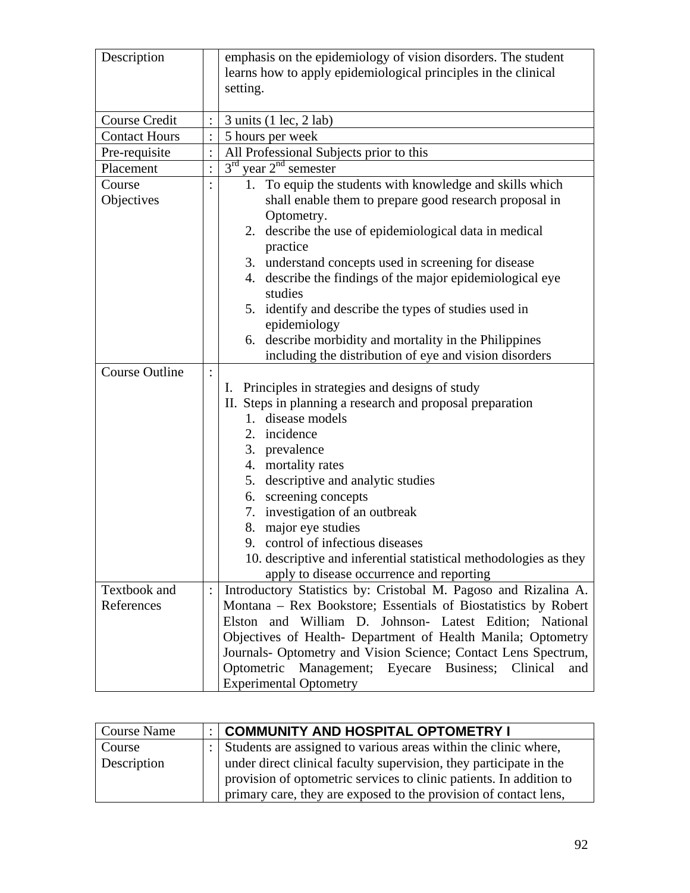| Description           |                | emphasis on the epidemiology of vision disorders. The student     |
|-----------------------|----------------|-------------------------------------------------------------------|
|                       |                | learns how to apply epidemiological principles in the clinical    |
|                       |                | setting.                                                          |
|                       |                |                                                                   |
| Course Credit         |                | $3 \text{ units}$ (1 lec, 2 lab)                                  |
| <b>Contact Hours</b>  |                | 5 hours per week                                                  |
| Pre-requisite         |                | All Professional Subjects prior to this                           |
| Placement             | $\ddot{\cdot}$ | $3rd$ year $2nd$ semester                                         |
| Course                |                | 1. To equip the students with knowledge and skills which          |
| Objectives            |                | shall enable them to prepare good research proposal in            |
|                       |                | Optometry.                                                        |
|                       |                | 2. describe the use of epidemiological data in medical            |
|                       |                | practice                                                          |
|                       |                | 3. understand concepts used in screening for disease              |
|                       |                | describe the findings of the major epidemiological eye<br>4.      |
|                       |                | studies                                                           |
|                       |                | 5. identify and describe the types of studies used in             |
|                       |                | epidemiology                                                      |
|                       |                | 6. describe morbidity and mortality in the Philippines            |
|                       |                | including the distribution of eye and vision disorders            |
| <b>Course Outline</b> |                |                                                                   |
|                       |                | I. Principles in strategies and designs of study                  |
|                       |                | II. Steps in planning a research and proposal preparation         |
|                       |                | 1. disease models                                                 |
|                       |                | 2. incidence                                                      |
|                       |                | 3. prevalence                                                     |
|                       |                | 4. mortality rates                                                |
|                       |                | 5. descriptive and analytic studies                               |
|                       |                | 6. screening concepts                                             |
|                       |                | 7. investigation of an outbreak                                   |
|                       |                | 8. major eye studies                                              |
|                       |                | 9. control of infectious diseases                                 |
|                       |                | 10. descriptive and inferential statistical methodologies as they |
|                       |                | apply to disease occurrence and reporting                         |
| Textbook and          |                | Introductory Statistics by: Cristobal M. Pagoso and Rizalina A.   |
| References            |                | Montana - Rex Bookstore; Essentials of Biostatistics by Robert    |
|                       |                | Elston and William D. Johnson- Latest Edition; National           |
|                       |                | Objectives of Health- Department of Health Manila; Optometry      |
|                       |                | Journals- Optometry and Vision Science; Contact Lens Spectrum,    |
|                       |                | Optometric Management; Eyecare Business;<br>Clinical<br>and       |
|                       |                |                                                                   |
|                       |                | <b>Experimental Optometry</b>                                     |

| Course Name        | :   COMMUNITY AND HOSPITAL OPTOMETRY I                              |
|--------------------|---------------------------------------------------------------------|
| Course             | : Students are assigned to various areas within the clinic where,   |
| <b>Description</b> | under direct clinical faculty supervision, they participate in the  |
|                    | provision of optometric services to clinic patients. In addition to |
|                    | primary care, they are exposed to the provision of contact lens,    |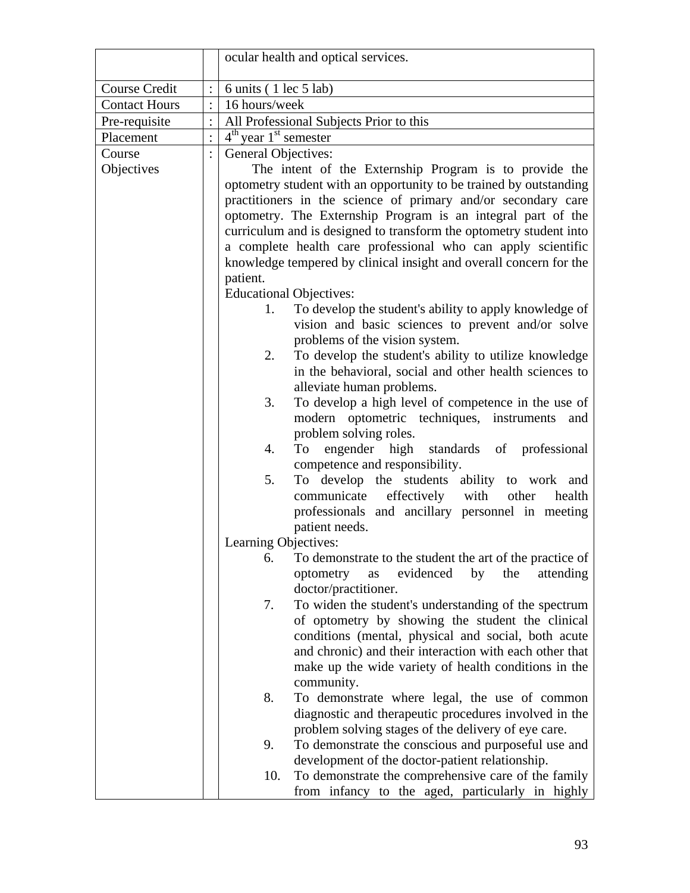|                      | ocular health and optical services.                                                                                                                                                                                                                                                                                                                                                                                                                                                                                                                                                                                                                                                                                                                                                                                                                                                                                                                                                                                                                                                             |
|----------------------|-------------------------------------------------------------------------------------------------------------------------------------------------------------------------------------------------------------------------------------------------------------------------------------------------------------------------------------------------------------------------------------------------------------------------------------------------------------------------------------------------------------------------------------------------------------------------------------------------------------------------------------------------------------------------------------------------------------------------------------------------------------------------------------------------------------------------------------------------------------------------------------------------------------------------------------------------------------------------------------------------------------------------------------------------------------------------------------------------|
| Course Credit        | 6 units (1 lec 5 lab)                                                                                                                                                                                                                                                                                                                                                                                                                                                                                                                                                                                                                                                                                                                                                                                                                                                                                                                                                                                                                                                                           |
| <b>Contact Hours</b> | 16 hours/week                                                                                                                                                                                                                                                                                                                                                                                                                                                                                                                                                                                                                                                                                                                                                                                                                                                                                                                                                                                                                                                                                   |
| Pre-requisite        | All Professional Subjects Prior to this                                                                                                                                                                                                                                                                                                                                                                                                                                                                                                                                                                                                                                                                                                                                                                                                                                                                                                                                                                                                                                                         |
| Placement            | $4th$ year $1st$ semester                                                                                                                                                                                                                                                                                                                                                                                                                                                                                                                                                                                                                                                                                                                                                                                                                                                                                                                                                                                                                                                                       |
|                      |                                                                                                                                                                                                                                                                                                                                                                                                                                                                                                                                                                                                                                                                                                                                                                                                                                                                                                                                                                                                                                                                                                 |
| Course<br>Objectives | General Objectives:<br>The intent of the Externship Program is to provide the<br>optometry student with an opportunity to be trained by outstanding<br>practitioners in the science of primary and/or secondary care<br>optometry. The Externship Program is an integral part of the<br>curriculum and is designed to transform the optometry student into<br>a complete health care professional who can apply scientific<br>knowledge tempered by clinical insight and overall concern for the<br>patient.<br><b>Educational Objectives:</b><br>To develop the student's ability to apply knowledge of<br>1.<br>vision and basic sciences to prevent and/or solve<br>problems of the vision system.<br>To develop the student's ability to utilize knowledge<br>2.<br>in the behavioral, social and other health sciences to<br>alleviate human problems.<br>To develop a high level of competence in the use of<br>3.<br>modern optometric techniques, instruments<br>and<br>problem solving roles.<br>engender high standards of professional<br>4.<br>To<br>competence and responsibility. |
|                      | To develop the students ability to work and<br>5.<br>communicate<br>effectively with<br>health<br>other<br>professionals and ancillary personnel in meeting<br>patient needs.                                                                                                                                                                                                                                                                                                                                                                                                                                                                                                                                                                                                                                                                                                                                                                                                                                                                                                                   |
|                      | Learning Objectives:                                                                                                                                                                                                                                                                                                                                                                                                                                                                                                                                                                                                                                                                                                                                                                                                                                                                                                                                                                                                                                                                            |
|                      | 6.<br>To demonstrate to the student the art of the practice of<br>evidenced<br>the<br>optometry<br>as<br>by<br>attending<br>doctor/practitioner.                                                                                                                                                                                                                                                                                                                                                                                                                                                                                                                                                                                                                                                                                                                                                                                                                                                                                                                                                |
|                      | To widen the student's understanding of the spectrum<br>7.<br>of optometry by showing the student the clinical<br>conditions (mental, physical and social, both acute<br>and chronic) and their interaction with each other that<br>make up the wide variety of health conditions in the<br>community.                                                                                                                                                                                                                                                                                                                                                                                                                                                                                                                                                                                                                                                                                                                                                                                          |
|                      | To demonstrate where legal, the use of common<br>8.<br>diagnostic and therapeutic procedures involved in the<br>problem solving stages of the delivery of eye care.                                                                                                                                                                                                                                                                                                                                                                                                                                                                                                                                                                                                                                                                                                                                                                                                                                                                                                                             |
|                      | To demonstrate the conscious and purposeful use and<br>9.<br>development of the doctor-patient relationship.                                                                                                                                                                                                                                                                                                                                                                                                                                                                                                                                                                                                                                                                                                                                                                                                                                                                                                                                                                                    |
|                      | To demonstrate the comprehensive care of the family<br>10.<br>from infancy to the aged, particularly in highly                                                                                                                                                                                                                                                                                                                                                                                                                                                                                                                                                                                                                                                                                                                                                                                                                                                                                                                                                                                  |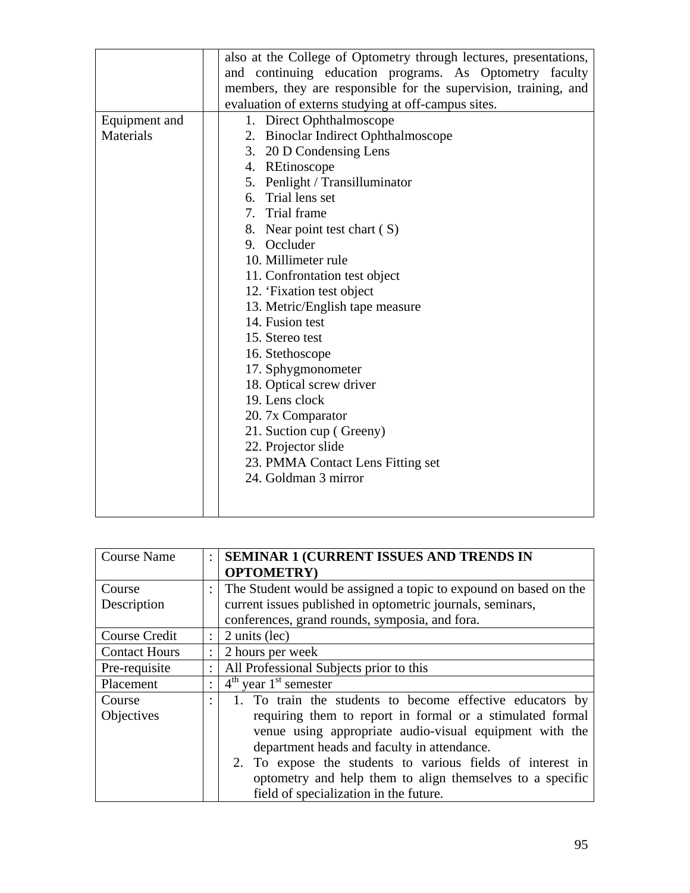|               | also at the College of Optometry through lectures, presentations, |
|---------------|-------------------------------------------------------------------|
|               | and continuing education programs. As Optometry faculty           |
|               | members, they are responsible for the supervision, training, and  |
|               | evaluation of externs studying at off-campus sites.               |
| Equipment and | 1. Direct Ophthalmoscope                                          |
| Materials     | 2. Binoclar Indirect Ophthalmoscope                               |
|               | 3. 20 D Condensing Lens                                           |
|               | 4. REtinoscope                                                    |
|               | 5. Penlight / Transilluminator                                    |
|               | 6. Trial lens set                                                 |
|               | 7. Trial frame                                                    |
|               | 8. Near point test chart (S)                                      |
|               | 9. Occluder                                                       |
|               | 10. Millimeter rule                                               |
|               | 11. Confrontation test object                                     |
|               | 12. 'Fixation test object                                         |
|               | 13. Metric/English tape measure                                   |
|               | 14. Fusion test                                                   |
|               | 15. Stereo test                                                   |
|               | 16. Stethoscope                                                   |
|               | 17. Sphygmonometer                                                |
|               | 18. Optical screw driver                                          |
|               | 19. Lens clock                                                    |
|               | 20. 7x Comparator                                                 |
|               | 21. Suction cup (Greeny)                                          |
|               | 22. Projector slide                                               |
|               | 23. PMMA Contact Lens Fitting set                                 |
|               | 24. Goldman 3 mirror                                              |
|               |                                                                   |
|               |                                                                   |

| <b>Course Name</b>   | $\ddot{\phantom{a}}$ | <b>SEMINAR 1 (CURRENT ISSUES AND TRENDS IN</b>                   |
|----------------------|----------------------|------------------------------------------------------------------|
|                      |                      | <b>OPTOMETRY</b> )                                               |
| Course               | $\ddot{\phantom{a}}$ | The Student would be assigned a topic to expound on based on the |
| Description          |                      | current issues published in optometric journals, seminars,       |
|                      |                      | conferences, grand rounds, symposia, and fora.                   |
| Course Credit        | $\ddot{\cdot}$       | 2 units (lec)                                                    |
| <b>Contact Hours</b> | $\ddot{\cdot}$       | 2 hours per week                                                 |
| Pre-requisite        |                      | All Professional Subjects prior to this                          |
| Placement            | ٠                    | $4th$ year 1 <sup>st</sup> semester                              |
| Course               | ٠                    | 1. To train the students to become effective educators by        |
| Objectives           |                      | requiring them to report in formal or a stimulated formal        |
|                      |                      | venue using appropriate audio-visual equipment with the          |
|                      |                      | department heads and faculty in attendance.                      |
|                      |                      | 2. To expose the students to various fields of interest in       |
|                      |                      | optometry and help them to align themselves to a specific        |
|                      |                      | field of specialization in the future.                           |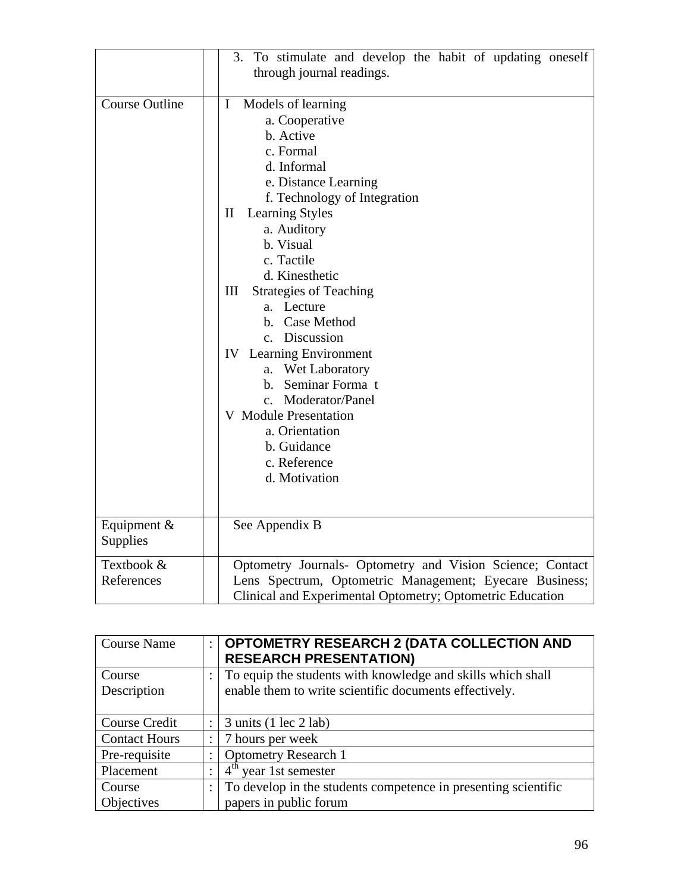|                          | 3. To stimulate and develop the habit of updating oneself<br>through journal readings.                                                                                                                                                                                                                                                                                                                                                                                                                                                                                            |
|--------------------------|-----------------------------------------------------------------------------------------------------------------------------------------------------------------------------------------------------------------------------------------------------------------------------------------------------------------------------------------------------------------------------------------------------------------------------------------------------------------------------------------------------------------------------------------------------------------------------------|
| <b>Course Outline</b>    | $\mathbf I$<br>Models of learning<br>a. Cooperative<br>b. Active<br>c. Formal<br>d. Informal<br>e. Distance Learning<br>f. Technology of Integration<br>$\mathbf{I}$<br><b>Learning Styles</b><br>a. Auditory<br>b. Visual<br>c. Tactile<br>d. Kinesthetic<br>III<br><b>Strategies of Teaching</b><br>a. Lecture<br>b. Case Method<br>c. Discussion<br><b>IV</b> Learning Environment<br><b>Wet Laboratory</b><br>a.<br>Seminar Forma t<br>$\mathbf{b}$ .<br>c. Moderator/Panel<br><b>V</b> Module Presentation<br>a. Orientation<br>b. Guidance<br>c. Reference<br>d. Motivation |
| Equipment &<br>Supplies  | See Appendix B                                                                                                                                                                                                                                                                                                                                                                                                                                                                                                                                                                    |
| Textbook &<br>References | Optometry Journals- Optometry and Vision Science; Contact<br>Lens Spectrum, Optometric Management; Eyecare Business;<br>Clinical and Experimental Optometry; Optometric Education                                                                                                                                                                                                                                                                                                                                                                                                 |

| <b>Course Name</b>   | $\ddot{\cdot}$       | <b>OPTOMETRY RESEARCH 2 (DATA COLLECTION AND</b><br><b>RESEARCH PRESENTATION)</b> |
|----------------------|----------------------|-----------------------------------------------------------------------------------|
| Course               |                      | To equip the students with knowledge and skills which shall                       |
| Description          |                      | enable them to write scientific documents effectively.                            |
|                      |                      |                                                                                   |
| Course Credit        |                      | $3 \text{ units}$ (1 lec $2 \text{ lab}$ )                                        |
| <b>Contact Hours</b> | $\ddot{\phantom{a}}$ | 7 hours per week                                                                  |
| Pre-requisite        | $\bullet$            | <b>Optometry Research 1</b>                                                       |
| Placement            |                      | $4^{\text{th}}$<br>year 1st semester                                              |
| Course               | $\ddot{\cdot}$       | To develop in the students competence in presenting scientific                    |
| Objectives           |                      | papers in public forum                                                            |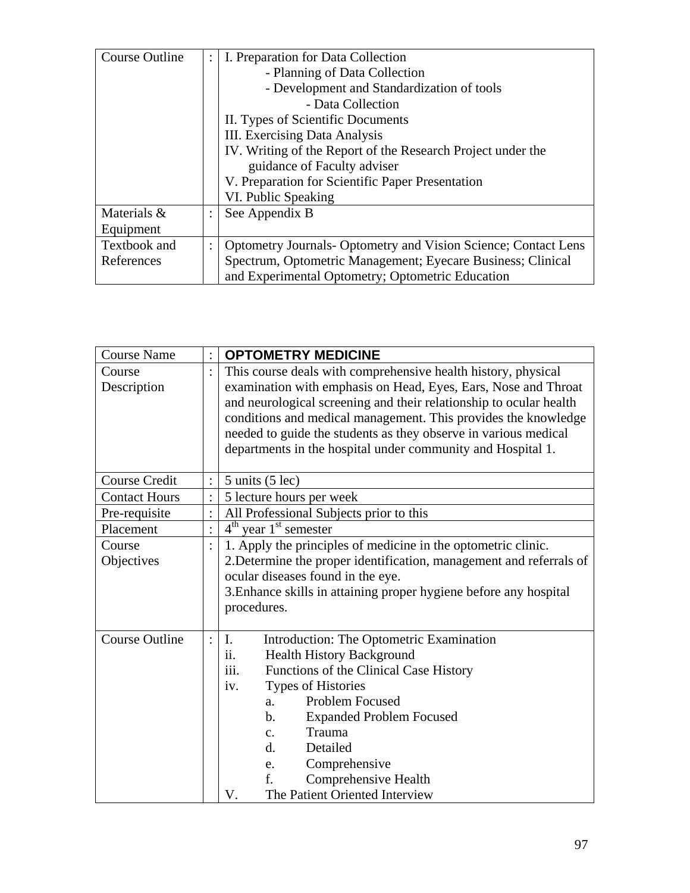| <b>Course Outline</b> |                | I. Preparation for Data Collection                                    |
|-----------------------|----------------|-----------------------------------------------------------------------|
|                       |                | - Planning of Data Collection                                         |
|                       |                | - Development and Standardization of tools                            |
|                       |                | - Data Collection                                                     |
|                       |                | II. Types of Scientific Documents                                     |
|                       |                | III. Exercising Data Analysis                                         |
|                       |                | IV. Writing of the Report of the Research Project under the           |
|                       |                | guidance of Faculty adviser                                           |
|                       |                | V. Preparation for Scientific Paper Presentation                      |
|                       |                | VI. Public Speaking                                                   |
| Materials &           |                | See Appendix B                                                        |
| Equipment             |                |                                                                       |
| Textbook and          | $\ddot{\cdot}$ | <b>Optometry Journals- Optometry and Vision Science; Contact Lens</b> |
| References            |                | Spectrum, Optometric Management; Eyecare Business; Clinical           |
|                       |                | and Experimental Optometry; Optometric Education                      |

| <b>Course Name</b>    | <b>OPTOMETRY MEDICINE</b>                                           |  |  |
|-----------------------|---------------------------------------------------------------------|--|--|
| Course                | This course deals with comprehensive health history, physical       |  |  |
| Description           | examination with emphasis on Head, Eyes, Ears, Nose and Throat      |  |  |
|                       | and neurological screening and their relationship to ocular health  |  |  |
|                       | conditions and medical management. This provides the knowledge      |  |  |
|                       | needed to guide the students as they observe in various medical     |  |  |
|                       | departments in the hospital under community and Hospital 1.         |  |  |
|                       |                                                                     |  |  |
| <b>Course Credit</b>  | $5$ units $(5$ lec)                                                 |  |  |
| <b>Contact Hours</b>  | 5 lecture hours per week                                            |  |  |
| Pre-requisite         | All Professional Subjects prior to this                             |  |  |
| Placement             | $4th$ year $1st$ semester                                           |  |  |
| Course                | 1. Apply the principles of medicine in the optometric clinic.       |  |  |
| Objectives            | 2. Determine the proper identification, management and referrals of |  |  |
|                       | ocular diseases found in the eye.                                   |  |  |
|                       | 3. Enhance skills in attaining proper hygiene before any hospital   |  |  |
|                       | procedures.                                                         |  |  |
|                       |                                                                     |  |  |
| <b>Course Outline</b> | Introduction: The Optometric Examination<br>$\mathbf{I}$ .          |  |  |
|                       | Health History Background<br>$\overline{11}$ .                      |  |  |
|                       | Functions of the Clinical Case History<br><i>iii.</i>               |  |  |
|                       | <b>Types of Histories</b><br>iv.                                    |  |  |
|                       | <b>Problem Focused</b><br>a.                                        |  |  |
|                       | <b>Expanded Problem Focused</b><br>$\mathbf b$ .                    |  |  |
|                       | Trauma<br>$\mathbf{c}$ .                                            |  |  |
|                       | Detailed<br>d.                                                      |  |  |
|                       | Comprehensive<br>e.                                                 |  |  |
|                       | f.<br>Comprehensive Health                                          |  |  |
|                       | The Patient Oriented Interview<br>V.                                |  |  |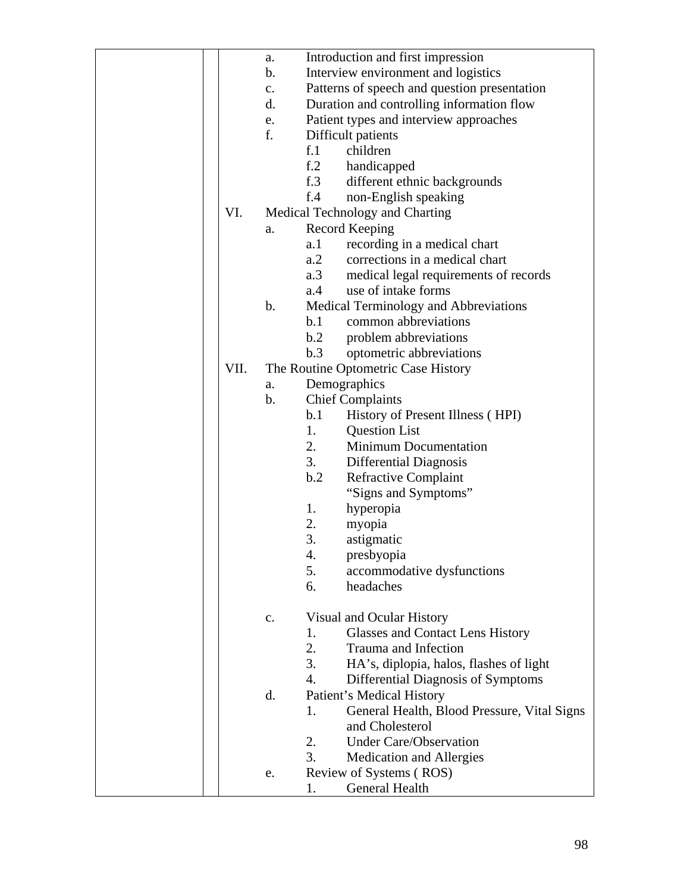|      | a.            | Introduction and first impression                 |
|------|---------------|---------------------------------------------------|
|      | $\mathbf b$ . | Interview environment and logistics               |
|      | $C_{\bullet}$ | Patterns of speech and question presentation      |
|      | d.            | Duration and controlling information flow         |
|      | e.            | Patient types and interview approaches            |
|      | f.            | Difficult patients                                |
|      |               | children<br>f <sub>1</sub>                        |
|      |               | f <sub>1</sub> 2<br>handicapped                   |
|      |               | f.3<br>different ethnic backgrounds               |
|      |               | f.4<br>non-English speaking                       |
| VI.  |               | Medical Technology and Charting                   |
|      | a.            | Record Keeping                                    |
|      |               | recording in a medical chart<br>a.1               |
|      |               | corrections in a medical chart<br>a.2             |
|      |               | a.3<br>medical legal requirements of records      |
|      |               | use of intake forms<br>a.4                        |
|      | $\mathbf b$ . | Medical Terminology and Abbreviations             |
|      |               | common abbreviations<br>b.1                       |
|      |               | b.2<br>problem abbreviations                      |
|      |               | optometric abbreviations<br>b.3                   |
| VII. |               | The Routine Optometric Case History               |
|      | a.            | Demographics                                      |
|      | $\mathbf b$ . | <b>Chief Complaints</b>                           |
|      |               | History of Present Illness (HPI)<br>b.1           |
|      |               | 1.<br><b>Question List</b>                        |
|      |               | <b>Minimum Documentation</b><br>2.                |
|      |               | 3.<br>Differential Diagnosis                      |
|      |               | b.2<br><b>Refractive Complaint</b>                |
|      |               | "Signs and Symptoms"                              |
|      |               | 1.<br>hyperopia                                   |
|      |               | 2.<br>myopia                                      |
|      |               | 3.<br>astigmatic                                  |
|      |               | 4.<br>presbyopia                                  |
|      |               | 5.<br>accommodative dysfunctions                  |
|      |               | headaches<br>6.                                   |
|      |               |                                                   |
|      | $\mathbf{c}.$ | Visual and Ocular History                         |
|      |               | <b>Glasses and Contact Lens History</b><br>1.     |
|      |               | 2.<br>Trauma and Infection                        |
|      |               | 3.<br>HA's, diplopia, halos, flashes of light     |
|      |               | 4.<br>Differential Diagnosis of Symptoms          |
|      | d.            | Patient's Medical History                         |
|      |               | General Health, Blood Pressure, Vital Signs<br>1. |
|      |               | and Cholesterol                                   |
|      |               | <b>Under Care/Observation</b><br>2.               |
|      |               | 3.<br><b>Medication and Allergies</b>             |
|      | e.            | Review of Systems (ROS)                           |
|      |               | General Health<br>1.                              |
|      |               |                                                   |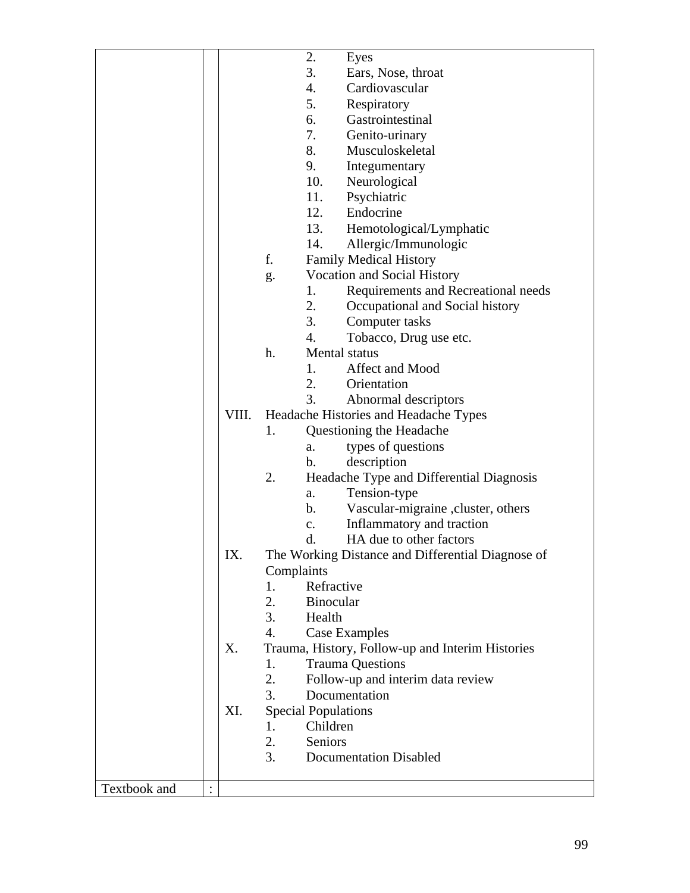|              |       | 2.<br>Eyes                                        |
|--------------|-------|---------------------------------------------------|
|              |       | 3.<br>Ears, Nose, throat                          |
|              |       | 4.<br>Cardiovascular                              |
|              |       | 5.<br>Respiratory                                 |
|              |       | Gastrointestinal<br>6.                            |
|              |       | 7.<br>Genito-urinary                              |
|              |       | 8.<br>Musculoskeletal                             |
|              |       | 9.<br>Integumentary                               |
|              |       | 10.<br>Neurological                               |
|              |       | 11.<br>Psychiatric                                |
|              |       | 12.<br>Endocrine                                  |
|              |       | 13.                                               |
|              |       | Hemotological/Lymphatic                           |
|              |       | 14.<br>Allergic/Immunologic                       |
|              |       | f.<br><b>Family Medical History</b>               |
|              |       | Vocation and Social History<br>g.                 |
|              |       | Requirements and Recreational needs<br>1.         |
|              |       | 2.<br>Occupational and Social history             |
|              |       | 3.<br>Computer tasks                              |
|              |       | 4.<br>Tobacco, Drug use etc.                      |
|              |       | h.<br>Mental status                               |
|              |       | Affect and Mood<br>1.                             |
|              |       | 2.<br>Orientation                                 |
|              |       | 3.<br>Abnormal descriptors                        |
|              | VIII. | Headache Histories and Headache Types             |
|              |       | Questioning the Headache<br>1.                    |
|              |       | types of questions<br>a.                          |
|              |       | description<br>b.                                 |
|              |       | 2.<br>Headache Type and Differential Diagnosis    |
|              |       | Tension-type<br>a.                                |
|              |       | Vascular-migraine, cluster, others<br>b.          |
|              |       | Inflammatory and traction<br>$\mathbf{c}$ .       |
|              |       | HA due to other factors                           |
|              |       | d.                                                |
|              | IX.   | The Working Distance and Differential Diagnose of |
|              |       | Complaints                                        |
|              |       | Refractive<br>1.                                  |
|              |       | 2.<br>Binocular                                   |
|              |       | 3.<br>Health                                      |
|              |       | 4.<br>Case Examples                               |
|              | X.    | Trauma, History, Follow-up and Interim Histories  |
|              |       | <b>Trauma Questions</b><br>1.                     |
|              |       | 2.<br>Follow-up and interim data review           |
|              |       | Documentation<br>3.                               |
|              | XI.   | <b>Special Populations</b>                        |
|              |       | Children<br>1.                                    |
|              |       | 2.<br>Seniors                                     |
|              |       | 3.<br><b>Documentation Disabled</b>               |
|              |       |                                                   |
| Textbook and |       |                                                   |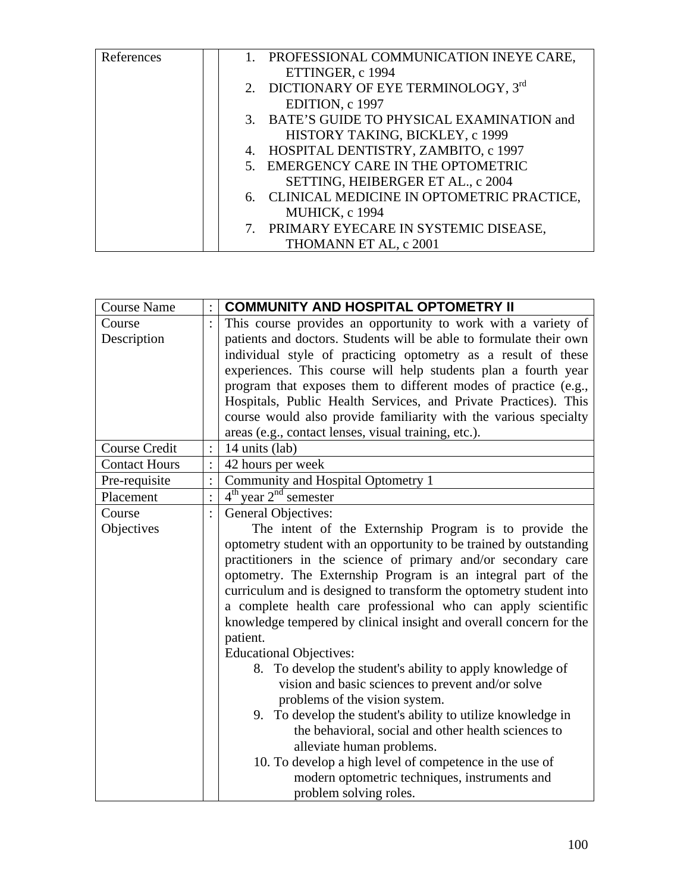| References | 1. PROFESSIONAL COMMUNICATION INEYE CARE,    |
|------------|----------------------------------------------|
|            | ETTINGER, c 1994                             |
|            | 2. DICTIONARY OF EYE TERMINOLOGY, 3rd        |
|            | EDITION, c 1997                              |
|            | 3. BATE'S GUIDE TO PHYSICAL EXAMINATION and  |
|            | HISTORY TAKING, BICKLEY, c 1999              |
|            | 4. HOSPITAL DENTISTRY, ZAMBITO, c 1997       |
|            | 5. EMERGENCY CARE IN THE OPTOMETRIC          |
|            | SETTING, HEIBERGER ET AL., c 2004            |
|            | 6. CLINICAL MEDICINE IN OPTOMETRIC PRACTICE, |
|            | <b>MUHICK, c 1994</b>                        |
|            | 7. PRIMARY EYECARE IN SYSTEMIC DISEASE,      |
|            | THOMANN ET AL, c 2001                        |

| <b>Course Name</b>   | <b>COMMUNITY AND HOSPITAL OPTOMETRY II</b>                         |
|----------------------|--------------------------------------------------------------------|
| Course               | This course provides an opportunity to work with a variety of      |
| Description          | patients and doctors. Students will be able to formulate their own |
|                      | individual style of practicing optometry as a result of these      |
|                      | experiences. This course will help students plan a fourth year     |
|                      | program that exposes them to different modes of practice (e.g.,    |
|                      | Hospitals, Public Health Services, and Private Practices). This    |
|                      | course would also provide familiarity with the various specialty   |
|                      | areas (e.g., contact lenses, visual training, etc.).               |
| Course Credit        | 14 units (lab)                                                     |
| <b>Contact Hours</b> | 42 hours per week                                                  |
| Pre-requisite        | Community and Hospital Optometry 1                                 |
| Placement            | $4th$ year $2nd$ semester                                          |
| Course               | <b>General Objectives:</b>                                         |
| Objectives           | The intent of the Externship Program is to provide the             |
|                      | optometry student with an opportunity to be trained by outstanding |
|                      | practitioners in the science of primary and/or secondary care      |
|                      | optometry. The Externship Program is an integral part of the       |
|                      | curriculum and is designed to transform the optometry student into |
|                      | a complete health care professional who can apply scientific       |
|                      | knowledge tempered by clinical insight and overall concern for the |
|                      | patient.                                                           |
|                      | <b>Educational Objectives:</b>                                     |
|                      | 8. To develop the student's ability to apply knowledge of          |
|                      | vision and basic sciences to prevent and/or solve                  |
|                      | problems of the vision system.                                     |
|                      | 9. To develop the student's ability to utilize knowledge in        |
|                      | the behavioral, social and other health sciences to                |
|                      | alleviate human problems.                                          |
|                      | 10. To develop a high level of competence in the use of            |
|                      | modern optometric techniques, instruments and                      |
|                      | problem solving roles.                                             |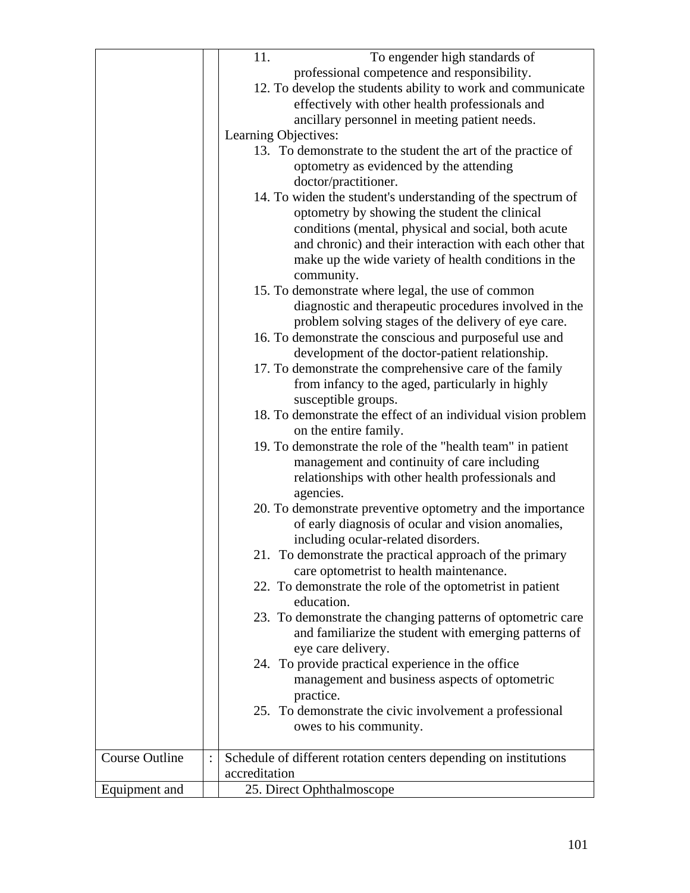|                       | 11.<br>To engender high standards of                                                                |
|-----------------------|-----------------------------------------------------------------------------------------------------|
|                       | professional competence and responsibility.                                                         |
|                       |                                                                                                     |
|                       | 12. To develop the students ability to work and communicate                                         |
|                       | effectively with other health professionals and                                                     |
|                       | ancillary personnel in meeting patient needs.                                                       |
|                       | Learning Objectives:                                                                                |
|                       | 13. To demonstrate to the student the art of the practice of                                        |
|                       | optometry as evidenced by the attending                                                             |
|                       | doctor/practitioner.                                                                                |
|                       | 14. To widen the student's understanding of the spectrum of                                         |
|                       | optometry by showing the student the clinical                                                       |
|                       | conditions (mental, physical and social, both acute                                                 |
|                       | and chronic) and their interaction with each other that                                             |
|                       | make up the wide variety of health conditions in the                                                |
|                       | community.                                                                                          |
|                       | 15. To demonstrate where legal, the use of common                                                   |
|                       | diagnostic and therapeutic procedures involved in the                                               |
|                       | problem solving stages of the delivery of eye care.                                                 |
|                       | 16. To demonstrate the conscious and purposeful use and                                             |
|                       | development of the doctor-patient relationship.                                                     |
|                       | 17. To demonstrate the comprehensive care of the family                                             |
|                       | from infancy to the aged, particularly in highly                                                    |
|                       | susceptible groups.                                                                                 |
|                       | 18. To demonstrate the effect of an individual vision problem                                       |
|                       | on the entire family.                                                                               |
|                       | 19. To demonstrate the role of the "health team" in patient                                         |
|                       | management and continuity of care including                                                         |
|                       | relationships with other health professionals and                                                   |
|                       | agencies.                                                                                           |
|                       | 20. To demonstrate preventive optometry and the importance                                          |
|                       | of early diagnosis of ocular and vision anomalies,                                                  |
|                       | including ocular-related disorders.                                                                 |
|                       |                                                                                                     |
|                       | 21. To demonstrate the practical approach of the primary<br>care optometrist to health maintenance. |
|                       | 22. To demonstrate the role of the optometrist in patient                                           |
|                       | education.                                                                                          |
|                       |                                                                                                     |
|                       | 23. To demonstrate the changing patterns of optometric care                                         |
|                       | and familiarize the student with emerging patterns of                                               |
|                       | eye care delivery.                                                                                  |
|                       | 24. To provide practical experience in the office                                                   |
|                       | management and business aspects of optometric                                                       |
|                       | practice.                                                                                           |
|                       | 25. To demonstrate the civic involvement a professional                                             |
|                       | owes to his community.                                                                              |
| <b>Course Outline</b> |                                                                                                     |
|                       | Schedule of different rotation centers depending on institutions<br>$\ddot{\cdot}$<br>accreditation |
|                       |                                                                                                     |
| Equipment and         | 25. Direct Ophthalmoscope                                                                           |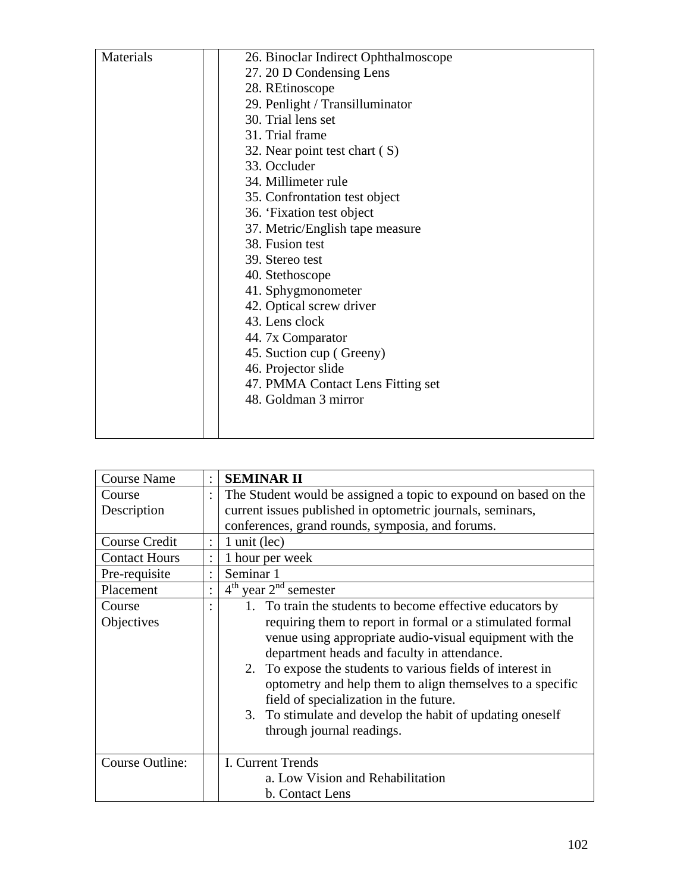| Materials | 26. Binoclar Indirect Ophthalmoscope |
|-----------|--------------------------------------|
|           | 27. 20 D Condensing Lens             |
|           | 28. REtinoscope                      |
|           | 29. Penlight / Transilluminator      |
|           | 30. Trial lens set                   |
|           | 31. Trial frame                      |
|           | 32. Near point test chart (S)        |
|           | 33. Occluder                         |
|           | 34. Millimeter rule                  |
|           | 35. Confrontation test object        |
|           | 36. 'Fixation test object            |
|           | 37. Metric/English tape measure      |
|           | 38. Fusion test                      |
|           | 39. Stereo test                      |
|           | 40. Stethoscope                      |
|           | 41. Sphygmonometer                   |
|           | 42. Optical screw driver             |
|           | 43. Lens clock                       |
|           | 44. 7x Comparator                    |
|           | 45. Suction cup (Greeny)             |
|           | 46. Projector slide                  |
|           | 47. PMMA Contact Lens Fitting set    |
|           | 48. Goldman 3 mirror                 |
|           |                                      |
|           |                                      |

| <b>Course Name</b>   |                      | <b>SEMINAR II</b>                                                |  |  |
|----------------------|----------------------|------------------------------------------------------------------|--|--|
| Course               | $\ddot{\cdot}$       | The Student would be assigned a topic to expound on based on the |  |  |
| Description          |                      | current issues published in optometric journals, seminars,       |  |  |
|                      |                      | conferences, grand rounds, symposia, and forums.                 |  |  |
| <b>Course Credit</b> | $\ddot{\phantom{0}}$ | 1 unit (lec)                                                     |  |  |
| <b>Contact Hours</b> | $\ddot{\cdot}$       | 1 hour per week                                                  |  |  |
| Pre-requisite        | $\bullet$            | Seminar 1                                                        |  |  |
| Placement            |                      | $4th$ year $2nd$ semester                                        |  |  |
| Course               |                      | 1. To train the students to become effective educators by        |  |  |
| Objectives           |                      | requiring them to report in formal or a stimulated formal        |  |  |
|                      |                      | venue using appropriate audio-visual equipment with the          |  |  |
|                      |                      | department heads and faculty in attendance.                      |  |  |
|                      |                      | 2. To expose the students to various fields of interest in       |  |  |
|                      |                      | optometry and help them to align themselves to a specific        |  |  |
|                      |                      | field of specialization in the future.                           |  |  |
|                      |                      | 3. To stimulate and develop the habit of updating oneself        |  |  |
|                      |                      | through journal readings.                                        |  |  |
|                      |                      |                                                                  |  |  |
| Course Outline:      |                      | I. Current Trends                                                |  |  |
|                      |                      | a. Low Vision and Rehabilitation                                 |  |  |
|                      |                      | b. Contact Lens                                                  |  |  |